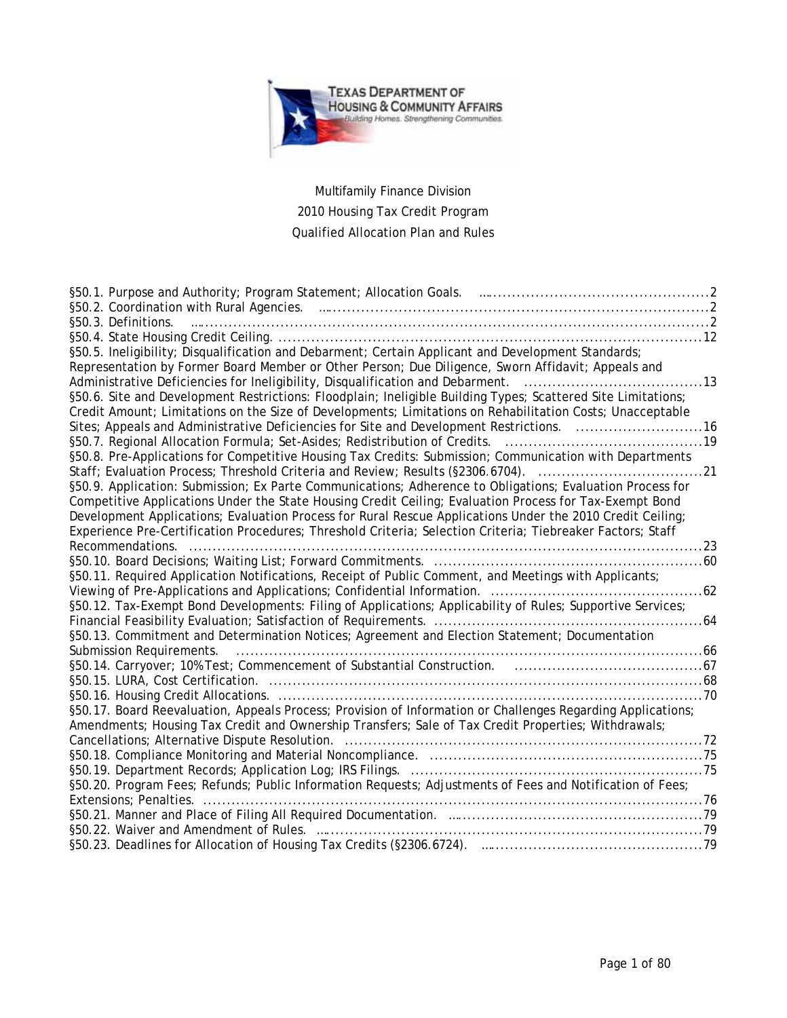

# Multifamily Finance Division 2010 Housing Tax Credit Program Qualified Allocation Plan and Rules

| §50.3. Definitions.                                                                                                            |  |
|--------------------------------------------------------------------------------------------------------------------------------|--|
|                                                                                                                                |  |
| §50.5. Ineligibility; Disqualification and Debarment; Certain Applicant and Development Standards;                             |  |
| Representation by Former Board Member or Other Person; Due Diligence, Sworn Affidavit; Appeals and                             |  |
|                                                                                                                                |  |
| §50.6. Site and Development Restrictions: Floodplain; Ineligible Building Types; Scattered Site Limitations;                   |  |
| Credit Amount; Limitations on the Size of Developments; Limitations on Rehabilitation Costs; Unacceptable                      |  |
| Sites; Appeals and Administrative Deficiencies for Site and Development Restrictions. 16                                       |  |
|                                                                                                                                |  |
| §50.8. Pre-Applications for Competitive Housing Tax Credits: Submission; Communication with Departments                        |  |
| Staff; Evaluation Process; Threshold Criteria and Review; Results (§2306.6704). 21                                             |  |
| §50.9. Application: Submission; Ex Parte Communications; Adherence to Obligations; Evaluation Process for                      |  |
| Competitive Applications Under the State Housing Credit Ceiling; Evaluation Process for Tax-Exempt Bond                        |  |
| Development Applications; Evaluation Process for Rural Rescue Applications Under the 2010 Credit Ceiling;                      |  |
| Experience Pre-Certification Procedures; Threshold Criteria; Selection Criteria; Tiebreaker Factors; Staff<br>Recommendations. |  |
|                                                                                                                                |  |
| §50.11. Required Application Notifications, Receipt of Public Comment, and Meetings with Applicants;                           |  |
| .62                                                                                                                            |  |
| §50.12. Tax-Exempt Bond Developments: Filing of Applications; Applicability of Rules; Supportive Services;                     |  |
|                                                                                                                                |  |
| §50.13. Commitment and Determination Notices; Agreement and Election Statement; Documentation                                  |  |
| Submission Requirements.                                                                                                       |  |
|                                                                                                                                |  |
|                                                                                                                                |  |
|                                                                                                                                |  |
| §50.17. Board Reevaluation, Appeals Process; Provision of Information or Challenges Regarding Applications;                    |  |
| Amendments; Housing Tax Credit and Ownership Transfers; Sale of Tax Credit Properties; Withdrawals;                            |  |
|                                                                                                                                |  |
|                                                                                                                                |  |
|                                                                                                                                |  |
| §50.20. Program Fees; Refunds; Public Information Requests; Adjustments of Fees and Notification of Fees;                      |  |
|                                                                                                                                |  |
|                                                                                                                                |  |
|                                                                                                                                |  |
|                                                                                                                                |  |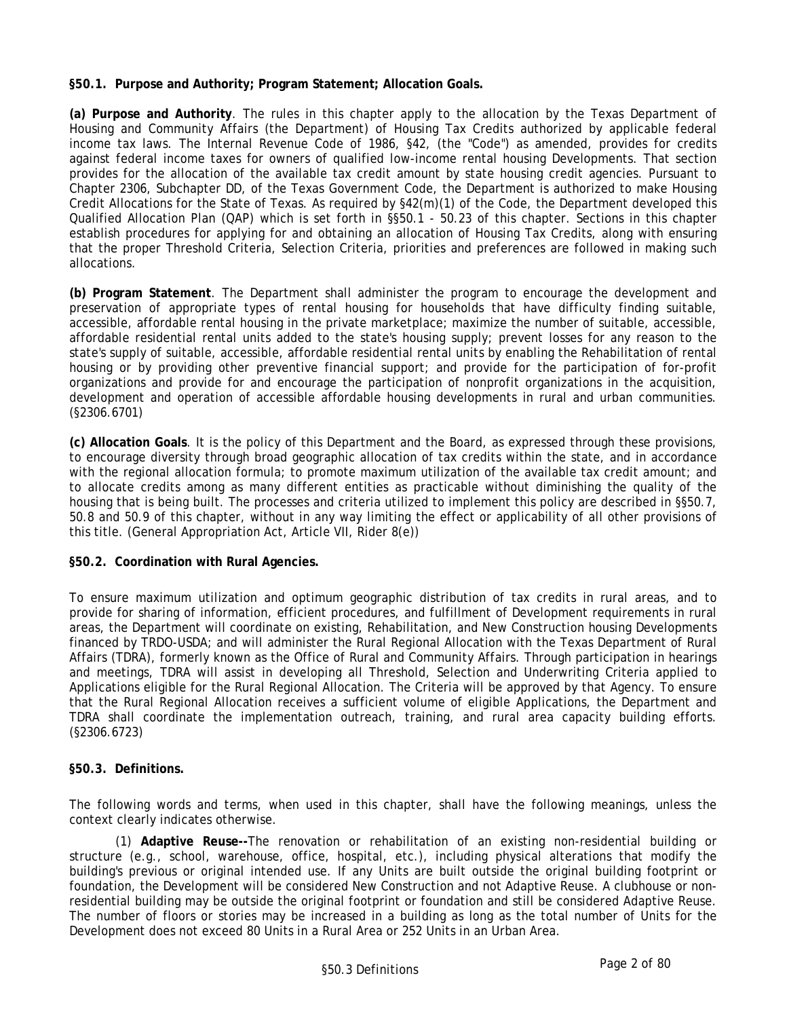## **§50.1. Purpose and Authority; Program Statement; Allocation Goals.**

**(a) Purpose and Authority**. The rules in this chapter apply to the allocation by the Texas Department of Housing and Community Affairs (the Department) of Housing Tax Credits authorized by applicable federal income tax laws. The Internal Revenue Code of 1986, §42, (the "Code") as amended, provides for credits against federal income taxes for owners of qualified low-income rental housing Developments. That section provides for the allocation of the available tax credit amount by state housing credit agencies. Pursuant to Chapter 2306, Subchapter DD, of the Texas Government Code, the Department is authorized to make Housing Credit Allocations for the State of Texas. As required by §42(m)(1) of the Code, the Department developed this Qualified Allocation Plan (QAP) which is set forth in §§50.1 - 50.23 of this chapter. Sections in this chapter establish procedures for applying for and obtaining an allocation of Housing Tax Credits, along with ensuring that the proper Threshold Criteria, Selection Criteria, priorities and preferences are followed in making such allocations.

**(b) Program Statement**. The Department shall administer the program to encourage the development and preservation of appropriate types of rental housing for households that have difficulty finding suitable, accessible, affordable rental housing in the private marketplace; maximize the number of suitable, accessible, affordable residential rental units added to the state's housing supply; prevent losses for any reason to the state's supply of suitable, accessible, affordable residential rental units by enabling the Rehabilitation of rental housing or by providing other preventive financial support; and provide for the participation of for-profit organizations and provide for and encourage the participation of nonprofit organizations in the acquisition, development and operation of accessible affordable housing developments in rural and urban communities. (§2306.6701)

**(c) Allocation Goals**. It is the policy of this Department and the Board, as expressed through these provisions, to encourage diversity through broad geographic allocation of tax credits within the state, and in accordance with the regional allocation formula; to promote maximum utilization of the available tax credit amount; and to allocate credits among as many different entities as practicable without diminishing the quality of the housing that is being built. The processes and criteria utilized to implement this policy are described in §§50.7, 50.8 and 50.9 of this chapter, without in any way limiting the effect or applicability of all other provisions of this title. (General Appropriation Act, Article VII, Rider 8(e))

# **§50.2. Coordination with Rural Agencies.**

To ensure maximum utilization and optimum geographic distribution of tax credits in rural areas, and to provide for sharing of information, efficient procedures, and fulfillment of Development requirements in rural areas, the Department will coordinate on existing, Rehabilitation, and New Construction housing Developments financed by TRDO-USDA; and will administer the Rural Regional Allocation with the Texas Department of Rural Affairs (TDRA), formerly known as the Office of Rural and Community Affairs. Through participation in hearings and meetings, TDRA will assist in developing all Threshold, Selection and Underwriting Criteria applied to Applications eligible for the Rural Regional Allocation. The Criteria will be approved by that Agency. To ensure that the Rural Regional Allocation receives a sufficient volume of eligible Applications, the Department and TDRA shall coordinate the implementation outreach, training, and rural area capacity building efforts. (§2306.6723)

# **§50.3. Definitions.**

The following words and terms, when used in this chapter, shall have the following meanings, unless the context clearly indicates otherwise.

(1) **Adaptive Reuse--**The renovation or rehabilitation of an existing non-residential building or structure (e.g., school, warehouse, office, hospital, etc.), including physical alterations that modify the building's previous or original intended use. If any Units are built outside the original building footprint or foundation, the Development will be considered New Construction and not Adaptive Reuse. A clubhouse or nonresidential building may be outside the original footprint or foundation and still be considered Adaptive Reuse. The number of floors or stories may be increased in a building as long as the total number of Units for the Development does not exceed 80 Units in a Rural Area or 252 Units in an Urban Area.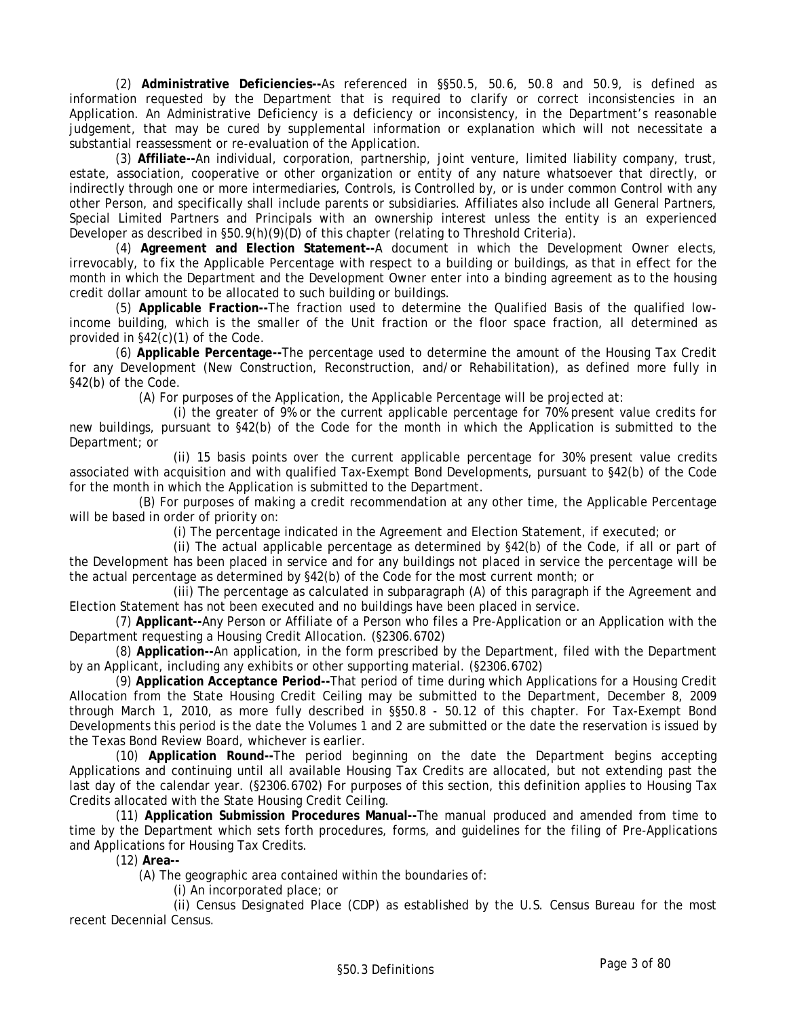(2) **Administrative Deficiencies--**As referenced in §§50.5, 50.6, 50.8 and 50.9, is defined as information requested by the Department that is required to clarify or correct inconsistencies in an Application. An Administrative Deficiency is a deficiency or inconsistency, in the Department's reasonable judgement, that may be cured by supplemental information or explanation which will not necessitate a substantial reassessment or re-evaluation of the Application.

(3) **Affiliate--**An individual, corporation, partnership, joint venture, limited liability company, trust, estate, association, cooperative or other organization or entity of any nature whatsoever that directly, or indirectly through one or more intermediaries, Controls, is Controlled by, or is under common Control with any other Person, and specifically shall include parents or subsidiaries. Affiliates also include all General Partners, Special Limited Partners and Principals with an ownership interest unless the entity is an experienced Developer as described in §50.9(h)(9)(D) of this chapter (relating to Threshold Criteria).

(4) **Agreement and Election Statement--**A document in which the Development Owner elects, irrevocably, to fix the Applicable Percentage with respect to a building or buildings, as that in effect for the month in which the Department and the Development Owner enter into a binding agreement as to the housing credit dollar amount to be allocated to such building or buildings.

(5) **Applicable Fraction--**The fraction used to determine the Qualified Basis of the qualified lowincome building, which is the smaller of the Unit fraction or the floor space fraction, all determined as provided in §42(c)(1) of the Code.

(6) **Applicable Percentage--**The percentage used to determine the amount of the Housing Tax Credit for any Development (New Construction, Reconstruction, and/or Rehabilitation), as defined more fully in §42(b) of the Code.

(A) For purposes of the Application, the Applicable Percentage will be projected at:

(i) the greater of 9% or the current applicable percentage for 70% present value credits for new buildings, pursuant to §42(b) of the Code for the month in which the Application is submitted to the Department; or

(ii) 15 basis points over the current applicable percentage for 30% present value credits associated with acquisition and with qualified Tax-Exempt Bond Developments, pursuant to §42(b) of the Code for the month in which the Application is submitted to the Department.

(B) For purposes of making a credit recommendation at any other time, the Applicable Percentage will be based in order of priority on:

(i) The percentage indicated in the Agreement and Election Statement, if executed; or

(ii) The actual applicable percentage as determined by §42(b) of the Code, if all or part of the Development has been placed in service and for any buildings not placed in service the percentage will be the actual percentage as determined by §42(b) of the Code for the most current month; or

(iii) The percentage as calculated in subparagraph (A) of this paragraph if the Agreement and Election Statement has not been executed and no buildings have been placed in service.

(7) **Applicant--**Any Person or Affiliate of a Person who files a Pre-Application or an Application with the Department requesting a Housing Credit Allocation. (§2306.6702)

(8) **Application--**An application, in the form prescribed by the Department, filed with the Department by an Applicant, including any exhibits or other supporting material. (§2306.6702)

(9) **Application Acceptance Period--**That period of time during which Applications for a Housing Credit Allocation from the State Housing Credit Ceiling may be submitted to the Department, December 8, 2009 through March 1, 2010, as more fully described in §§50.8 - 50.12 of this chapter. For Tax-Exempt Bond Developments this period is the date the Volumes 1 and 2 are submitted or the date the reservation is issued by the Texas Bond Review Board, whichever is earlier.

(10) **Application Round--**The period beginning on the date the Department begins accepting Applications and continuing until all available Housing Tax Credits are allocated, but not extending past the last day of the calendar year. (§2306.6702) For purposes of this section, this definition applies to Housing Tax Credits allocated with the State Housing Credit Ceiling.

(11) **Application Submission Procedures Manual--**The manual produced and amended from time to time by the Department which sets forth procedures, forms, and guidelines for the filing of Pre-Applications and Applications for Housing Tax Credits.

(12) **Area--**

(A) The geographic area contained within the boundaries of:

(i) An incorporated place; or

(ii) Census Designated Place (CDP) as established by the U.S. Census Bureau for the most recent Decennial Census.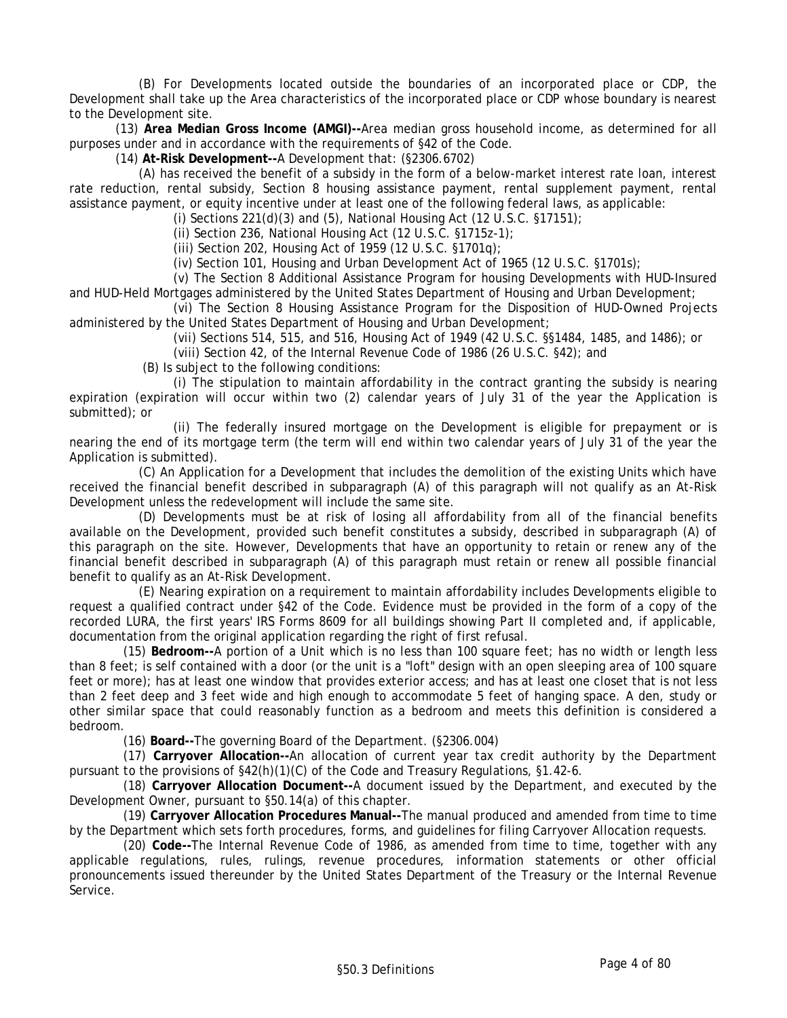(B) For Developments located outside the boundaries of an incorporated place or CDP, the Development shall take up the Area characteristics of the incorporated place or CDP whose boundary is nearest to the Development site.

(13) **Area Median Gross Income (AMGI)--**Area median gross household income, as determined for all purposes under and in accordance with the requirements of §42 of the Code.

(14) **At-Risk Development--**A Development that: (§2306.6702)

(A) has received the benefit of a subsidy in the form of a below-market interest rate loan, interest rate reduction, rental subsidy, Section 8 housing assistance payment, rental supplement payment, rental assistance payment, or equity incentive under at least one of the following federal laws, as applicable:

(i) Sections 221(d)(3) and (5), National Housing Act (12 U.S.C. §17151);

(ii) Section 236, National Housing Act (12 U.S.C. §1715z-1);

(iii) Section 202, Housing Act of 1959 (12 U.S.C. §1701q);

(iv) Section 101, Housing and Urban Development Act of 1965 (12 U.S.C. §1701s);

(v) The Section 8 Additional Assistance Program for housing Developments with HUD-Insured and HUD-Held Mortgages administered by the United States Department of Housing and Urban Development;

(vi) The Section 8 Housing Assistance Program for the Disposition of HUD-Owned Projects administered by the United States Department of Housing and Urban Development;

(vii) Sections 514, 515, and 516, Housing Act of 1949 (42 U.S.C. §§1484, 1485, and 1486); or

(viii) Section 42, of the Internal Revenue Code of 1986 (26 U.S.C. §42); and

(B) Is subject to the following conditions:

(i) The stipulation to maintain affordability in the contract granting the subsidy is nearing expiration (expiration will occur within two (2) calendar years of July 31 of the year the Application is submitted); or

(ii) The federally insured mortgage on the Development is eligible for prepayment or is nearing the end of its mortgage term (the term will end within two calendar years of July 31 of the year the Application is submitted).

(C) An Application for a Development that includes the demolition of the existing Units which have received the financial benefit described in subparagraph (A) of this paragraph will not qualify as an At-Risk Development unless the redevelopment will include the same site.

(D) Developments must be at risk of losing all affordability from all of the financial benefits available on the Development, provided such benefit constitutes a subsidy, described in subparagraph (A) of this paragraph on the site. However, Developments that have an opportunity to retain or renew any of the financial benefit described in subparagraph (A) of this paragraph must retain or renew all possible financial benefit to qualify as an At-Risk Development.

(E) Nearing expiration on a requirement to maintain affordability includes Developments eligible to request a qualified contract under §42 of the Code. Evidence must be provided in the form of a copy of the recorded LURA, the first years' IRS Forms 8609 for all buildings showing Part II completed and, if applicable, documentation from the original application regarding the right of first refusal.

 (15) **Bedroom--**A portion of a Unit which is no less than 100 square feet; has no width or length less than 8 feet; is self contained with a door (or the unit is a "loft" design with an open sleeping area of 100 square feet or more); has at least one window that provides exterior access; and has at least one closet that is not less than 2 feet deep and 3 feet wide and high enough to accommodate 5 feet of hanging space. A den, study or other similar space that could reasonably function as a bedroom and meets this definition is considered a bedroom.

(16) **Board--**The governing Board of the Department. (§2306.004)

 (17) **Carryover Allocation--**An allocation of current year tax credit authority by the Department pursuant to the provisions of §42(h)(1)(C) of the Code and Treasury Regulations, §1.42-6.

 (18) **Carryover Allocation Document--**A document issued by the Department, and executed by the Development Owner, pursuant to §50.14(a) of this chapter.

 (19) **Carryover Allocation Procedures Manual--**The manual produced and amended from time to time by the Department which sets forth procedures, forms, and guidelines for filing Carryover Allocation requests.

 (20) **Code--**The Internal Revenue Code of 1986, as amended from time to time, together with any applicable regulations, rules, rulings, revenue procedures, information statements or other official pronouncements issued thereunder by the United States Department of the Treasury or the Internal Revenue Service.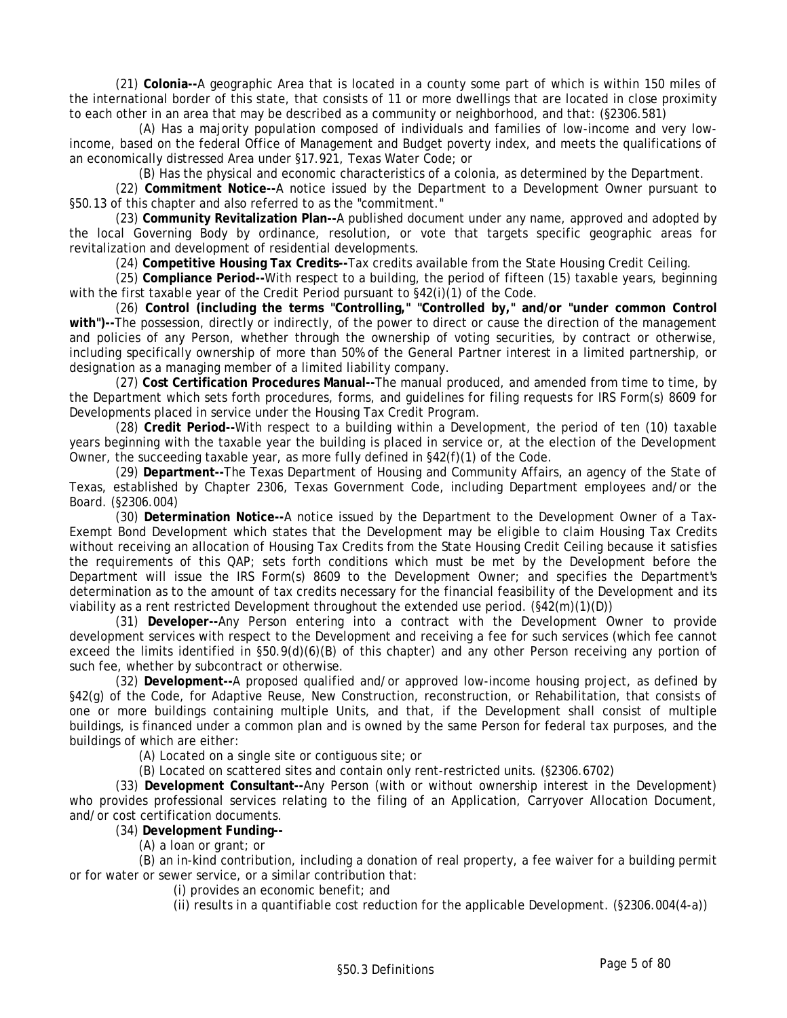(21) **Colonia--**A geographic Area that is located in a county some part of which is within 150 miles of the international border of this state, that consists of 11 or more dwellings that are located in close proximity to each other in an area that may be described as a community or neighborhood, and that: (§2306.581)

(A) Has a majority population composed of individuals and families of low-income and very lowincome, based on the federal Office of Management and Budget poverty index, and meets the qualifications of an economically distressed Area under §17.921, Texas Water Code; or

(B) Has the physical and economic characteristics of a colonia, as determined by the Department.

(22) **Commitment Notice--**A notice issued by the Department to a Development Owner pursuant to §50.13 of this chapter and also referred to as the "commitment."

(23) **Community Revitalization Plan--**A published document under any name, approved and adopted by the local Governing Body by ordinance, resolution, or vote that targets specific geographic areas for revitalization and development of residential developments.

(24) **Competitive Housing Tax Credits--**Tax credits available from the State Housing Credit Ceiling.

(25) **Compliance Period--**With respect to a building, the period of fifteen (15) taxable years, beginning with the first taxable year of the Credit Period pursuant to  $\S42(i)(1)$  of the Code.

(26) **Control (including the terms "Controlling," "Controlled by," and/or "under common Control with")--**The possession, directly or indirectly, of the power to direct or cause the direction of the management and policies of any Person, whether through the ownership of voting securities, by contract or otherwise, including specifically ownership of more than 50% of the General Partner interest in a limited partnership, or designation as a managing member of a limited liability company.

(27) **Cost Certification Procedures Manual--**The manual produced, and amended from time to time, by the Department which sets forth procedures, forms, and guidelines for filing requests for IRS Form(s) 8609 for Developments placed in service under the Housing Tax Credit Program.

(28) **Credit Period--**With respect to a building within a Development, the period of ten (10) taxable years beginning with the taxable year the building is placed in service or, at the election of the Development Owner, the succeeding taxable year, as more fully defined in §42(f)(1) of the Code.

(29) **Department--**The Texas Department of Housing and Community Affairs, an agency of the State of Texas, established by Chapter 2306, Texas Government Code, including Department employees and/or the Board. (§2306.004)

(30) **Determination Notice--**A notice issued by the Department to the Development Owner of a Tax-Exempt Bond Development which states that the Development may be eligible to claim Housing Tax Credits without receiving an allocation of Housing Tax Credits from the State Housing Credit Ceiling because it satisfies the requirements of this QAP; sets forth conditions which must be met by the Development before the Department will issue the IRS Form(s) 8609 to the Development Owner; and specifies the Department's determination as to the amount of tax credits necessary for the financial feasibility of the Development and its viability as a rent restricted Development throughout the extended use period.  $(\S42(m)(1)(D))$ 

(31) **Developer--**Any Person entering into a contract with the Development Owner to provide development services with respect to the Development and receiving a fee for such services (which fee cannot exceed the limits identified in §50.9(d)(6)(B) of this chapter) and any other Person receiving any portion of such fee, whether by subcontract or otherwise.

(32) **Development--**A proposed qualified and/or approved low-income housing project, as defined by §42(g) of the Code, for Adaptive Reuse, New Construction, reconstruction, or Rehabilitation, that consists of one or more buildings containing multiple Units, and that, if the Development shall consist of multiple buildings, is financed under a common plan and is owned by the same Person for federal tax purposes, and the buildings of which are either:

(A) Located on a single site or contiguous site; or

(B) Located on scattered sites and contain only rent-restricted units. (§2306.6702)

(33) **Development Consultant--**Any Person (with or without ownership interest in the Development) who provides professional services relating to the filing of an Application, Carryover Allocation Document, and/or cost certification documents.

(34) **Development Funding--**

(A) a loan or grant; or

(B) an in-kind contribution, including a donation of real property, a fee waiver for a building permit or for water or sewer service, or a similar contribution that:

(i) provides an economic benefit; and

(ii) results in a quantifiable cost reduction for the applicable Development. (§2306.004(4-a))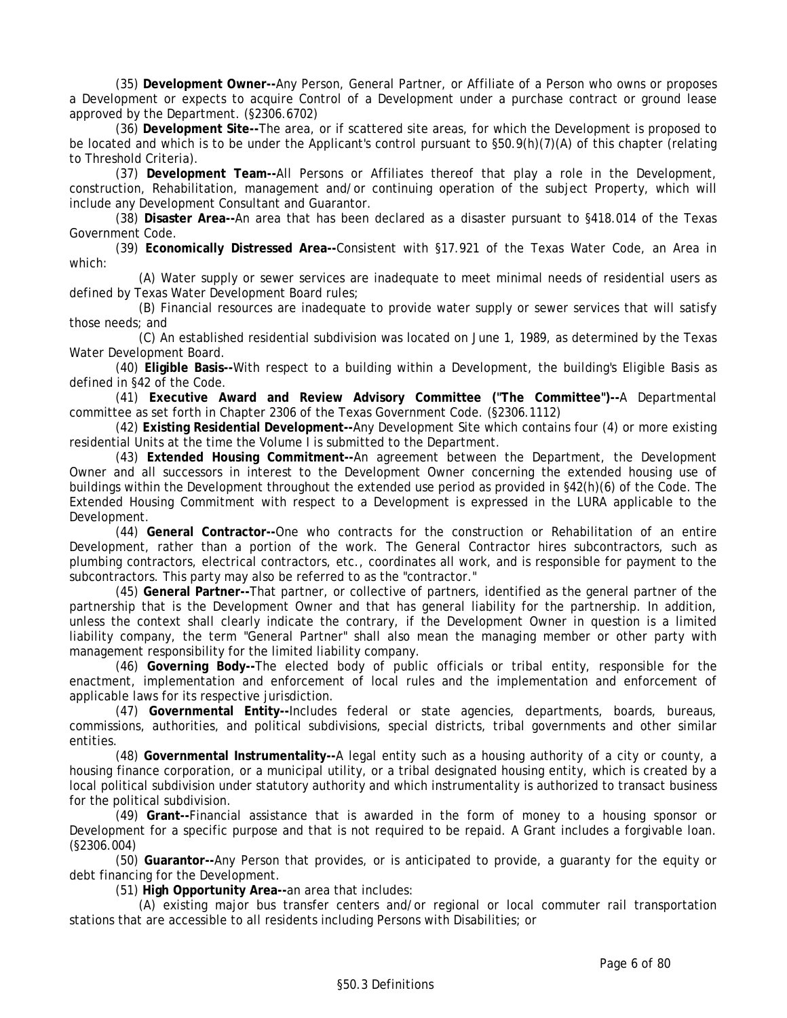(35) **Development Owner--**Any Person, General Partner, or Affiliate of a Person who owns or proposes a Development or expects to acquire Control of a Development under a purchase contract or ground lease approved by the Department. (§2306.6702)

(36) **Development Site--**The area, or if scattered site areas, for which the Development is proposed to be located and which is to be under the Applicant's control pursuant to §50.9(h)(7)(A) of this chapter (relating to Threshold Criteria).

(37) **Development Team--**All Persons or Affiliates thereof that play a role in the Development, construction, Rehabilitation, management and/or continuing operation of the subject Property, which will include any Development Consultant and Guarantor.

(38) **Disaster Area--**An area that has been declared as a disaster pursuant to §418.014 of the Texas Government Code.

(39) **Economically Distressed Area--**Consistent with §17.921 of the Texas Water Code, an Area in which:

(A) Water supply or sewer services are inadequate to meet minimal needs of residential users as defined by Texas Water Development Board rules;

(B) Financial resources are inadequate to provide water supply or sewer services that will satisfy those needs; and

(C) An established residential subdivision was located on June 1, 1989, as determined by the Texas Water Development Board.

(40) **Eligible Basis--**With respect to a building within a Development, the building's Eligible Basis as defined in §42 of the Code.

(41) **Executive Award and Review Advisory Committee ("The Committee")--**A Departmental committee as set forth in Chapter 2306 of the Texas Government Code. (§2306.1112)

(42) **Existing Residential Development--**Any Development Site which contains four (4) or more existing residential Units at the time the Volume I is submitted to the Department.

(43) **Extended Housing Commitment--**An agreement between the Department, the Development Owner and all successors in interest to the Development Owner concerning the extended housing use of buildings within the Development throughout the extended use period as provided in §42(h)(6) of the Code. The Extended Housing Commitment with respect to a Development is expressed in the LURA applicable to the Development.

(44) **General Contractor--**One who contracts for the construction or Rehabilitation of an entire Development, rather than a portion of the work. The General Contractor hires subcontractors, such as plumbing contractors, electrical contractors, etc., coordinates all work, and is responsible for payment to the subcontractors. This party may also be referred to as the "contractor."

(45) **General Partner--**That partner, or collective of partners, identified as the general partner of the partnership that is the Development Owner and that has general liability for the partnership. In addition, unless the context shall clearly indicate the contrary, if the Development Owner in question is a limited liability company, the term "General Partner" shall also mean the managing member or other party with management responsibility for the limited liability company.

(46) **Governing Body--**The elected body of public officials or tribal entity, responsible for the enactment, implementation and enforcement of local rules and the implementation and enforcement of applicable laws for its respective jurisdiction.

(47) **Governmental Entity--**Includes federal or state agencies, departments, boards, bureaus, commissions, authorities, and political subdivisions, special districts, tribal governments and other similar entities.

(48) **Governmental Instrumentality--**A legal entity such as a housing authority of a city or county, a housing finance corporation, or a municipal utility, or a tribal designated housing entity, which is created by a local political subdivision under statutory authority and which instrumentality is authorized to transact business for the political subdivision.

(49) **Grant--**Financial assistance that is awarded in the form of money to a housing sponsor or Development for a specific purpose and that is not required to be repaid. A Grant includes a forgivable loan. (§2306.004)

(50) **Guarantor--**Any Person that provides, or is anticipated to provide, a guaranty for the equity or debt financing for the Development.

(51) **High Opportunity Area--**an area that includes:

(A) existing major bus transfer centers and/or regional or local commuter rail transportation stations that are accessible to all residents including Persons with Disabilities; or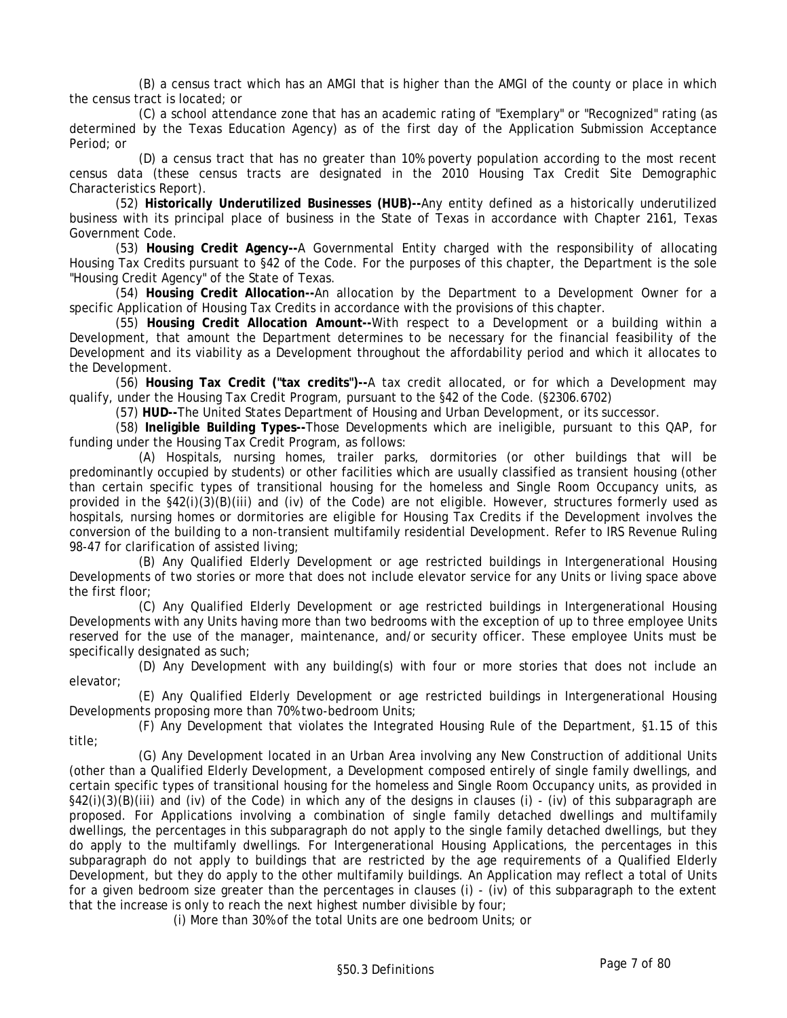(B) a census tract which has an AMGI that is higher than the AMGI of the county or place in which the census tract is located; or

(C) a school attendance zone that has an academic rating of "Exemplary" or "Recognized" rating (as determined by the Texas Education Agency) as of the first day of the Application Submission Acceptance Period; or

(D) a census tract that has no greater than 10% poverty population according to the most recent census data (these census tracts are designated in the 2010 Housing Tax Credit Site Demographic Characteristics Report).

(52) **Historically Underutilized Businesses (HUB)--**Any entity defined as a historically underutilized business with its principal place of business in the State of Texas in accordance with Chapter 2161, Texas Government Code.

(53) **Housing Credit Agency--**A Governmental Entity charged with the responsibility of allocating Housing Tax Credits pursuant to §42 of the Code. For the purposes of this chapter, the Department is the sole "Housing Credit Agency" of the State of Texas.

(54) **Housing Credit Allocation--**An allocation by the Department to a Development Owner for a specific Application of Housing Tax Credits in accordance with the provisions of this chapter.

(55) **Housing Credit Allocation Amount--**With respect to a Development or a building within a Development, that amount the Department determines to be necessary for the financial feasibility of the Development and its viability as a Development throughout the affordability period and which it allocates to the Development.

(56) **Housing Tax Credit ("tax credits")--**A tax credit allocated, or for which a Development may qualify, under the Housing Tax Credit Program, pursuant to the §42 of the Code. (§2306.6702)

(57) **HUD--**The United States Department of Housing and Urban Development, or its successor.

(58) **Ineligible Building Types--**Those Developments which are ineligible, pursuant to this QAP, for funding under the Housing Tax Credit Program, as follows:

(A) Hospitals, nursing homes, trailer parks, dormitories (or other buildings that will be predominantly occupied by students) or other facilities which are usually classified as transient housing (other than certain specific types of transitional housing for the homeless and Single Room Occupancy units, as provided in the §42(i)(3)(B)(iii) and (iv) of the Code) are not eligible. However, structures formerly used as hospitals, nursing homes or dormitories are eligible for Housing Tax Credits if the Development involves the conversion of the building to a non-transient multifamily residential Development. Refer to IRS Revenue Ruling 98-47 for clarification of assisted living;

(B) Any Qualified Elderly Development or age restricted buildings in Intergenerational Housing Developments of two stories or more that does not include elevator service for any Units or living space above the first floor;

(C) Any Qualified Elderly Development or age restricted buildings in Intergenerational Housing Developments with any Units having more than two bedrooms with the exception of up to three employee Units reserved for the use of the manager, maintenance, and/or security officer. These employee Units must be specifically designated as such;

(D) Any Development with any building(s) with four or more stories that does not include an elevator;

(E) Any Qualified Elderly Development or age restricted buildings in Intergenerational Housing Developments proposing more than 70% two-bedroom Units;

(F) Any Development that violates the Integrated Housing Rule of the Department, §1.15 of this title;

(G) Any Development located in an Urban Area involving any New Construction of additional Units (other than a Qualified Elderly Development, a Development composed entirely of single family dwellings, and certain specific types of transitional housing for the homeless and Single Room Occupancy units, as provided in  $\S42(i)(3)(B(iii)$  and (iv) of the Code) in which any of the designs in clauses (i) - (iv) of this subparagraph are proposed. For Applications involving a combination of single family detached dwellings and multifamily dwellings, the percentages in this subparagraph do not apply to the single family detached dwellings, but they do apply to the multifamly dwellings. For Intergenerational Housing Applications, the percentages in this subparagraph do not apply to buildings that are restricted by the age requirements of a Qualified Elderly Development, but they do apply to the other multifamily buildings. An Application may reflect a total of Units for a given bedroom size greater than the percentages in clauses (i) - (iv) of this subparagraph to the extent that the increase is only to reach the next highest number divisible by four;

(i) More than 30% of the total Units are one bedroom Units; or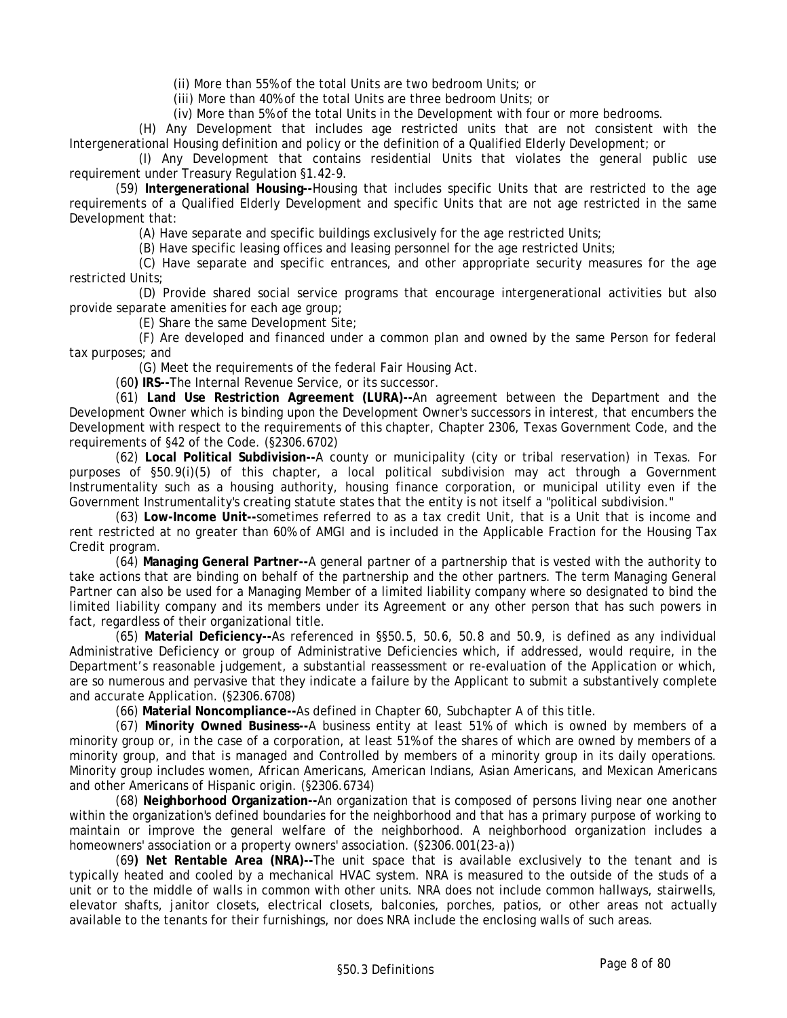(ii) More than 55% of the total Units are two bedroom Units; or

(iii) More than 40% of the total Units are three bedroom Units; or

(iv) More than 5% of the total Units in the Development with four or more bedrooms.

(H) Any Development that includes age restricted units that are not consistent with the Intergenerational Housing definition and policy or the definition of a Qualified Elderly Development; or

(I) Any Development that contains residential Units that violates the general public use requirement under Treasury Regulation §1.42-9.

(59) **Intergenerational Housing--**Housing that includes specific Units that are restricted to the age requirements of a Qualified Elderly Development and specific Units that are not age restricted in the same Development that:

(A) Have separate and specific buildings exclusively for the age restricted Units;

(B) Have specific leasing offices and leasing personnel for the age restricted Units;

(C) Have separate and specific entrances, and other appropriate security measures for the age restricted Units;

(D) Provide shared social service programs that encourage intergenerational activities but also provide separate amenities for each age group;

(E) Share the same Development Site;

(F) Are developed and financed under a common plan and owned by the same Person for federal tax purposes; and

(G) Meet the requirements of the federal Fair Housing Act.

(60**) IRS--**The Internal Revenue Service, or its successor.

(61) **Land Use Restriction Agreement (LURA)--**An agreement between the Department and the Development Owner which is binding upon the Development Owner's successors in interest, that encumbers the Development with respect to the requirements of this chapter, Chapter 2306, Texas Government Code, and the requirements of §42 of the Code. (§2306.6702)

(62) **Local Political Subdivision--**A county or municipality (city or tribal reservation) in Texas. For purposes of §50.9(i)(5) of this chapter, a local political subdivision may act through a Government Instrumentality such as a housing authority, housing finance corporation, or municipal utility even if the Government Instrumentality's creating statute states that the entity is not itself a "political subdivision."

(63) **Low-Income Unit--**sometimes referred to as a tax credit Unit, that is a Unit that is income and rent restricted at no greater than 60% of AMGI and is included in the Applicable Fraction for the Housing Tax Credit program.

(64) **Managing General Partner--**A general partner of a partnership that is vested with the authority to take actions that are binding on behalf of the partnership and the other partners. The term Managing General Partner can also be used for a Managing Member of a limited liability company where so designated to bind the limited liability company and its members under its Agreement or any other person that has such powers in fact, regardless of their organizational title.

(65) **Material Deficiency--**As referenced in §§50.5, 50.6, 50.8 and 50.9, is defined as any individual Administrative Deficiency or group of Administrative Deficiencies which, if addressed, would require, in the Department's reasonable judgement, a substantial reassessment or re-evaluation of the Application or which, are so numerous and pervasive that they indicate a failure by the Applicant to submit a substantively complete and accurate Application. (§2306.6708)

(66) **Material Noncompliance--**As defined in Chapter 60, Subchapter A of this title.

(67) **Minority Owned Business--**A business entity at least 51% of which is owned by members of a minority group or, in the case of a corporation, at least 51% of the shares of which are owned by members of a minority group, and that is managed and Controlled by members of a minority group in its daily operations. Minority group includes women, African Americans, American Indians, Asian Americans, and Mexican Americans and other Americans of Hispanic origin. (§2306.6734)

(68) **Neighborhood Organization--**An organization that is composed of persons living near one another within the organization's defined boundaries for the neighborhood and that has a primary purpose of working to maintain or improve the general welfare of the neighborhood. A neighborhood organization includes a homeowners' association or a property owners' association. (§2306.001(23-a))

(69**) Net Rentable Area (NRA)--**The unit space that is available exclusively to the tenant and is typically heated and cooled by a mechanical HVAC system. NRA is measured to the outside of the studs of a unit or to the middle of walls in common with other units. NRA does not include common hallways, stairwells, elevator shafts, janitor closets, electrical closets, balconies, porches, patios, or other areas not actually available to the tenants for their furnishings, nor does NRA include the enclosing walls of such areas.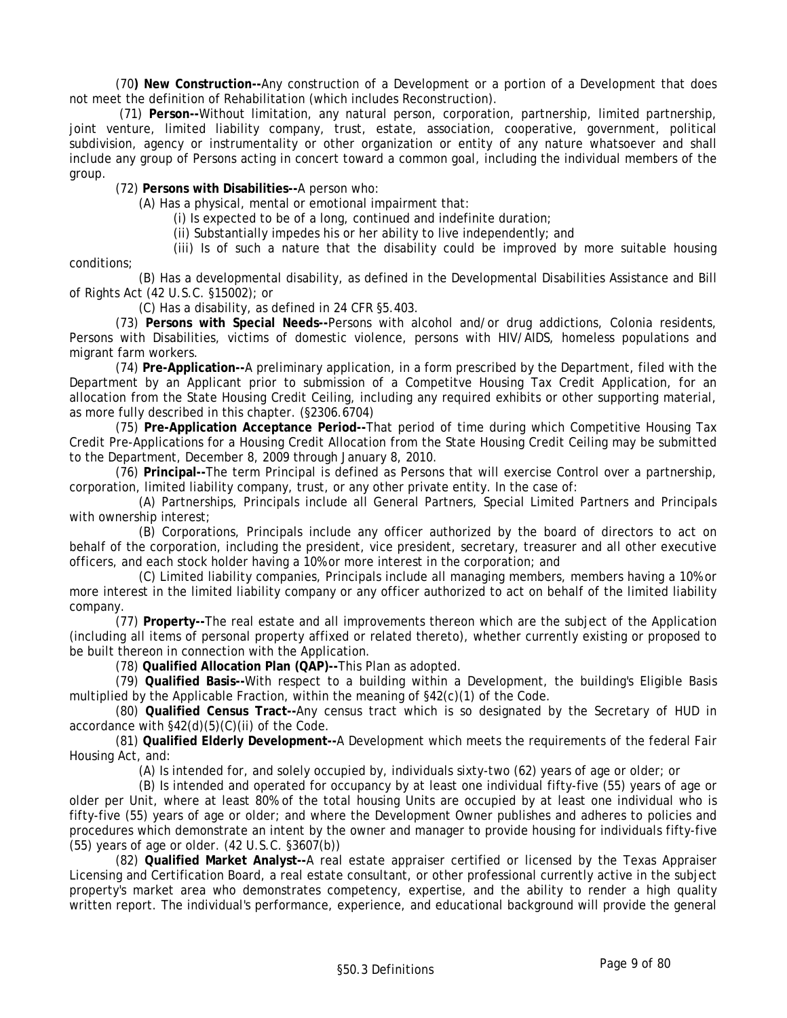(70**) New Construction--**Any construction of a Development or a portion of a Development that does not meet the definition of Rehabilitation (which includes Reconstruction).

 (71) **Person--**Without limitation, any natural person, corporation, partnership, limited partnership, joint venture, limited liability company, trust, estate, association, cooperative, government, political subdivision, agency or instrumentality or other organization or entity of any nature whatsoever and shall include any group of Persons acting in concert toward a common goal, including the individual members of the group.

(72) **Persons with Disabilities--**A person who:

(A) Has a physical, mental or emotional impairment that:

(i) Is expected to be of a long, continued and indefinite duration;

(ii) Substantially impedes his or her ability to live independently; and

(iii) Is of such a nature that the disability could be improved by more suitable housing conditions;

(B) Has a developmental disability, as defined in the Developmental Disabilities Assistance and Bill of Rights Act (42 U.S.C. §15002); or

(C) Has a disability, as defined in 24 CFR §5.403.

(73) **Persons with Special Needs--**Persons with alcohol and/or drug addictions, Colonia residents, Persons with Disabilities, victims of domestic violence, persons with HIV/AIDS, homeless populations and migrant farm workers.

(74) **Pre-Application--**A preliminary application, in a form prescribed by the Department, filed with the Department by an Applicant prior to submission of a Competitve Housing Tax Credit Application, for an allocation from the State Housing Credit Ceiling, including any required exhibits or other supporting material, as more fully described in this chapter. (§2306.6704)

(75) **Pre-Application Acceptance Period--**That period of time during which Competitive Housing Tax Credit Pre-Applications for a Housing Credit Allocation from the State Housing Credit Ceiling may be submitted to the Department, December 8, 2009 through January 8, 2010.

(76) **Principal--**The term Principal is defined as Persons that will exercise Control over a partnership, corporation, limited liability company, trust, or any other private entity. In the case of:

(A) Partnerships, Principals include all General Partners, Special Limited Partners and Principals with ownership interest;

(B) Corporations, Principals include any officer authorized by the board of directors to act on behalf of the corporation, including the president, vice president, secretary, treasurer and all other executive officers, and each stock holder having a 10% or more interest in the corporation; and

(C) Limited liability companies, Principals include all managing members, members having a 10% or more interest in the limited liability company or any officer authorized to act on behalf of the limited liability company.

(77) **Property--**The real estate and all improvements thereon which are the subject of the Application (including all items of personal property affixed or related thereto), whether currently existing or proposed to be built thereon in connection with the Application.

(78) **Qualified Allocation Plan (QAP)--**This Plan as adopted.

(79) **Qualified Basis--**With respect to a building within a Development, the building's Eligible Basis multiplied by the Applicable Fraction, within the meaning of §42(c)(1) of the Code.

(80) **Qualified Census Tract--**Any census tract which is so designated by the Secretary of HUD in accordance with §42(d)(5)(C)(ii) of the Code.

(81) **Qualified Elderly Development--**A Development which meets the requirements of the federal Fair Housing Act, and:

(A) Is intended for, and solely occupied by, individuals sixty-two (62) years of age or older; or

(B) Is intended and operated for occupancy by at least one individual fifty-five (55) years of age or older per Unit, where at least 80% of the total housing Units are occupied by at least one individual who is fifty-five (55) years of age or older; and where the Development Owner publishes and adheres to policies and procedures which demonstrate an intent by the owner and manager to provide housing for individuals fifty-five (55) years of age or older. (42 U.S.C. §3607(b))

(82) **Qualified Market Analyst--**A real estate appraiser certified or licensed by the Texas Appraiser Licensing and Certification Board, a real estate consultant, or other professional currently active in the subject property's market area who demonstrates competency, expertise, and the ability to render a high quality written report. The individual's performance, experience, and educational background will provide the general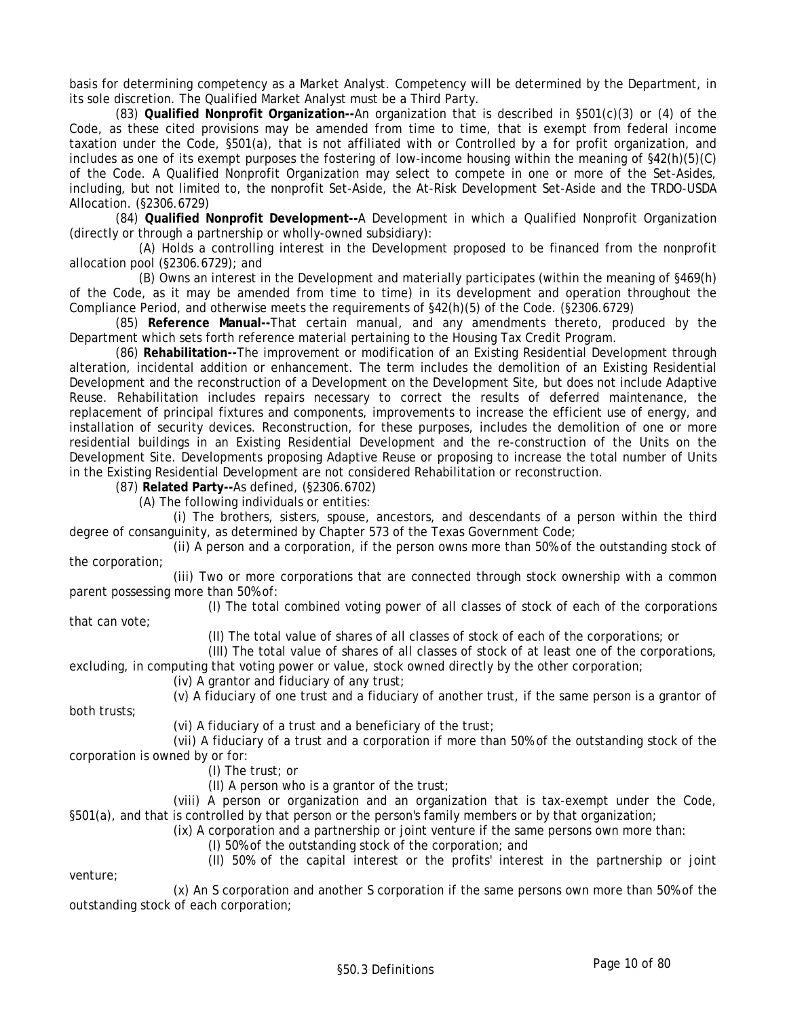basis for determining competency as a Market Analyst. Competency will be determined by the Department, in its sole discretion. The Qualified Market Analyst must be a Third Party.

(83) **Qualified Nonprofit Organization--**An organization that is described in §501(c)(3) or (4) of the Code, as these cited provisions may be amended from time to time, that is exempt from federal income taxation under the Code, §501(a), that is not affiliated with or Controlled by a for profit organization, and includes as one of its exempt purposes the fostering of low-income housing within the meaning of §42(h)(5)(C) of the Code. A Qualified Nonprofit Organization may select to compete in one or more of the Set-Asides, including, but not limited to, the nonprofit Set-Aside, the At-Risk Development Set-Aside and the TRDO-USDA Allocation. (§2306.6729)

(84) **Qualified Nonprofit Development--**A Development in which a Qualified Nonprofit Organization (directly or through a partnership or wholly-owned subsidiary):

(A) Holds a controlling interest in the Development proposed to be financed from the nonprofit allocation pool (§2306.6729); and

(B) Owns an interest in the Development and materially participates (within the meaning of §469(h) of the Code, as it may be amended from time to time) in its development and operation throughout the Compliance Period, and otherwise meets the requirements of §42(h)(5) of the Code. (§2306.6729)

(85) **Reference Manual--**That certain manual, and any amendments thereto, produced by the Department which sets forth reference material pertaining to the Housing Tax Credit Program.

(86) **Rehabilitation--**The improvement or modification of an Existing Residential Development through alteration, incidental addition or enhancement. The term includes the demolition of an Existing Residential Development and the reconstruction of a Development on the Development Site, but does not include Adaptive Reuse. Rehabilitation includes repairs necessary to correct the results of deferred maintenance, the replacement of principal fixtures and components, improvements to increase the efficient use of energy, and installation of security devices. Reconstruction, for these purposes, includes the demolition of one or more residential buildings in an Existing Residential Development and the re-construction of the Units on the Development Site. Developments proposing Adaptive Reuse or proposing to increase the total number of Units in the Existing Residential Development are not considered Rehabilitation or reconstruction.

(87) **Related Party--**As defined, (§2306.6702)

(A) The following individuals or entities:

(i) The brothers, sisters, spouse, ancestors, and descendants of a person within the third degree of consanguinity, as determined by Chapter 573 of the Texas Government Code;

(ii) A person and a corporation, if the person owns more than 50% of the outstanding stock of the corporation;

(iii) Two or more corporations that are connected through stock ownership with a common parent possessing more than 50% of:

(I) The total combined voting power of all classes of stock of each of the corporations

that can vote;

both trusts;

venture;

(II) The total value of shares of all classes of stock of each of the corporations; or

(III) The total value of shares of all classes of stock of at least one of the corporations, excluding, in computing that voting power or value, stock owned directly by the other corporation;

(iv) A grantor and fiduciary of any trust;

(v) A fiduciary of one trust and a fiduciary of another trust, if the same person is a grantor of

(vi) A fiduciary of a trust and a beneficiary of the trust;

(vii) A fiduciary of a trust and a corporation if more than 50% of the outstanding stock of the corporation is owned by or for:

(I) The trust; or

(II) A person who is a grantor of the trust;

(viii) A person or organization and an organization that is tax-exempt under the Code, §501(a), and that is controlled by that person or the person's family members or by that organization;

(ix) A corporation and a partnership or joint venture if the same persons own more than:

(I) 50% of the outstanding stock of the corporation; and

(II) 50% of the capital interest or the profits' interest in the partnership or joint

(x) An S corporation and another S corporation if the same persons own more than 50% of the outstanding stock of each corporation;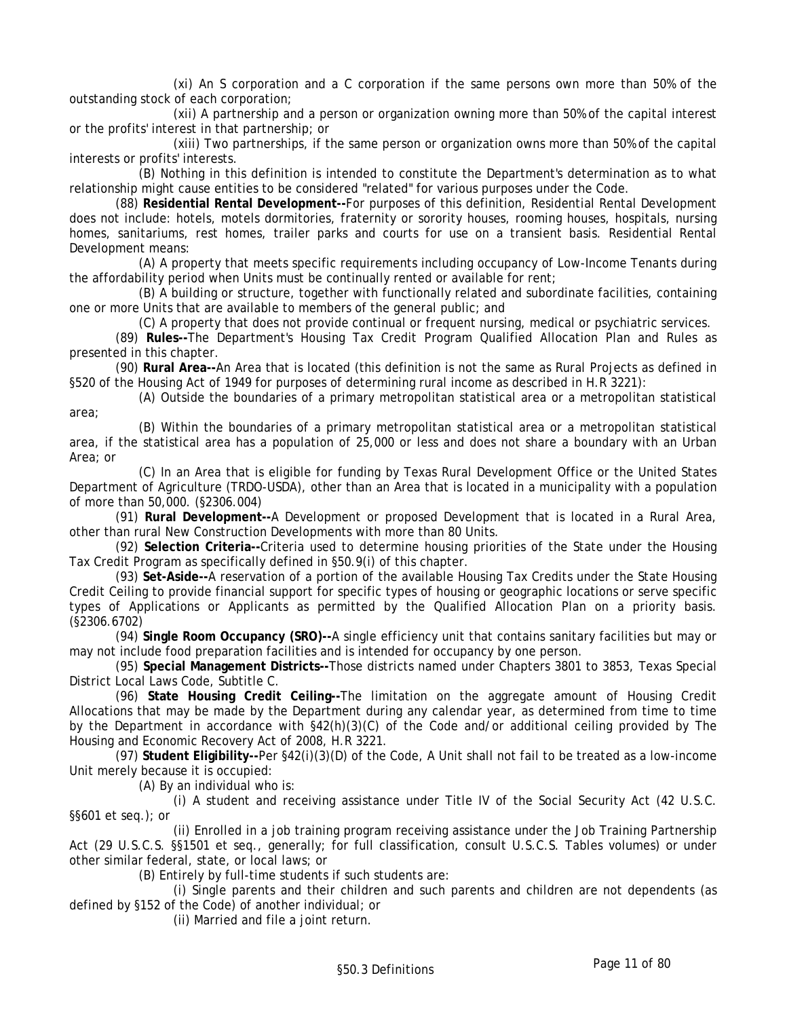(xi) An S corporation and a C corporation if the same persons own more than 50% of the outstanding stock of each corporation;

(xii) A partnership and a person or organization owning more than 50% of the capital interest or the profits' interest in that partnership; or

(xiii) Two partnerships, if the same person or organization owns more than 50% of the capital interests or profits' interests.

(B) Nothing in this definition is intended to constitute the Department's determination as to what relationship might cause entities to be considered "related" for various purposes under the Code.

(88) **Residential Rental Development--**For purposes of this definition, Residential Rental Development does not include: hotels, motels dormitories, fraternity or sorority houses, rooming houses, hospitals, nursing homes, sanitariums, rest homes, trailer parks and courts for use on a transient basis. Residential Rental Development means:

(A) A property that meets specific requirements including occupancy of Low-Income Tenants during the affordability period when Units must be continually rented or available for rent;

(B) A building or structure, together with functionally related and subordinate facilities, containing one or more Units that are available to members of the general public; and

(C) A property that does not provide continual or frequent nursing, medical or psychiatric services.

(89) **Rules--**The Department's Housing Tax Credit Program Qualified Allocation Plan and Rules as presented in this chapter.

(90) **Rural Area--**An Area that is located (this definition is not the same as Rural Projects as defined in §520 of the Housing Act of 1949 for purposes of determining rural income as described in H.R 3221):

(A) Outside the boundaries of a primary metropolitan statistical area or a metropolitan statistical area;

(B) Within the boundaries of a primary metropolitan statistical area or a metropolitan statistical area, if the statistical area has a population of 25,000 or less and does not share a boundary with an Urban Area; or

(C) In an Area that is eligible for funding by Texas Rural Development Office or the United States Department of Agriculture (TRDO-USDA), other than an Area that is located in a municipality with a population of more than 50,000. (§2306.004)

(91) **Rural Development--**A Development or proposed Development that is located in a Rural Area, other than rural New Construction Developments with more than 80 Units.

(92) **Selection Criteria--**Criteria used to determine housing priorities of the State under the Housing Tax Credit Program as specifically defined in §50.9(i) of this chapter.

(93) **Set-Aside--**A reservation of a portion of the available Housing Tax Credits under the State Housing Credit Ceiling to provide financial support for specific types of housing or geographic locations or serve specific types of Applications or Applicants as permitted by the Qualified Allocation Plan on a priority basis. (§2306.6702)

(94) **Single Room Occupancy (SRO)--**A single efficiency unit that contains sanitary facilities but may or may not include food preparation facilities and is intended for occupancy by one person.

(95) **Special Management Districts--**Those districts named under Chapters 3801 to 3853, Texas Special District Local Laws Code, Subtitle C.

(96) **State Housing Credit Ceiling--**The limitation on the aggregate amount of Housing Credit Allocations that may be made by the Department during any calendar year, as determined from time to time by the Department in accordance with §42(h)(3)(C) of the Code and/or additional ceiling provided by The Housing and Economic Recovery Act of 2008, H.R 3221.

(97) **Student Eligibility--**Per §42(i)(3)(D) of the Code, A Unit shall not fail to be treated as a low-income Unit merely because it is occupied:

(A) By an individual who is:

(i) A student and receiving assistance under Title IV of the Social Security Act (42 U.S.C. §§601 et seq.); or

(ii) Enrolled in a job training program receiving assistance under the Job Training Partnership Act (29 U.S.C.S. §§1501 et seq., generally; for full classification, consult U.S.C.S. Tables volumes) or under other similar federal, state, or local laws; or

(B) Entirely by full-time students if such students are:

(i) Single parents and their children and such parents and children are not dependents (as defined by §152 of the Code) of another individual; or

(ii) Married and file a joint return.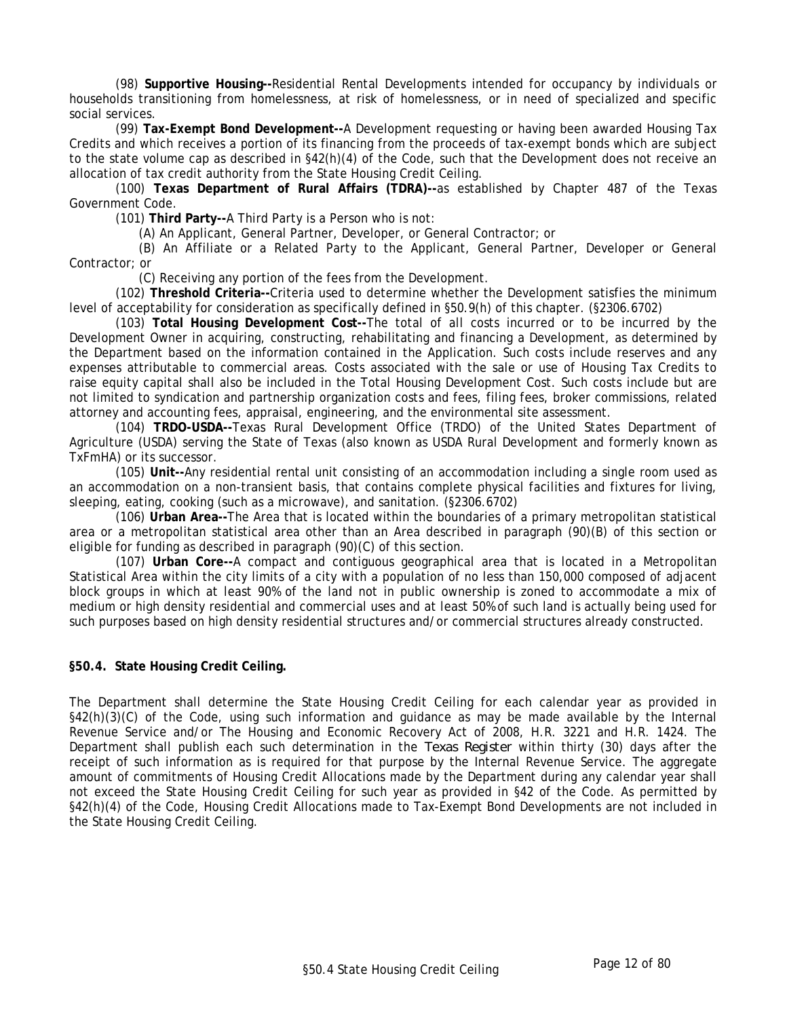(98) **Supportive Housing--**Residential Rental Developments intended for occupancy by individuals or households transitioning from homelessness, at risk of homelessness, or in need of specialized and specific social services.

(99) **Tax-Exempt Bond Development--**A Development requesting or having been awarded Housing Tax Credits and which receives a portion of its financing from the proceeds of tax-exempt bonds which are subject to the state volume cap as described in §42(h)(4) of the Code, such that the Development does not receive an allocation of tax credit authority from the State Housing Credit Ceiling.

(100) **Texas Department of Rural Affairs (TDRA)--**as established by Chapter 487 of the Texas Government Code.

(101) **Third Party--**A Third Party is a Person who is not:

(A) An Applicant, General Partner, Developer, or General Contractor; or

(B) An Affiliate or a Related Party to the Applicant, General Partner, Developer or General Contractor; or

(C) Receiving any portion of the fees from the Development.

(102) **Threshold Criteria--**Criteria used to determine whether the Development satisfies the minimum level of acceptability for consideration as specifically defined in §50.9(h) of this chapter. (§2306.6702)

(103) **Total Housing Development Cost--**The total of all costs incurred or to be incurred by the Development Owner in acquiring, constructing, rehabilitating and financing a Development, as determined by the Department based on the information contained in the Application. Such costs include reserves and any expenses attributable to commercial areas. Costs associated with the sale or use of Housing Tax Credits to raise equity capital shall also be included in the Total Housing Development Cost. Such costs include but are not limited to syndication and partnership organization costs and fees, filing fees, broker commissions, related attorney and accounting fees, appraisal, engineering, and the environmental site assessment.

(104) **TRDO-USDA--**Texas Rural Development Office (TRDO) of the United States Department of Agriculture (USDA) serving the State of Texas (also known as USDA Rural Development and formerly known as TxFmHA) or its successor.

(105) **Unit--**Any residential rental unit consisting of an accommodation including a single room used as an accommodation on a non-transient basis, that contains complete physical facilities and fixtures for living, sleeping, eating, cooking (such as a microwave), and sanitation. (§2306.6702)

(106) **Urban Area--**The Area that is located within the boundaries of a primary metropolitan statistical area or a metropolitan statistical area other than an Area described in paragraph (90)(B) of this section or eligible for funding as described in paragraph (90)(C) of this section.

(107) **Urban Core--**A compact and contiguous geographical area that is located in a Metropolitan Statistical Area within the city limits of a city with a population of no less than 150,000 composed of adjacent block groups in which at least 90% of the land not in public ownership is zoned to accommodate a mix of medium or high density residential and commercial uses and at least 50% of such land is actually being used for such purposes based on high density residential structures and/or commercial structures already constructed.

#### **§50.4. State Housing Credit Ceiling.**

The Department shall determine the State Housing Credit Ceiling for each calendar year as provided in §42(h)(3)(C) of the Code, using such information and guidance as may be made available by the Internal Revenue Service and/or The Housing and Economic Recovery Act of 2008, H.R. 3221 and H.R. 1424. The Department shall publish each such determination in the *Texas Register* within thirty (30) days after the receipt of such information as is required for that purpose by the Internal Revenue Service. The aggregate amount of commitments of Housing Credit Allocations made by the Department during any calendar year shall not exceed the State Housing Credit Ceiling for such year as provided in §42 of the Code. As permitted by §42(h)(4) of the Code, Housing Credit Allocations made to Tax-Exempt Bond Developments are not included in the State Housing Credit Ceiling.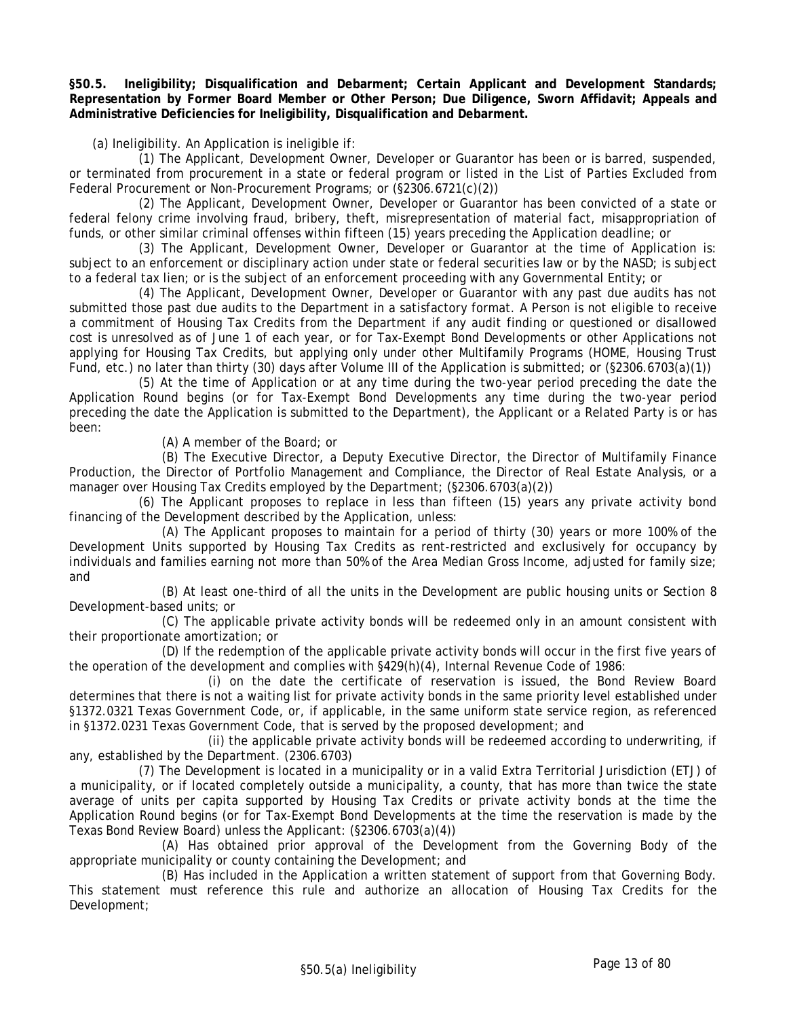**§50.5. Ineligibility; Disqualification and Debarment; Certain Applicant and Development Standards; Representation by Former Board Member or Other Person; Due Diligence, Sworn Affidavit; Appeals and Administrative Deficiencies for Ineligibility, Disqualification and Debarment.** 

(a) Ineligibility. An Application is ineligible if:

(1) The Applicant, Development Owner, Developer or Guarantor has been or is barred, suspended, or terminated from procurement in a state or federal program or listed in the List of Parties Excluded from Federal Procurement or Non-Procurement Programs; or (§2306.6721(c)(2))

(2) The Applicant, Development Owner, Developer or Guarantor has been convicted of a state or federal felony crime involving fraud, bribery, theft, misrepresentation of material fact, misappropriation of funds, or other similar criminal offenses within fifteen (15) years preceding the Application deadline; or

(3) The Applicant, Development Owner, Developer or Guarantor at the time of Application is: subject to an enforcement or disciplinary action under state or federal securities law or by the NASD; is subject to a federal tax lien; or is the subject of an enforcement proceeding with any Governmental Entity; or

(4) The Applicant, Development Owner, Developer or Guarantor with any past due audits has not submitted those past due audits to the Department in a satisfactory format. A Person is not eligible to receive a commitment of Housing Tax Credits from the Department if any audit finding or questioned or disallowed cost is unresolved as of June 1 of each year, or for Tax-Exempt Bond Developments or other Applications not applying for Housing Tax Credits, but applying only under other Multifamily Programs (HOME, Housing Trust Fund, etc.) no later than thirty (30) days after Volume III of the Application is submitted; or (§2306.6703(a)(1))

(5) At the time of Application or at any time during the two-year period preceding the date the Application Round begins (or for Tax-Exempt Bond Developments any time during the two-year period preceding the date the Application is submitted to the Department), the Applicant or a Related Party is or has been:

(A) A member of the Board; or

(B) The Executive Director, a Deputy Executive Director, the Director of Multifamily Finance Production, the Director of Portfolio Management and Compliance, the Director of Real Estate Analysis, or a manager over Housing Tax Credits employed by the Department; (§2306.6703(a)(2))

(6) The Applicant proposes to replace in less than fifteen (15) years any private activity bond financing of the Development described by the Application, unless:

(A) The Applicant proposes to maintain for a period of thirty (30) years or more 100% of the Development Units supported by Housing Tax Credits as rent-restricted and exclusively for occupancy by individuals and families earning not more than 50% of the Area Median Gross Income, adjusted for family size; and

(B) At least one-third of all the units in the Development are public housing units or Section 8 Development-based units; or

(C) The applicable private activity bonds will be redeemed only in an amount consistent with their proportionate amortization; or

(D) If the redemption of the applicable private activity bonds will occur in the first five years of the operation of the development and complies with §429(h)(4), Internal Revenue Code of 1986:

 (i) on the date the certificate of reservation is issued, the Bond Review Board determines that there is not a waiting list for private activity bonds in the same priority level established under §1372.0321 Texas Government Code, or, if applicable, in the same uniform state service region, as referenced in §1372.0231 Texas Government Code, that is served by the proposed development; and

 (ii) the applicable private activity bonds will be redeemed according to underwriting, if any, established by the Department. (2306.6703)

(7) The Development is located in a municipality or in a valid Extra Territorial Jurisdiction (ETJ) of a municipality, or if located completely outside a municipality, a county, that has more than twice the state average of units per capita supported by Housing Tax Credits or private activity bonds at the time the Application Round begins (or for Tax-Exempt Bond Developments at the time the reservation is made by the Texas Bond Review Board) unless the Applicant: (§2306.6703(a)(4))

(A) Has obtained prior approval of the Development from the Governing Body of the appropriate municipality or county containing the Development; and

(B) Has included in the Application a written statement of support from that Governing Body. This statement must reference this rule and authorize an allocation of Housing Tax Credits for the Development;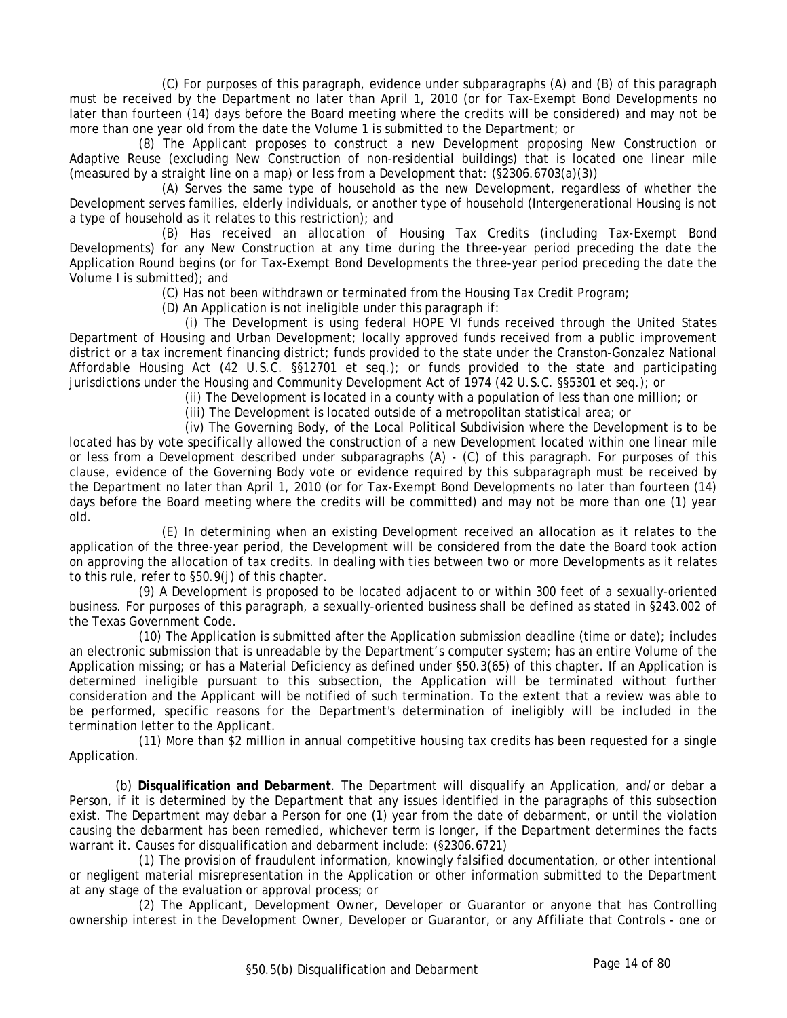(C) For purposes of this paragraph, evidence under subparagraphs (A) and (B) of this paragraph must be received by the Department no later than April 1, 2010 (or for Tax-Exempt Bond Developments no later than fourteen (14) days before the Board meeting where the credits will be considered) and may not be more than one year old from the date the Volume 1 is submitted to the Department; or

(8) The Applicant proposes to construct a new Development proposing New Construction or Adaptive Reuse (excluding New Construction of non-residential buildings) that is located one linear mile (measured by a straight line on a map) or less from a Development that: (§2306.6703(a)(3))

(A) Serves the same type of household as the new Development, regardless of whether the Development serves families, elderly individuals, or another type of household (Intergenerational Housing is not a type of household as it relates to this restriction); and

(B) Has received an allocation of Housing Tax Credits (including Tax-Exempt Bond Developments) for any New Construction at any time during the three-year period preceding the date the Application Round begins (or for Tax-Exempt Bond Developments the three-year period preceding the date the Volume I is submitted); and

(C) Has not been withdrawn or terminated from the Housing Tax Credit Program;

(D) An Application is not ineligible under this paragraph if:

(i) The Development is using federal HOPE VI funds received through the United States Department of Housing and Urban Development; locally approved funds received from a public improvement district or a tax increment financing district; funds provided to the state under the Cranston-Gonzalez National Affordable Housing Act (42 U.S.C. §§12701 et seq.); or funds provided to the state and participating jurisdictions under the Housing and Community Development Act of 1974 (42 U.S.C. §§5301 et seq.); or

(ii) The Development is located in a county with a population of less than one million; or

(iii) The Development is located outside of a metropolitan statistical area; or

(iv) The Governing Body, of the Local Political Subdivision where the Development is to be located has by vote specifically allowed the construction of a new Development located within one linear mile or less from a Development described under subparagraphs (A) - (C) of this paragraph. For purposes of this clause, evidence of the Governing Body vote or evidence required by this subparagraph must be received by the Department no later than April 1, 2010 (or for Tax-Exempt Bond Developments no later than fourteen (14) days before the Board meeting where the credits will be committed) and may not be more than one (1) year old.

(E) In determining when an existing Development received an allocation as it relates to the application of the three-year period, the Development will be considered from the date the Board took action on approving the allocation of tax credits. In dealing with ties between two or more Developments as it relates to this rule, refer to §50.9(j) of this chapter.

(9) A Development is proposed to be located adjacent to or within 300 feet of a sexually-oriented business. For purposes of this paragraph, a sexually-oriented business shall be defined as stated in §243.002 of the Texas Government Code.

(10) The Application is submitted after the Application submission deadline (time or date); includes an electronic submission that is unreadable by the Department's computer system; has an entire Volume of the Application missing; or has a Material Deficiency as defined under §50.3(65) of this chapter. If an Application is determined ineligible pursuant to this subsection, the Application will be terminated without further consideration and the Applicant will be notified of such termination. To the extent that a review was able to be performed, specific reasons for the Department's determination of ineligibly will be included in the termination letter to the Applicant.

(11) More than \$2 million in annual competitive housing tax credits has been requested for a single Application.

(b) **Disqualification and Debarment**. The Department will disqualify an Application, and/or debar a Person, if it is determined by the Department that any issues identified in the paragraphs of this subsection exist. The Department may debar a Person for one (1) year from the date of debarment, or until the violation causing the debarment has been remedied, whichever term is longer, if the Department determines the facts warrant it. Causes for disqualification and debarment include: (§2306.6721)

(1) The provision of fraudulent information, knowingly falsified documentation, or other intentional or negligent material misrepresentation in the Application or other information submitted to the Department at any stage of the evaluation or approval process; or

(2) The Applicant, Development Owner, Developer or Guarantor or anyone that has Controlling ownership interest in the Development Owner, Developer or Guarantor, or any Affiliate that Controls - one or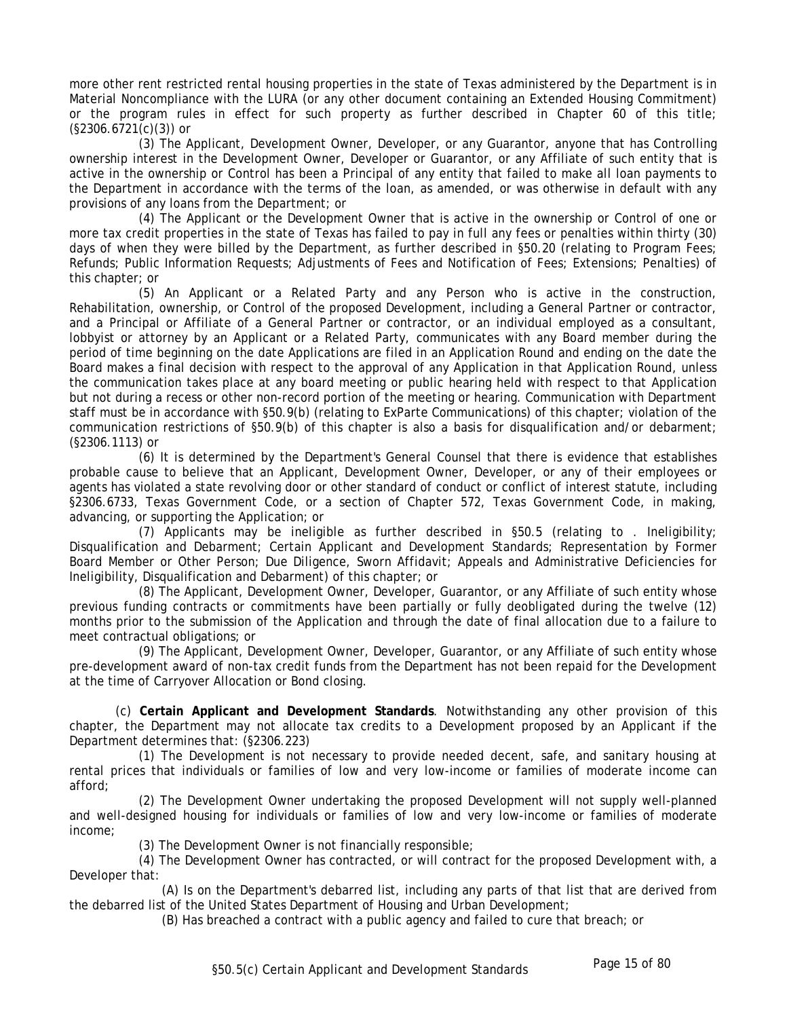more other rent restricted rental housing properties in the state of Texas administered by the Department is in Material Noncompliance with the LURA (or any other document containing an Extended Housing Commitment) or the program rules in effect for such property as further described in Chapter 60 of this title; (§2306.6721(c)(3)) or

(3) The Applicant, Development Owner, Developer, or any Guarantor, anyone that has Controlling ownership interest in the Development Owner, Developer or Guarantor, or any Affiliate of such entity that is active in the ownership or Control has been a Principal of any entity that failed to make all loan payments to the Department in accordance with the terms of the loan, as amended, or was otherwise in default with any provisions of any loans from the Department; or

(4) The Applicant or the Development Owner that is active in the ownership or Control of one or more tax credit properties in the state of Texas has failed to pay in full any fees or penalties within thirty (30) days of when they were billed by the Department, as further described in §50.20 (relating to Program Fees; Refunds; Public Information Requests; Adjustments of Fees and Notification of Fees; Extensions; Penalties) of this chapter; or

(5) An Applicant or a Related Party and any Person who is active in the construction, Rehabilitation, ownership, or Control of the proposed Development, including a General Partner or contractor, and a Principal or Affiliate of a General Partner or contractor, or an individual employed as a consultant, lobbyist or attorney by an Applicant or a Related Party, communicates with any Board member during the period of time beginning on the date Applications are filed in an Application Round and ending on the date the Board makes a final decision with respect to the approval of any Application in that Application Round, unless the communication takes place at any board meeting or public hearing held with respect to that Application but not during a recess or other non-record portion of the meeting or hearing. Communication with Department staff must be in accordance with §50.9(b) (relating to ExParte Communications) of this chapter; violation of the communication restrictions of §50.9(b) of this chapter is also a basis for disqualification and/or debarment; (§2306.1113) or

(6) It is determined by the Department's General Counsel that there is evidence that establishes probable cause to believe that an Applicant, Development Owner, Developer, or any of their employees or agents has violated a state revolving door or other standard of conduct or conflict of interest statute, including §2306.6733, Texas Government Code, or a section of Chapter 572, Texas Government Code, in making, advancing, or supporting the Application; or

(7) Applicants may be ineligible as further described in §50.5 (relating to . Ineligibility; Disqualification and Debarment; Certain Applicant and Development Standards; Representation by Former Board Member or Other Person; Due Diligence, Sworn Affidavit; Appeals and Administrative Deficiencies for Ineligibility, Disqualification and Debarment) of this chapter; or

(8) The Applicant, Development Owner, Developer, Guarantor, or any Affiliate of such entity whose previous funding contracts or commitments have been partially or fully deobligated during the twelve (12) months prior to the submission of the Application and through the date of final allocation due to a failure to meet contractual obligations; or

(9) The Applicant, Development Owner, Developer, Guarantor, or any Affiliate of such entity whose pre-development award of non-tax credit funds from the Department has not been repaid for the Development at the time of Carryover Allocation or Bond closing.

(c) **Certain Applicant and Development Standards**. Notwithstanding any other provision of this chapter, the Department may not allocate tax credits to a Development proposed by an Applicant if the Department determines that: (§2306.223)

(1) The Development is not necessary to provide needed decent, safe, and sanitary housing at rental prices that individuals or families of low and very low-income or families of moderate income can afford;

(2) The Development Owner undertaking the proposed Development will not supply well-planned and well-designed housing for individuals or families of low and very low-income or families of moderate income;

(3) The Development Owner is not financially responsible;

(4) The Development Owner has contracted, or will contract for the proposed Development with, a Developer that:

(A) Is on the Department's debarred list, including any parts of that list that are derived from the debarred list of the United States Department of Housing and Urban Development;

(B) Has breached a contract with a public agency and failed to cure that breach; or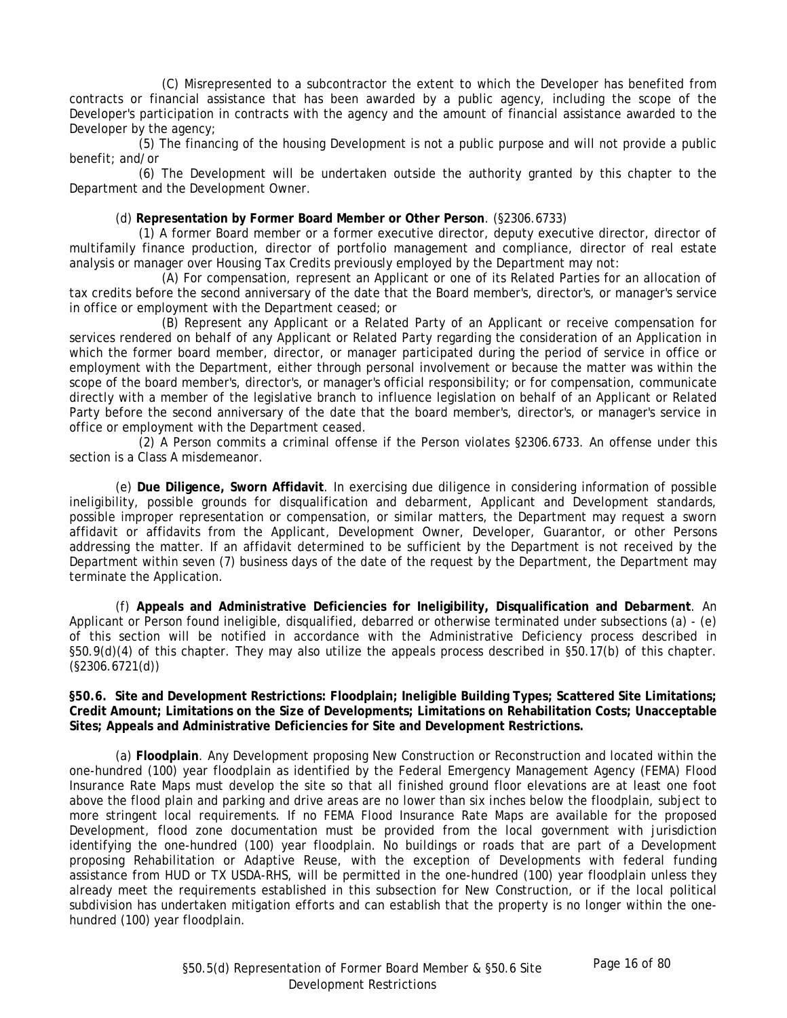(C) Misrepresented to a subcontractor the extent to which the Developer has benefited from contracts or financial assistance that has been awarded by a public agency, including the scope of the Developer's participation in contracts with the agency and the amount of financial assistance awarded to the Developer by the agency;

(5) The financing of the housing Development is not a public purpose and will not provide a public benefit; and/or

(6) The Development will be undertaken outside the authority granted by this chapter to the Department and the Development Owner.

## (d) **Representation by Former Board Member or Other Person**. (§2306.6733)

(1) A former Board member or a former executive director, deputy executive director, director of multifamily finance production, director of portfolio management and compliance, director of real estate analysis or manager over Housing Tax Credits previously employed by the Department may not:

(A) For compensation, represent an Applicant or one of its Related Parties for an allocation of tax credits before the second anniversary of the date that the Board member's, director's, or manager's service in office or employment with the Department ceased; or

(B) Represent any Applicant or a Related Party of an Applicant or receive compensation for services rendered on behalf of any Applicant or Related Party regarding the consideration of an Application in which the former board member, director, or manager participated during the period of service in office or employment with the Department, either through personal involvement or because the matter was within the scope of the board member's, director's, or manager's official responsibility; or for compensation, communicate directly with a member of the legislative branch to influence legislation on behalf of an Applicant or Related Party before the second anniversary of the date that the board member's, director's, or manager's service in office or employment with the Department ceased.

(2) A Person commits a criminal offense if the Person violates §2306.6733. An offense under this section is a Class A misdemeanor.

(e) **Due Diligence, Sworn Affidavit**. In exercising due diligence in considering information of possible ineligibility, possible grounds for disqualification and debarment, Applicant and Development standards, possible improper representation or compensation, or similar matters, the Department may request a sworn affidavit or affidavits from the Applicant, Development Owner, Developer, Guarantor, or other Persons addressing the matter. If an affidavit determined to be sufficient by the Department is not received by the Department within seven (7) business days of the date of the request by the Department, the Department may terminate the Application.

(f) **Appeals and Administrative Deficiencies for Ineligibility, Disqualification and Debarment**. An Applicant or Person found ineligible, disqualified, debarred or otherwise terminated under subsections (a) - (e) of this section will be notified in accordance with the Administrative Deficiency process described in §50.9(d)(4) of this chapter. They may also utilize the appeals process described in §50.17(b) of this chapter. (§2306.6721(d))

**§50.6. Site and Development Restrictions: Floodplain; Ineligible Building Types; Scattered Site Limitations; Credit Amount; Limitations on the Size of Developments; Limitations on Rehabilitation Costs; Unacceptable Sites; Appeals and Administrative Deficiencies for Site and Development Restrictions.** 

(a) **Floodplain**. Any Development proposing New Construction or Reconstruction and located within the one-hundred (100) year floodplain as identified by the Federal Emergency Management Agency (FEMA) Flood Insurance Rate Maps must develop the site so that all finished ground floor elevations are at least one foot above the flood plain and parking and drive areas are no lower than six inches below the floodplain, subject to more stringent local requirements. If no FEMA Flood Insurance Rate Maps are available for the proposed Development, flood zone documentation must be provided from the local government with jurisdiction identifying the one-hundred (100) year floodplain. No buildings or roads that are part of a Development proposing Rehabilitation or Adaptive Reuse, with the exception of Developments with federal funding assistance from HUD or TX USDA-RHS, will be permitted in the one-hundred (100) year floodplain unless they already meet the requirements established in this subsection for New Construction, or if the local political subdivision has undertaken mitigation efforts and can establish that the property is no longer within the onehundred (100) year floodplain.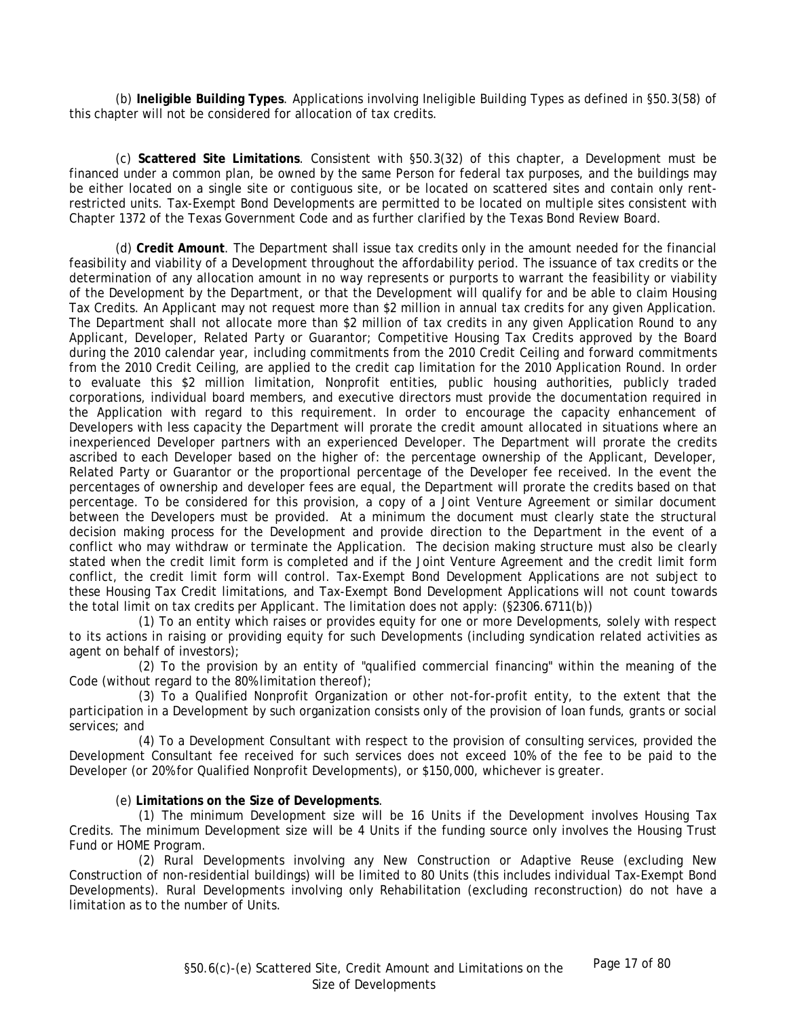(b) **Ineligible Building Types**. Applications involving Ineligible Building Types as defined in §50.3(58) of this chapter will not be considered for allocation of tax credits.

(c) **Scattered Site Limitations**. Consistent with §50.3(32) of this chapter, a Development must be financed under a common plan, be owned by the same Person for federal tax purposes, and the buildings may be either located on a single site or contiguous site, or be located on scattered sites and contain only rentrestricted units. Tax-Exempt Bond Developments are permitted to be located on multiple sites consistent with Chapter 1372 of the Texas Government Code and as further clarified by the Texas Bond Review Board.

(d) **Credit Amount**. The Department shall issue tax credits only in the amount needed for the financial feasibility and viability of a Development throughout the affordability period. The issuance of tax credits or the determination of any allocation amount in no way represents or purports to warrant the feasibility or viability of the Development by the Department, or that the Development will qualify for and be able to claim Housing Tax Credits. An Applicant may not request more than \$2 million in annual tax credits for any given Application. The Department shall not allocate more than \$2 million of tax credits in any given Application Round to any Applicant, Developer, Related Party or Guarantor; Competitive Housing Tax Credits approved by the Board during the 2010 calendar year, including commitments from the 2010 Credit Ceiling and forward commitments from the 2010 Credit Ceiling, are applied to the credit cap limitation for the 2010 Application Round. In order to evaluate this \$2 million limitation, Nonprofit entities, public housing authorities, publicly traded corporations, individual board members, and executive directors must provide the documentation required in the Application with regard to this requirement. In order to encourage the capacity enhancement of Developers with less capacity the Department will prorate the credit amount allocated in situations where an inexperienced Developer partners with an experienced Developer. The Department will prorate the credits ascribed to each Developer based on the higher of: the percentage ownership of the Applicant, Developer, Related Party or Guarantor or the proportional percentage of the Developer fee received. In the event the percentages of ownership and developer fees are equal, the Department will prorate the credits based on that percentage. To be considered for this provision, a copy of a Joint Venture Agreement or similar document between the Developers must be provided. At a minimum the document must clearly state the structural decision making process for the Development and provide direction to the Department in the event of a conflict who may withdraw or terminate the Application. The decision making structure must also be clearly stated when the credit limit form is completed and if the Joint Venture Agreement and the credit limit form conflict, the credit limit form will control. Tax-Exempt Bond Development Applications are not subject to these Housing Tax Credit limitations, and Tax-Exempt Bond Development Applications will not count towards the total limit on tax credits per Applicant. The limitation does not apply: (§2306.6711(b))

(1) To an entity which raises or provides equity for one or more Developments, solely with respect to its actions in raising or providing equity for such Developments (including syndication related activities as agent on behalf of investors);

(2) To the provision by an entity of "qualified commercial financing" within the meaning of the Code (without regard to the 80% limitation thereof);

(3) To a Qualified Nonprofit Organization or other not-for-profit entity, to the extent that the participation in a Development by such organization consists only of the provision of loan funds, grants or social services; and

(4) To a Development Consultant with respect to the provision of consulting services, provided the Development Consultant fee received for such services does not exceed 10% of the fee to be paid to the Developer (or 20% for Qualified Nonprofit Developments), or \$150,000, whichever is greater.

#### (e) **Limitations on the Size of Developments**.

(1) The minimum Development size will be 16 Units if the Development involves Housing Tax Credits. The minimum Development size will be 4 Units if the funding source only involves the Housing Trust Fund or HOME Program.

(2) Rural Developments involving any New Construction or Adaptive Reuse (excluding New Construction of non-residential buildings) will be limited to 80 Units (this includes individual Tax-Exempt Bond Developments). Rural Developments involving only Rehabilitation (excluding reconstruction) do not have a limitation as to the number of Units.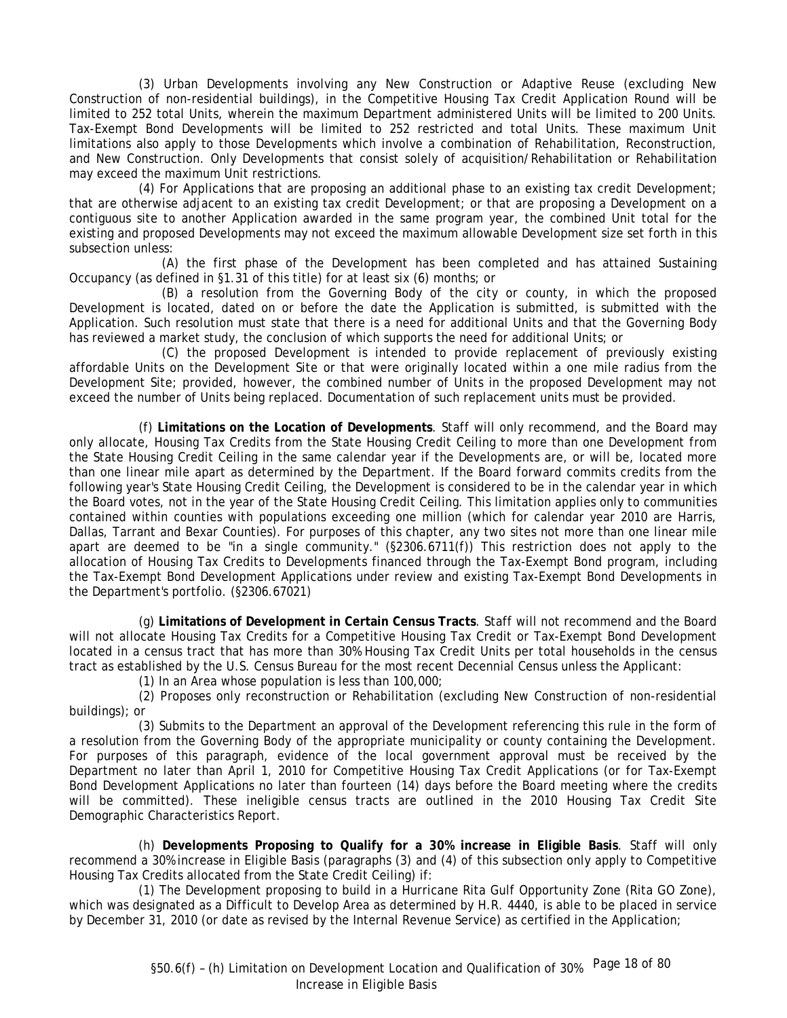(3) Urban Developments involving any New Construction or Adaptive Reuse (excluding New Construction of non-residential buildings), in the Competitive Housing Tax Credit Application Round will be limited to 252 total Units, wherein the maximum Department administered Units will be limited to 200 Units. Tax-Exempt Bond Developments will be limited to 252 restricted and total Units. These maximum Unit limitations also apply to those Developments which involve a combination of Rehabilitation, Reconstruction, and New Construction. Only Developments that consist solely of acquisition/Rehabilitation or Rehabilitation may exceed the maximum Unit restrictions.

(4) For Applications that are proposing an additional phase to an existing tax credit Development; that are otherwise adjacent to an existing tax credit Development; or that are proposing a Development on a contiguous site to another Application awarded in the same program year, the combined Unit total for the existing and proposed Developments may not exceed the maximum allowable Development size set forth in this subsection unless:

(A) the first phase of the Development has been completed and has attained Sustaining Occupancy (as defined in §1.31 of this title) for at least six (6) months; or

(B) a resolution from the Governing Body of the city or county, in which the proposed Development is located, dated on or before the date the Application is submitted, is submitted with the Application. Such resolution must state that there is a need for additional Units and that the Governing Body has reviewed a market study, the conclusion of which supports the need for additional Units; or

(C) the proposed Development is intended to provide replacement of previously existing affordable Units on the Development Site or that were originally located within a one mile radius from the Development Site; provided, however, the combined number of Units in the proposed Development may not exceed the number of Units being replaced. Documentation of such replacement units must be provided.

(f) **Limitations on the Location of Developments**. Staff will only recommend, and the Board may only allocate, Housing Tax Credits from the State Housing Credit Ceiling to more than one Development from the State Housing Credit Ceiling in the same calendar year if the Developments are, or will be, located more than one linear mile apart as determined by the Department. If the Board forward commits credits from the following year's State Housing Credit Ceiling, the Development is considered to be in the calendar year in which the Board votes, not in the year of the State Housing Credit Ceiling. This limitation applies only to communities contained within counties with populations exceeding one million (which for calendar year 2010 are Harris, Dallas, Tarrant and Bexar Counties). For purposes of this chapter, any two sites not more than one linear mile apart are deemed to be "in a single community." (§2306.6711(f)) This restriction does not apply to the allocation of Housing Tax Credits to Developments financed through the Tax-Exempt Bond program, including the Tax-Exempt Bond Development Applications under review and existing Tax-Exempt Bond Developments in the Department's portfolio. (§2306.67021)

(g) **Limitations of Development in Certain Census Tracts**. Staff will not recommend and the Board will not allocate Housing Tax Credits for a Competitive Housing Tax Credit or Tax-Exempt Bond Development located in a census tract that has more than 30% Housing Tax Credit Units per total households in the census tract as established by the U.S. Census Bureau for the most recent Decennial Census unless the Applicant:

(1) In an Area whose population is less than 100,000;

(2) Proposes only reconstruction or Rehabilitation (excluding New Construction of non-residential buildings); or

(3) Submits to the Department an approval of the Development referencing this rule in the form of a resolution from the Governing Body of the appropriate municipality or county containing the Development. For purposes of this paragraph, evidence of the local government approval must be received by the Department no later than April 1, 2010 for Competitive Housing Tax Credit Applications (or for Tax-Exempt Bond Development Applications no later than fourteen (14) days before the Board meeting where the credits will be committed). These ineligible census tracts are outlined in the 2010 Housing Tax Credit Site Demographic Characteristics Report.

(h) **Developments Proposing to Qualify for a 30% increase in Eligible Basis**. Staff will only recommend a 30% increase in Eligible Basis (paragraphs (3) and (4) of this subsection only apply to Competitive Housing Tax Credits allocated from the State Credit Ceiling) if:

(1) The Development proposing to build in a Hurricane Rita Gulf Opportunity Zone (Rita GO Zone), which was designated as a Difficult to Develop Area as determined by H.R. 4440, is able to be placed in service by December 31, 2010 (or date as revised by the Internal Revenue Service) as certified in the Application;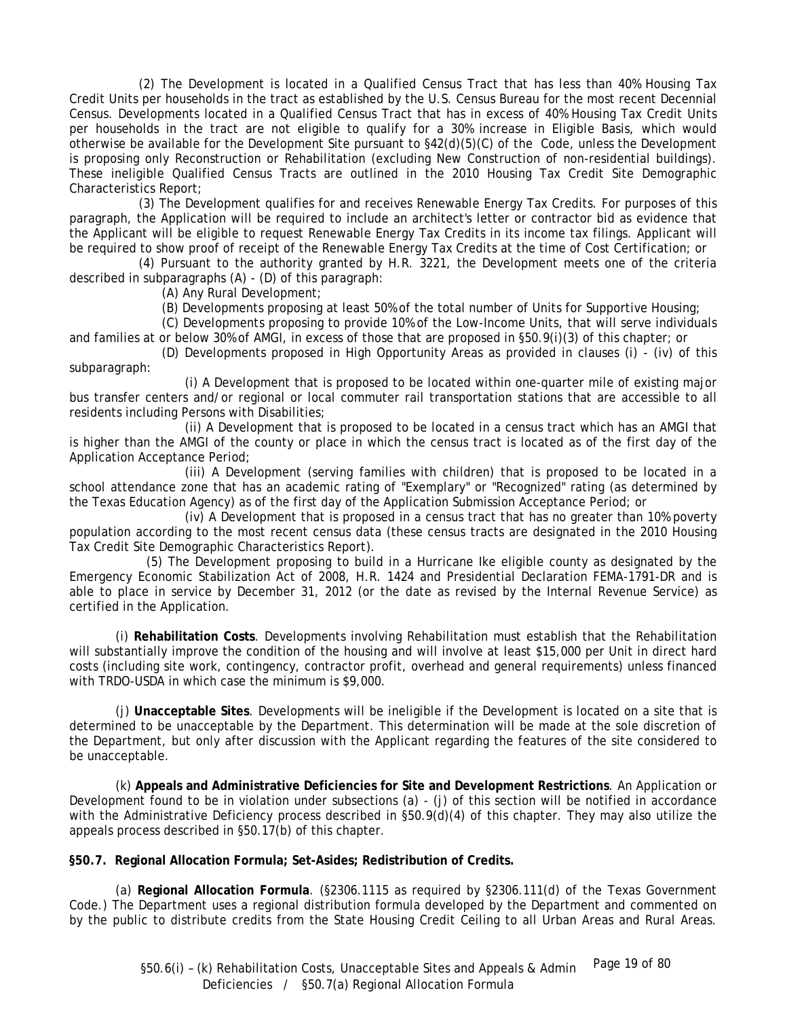(2) The Development is located in a Qualified Census Tract that has less than 40% Housing Tax Credit Units per households in the tract as established by the U.S. Census Bureau for the most recent Decennial Census. Developments located in a Qualified Census Tract that has in excess of 40% Housing Tax Credit Units per households in the tract are not eligible to qualify for a 30% increase in Eligible Basis, which would otherwise be available for the Development Site pursuant to §42(d)(5)(C) of the Code, unless the Development is proposing only Reconstruction or Rehabilitation (excluding New Construction of non-residential buildings). These ineligible Qualified Census Tracts are outlined in the 2010 Housing Tax Credit Site Demographic Characteristics Report;

(3) The Development qualifies for and receives Renewable Energy Tax Credits. For purposes of this paragraph, the Application will be required to include an architect's letter or contractor bid as evidence that the Applicant will be eligible to request Renewable Energy Tax Credits in its income tax filings. Applicant will be required to show proof of receipt of the Renewable Energy Tax Credits at the time of Cost Certification; or

(4) Pursuant to the authority granted by H.R. 3221, the Development meets one of the criteria described in subparagraphs (A) - (D) of this paragraph:

(A) Any Rural Development;

(B) Developments proposing at least 50% of the total number of Units for Supportive Housing;

(C) Developments proposing to provide 10% of the Low-Income Units, that will serve individuals and families at or below 30% of AMGI, in excess of those that are proposed in §50.9(i)(3) of this chapter; or

(D) Developments proposed in High Opportunity Areas as provided in clauses (i) - (iv) of this subparagraph:

(i) A Development that is proposed to be located within one-quarter mile of existing major bus transfer centers and/or regional or local commuter rail transportation stations that are accessible to all residents including Persons with Disabilities;

(ii) A Development that is proposed to be located in a census tract which has an AMGI that is higher than the AMGI of the county or place in which the census tract is located as of the first day of the Application Acceptance Period;

(iii) A Development (serving families with children) that is proposed to be located in a school attendance zone that has an academic rating of "Exemplary" or "Recognized" rating (as determined by the Texas Education Agency) as of the first day of the Application Submission Acceptance Period; or

(iv) A Development that is proposed in a census tract that has no greater than 10% poverty population according to the most recent census data (these census tracts are designated in the 2010 Housing Tax Credit Site Demographic Characteristics Report).

 (5) The Development proposing to build in a Hurricane Ike eligible county as designated by the Emergency Economic Stabilization Act of 2008, H.R. 1424 and Presidential Declaration FEMA-1791-DR and is able to place in service by December 31, 2012 (or the date as revised by the Internal Revenue Service) as certified in the Application.

(i) **Rehabilitation Costs**. Developments involving Rehabilitation must establish that the Rehabilitation will substantially improve the condition of the housing and will involve at least \$15,000 per Unit in direct hard costs (including site work, contingency, contractor profit, overhead and general requirements) unless financed with TRDO-USDA in which case the minimum is \$9,000.

(j) **Unacceptable Sites**. Developments will be ineligible if the Development is located on a site that is determined to be unacceptable by the Department. This determination will be made at the sole discretion of the Department, but only after discussion with the Applicant regarding the features of the site considered to be unacceptable.

(k) **Appeals and Administrative Deficiencies for Site and Development Restrictions**. An Application or Development found to be in violation under subsections (a) - (j) of this section will be notified in accordance with the Administrative Deficiency process described in §50.9(d)(4) of this chapter. They may also utilize the appeals process described in §50.17(b) of this chapter.

**§50.7. Regional Allocation Formula; Set-Asides; Redistribution of Credits.** 

(a) **Regional Allocation Formula**. (§2306.1115 as required by §2306.111(d) of the Texas Government Code.) The Department uses a regional distribution formula developed by the Department and commented on by the public to distribute credits from the State Housing Credit Ceiling to all Urban Areas and Rural Areas.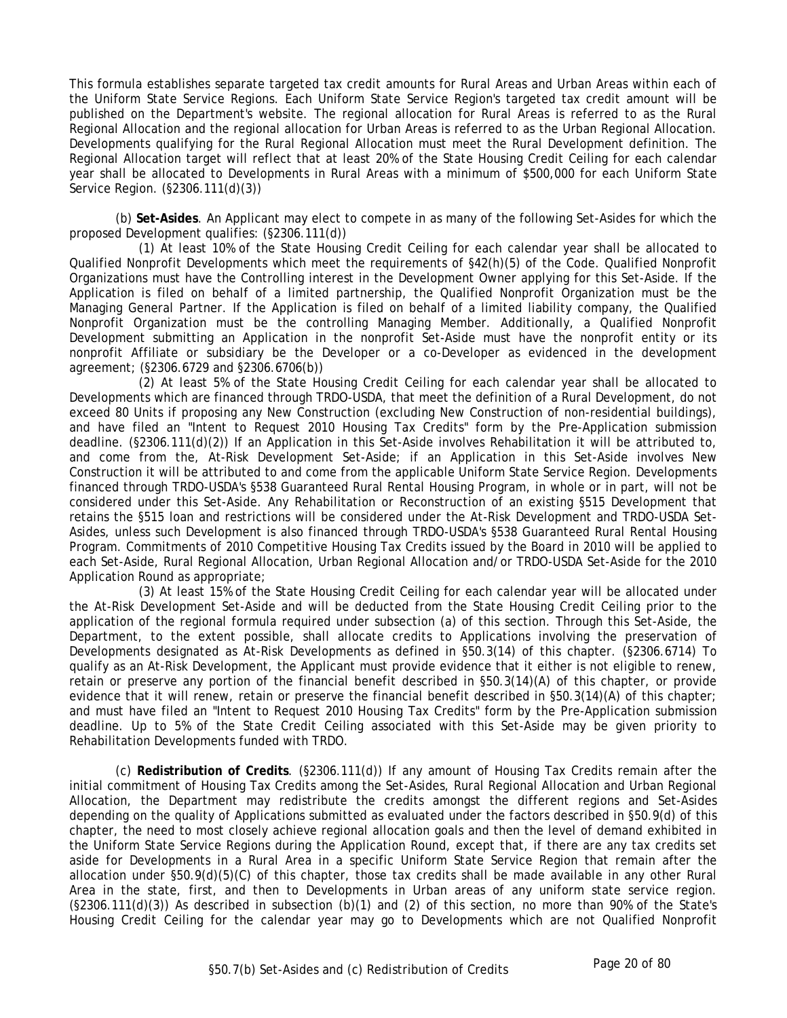This formula establishes separate targeted tax credit amounts for Rural Areas and Urban Areas within each of the Uniform State Service Regions. Each Uniform State Service Region's targeted tax credit amount will be published on the Department's website. The regional allocation for Rural Areas is referred to as the Rural Regional Allocation and the regional allocation for Urban Areas is referred to as the Urban Regional Allocation. Developments qualifying for the Rural Regional Allocation must meet the Rural Development definition. The Regional Allocation target will reflect that at least 20% of the State Housing Credit Ceiling for each calendar year shall be allocated to Developments in Rural Areas with a minimum of \$500,000 for each Uniform State Service Region. (§2306.111(d)(3))

(b) **Set-Asides**. An Applicant may elect to compete in as many of the following Set-Asides for which the proposed Development qualifies: (§2306.111(d))

(1) At least 10% of the State Housing Credit Ceiling for each calendar year shall be allocated to Qualified Nonprofit Developments which meet the requirements of §42(h)(5) of the Code. Qualified Nonprofit Organizations must have the Controlling interest in the Development Owner applying for this Set-Aside. If the Application is filed on behalf of a limited partnership, the Qualified Nonprofit Organization must be the Managing General Partner. If the Application is filed on behalf of a limited liability company, the Qualified Nonprofit Organization must be the controlling Managing Member. Additionally, a Qualified Nonprofit Development submitting an Application in the nonprofit Set-Aside must have the nonprofit entity or its nonprofit Affiliate or subsidiary be the Developer or a co-Developer as evidenced in the development agreement; (§2306.6729 and §2306.6706(b))

(2) At least 5% of the State Housing Credit Ceiling for each calendar year shall be allocated to Developments which are financed through TRDO-USDA, that meet the definition of a Rural Development, do not exceed 80 Units if proposing any New Construction (excluding New Construction of non-residential buildings), and have filed an "Intent to Request 2010 Housing Tax Credits" form by the Pre-Application submission deadline. (§2306.111(d)(2)) If an Application in this Set-Aside involves Rehabilitation it will be attributed to, and come from the, At-Risk Development Set-Aside; if an Application in this Set-Aside involves New Construction it will be attributed to and come from the applicable Uniform State Service Region. Developments financed through TRDO-USDA's §538 Guaranteed Rural Rental Housing Program, in whole or in part, will not be considered under this Set-Aside. Any Rehabilitation or Reconstruction of an existing §515 Development that retains the §515 loan and restrictions will be considered under the At-Risk Development and TRDO-USDA Set-Asides, unless such Development is also financed through TRDO-USDA's §538 Guaranteed Rural Rental Housing Program. Commitments of 2010 Competitive Housing Tax Credits issued by the Board in 2010 will be applied to each Set-Aside, Rural Regional Allocation, Urban Regional Allocation and/or TRDO-USDA Set-Aside for the 2010 Application Round as appropriate;

(3) At least 15% of the State Housing Credit Ceiling for each calendar year will be allocated under the At-Risk Development Set-Aside and will be deducted from the State Housing Credit Ceiling prior to the application of the regional formula required under subsection (a) of this section. Through this Set-Aside, the Department, to the extent possible, shall allocate credits to Applications involving the preservation of Developments designated as At-Risk Developments as defined in §50.3(14) of this chapter. (§2306.6714) To qualify as an At-Risk Development, the Applicant must provide evidence that it either is not eligible to renew, retain or preserve any portion of the financial benefit described in §50.3(14)(A) of this chapter, or provide evidence that it will renew, retain or preserve the financial benefit described in §50.3(14)(A) of this chapter; and must have filed an "Intent to Request 2010 Housing Tax Credits" form by the Pre-Application submission deadline. Up to 5% of the State Credit Ceiling associated with this Set-Aside may be given priority to Rehabilitation Developments funded with TRDO.

(c) **Redistribution of Credits**. (§2306.111(d)) If any amount of Housing Tax Credits remain after the initial commitment of Housing Tax Credits among the Set-Asides, Rural Regional Allocation and Urban Regional Allocation, the Department may redistribute the credits amongst the different regions and Set-Asides depending on the quality of Applications submitted as evaluated under the factors described in §50.9(d) of this chapter, the need to most closely achieve regional allocation goals and then the level of demand exhibited in the Uniform State Service Regions during the Application Round, except that, if there are any tax credits set aside for Developments in a Rural Area in a specific Uniform State Service Region that remain after the allocation under §50.9(d)(5)(C) of this chapter, those tax credits shall be made available in any other Rural Area in the state, first, and then to Developments in Urban areas of any uniform state service region. (§2306.111(d)(3)) As described in subsection (b)(1) and (2) of this section, no more than 90% of the State's Housing Credit Ceiling for the calendar year may go to Developments which are not Qualified Nonprofit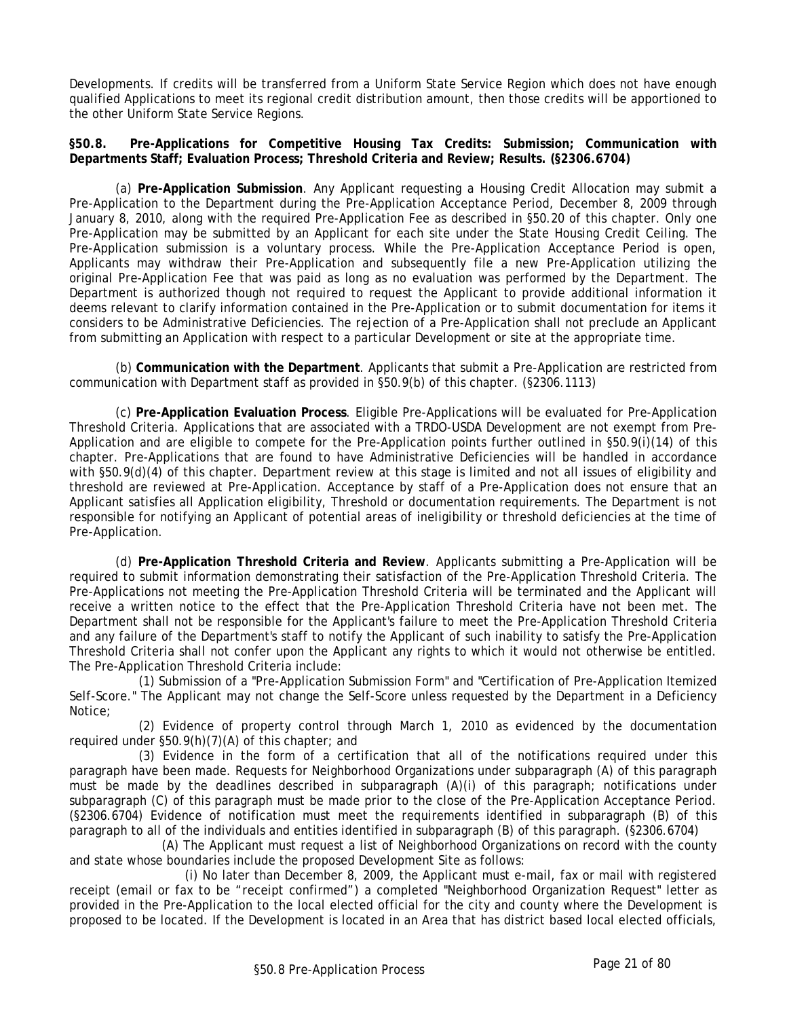Developments. If credits will be transferred from a Uniform State Service Region which does not have enough qualified Applications to meet its regional credit distribution amount, then those credits will be apportioned to the other Uniform State Service Regions.

**§50.8. Pre-Applications for Competitive Housing Tax Credits: Submission; Communication with Departments Staff; Evaluation Process; Threshold Criteria and Review; Results. (§2306.6704)** 

(a) **Pre-Application Submission**. Any Applicant requesting a Housing Credit Allocation may submit a Pre-Application to the Department during the Pre-Application Acceptance Period, December 8, 2009 through January 8, 2010, along with the required Pre-Application Fee as described in §50.20 of this chapter. Only one Pre-Application may be submitted by an Applicant for each site under the State Housing Credit Ceiling. The Pre-Application submission is a voluntary process. While the Pre-Application Acceptance Period is open, Applicants may withdraw their Pre-Application and subsequently file a new Pre-Application utilizing the original Pre-Application Fee that was paid as long as no evaluation was performed by the Department. The Department is authorized though not required to request the Applicant to provide additional information it deems relevant to clarify information contained in the Pre-Application or to submit documentation for items it considers to be Administrative Deficiencies. The rejection of a Pre-Application shall not preclude an Applicant from submitting an Application with respect to a particular Development or site at the appropriate time.

(b) **Communication with the Department**. Applicants that submit a Pre-Application are restricted from communication with Department staff as provided in §50.9(b) of this chapter. (§2306.1113)

(c) **Pre-Application Evaluation Process**. Eligible Pre-Applications will be evaluated for Pre-Application Threshold Criteria. Applications that are associated with a TRDO-USDA Development are not exempt from Pre-Application and are eligible to compete for the Pre-Application points further outlined in §50.9(i)(14) of this chapter. Pre-Applications that are found to have Administrative Deficiencies will be handled in accordance with §50.9(d)(4) of this chapter. Department review at this stage is limited and not all issues of eligibility and threshold are reviewed at Pre-Application. Acceptance by staff of a Pre-Application does not ensure that an Applicant satisfies all Application eligibility, Threshold or documentation requirements. The Department is not responsible for notifying an Applicant of potential areas of ineligibility or threshold deficiencies at the time of Pre-Application.

(d) **Pre-Application Threshold Criteria and Review**. Applicants submitting a Pre-Application will be required to submit information demonstrating their satisfaction of the Pre-Application Threshold Criteria. The Pre-Applications not meeting the Pre-Application Threshold Criteria will be terminated and the Applicant will receive a written notice to the effect that the Pre-Application Threshold Criteria have not been met. The Department shall not be responsible for the Applicant's failure to meet the Pre-Application Threshold Criteria and any failure of the Department's staff to notify the Applicant of such inability to satisfy the Pre-Application Threshold Criteria shall not confer upon the Applicant any rights to which it would not otherwise be entitled. The Pre-Application Threshold Criteria include:

(1) Submission of a "Pre-Application Submission Form" and "Certification of Pre-Application Itemized Self-Score." The Applicant may not change the Self-Score unless requested by the Department in a Deficiency Notice;

(2) Evidence of property control through March 1, 2010 as evidenced by the documentation required under §50.9(h)(7)(A) of this chapter; and

(3) Evidence in the form of a certification that all of the notifications required under this paragraph have been made. Requests for Neighborhood Organizations under subparagraph (A) of this paragraph must be made by the deadlines described in subparagraph (A)(i) of this paragraph; notifications under subparagraph (C) of this paragraph must be made prior to the close of the Pre-Application Acceptance Period. (§2306.6704) Evidence of notification must meet the requirements identified in subparagraph (B) of this paragraph to all of the individuals and entities identified in subparagraph (B) of this paragraph. (§2306.6704)

(A) The Applicant must request a list of Neighborhood Organizations on record with the county and state whose boundaries include the proposed Development Site as follows:

(i) No later than December 8, 2009, the Applicant must e-mail, fax or mail with registered receipt (email or fax to be "receipt confirmed") a completed "Neighborhood Organization Request" letter as provided in the Pre-Application to the local elected official for the city and county where the Development is proposed to be located. If the Development is located in an Area that has district based local elected officials,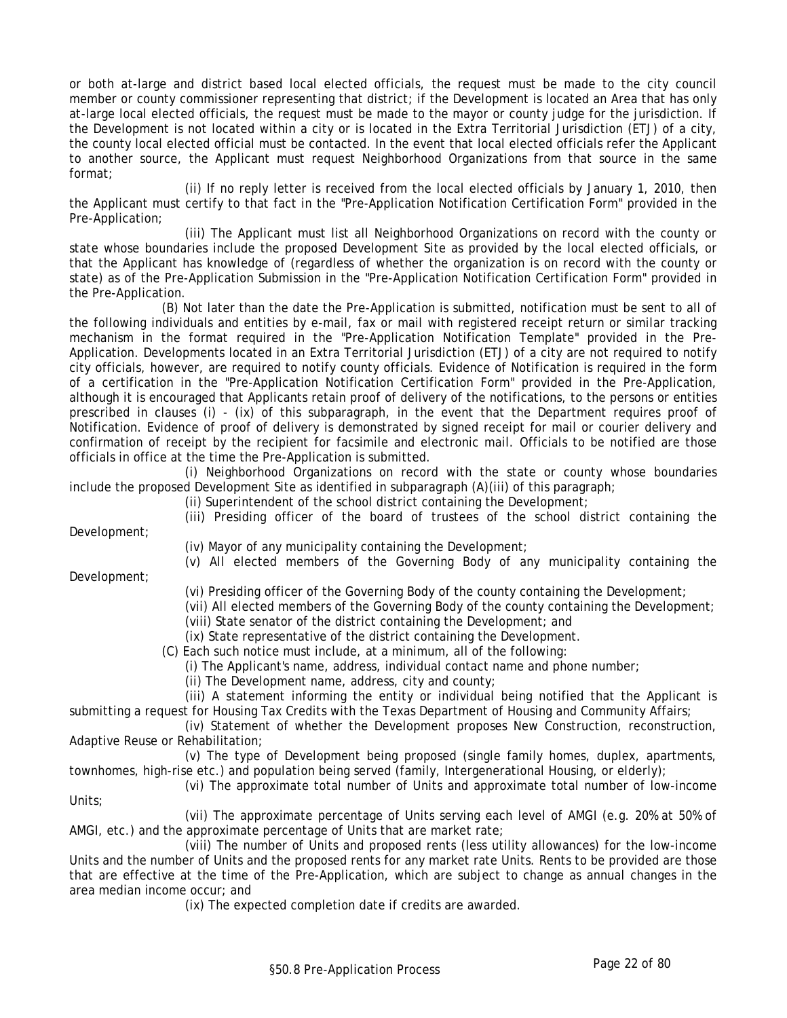or both at-large and district based local elected officials, the request must be made to the city council member or county commissioner representing that district; if the Development is located an Area that has only at-large local elected officials, the request must be made to the mayor or county judge for the jurisdiction. If the Development is not located within a city or is located in the Extra Territorial Jurisdiction (ETJ) of a city, the county local elected official must be contacted. In the event that local elected officials refer the Applicant to another source, the Applicant must request Neighborhood Organizations from that source in the same format;

(ii) If no reply letter is received from the local elected officials by January 1, 2010, then the Applicant must certify to that fact in the "Pre-Application Notification Certification Form" provided in the Pre-Application;

(iii) The Applicant must list all Neighborhood Organizations on record with the county or state whose boundaries include the proposed Development Site as provided by the local elected officials, or that the Applicant has knowledge of (regardless of whether the organization is on record with the county or state) as of the Pre-Application Submission in the "Pre-Application Notification Certification Form" provided in the Pre-Application.

(B) Not later than the date the Pre-Application is submitted, notification must be sent to all of the following individuals and entities by e-mail, fax or mail with registered receipt return or similar tracking mechanism in the format required in the "Pre-Application Notification Template" provided in the Pre-Application. Developments located in an Extra Territorial Jurisdiction (ETJ) of a city are not required to notify city officials, however, are required to notify county officials. Evidence of Notification is required in the form of a certification in the "Pre-Application Notification Certification Form" provided in the Pre-Application, although it is encouraged that Applicants retain proof of delivery of the notifications, to the persons or entities prescribed in clauses (i) - (ix) of this subparagraph, in the event that the Department requires proof of Notification. Evidence of proof of delivery is demonstrated by signed receipt for mail or courier delivery and confirmation of receipt by the recipient for facsimile and electronic mail. Officials to be notified are those officials in office at the time the Pre-Application is submitted.

(i) Neighborhood Organizations on record with the state or county whose boundaries include the proposed Development Site as identified in subparagraph (A)(iii) of this paragraph;

(ii) Superintendent of the school district containing the Development;

(iii) Presiding officer of the board of trustees of the school district containing the

Development;

(iv) Mayor of any municipality containing the Development;

(v) All elected members of the Governing Body of any municipality containing the

Development;

- (vi) Presiding officer of the Governing Body of the county containing the Development;
- (vii) All elected members of the Governing Body of the county containing the Development;
- (viii) State senator of the district containing the Development; and
- (ix) State representative of the district containing the Development.

(C) Each such notice must include, at a minimum, all of the following:

(i) The Applicant's name, address, individual contact name and phone number;

(ii) The Development name, address, city and county;

(iii) A statement informing the entity or individual being notified that the Applicant is submitting a request for Housing Tax Credits with the Texas Department of Housing and Community Affairs;

(iv) Statement of whether the Development proposes New Construction, reconstruction, Adaptive Reuse or Rehabilitation;

(v) The type of Development being proposed (single family homes, duplex, apartments, townhomes, high-rise etc.) and population being served (family, Intergenerational Housing, or elderly);

(vi) The approximate total number of Units and approximate total number of low-income Units;

(vii) The approximate percentage of Units serving each level of AMGI (e.g. 20% at 50% of AMGI, etc.) and the approximate percentage of Units that are market rate;

(viii) The number of Units and proposed rents (less utility allowances) for the low-income Units and the number of Units and the proposed rents for any market rate Units. Rents to be provided are those that are effective at the time of the Pre-Application, which are subject to change as annual changes in the area median income occur; and

(ix) The expected completion date if credits are awarded.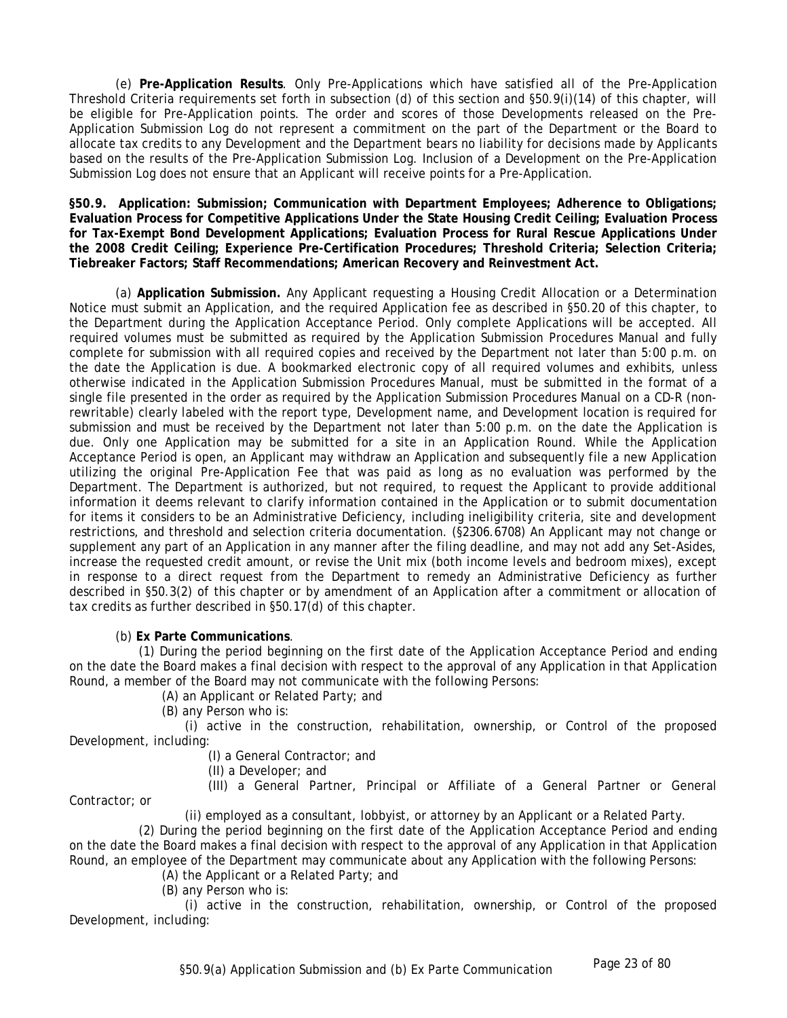(e) **Pre-Application Results**. Only Pre-Applications which have satisfied all of the Pre-Application Threshold Criteria requirements set forth in subsection (d) of this section and §50.9(i)(14) of this chapter, will be eligible for Pre-Application points. The order and scores of those Developments released on the Pre-Application Submission Log do not represent a commitment on the part of the Department or the Board to allocate tax credits to any Development and the Department bears no liability for decisions made by Applicants based on the results of the Pre-Application Submission Log. Inclusion of a Development on the Pre-Application Submission Log does not ensure that an Applicant will receive points for a Pre-Application.

**§50.9. Application: Submission; Communication with Department Employees; Adherence to Obligations; Evaluation Process for Competitive Applications Under the State Housing Credit Ceiling; Evaluation Process for Tax-Exempt Bond Development Applications; Evaluation Process for Rural Rescue Applications Under the 2008 Credit Ceiling; Experience Pre-Certification Procedures; Threshold Criteria; Selection Criteria; Tiebreaker Factors; Staff Recommendations; American Recovery and Reinvestment Act.** 

(a) **Application Submission.** Any Applicant requesting a Housing Credit Allocation or a Determination Notice must submit an Application, and the required Application fee as described in §50.20 of this chapter, to the Department during the Application Acceptance Period. Only complete Applications will be accepted. All required volumes must be submitted as required by the Application Submission Procedures Manual and fully complete for submission with all required copies and received by the Department not later than 5:00 p.m. on the date the Application is due. A bookmarked electronic copy of all required volumes and exhibits, unless otherwise indicated in the Application Submission Procedures Manual, must be submitted in the format of a single file presented in the order as required by the Application Submission Procedures Manual on a CD-R (nonrewritable) clearly labeled with the report type, Development name, and Development location is required for submission and must be received by the Department not later than 5:00 p.m. on the date the Application is due. Only one Application may be submitted for a site in an Application Round. While the Application Acceptance Period is open, an Applicant may withdraw an Application and subsequently file a new Application utilizing the original Pre-Application Fee that was paid as long as no evaluation was performed by the Department. The Department is authorized, but not required, to request the Applicant to provide additional information it deems relevant to clarify information contained in the Application or to submit documentation for items it considers to be an Administrative Deficiency, including ineligibility criteria, site and development restrictions, and threshold and selection criteria documentation. (§2306.6708) An Applicant may not change or supplement any part of an Application in any manner after the filing deadline, and may not add any Set-Asides, increase the requested credit amount, or revise the Unit mix (both income levels and bedroom mixes), except in response to a direct request from the Department to remedy an Administrative Deficiency as further described in §50.3(2) of this chapter or by amendment of an Application after a commitment or allocation of tax credits as further described in §50.17(d) of this chapter.

(b) **Ex Parte Communications**.

(1) During the period beginning on the first date of the Application Acceptance Period and ending on the date the Board makes a final decision with respect to the approval of any Application in that Application Round, a member of the Board may not communicate with the following Persons:

(A) an Applicant or Related Party; and

(B) any Person who is:

(i) active in the construction, rehabilitation, ownership, or Control of the proposed Development, including:

(I) a General Contractor; and

(II) a Developer; and

(III) a General Partner, Principal or Affiliate of a General Partner or General

Contractor; or

(ii) employed as a consultant, lobbyist, or attorney by an Applicant or a Related Party.

(2) During the period beginning on the first date of the Application Acceptance Period and ending on the date the Board makes a final decision with respect to the approval of any Application in that Application Round, an employee of the Department may communicate about any Application with the following Persons:

(A) the Applicant or a Related Party; and

(B) any Person who is:

(i) active in the construction, rehabilitation, ownership, or Control of the proposed Development, including: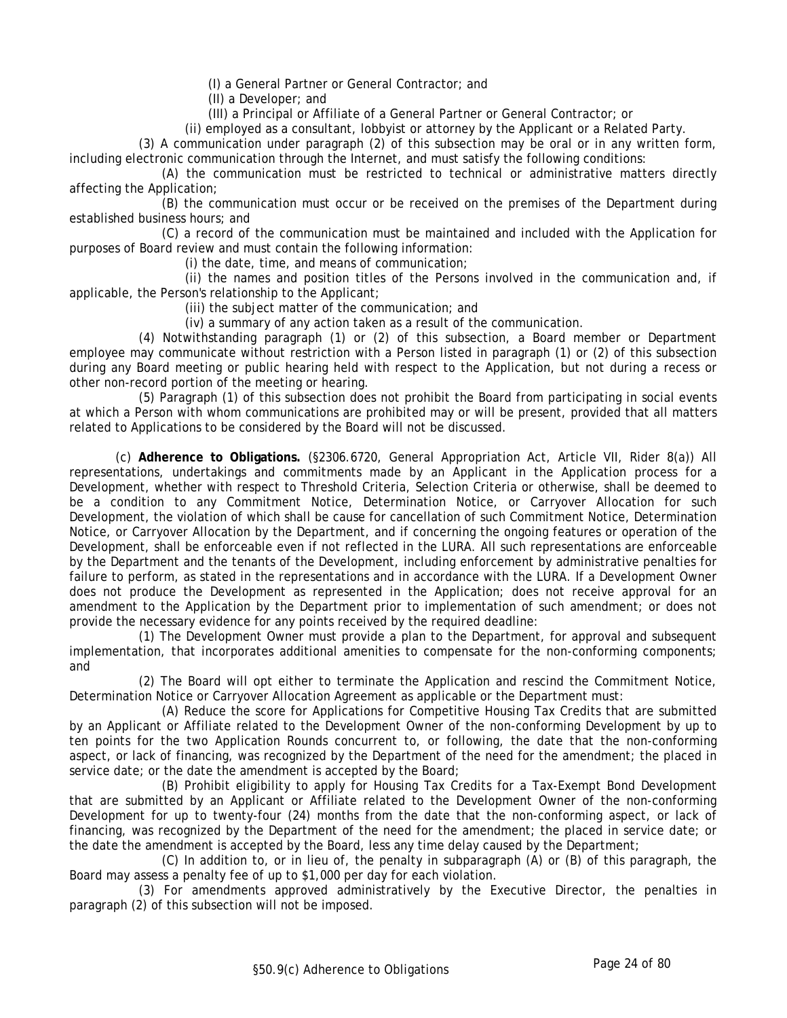(I) a General Partner or General Contractor; and

(II) a Developer; and

(III) a Principal or Affiliate of a General Partner or General Contractor; or

(ii) employed as a consultant, lobbyist or attorney by the Applicant or a Related Party.

(3) A communication under paragraph (2) of this subsection may be oral or in any written form, including electronic communication through the Internet, and must satisfy the following conditions:

(A) the communication must be restricted to technical or administrative matters directly affecting the Application;

(B) the communication must occur or be received on the premises of the Department during established business hours; and

(C) a record of the communication must be maintained and included with the Application for purposes of Board review and must contain the following information:

(i) the date, time, and means of communication;

(ii) the names and position titles of the Persons involved in the communication and, if applicable, the Person's relationship to the Applicant;

(iii) the subject matter of the communication; and

(iv) a summary of any action taken as a result of the communication.

(4) Notwithstanding paragraph (1) or (2) of this subsection, a Board member or Department employee may communicate without restriction with a Person listed in paragraph (1) or (2) of this subsection during any Board meeting or public hearing held with respect to the Application, but not during a recess or other non-record portion of the meeting or hearing.

(5) Paragraph (1) of this subsection does not prohibit the Board from participating in social events at which a Person with whom communications are prohibited may or will be present, provided that all matters related to Applications to be considered by the Board will not be discussed.

(c) **Adherence to Obligations.** (§2306.6720, General Appropriation Act, Article VII, Rider 8(a)) All representations, undertakings and commitments made by an Applicant in the Application process for a Development, whether with respect to Threshold Criteria, Selection Criteria or otherwise, shall be deemed to be a condition to any Commitment Notice, Determination Notice, or Carryover Allocation for such Development, the violation of which shall be cause for cancellation of such Commitment Notice, Determination Notice, or Carryover Allocation by the Department, and if concerning the ongoing features or operation of the Development, shall be enforceable even if not reflected in the LURA. All such representations are enforceable by the Department and the tenants of the Development, including enforcement by administrative penalties for failure to perform, as stated in the representations and in accordance with the LURA. If a Development Owner does not produce the Development as represented in the Application; does not receive approval for an amendment to the Application by the Department prior to implementation of such amendment; or does not provide the necessary evidence for any points received by the required deadline:

(1) The Development Owner must provide a plan to the Department, for approval and subsequent implementation, that incorporates additional amenities to compensate for the non-conforming components; and

(2) The Board will opt either to terminate the Application and rescind the Commitment Notice, Determination Notice or Carryover Allocation Agreement as applicable or the Department must:

(A) Reduce the score for Applications for Competitive Housing Tax Credits that are submitted by an Applicant or Affiliate related to the Development Owner of the non-conforming Development by up to ten points for the two Application Rounds concurrent to, or following, the date that the non-conforming aspect, or lack of financing, was recognized by the Department of the need for the amendment; the placed in service date; or the date the amendment is accepted by the Board;

(B) Prohibit eligibility to apply for Housing Tax Credits for a Tax-Exempt Bond Development that are submitted by an Applicant or Affiliate related to the Development Owner of the non-conforming Development for up to twenty-four (24) months from the date that the non-conforming aspect, or lack of financing, was recognized by the Department of the need for the amendment; the placed in service date; or the date the amendment is accepted by the Board, less any time delay caused by the Department;

(C) In addition to, or in lieu of, the penalty in subparagraph (A) or (B) of this paragraph, the Board may assess a penalty fee of up to \$1,000 per day for each violation.

(3) For amendments approved administratively by the Executive Director, the penalties in paragraph (2) of this subsection will not be imposed.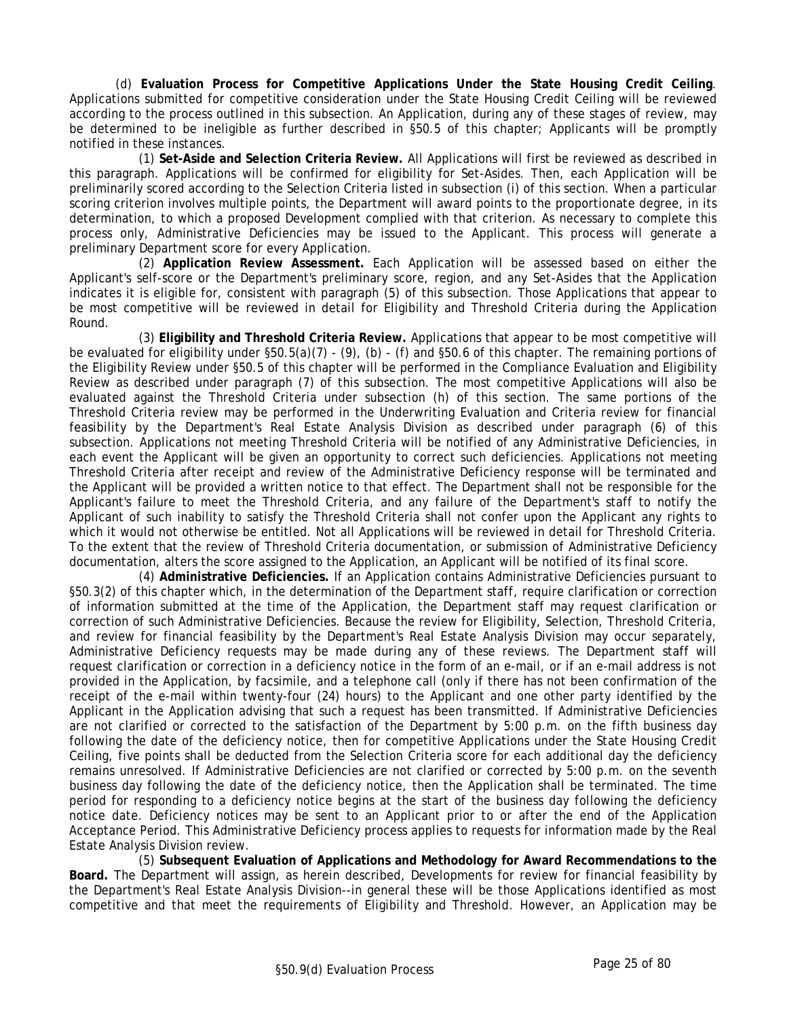(d) **Evaluation Process for Competitive Applications Under the State Housing Credit Ceiling**. Applications submitted for competitive consideration under the State Housing Credit Ceiling will be reviewed according to the process outlined in this subsection. An Application, during any of these stages of review, may be determined to be ineligible as further described in §50.5 of this chapter; Applicants will be promptly notified in these instances.

(1) **Set-Aside and Selection Criteria Review.** All Applications will first be reviewed as described in this paragraph. Applications will be confirmed for eligibility for Set-Asides. Then, each Application will be preliminarily scored according to the Selection Criteria listed in subsection (i) of this section. When a particular scoring criterion involves multiple points, the Department will award points to the proportionate degree, in its determination, to which a proposed Development complied with that criterion. As necessary to complete this process only, Administrative Deficiencies may be issued to the Applicant. This process will generate a preliminary Department score for every Application.

(2) **Application Review Assessment.** Each Application will be assessed based on either the Applicant's self-score or the Department's preliminary score, region, and any Set-Asides that the Application indicates it is eligible for, consistent with paragraph (5) of this subsection. Those Applications that appear to be most competitive will be reviewed in detail for Eligibility and Threshold Criteria during the Application Round.

(3) **Eligibility and Threshold Criteria Review.** Applications that appear to be most competitive will be evaluated for eligibility under  $\S50.5(a)(7)$  - (9), (b) - (f) and  $\S50.6$  of this chapter. The remaining portions of the Eligibility Review under §50.5 of this chapter will be performed in the Compliance Evaluation and Eligibility Review as described under paragraph (7) of this subsection. The most competitive Applications will also be evaluated against the Threshold Criteria under subsection (h) of this section. The same portions of the Threshold Criteria review may be performed in the Underwriting Evaluation and Criteria review for financial feasibility by the Department's Real Estate Analysis Division as described under paragraph (6) of this subsection. Applications not meeting Threshold Criteria will be notified of any Administrative Deficiencies, in each event the Applicant will be given an opportunity to correct such deficiencies. Applications not meeting Threshold Criteria after receipt and review of the Administrative Deficiency response will be terminated and the Applicant will be provided a written notice to that effect. The Department shall not be responsible for the Applicant's failure to meet the Threshold Criteria, and any failure of the Department's staff to notify the Applicant of such inability to satisfy the Threshold Criteria shall not confer upon the Applicant any rights to which it would not otherwise be entitled. Not all Applications will be reviewed in detail for Threshold Criteria. To the extent that the review of Threshold Criteria documentation, or submission of Administrative Deficiency documentation, alters the score assigned to the Application, an Applicant will be notified of its final score.

(4) **Administrative Deficiencies.** If an Application contains Administrative Deficiencies pursuant to §50.3(2) of this chapter which, in the determination of the Department staff, require clarification or correction of information submitted at the time of the Application, the Department staff may request clarification or correction of such Administrative Deficiencies. Because the review for Eligibility, Selection, Threshold Criteria, and review for financial feasibility by the Department's Real Estate Analysis Division may occur separately, Administrative Deficiency requests may be made during any of these reviews. The Department staff will request clarification or correction in a deficiency notice in the form of an e-mail, or if an e-mail address is not provided in the Application, by facsimile, and a telephone call (only if there has not been confirmation of the receipt of the e-mail within twenty-four (24) hours) to the Applicant and one other party identified by the Applicant in the Application advising that such a request has been transmitted. If Administrative Deficiencies are not clarified or corrected to the satisfaction of the Department by 5:00 p.m. on the fifth business day following the date of the deficiency notice, then for competitive Applications under the State Housing Credit Ceiling, five points shall be deducted from the Selection Criteria score for each additional day the deficiency remains unresolved. If Administrative Deficiencies are not clarified or corrected by 5:00 p.m. on the seventh business day following the date of the deficiency notice, then the Application shall be terminated. The time period for responding to a deficiency notice begins at the start of the business day following the deficiency notice date. Deficiency notices may be sent to an Applicant prior to or after the end of the Application Acceptance Period. This Administrative Deficiency process applies to requests for information made by the Real Estate Analysis Division review.

(5) **Subsequent Evaluation of Applications and Methodology for Award Recommendations to the Board.** The Department will assign, as herein described, Developments for review for financial feasibility by the Department's Real Estate Analysis Division--in general these will be those Applications identified as most competitive and that meet the requirements of Eligibility and Threshold. However, an Application may be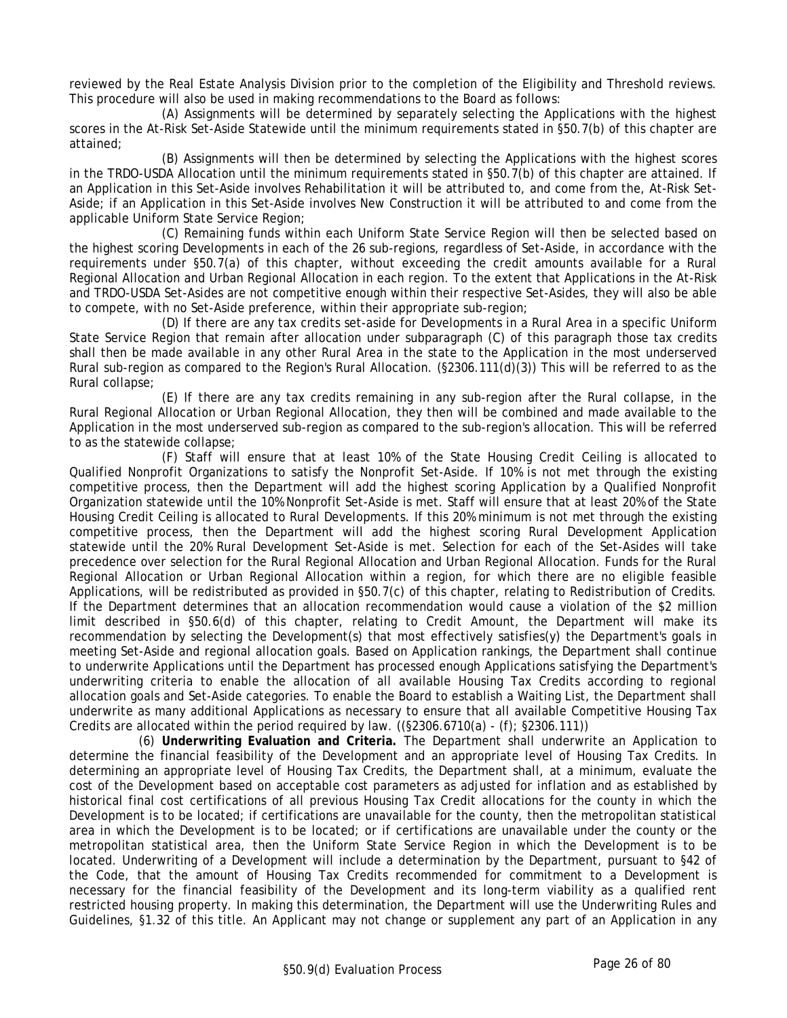reviewed by the Real Estate Analysis Division prior to the completion of the Eligibility and Threshold reviews. This procedure will also be used in making recommendations to the Board as follows:

(A) Assignments will be determined by separately selecting the Applications with the highest scores in the At-Risk Set-Aside Statewide until the minimum requirements stated in §50.7(b) of this chapter are attained;

(B) Assignments will then be determined by selecting the Applications with the highest scores in the TRDO-USDA Allocation until the minimum requirements stated in §50.7(b) of this chapter are attained. If an Application in this Set-Aside involves Rehabilitation it will be attributed to, and come from the, At-Risk Set-Aside; if an Application in this Set-Aside involves New Construction it will be attributed to and come from the applicable Uniform State Service Region;

(C) Remaining funds within each Uniform State Service Region will then be selected based on the highest scoring Developments in each of the 26 sub-regions, regardless of Set-Aside, in accordance with the requirements under §50.7(a) of this chapter, without exceeding the credit amounts available for a Rural Regional Allocation and Urban Regional Allocation in each region. To the extent that Applications in the At-Risk and TRDO-USDA Set-Asides are not competitive enough within their respective Set-Asides, they will also be able to compete, with no Set-Aside preference, within their appropriate sub-region;

(D) If there are any tax credits set-aside for Developments in a Rural Area in a specific Uniform State Service Region that remain after allocation under subparagraph (C) of this paragraph those tax credits shall then be made available in any other Rural Area in the state to the Application in the most underserved Rural sub-region as compared to the Region's Rural Allocation. (§2306.111(d)(3)) This will be referred to as the Rural collapse;

(E) If there are any tax credits remaining in any sub-region after the Rural collapse, in the Rural Regional Allocation or Urban Regional Allocation, they then will be combined and made available to the Application in the most underserved sub-region as compared to the sub-region's allocation. This will be referred to as the statewide collapse;

(F) Staff will ensure that at least 10% of the State Housing Credit Ceiling is allocated to Qualified Nonprofit Organizations to satisfy the Nonprofit Set-Aside. If 10% is not met through the existing competitive process, then the Department will add the highest scoring Application by a Qualified Nonprofit Organization statewide until the 10% Nonprofit Set-Aside is met. Staff will ensure that at least 20% of the State Housing Credit Ceiling is allocated to Rural Developments. If this 20% minimum is not met through the existing competitive process, then the Department will add the highest scoring Rural Development Application statewide until the 20% Rural Development Set-Aside is met. Selection for each of the Set-Asides will take precedence over selection for the Rural Regional Allocation and Urban Regional Allocation. Funds for the Rural Regional Allocation or Urban Regional Allocation within a region, for which there are no eligible feasible Applications, will be redistributed as provided in §50.7(c) of this chapter, relating to Redistribution of Credits. If the Department determines that an allocation recommendation would cause a violation of the \$2 million limit described in §50.6(d) of this chapter, relating to Credit Amount, the Department will make its recommendation by selecting the Development(s) that most effectively satisfies(y) the Department's goals in meeting Set-Aside and regional allocation goals. Based on Application rankings, the Department shall continue to underwrite Applications until the Department has processed enough Applications satisfying the Department's underwriting criteria to enable the allocation of all available Housing Tax Credits according to regional allocation goals and Set-Aside categories. To enable the Board to establish a Waiting List, the Department shall underwrite as many additional Applications as necessary to ensure that all available Competitive Housing Tax Credits are allocated within the period required by law.  $((§2306.6710(a) - (f); §2306.111))$ 

(6) **Underwriting Evaluation and Criteria.** The Department shall underwrite an Application to determine the financial feasibility of the Development and an appropriate level of Housing Tax Credits. In determining an appropriate level of Housing Tax Credits, the Department shall, at a minimum, evaluate the cost of the Development based on acceptable cost parameters as adjusted for inflation and as established by historical final cost certifications of all previous Housing Tax Credit allocations for the county in which the Development is to be located; if certifications are unavailable for the county, then the metropolitan statistical area in which the Development is to be located; or if certifications are unavailable under the county or the metropolitan statistical area, then the Uniform State Service Region in which the Development is to be located. Underwriting of a Development will include a determination by the Department, pursuant to §42 of the Code, that the amount of Housing Tax Credits recommended for commitment to a Development is necessary for the financial feasibility of the Development and its long-term viability as a qualified rent restricted housing property. In making this determination, the Department will use the Underwriting Rules and Guidelines, §1.32 of this title. An Applicant may not change or supplement any part of an Application in any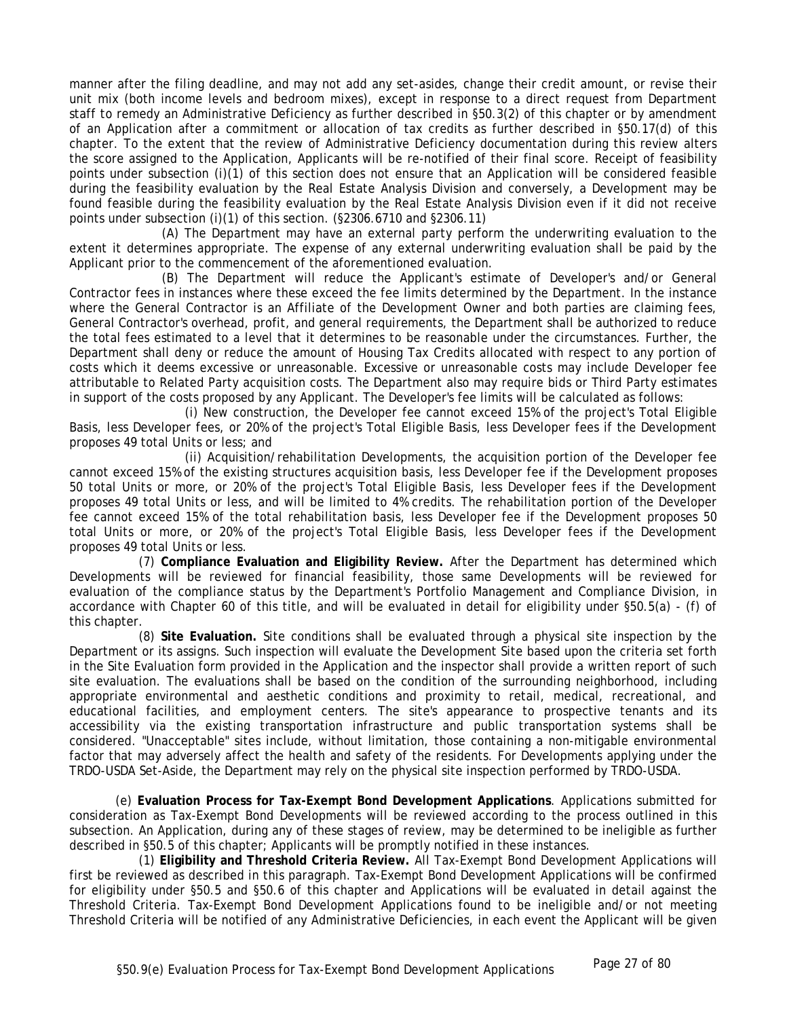manner after the filing deadline, and may not add any set-asides, change their credit amount, or revise their unit mix (both income levels and bedroom mixes), except in response to a direct request from Department staff to remedy an Administrative Deficiency as further described in §50.3(2) of this chapter or by amendment of an Application after a commitment or allocation of tax credits as further described in §50.17(d) of this chapter. To the extent that the review of Administrative Deficiency documentation during this review alters the score assigned to the Application, Applicants will be re-notified of their final score. Receipt of feasibility points under subsection (i)(1) of this section does not ensure that an Application will be considered feasible during the feasibility evaluation by the Real Estate Analysis Division and conversely, a Development may be found feasible during the feasibility evaluation by the Real Estate Analysis Division even if it did not receive points under subsection (i)(1) of this section. (§2306.6710 and §2306.11)

(A) The Department may have an external party perform the underwriting evaluation to the extent it determines appropriate. The expense of any external underwriting evaluation shall be paid by the Applicant prior to the commencement of the aforementioned evaluation.

(B) The Department will reduce the Applicant's estimate of Developer's and/or General Contractor fees in instances where these exceed the fee limits determined by the Department. In the instance where the General Contractor is an Affiliate of the Development Owner and both parties are claiming fees, General Contractor's overhead, profit, and general requirements, the Department shall be authorized to reduce the total fees estimated to a level that it determines to be reasonable under the circumstances. Further, the Department shall deny or reduce the amount of Housing Tax Credits allocated with respect to any portion of costs which it deems excessive or unreasonable. Excessive or unreasonable costs may include Developer fee attributable to Related Party acquisition costs. The Department also may require bids or Third Party estimates in support of the costs proposed by any Applicant. The Developer's fee limits will be calculated as follows:

(i) New construction, the Developer fee cannot exceed 15% of the project's Total Eligible Basis, less Developer fees, or 20% of the project's Total Eligible Basis, less Developer fees if the Development proposes 49 total Units or less; and

(ii) Acquisition/rehabilitation Developments, the acquisition portion of the Developer fee cannot exceed 15% of the existing structures acquisition basis, less Developer fee if the Development proposes 50 total Units or more, or 20% of the project's Total Eligible Basis, less Developer fees if the Development proposes 49 total Units or less, and will be limited to 4% credits. The rehabilitation portion of the Developer fee cannot exceed 15% of the total rehabilitation basis, less Developer fee if the Development proposes 50 total Units or more, or 20% of the project's Total Eligible Basis, less Developer fees if the Development proposes 49 total Units or less.

(7) **Compliance Evaluation and Eligibility Review.** After the Department has determined which Developments will be reviewed for financial feasibility, those same Developments will be reviewed for evaluation of the compliance status by the Department's Portfolio Management and Compliance Division, in accordance with Chapter 60 of this title, and will be evaluated in detail for eligibility under §50.5(a) - (f) of this chapter.

(8) **Site Evaluation.** Site conditions shall be evaluated through a physical site inspection by the Department or its assigns. Such inspection will evaluate the Development Site based upon the criteria set forth in the Site Evaluation form provided in the Application and the inspector shall provide a written report of such site evaluation. The evaluations shall be based on the condition of the surrounding neighborhood, including appropriate environmental and aesthetic conditions and proximity to retail, medical, recreational, and educational facilities, and employment centers. The site's appearance to prospective tenants and its accessibility via the existing transportation infrastructure and public transportation systems shall be considered. "Unacceptable" sites include, without limitation, those containing a non-mitigable environmental factor that may adversely affect the health and safety of the residents. For Developments applying under the TRDO-USDA Set-Aside, the Department may rely on the physical site inspection performed by TRDO-USDA.

(e) **Evaluation Process for Tax-Exempt Bond Development Applications**. Applications submitted for consideration as Tax-Exempt Bond Developments will be reviewed according to the process outlined in this subsection. An Application, during any of these stages of review, may be determined to be ineligible as further described in §50.5 of this chapter; Applicants will be promptly notified in these instances.

(1) **Eligibility and Threshold Criteria Review.** All Tax-Exempt Bond Development Applications will first be reviewed as described in this paragraph. Tax-Exempt Bond Development Applications will be confirmed for eligibility under §50.5 and §50.6 of this chapter and Applications will be evaluated in detail against the Threshold Criteria. Tax-Exempt Bond Development Applications found to be ineligible and/or not meeting Threshold Criteria will be notified of any Administrative Deficiencies, in each event the Applicant will be given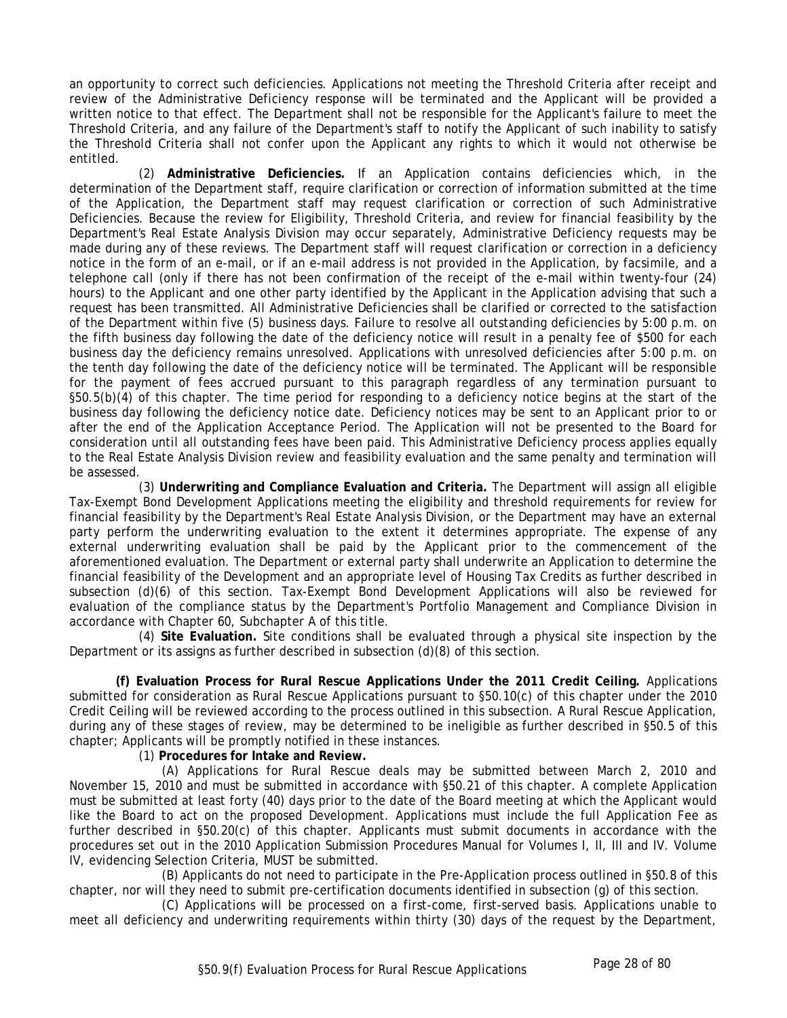an opportunity to correct such deficiencies. Applications not meeting the Threshold Criteria after receipt and review of the Administrative Deficiency response will be terminated and the Applicant will be provided a written notice to that effect. The Department shall not be responsible for the Applicant's failure to meet the Threshold Criteria, and any failure of the Department's staff to notify the Applicant of such inability to satisfy the Threshold Criteria shall not confer upon the Applicant any rights to which it would not otherwise be entitled.

(2) **Administrative Deficiencies.** If an Application contains deficiencies which, in the determination of the Department staff, require clarification or correction of information submitted at the time of the Application, the Department staff may request clarification or correction of such Administrative Deficiencies. Because the review for Eligibility, Threshold Criteria, and review for financial feasibility by the Department's Real Estate Analysis Division may occur separately, Administrative Deficiency requests may be made during any of these reviews. The Department staff will request clarification or correction in a deficiency notice in the form of an e-mail, or if an e-mail address is not provided in the Application, by facsimile, and a telephone call (only if there has not been confirmation of the receipt of the e-mail within twenty-four (24) hours) to the Applicant and one other party identified by the Applicant in the Application advising that such a request has been transmitted. All Administrative Deficiencies shall be clarified or corrected to the satisfaction of the Department within five (5) business days. Failure to resolve all outstanding deficiencies by 5:00 p.m. on the fifth business day following the date of the deficiency notice will result in a penalty fee of \$500 for each business day the deficiency remains unresolved. Applications with unresolved deficiencies after 5:00 p.m. on the tenth day following the date of the deficiency notice will be terminated. The Applicant will be responsible for the payment of fees accrued pursuant to this paragraph regardless of any termination pursuant to §50.5(b)(4) of this chapter. The time period for responding to a deficiency notice begins at the start of the business day following the deficiency notice date. Deficiency notices may be sent to an Applicant prior to or after the end of the Application Acceptance Period. The Application will not be presented to the Board for consideration until all outstanding fees have been paid. This Administrative Deficiency process applies equally to the Real Estate Analysis Division review and feasibility evaluation and the same penalty and termination will be assessed.

(3) **Underwriting and Compliance Evaluation and Criteria.** The Department will assign all eligible Tax-Exempt Bond Development Applications meeting the eligibility and threshold requirements for review for financial feasibility by the Department's Real Estate Analysis Division, or the Department may have an external party perform the underwriting evaluation to the extent it determines appropriate. The expense of any external underwriting evaluation shall be paid by the Applicant prior to the commencement of the aforementioned evaluation. The Department or external party shall underwrite an Application to determine the financial feasibility of the Development and an appropriate level of Housing Tax Credits as further described in subsection (d)(6) of this section. Tax-Exempt Bond Development Applications will also be reviewed for evaluation of the compliance status by the Department's Portfolio Management and Compliance Division in accordance with Chapter 60, Subchapter A of this title.

(4) **Site Evaluation.** Site conditions shall be evaluated through a physical site inspection by the Department or its assigns as further described in subsection (d)(8) of this section.

**(f) Evaluation Process for Rural Rescue Applications Under the 2011 Credit Ceiling.** Applications submitted for consideration as Rural Rescue Applications pursuant to §50.10(c) of this chapter under the 2010 Credit Ceiling will be reviewed according to the process outlined in this subsection. A Rural Rescue Application, during any of these stages of review, may be determined to be ineligible as further described in §50.5 of this chapter; Applicants will be promptly notified in these instances.

(1) **Procedures for Intake and Review.**

(A) Applications for Rural Rescue deals may be submitted between March 2, 2010 and November 15, 2010 and must be submitted in accordance with §50.21 of this chapter. A complete Application must be submitted at least forty (40) days prior to the date of the Board meeting at which the Applicant would like the Board to act on the proposed Development. Applications must include the full Application Fee as further described in §50.20(c) of this chapter. Applicants must submit documents in accordance with the procedures set out in the 2010 Application Submission Procedures Manual for Volumes I, II, III and IV. Volume IV, evidencing Selection Criteria, MUST be submitted.

(B) Applicants do not need to participate in the Pre-Application process outlined in §50.8 of this chapter, nor will they need to submit pre-certification documents identified in subsection (g) of this section.

(C) Applications will be processed on a first-come, first-served basis. Applications unable to meet all deficiency and underwriting requirements within thirty (30) days of the request by the Department,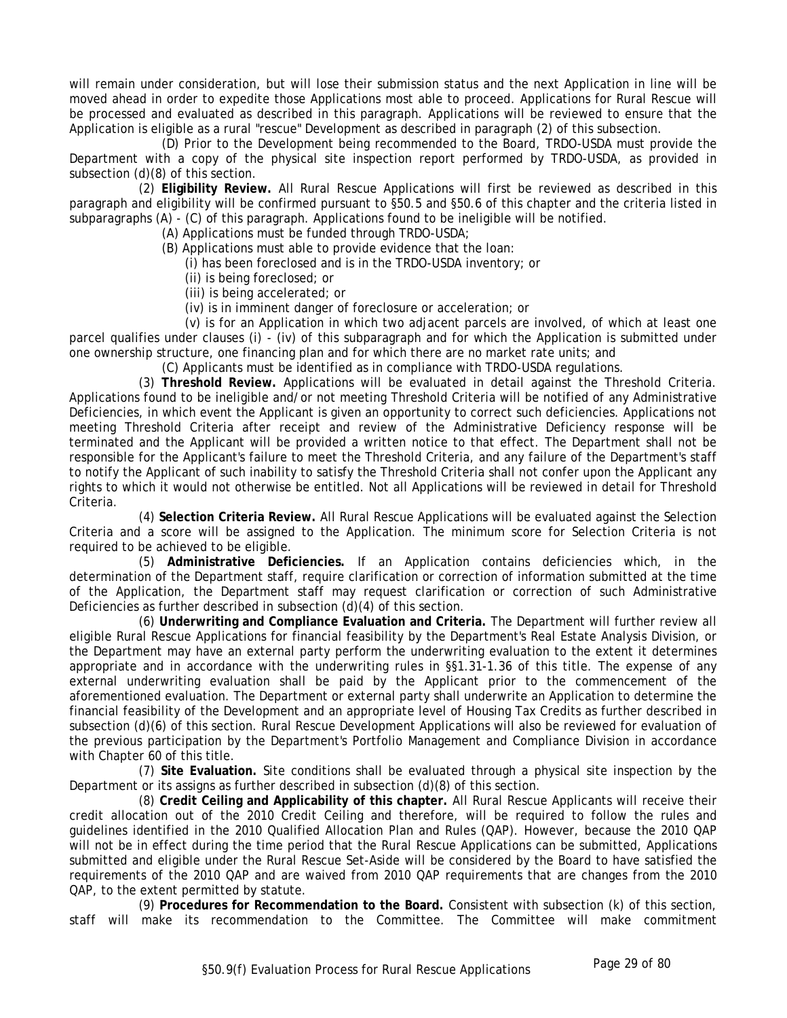will remain under consideration, but will lose their submission status and the next Application in line will be moved ahead in order to expedite those Applications most able to proceed. Applications for Rural Rescue will be processed and evaluated as described in this paragraph. Applications will be reviewed to ensure that the Application is eligible as a rural "rescue" Development as described in paragraph (2) of this subsection.

(D) Prior to the Development being recommended to the Board, TRDO-USDA must provide the Department with a copy of the physical site inspection report performed by TRDO-USDA, as provided in subsection (d)(8) of this section.

(2) **Eligibility Review.** All Rural Rescue Applications will first be reviewed as described in this paragraph and eligibility will be confirmed pursuant to §50.5 and §50.6 of this chapter and the criteria listed in subparagraphs (A) - (C) of this paragraph. Applications found to be ineligible will be notified.

(A) Applications must be funded through TRDO-USDA;

- (B) Applications must able to provide evidence that the loan:
	- (i) has been foreclosed and is in the TRDO-USDA inventory; or
	- (ii) is being foreclosed; or
	- (iii) is being accelerated; or
	- (iv) is in imminent danger of foreclosure or acceleration; or

(v) is for an Application in which two adjacent parcels are involved, of which at least one parcel qualifies under clauses (i) - (iv) of this subparagraph and for which the Application is submitted under one ownership structure, one financing plan and for which there are no market rate units; and

(C) Applicants must be identified as in compliance with TRDO-USDA regulations.

(3) **Threshold Review.** Applications will be evaluated in detail against the Threshold Criteria. Applications found to be ineligible and/or not meeting Threshold Criteria will be notified of any Administrative Deficiencies, in which event the Applicant is given an opportunity to correct such deficiencies. Applications not meeting Threshold Criteria after receipt and review of the Administrative Deficiency response will be terminated and the Applicant will be provided a written notice to that effect. The Department shall not be responsible for the Applicant's failure to meet the Threshold Criteria, and any failure of the Department's staff to notify the Applicant of such inability to satisfy the Threshold Criteria shall not confer upon the Applicant any rights to which it would not otherwise be entitled. Not all Applications will be reviewed in detail for Threshold Criteria.

(4) **Selection Criteria Review.** All Rural Rescue Applications will be evaluated against the Selection Criteria and a score will be assigned to the Application. The minimum score for Selection Criteria is not required to be achieved to be eligible.

(5) **Administrative Deficiencies.** If an Application contains deficiencies which, in the determination of the Department staff, require clarification or correction of information submitted at the time of the Application, the Department staff may request clarification or correction of such Administrative Deficiencies as further described in subsection (d)(4) of this section.

(6) **Underwriting and Compliance Evaluation and Criteria.** The Department will further review all eligible Rural Rescue Applications for financial feasibility by the Department's Real Estate Analysis Division, or the Department may have an external party perform the underwriting evaluation to the extent it determines appropriate and in accordance with the underwriting rules in §§1.31-1.36 of this title. The expense of any external underwriting evaluation shall be paid by the Applicant prior to the commencement of the aforementioned evaluation. The Department or external party shall underwrite an Application to determine the financial feasibility of the Development and an appropriate level of Housing Tax Credits as further described in subsection (d)(6) of this section. Rural Rescue Development Applications will also be reviewed for evaluation of the previous participation by the Department's Portfolio Management and Compliance Division in accordance with Chapter 60 of this title.

(7) **Site Evaluation.** Site conditions shall be evaluated through a physical site inspection by the Department or its assigns as further described in subsection (d)(8) of this section.

(8) **Credit Ceiling and Applicability of this chapter.** All Rural Rescue Applicants will receive their credit allocation out of the 2010 Credit Ceiling and therefore, will be required to follow the rules and guidelines identified in the 2010 Qualified Allocation Plan and Rules (QAP). However, because the 2010 QAP will not be in effect during the time period that the Rural Rescue Applications can be submitted, Applications submitted and eligible under the Rural Rescue Set-Aside will be considered by the Board to have satisfied the requirements of the 2010 QAP and are waived from 2010 QAP requirements that are changes from the 2010 QAP, to the extent permitted by statute.

(9) **Procedures for Recommendation to the Board.** Consistent with subsection (k) of this section, staff will make its recommendation to the Committee. The Committee will make commitment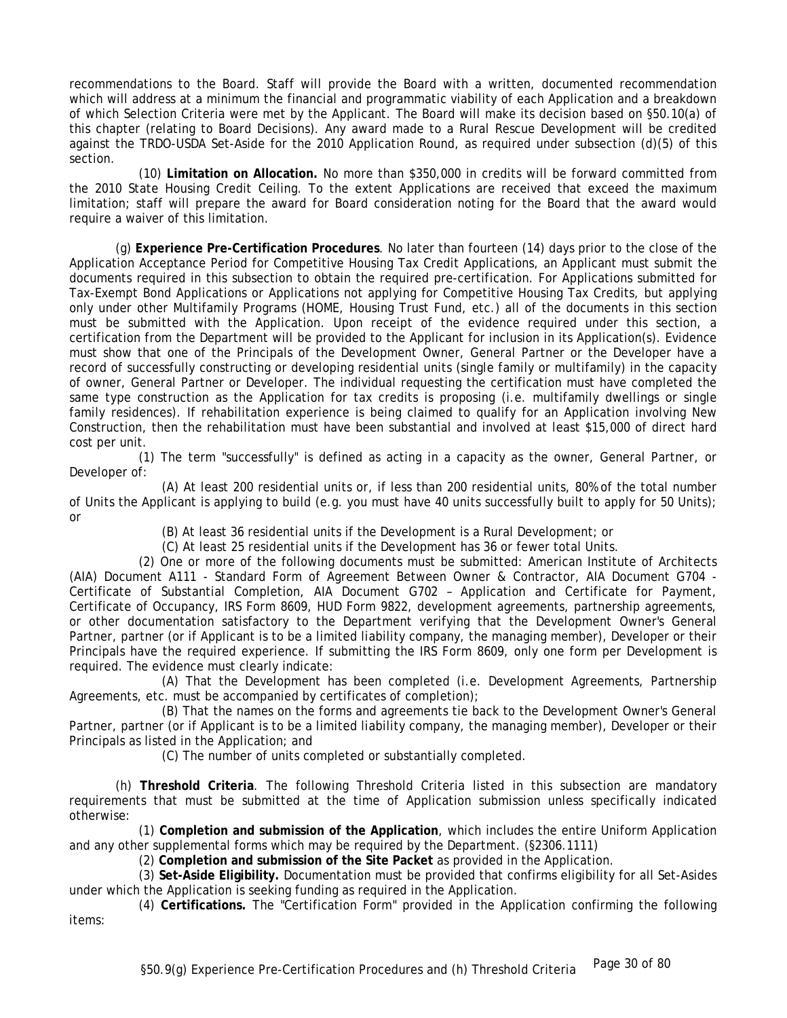recommendations to the Board. Staff will provide the Board with a written, documented recommendation which will address at a minimum the financial and programmatic viability of each Application and a breakdown of which Selection Criteria were met by the Applicant. The Board will make its decision based on §50.10(a) of this chapter (relating to Board Decisions). Any award made to a Rural Rescue Development will be credited against the TRDO-USDA Set-Aside for the 2010 Application Round, as required under subsection (d)(5) of this section.

(10) **Limitation on Allocation.** No more than \$350,000 in credits will be forward committed from the 2010 State Housing Credit Ceiling. To the extent Applications are received that exceed the maximum limitation; staff will prepare the award for Board consideration noting for the Board that the award would require a waiver of this limitation.

(g) **Experience Pre-Certification Procedures**. No later than fourteen (14) days prior to the close of the Application Acceptance Period for Competitive Housing Tax Credit Applications, an Applicant must submit the documents required in this subsection to obtain the required pre-certification. For Applications submitted for Tax-Exempt Bond Applications or Applications not applying for Competitive Housing Tax Credits, but applying only under other Multifamily Programs (HOME, Housing Trust Fund, etc.) all of the documents in this section must be submitted with the Application. Upon receipt of the evidence required under this section, a certification from the Department will be provided to the Applicant for inclusion in its Application(s). Evidence must show that one of the Principals of the Development Owner, General Partner or the Developer have a record of successfully constructing or developing residential units (single family or multifamily) in the capacity of owner, General Partner or Developer. The individual requesting the certification must have completed the same type construction as the Application for tax credits is proposing (i.e. multifamily dwellings or single family residences). If rehabilitation experience is being claimed to qualify for an Application involving New Construction, then the rehabilitation must have been substantial and involved at least \$15,000 of direct hard cost per unit.

(1) The term "successfully" is defined as acting in a capacity as the owner, General Partner, or Developer of:

(A) At least 200 residential units or, if less than 200 residential units, 80% of the total number of Units the Applicant is applying to build (e.g. you must have 40 units successfully built to apply for 50 Units); or

(B) At least 36 residential units if the Development is a Rural Development; or

(C) At least 25 residential units if the Development has 36 or fewer total Units.

(2) One or more of the following documents must be submitted: American Institute of Architects (AIA) Document A111 - Standard Form of Agreement Between Owner & Contractor, AIA Document G704 - Certificate of Substantial Completion, AIA Document G702 – Application and Certificate for Payment, Certificate of Occupancy, IRS Form 8609, HUD Form 9822, development agreements, partnership agreements, or other documentation satisfactory to the Department verifying that the Development Owner's General Partner, partner (or if Applicant is to be a limited liability company, the managing member), Developer or their Principals have the required experience. If submitting the IRS Form 8609, only one form per Development is required. The evidence must clearly indicate:

(A) That the Development has been completed (i.e. Development Agreements, Partnership Agreements, etc. must be accompanied by certificates of completion);

(B) That the names on the forms and agreements tie back to the Development Owner's General Partner, partner (or if Applicant is to be a limited liability company, the managing member), Developer or their Principals as listed in the Application; and

(C) The number of units completed or substantially completed.

(h) **Threshold Criteria**. The following Threshold Criteria listed in this subsection are mandatory requirements that must be submitted at the time of Application submission unless specifically indicated otherwise:

(1) **Completion and submission of the Application**, which includes the entire Uniform Application and any other supplemental forms which may be required by the Department. (§2306.1111)

(2) **Completion and submission of the Site Packet** as provided in the Application.

(3) **Set-Aside Eligibility.** Documentation must be provided that confirms eligibility for all Set-Asides under which the Application is seeking funding as required in the Application.

(4) **Certifications.** The "Certification Form" provided in the Application confirming the following items: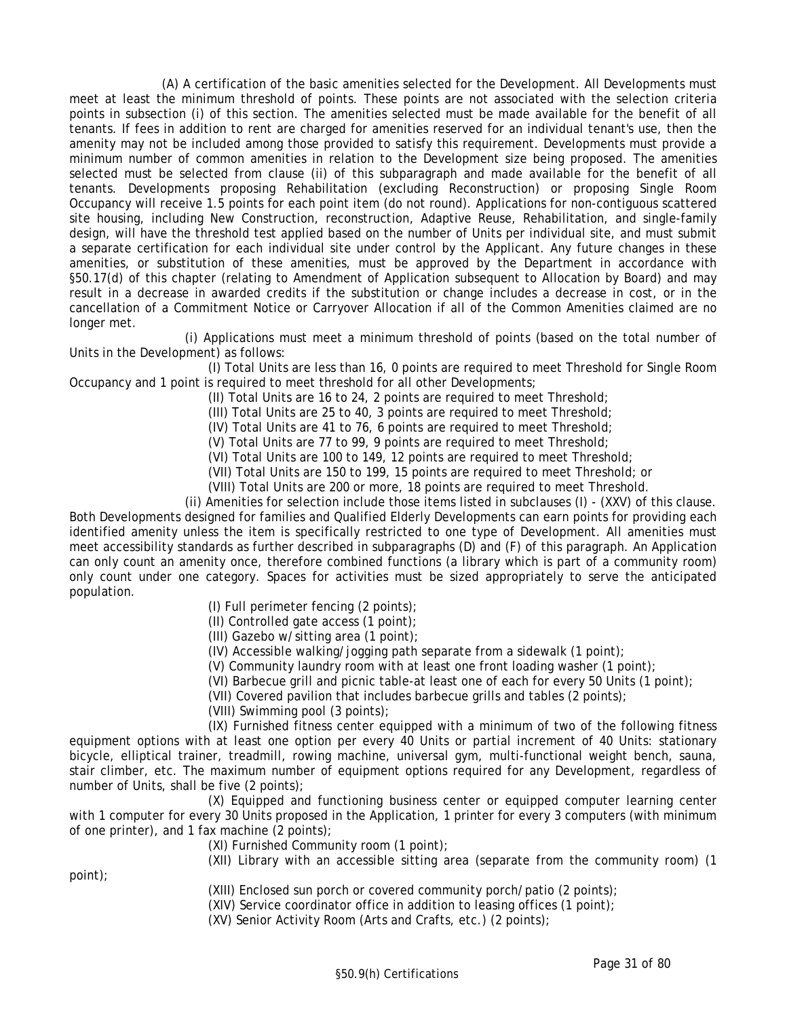(A) A certification of the basic amenities selected for the Development. All Developments must meet at least the minimum threshold of points. These points are not associated with the selection criteria points in subsection (i) of this section. The amenities selected must be made available for the benefit of all tenants. If fees in addition to rent are charged for amenities reserved for an individual tenant's use, then the amenity may not be included among those provided to satisfy this requirement. Developments must provide a minimum number of common amenities in relation to the Development size being proposed. The amenities selected must be selected from clause (ii) of this subparagraph and made available for the benefit of all tenants. Developments proposing Rehabilitation (excluding Reconstruction) or proposing Single Room Occupancy will receive 1.5 points for each point item (do not round). Applications for non-contiguous scattered site housing, including New Construction, reconstruction, Adaptive Reuse, Rehabilitation, and single-family design, will have the threshold test applied based on the number of Units per individual site, and must submit a separate certification for each individual site under control by the Applicant. Any future changes in these amenities, or substitution of these amenities, must be approved by the Department in accordance with §50.17(d) of this chapter (relating to Amendment of Application subsequent to Allocation by Board) and may result in a decrease in awarded credits if the substitution or change includes a decrease in cost, or in the cancellation of a Commitment Notice or Carryover Allocation if all of the Common Amenities claimed are no longer met.

(i) Applications must meet a minimum threshold of points (based on the total number of Units in the Development) as follows:

(I) Total Units are less than 16, 0 points are required to meet Threshold for Single Room Occupancy and 1 point is required to meet threshold for all other Developments;

- (II) Total Units are 16 to 24, 2 points are required to meet Threshold;
- (III) Total Units are 25 to 40, 3 points are required to meet Threshold;
- (IV) Total Units are 41 to 76, 6 points are required to meet Threshold;
- (V) Total Units are 77 to 99, 9 points are required to meet Threshold;
- (VI) Total Units are 100 to 149, 12 points are required to meet Threshold;
- (VII) Total Units are 150 to 199, 15 points are required to meet Threshold; or
- (VIII) Total Units are 200 or more, 18 points are required to meet Threshold.
- (ii) Amenities for selection include those items listed in subclauses (I) (XXV) of this clause.

Both Developments designed for families and Qualified Elderly Developments can earn points for providing each identified amenity unless the item is specifically restricted to one type of Development. All amenities must meet accessibility standards as further described in subparagraphs (D) and (F) of this paragraph. An Application can only count an amenity once, therefore combined functions (a library which is part of a community room) only count under one category. Spaces for activities must be sized appropriately to serve the anticipated population.

- (I) Full perimeter fencing (2 points);
- (II) Controlled gate access (1 point);
- (III) Gazebo w/sitting area (1 point);
- (IV) Accessible walking/jogging path separate from a sidewalk (1 point);
- (V) Community laundry room with at least one front loading washer (1 point);
- (VI) Barbecue grill and picnic table-at least one of each for every 50 Units (1 point);
- (VII) Covered pavilion that includes barbecue grills and tables (2 points);
- (VIII) Swimming pool (3 points);

point);

(IX) Furnished fitness center equipped with a minimum of two of the following fitness equipment options with at least one option per every 40 Units or partial increment of 40 Units: stationary bicycle, elliptical trainer, treadmill, rowing machine, universal gym, multi-functional weight bench, sauna, stair climber, etc. The maximum number of equipment options required for any Development, regardless of number of Units, shall be five (2 points);

(X) Equipped and functioning business center or equipped computer learning center with 1 computer for every 30 Units proposed in the Application, 1 printer for every 3 computers (with minimum of one printer), and 1 fax machine (2 points);

(XI) Furnished Community room (1 point);

(XII) Library with an accessible sitting area (separate from the community room) (1

(XIII) Enclosed sun porch or covered community porch/patio (2 points);

(XIV) Service coordinator office in addition to leasing offices (1 point);

(XV) Senior Activity Room (Arts and Crafts, etc.) (2 points);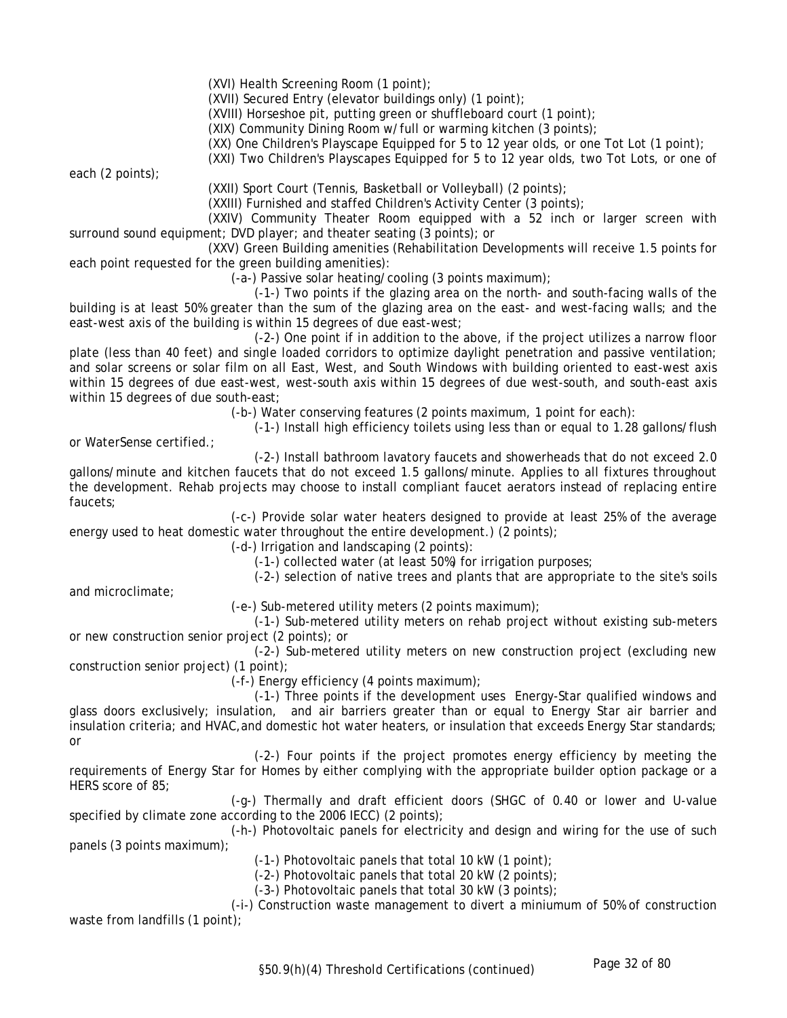(XVI) Health Screening Room (1 point);

(XVII) Secured Entry (elevator buildings only) (1 point);

(XVIII) Horseshoe pit, putting green or shuffleboard court (1 point);

(XIX) Community Dining Room w/full or warming kitchen (3 points);

(XX) One Children's Playscape Equipped for 5 to 12 year olds, or one Tot Lot (1 point);

(XXI) Two Children's Playscapes Equipped for 5 to 12 year olds, two Tot Lots, or one of

each (2 points);

(XXII) Sport Court (Tennis, Basketball or Volleyball) (2 points);

(XXIII) Furnished and staffed Children's Activity Center (3 points);

(XXIV) Community Theater Room equipped with a 52 inch or larger screen with surround sound equipment; DVD player; and theater seating (3 points); or

(XXV) Green Building amenities (Rehabilitation Developments will receive 1.5 points for each point requested for the green building amenities):

(-a-) Passive solar heating/cooling (3 points maximum);

(-1-) Two points if the glazing area on the north- and south-facing walls of the building is at least 50% greater than the sum of the glazing area on the east- and west-facing walls; and the east-west axis of the building is within 15 degrees of due east-west;

(-2-) One point if in addition to the above, if the project utilizes a narrow floor plate (less than 40 feet) and single loaded corridors to optimize daylight penetration and passive ventilation; and solar screens or solar film on all East, West, and South Windows with building oriented to east-west axis within 15 degrees of due east-west, west-south axis within 15 degrees of due west-south, and south-east axis within 15 degrees of due south-east;

(-b-) Water conserving features (2 points maximum, 1 point for each):

(-1-) Install high efficiency toilets using less than or equal to 1.28 gallons/flush

or WaterSense certified.;

(-2-) Install bathroom lavatory faucets and showerheads that do not exceed 2.0

gallons/minute and kitchen faucets that do not exceed 1.5 gallons/minute. Applies to all fixtures throughout the development. Rehab projects may choose to install compliant faucet aerators instead of replacing entire faucets;

(-c-) Provide solar water heaters designed to provide at least 25% of the average energy used to heat domestic water throughout the entire development.) (2 points);

(-d-) Irrigation and landscaping (2 points):

(-1-) collected water (at least 50%) for irrigation purposes;

(-2-) selection of native trees and plants that are appropriate to the site's soils

and microclimate;

(-e-) Sub-metered utility meters (2 points maximum);

(-1-) Sub-metered utility meters on rehab project without existing sub-meters or new construction senior project (2 points); or

(-2-) Sub-metered utility meters on new construction project (excluding new construction senior project) (1 point);

(-f-) Energy efficiency (4 points maximum);

(-1-) Three points if the development uses Energy-Star qualified windows and glass doors exclusively; insulation, and air barriers greater than or equal to Energy Star air barrier and insulation criteria; and HVAC, and domestic hot water heaters, or insulation that exceeds Energy Star standards; or

(-2-) Four points if the project promotes energy efficiency by meeting the requirements of Energy Star for Homes by either complying with the appropriate builder option package or a HERS score of 85;

(-g-) Thermally and draft efficient doors (SHGC of 0.40 or lower and U-value specified by climate zone according to the 2006 IECC) (2 points);

(-h-) Photovoltaic panels for electricity and design and wiring for the use of such panels (3 points maximum);

(-1-) Photovoltaic panels that total 10 kW (1 point);

(-2-) Photovoltaic panels that total 20 kW (2 points);

(-3-) Photovoltaic panels that total 30 kW (3 points);

(-i-)Construction waste management to divert a miniumum of 50% of construction waste from landfills (1 point);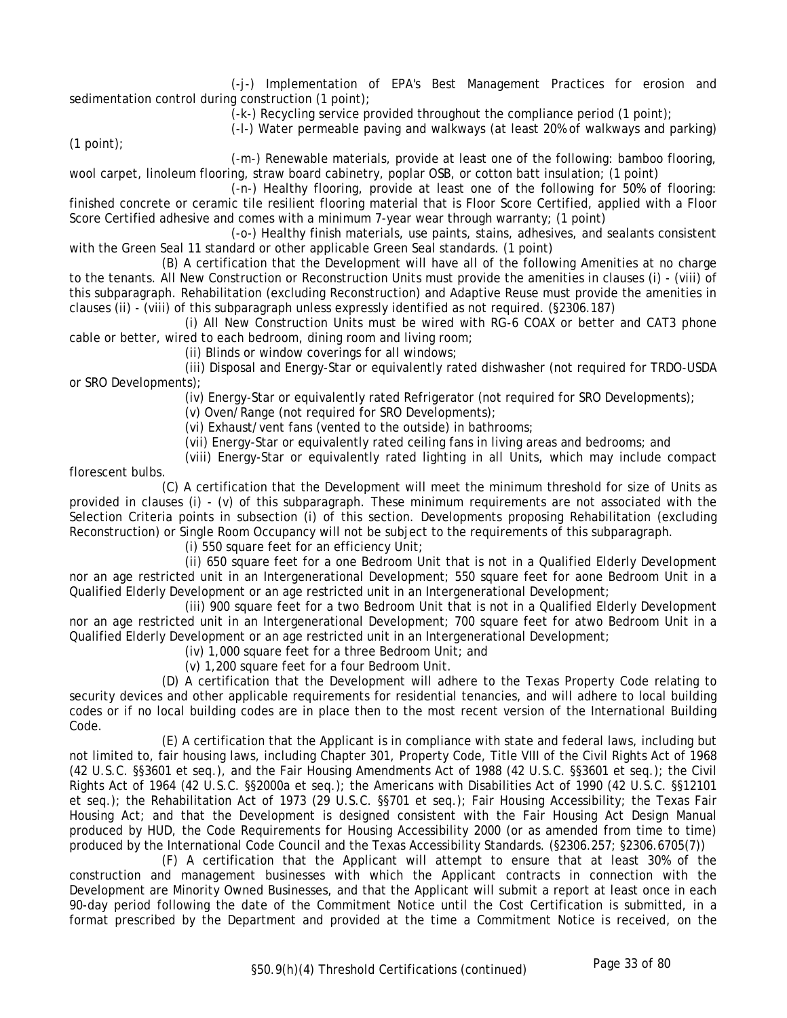(-j-) Implementation of EPA's Best Management Practices for erosion and sedimentation control during construction (1 point);

(-k-) Recycling service provided throughout the compliance period (1 point);

(-l-) Water permeable paving and walkways (at least 20% of walkways and parking)

 $(1$  point);

(-m-) Renewable materials, provide at least one of the following: bamboo flooring, wool carpet, linoleum flooring, straw board cabinetry, poplar OSB, or cotton batt insulation; (1 point)

(-n-) Healthy flooring, provide at least one of the following for 50% of flooring: finished concrete or ceramic tile resilient flooring material that is Floor Score Certified, applied with a Floor Score Certified adhesive and comes with a minimum 7-year wear through warranty; (1 point)

(-o-) Healthy finish materials, use paints, stains, adhesives, and sealants consistent with the Green Seal 11 standard or other applicable Green Seal standards. (1 point)

(B) A certification that the Development will have all of the following Amenities at no charge to the tenants. All New Construction or Reconstruction Units must provide the amenities in clauses (i) - (viii) of this subparagraph. Rehabilitation (excluding Reconstruction) and Adaptive Reuse must provide the amenities in clauses (ii) - (viii) of this subparagraph unless expressly identified as not required. (§2306.187)

(i) All New Construction Units must be wired with RG-6 COAX or better and CAT3 phone cable or better, wired to each bedroom, dining room and living room;

(ii) Blinds or window coverings for all windows;

(iii) Disposal and Energy-Star or equivalently rated dishwasher (not required for TRDO-USDA or SRO Developments);

(iv) Energy-Star or equivalently rated Refrigerator (not required for SRO Developments);

(v) Oven/Range (not required for SRO Developments);

(vi) Exhaust/vent fans (vented to the outside) in bathrooms;

(vii) Energy-Star or equivalently rated ceiling fans in living areas and bedrooms; and

(viii) Energy-Star or equivalently rated lighting in all Units, which may include compact florescent bulbs.

(C) A certification that the Development will meet the minimum threshold for size of Units as provided in clauses (i) - (v) of this subparagraph. These minimum requirements are not associated with the Selection Criteria points in subsection (i) of this section. Developments proposing Rehabilitation (excluding Reconstruction) or Single Room Occupancy will not be subject to the requirements of this subparagraph.

(i) 550 square feet for an efficiency Unit;

(ii) 650 square feet for a one Bedroom Unit that is not in a Qualified Elderly Development nor an age restricted unit in an Intergenerational Development; 550 square feet for aone Bedroom Unit in a Qualified Elderly Development or an age restricted unit in an Intergenerational Development;

(iii) 900 square feet for a two Bedroom Unit that is not in a Qualified Elderly Development nor an age restricted unit in an Intergenerational Development; 700 square feet for atwo Bedroom Unit in a Qualified Elderly Development or an age restricted unit in an Intergenerational Development;

(iv) 1,000 square feet for a three Bedroom Unit; and

(v) 1,200 square feet for a four Bedroom Unit.

(D) A certification that the Development will adhere to the Texas Property Code relating to security devices and other applicable requirements for residential tenancies, and will adhere to local building codes or if no local building codes are in place then to the most recent version of the International Building Code.

(E) A certification that the Applicant is in compliance with state and federal laws, including but not limited to, fair housing laws, including Chapter 301, Property Code, Title VIII of the Civil Rights Act of 1968 (42 U.S.C. §§3601 et seq.), and the Fair Housing Amendments Act of 1988 (42 U.S.C. §§3601 et seq.); the Civil Rights Act of 1964 (42 U.S.C. §§2000a et seq.); the Americans with Disabilities Act of 1990 (42 U.S.C. §§12101 et seq.); the Rehabilitation Act of 1973 (29 U.S.C. §§701 et seq.); Fair Housing Accessibility; the Texas Fair Housing Act; and that the Development is designed consistent with the Fair Housing Act Design Manual produced by HUD, the Code Requirements for Housing Accessibility 2000 (or as amended from time to time) produced by the International Code Council and the Texas Accessibility Standards. (§2306.257; §2306.6705(7))

(F) A certification that the Applicant will attempt to ensure that at least 30% of the construction and management businesses with which the Applicant contracts in connection with the Development are Minority Owned Businesses, and that the Applicant will submit a report at least once in each 90-day period following the date of the Commitment Notice until the Cost Certification is submitted, in a format prescribed by the Department and provided at the time a Commitment Notice is received, on the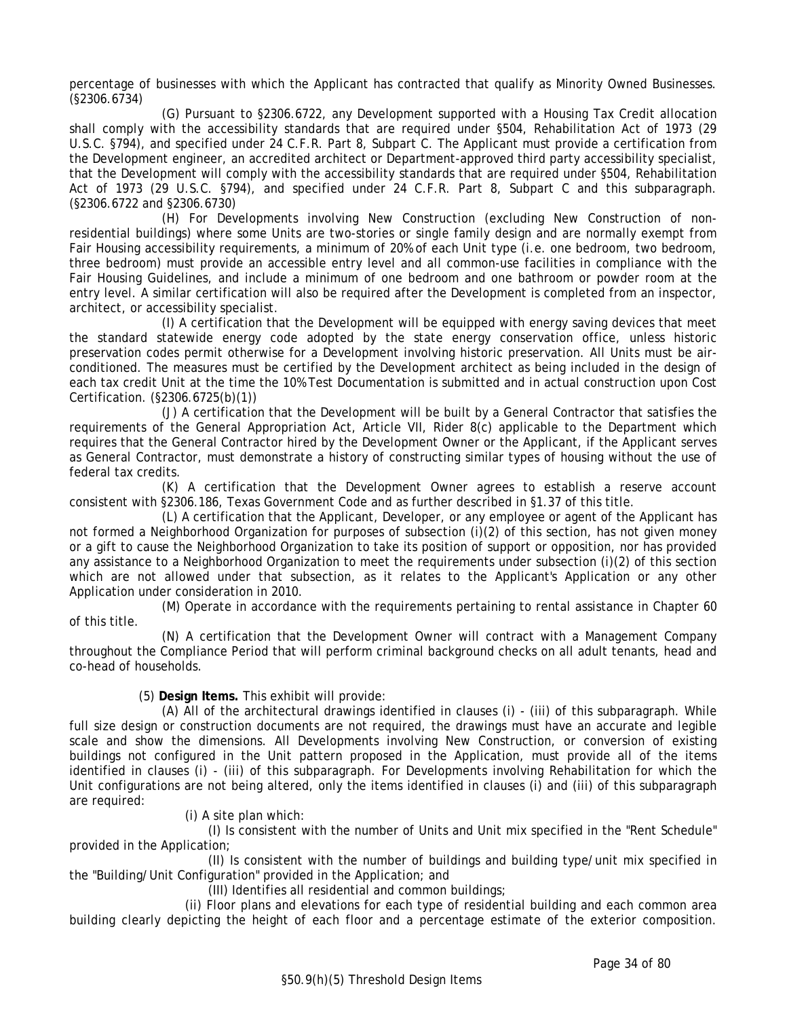percentage of businesses with which the Applicant has contracted that qualify as Minority Owned Businesses. (§2306.6734)

(G) Pursuant to §2306.6722, any Development supported with a Housing Tax Credit allocation shall comply with the accessibility standards that are required under §504, Rehabilitation Act of 1973 (29 U.S.C. §794), and specified under 24 C.F.R. Part 8, Subpart C. The Applicant must provide a certification from the Development engineer, an accredited architect or Department-approved third party accessibility specialist, that the Development will comply with the accessibility standards that are required under §504, Rehabilitation Act of 1973 (29 U.S.C. §794), and specified under 24 C.F.R. Part 8, Subpart C and this subparagraph. (§2306.6722 and §2306.6730)

(H) For Developments involving New Construction (excluding New Construction of nonresidential buildings) where some Units are two-stories or single family design and are normally exempt from Fair Housing accessibility requirements, a minimum of 20% of each Unit type (i.e. one bedroom, two bedroom, three bedroom) must provide an accessible entry level and all common-use facilities in compliance with the Fair Housing Guidelines, and include a minimum of one bedroom and one bathroom or powder room at the entry level. A similar certification will also be required after the Development is completed from an inspector, architect, or accessibility specialist.

(I) A certification that the Development will be equipped with energy saving devices that meet the standard statewide energy code adopted by the state energy conservation office, unless historic preservation codes permit otherwise for a Development involving historic preservation. All Units must be airconditioned. The measures must be certified by the Development architect as being included in the design of each tax credit Unit at the time the 10% Test Documentation is submitted and in actual construction upon Cost Certification. (§2306.6725(b)(1))

(J) A certification that the Development will be built by a General Contractor that satisfies the requirements of the General Appropriation Act, Article VII, Rider 8(c) applicable to the Department which requires that the General Contractor hired by the Development Owner or the Applicant, if the Applicant serves as General Contractor, must demonstrate a history of constructing similar types of housing without the use of federal tax credits.

(K) A certification that the Development Owner agrees to establish a reserve account consistent with §2306.186, Texas Government Code and as further described in §1.37 of this title.

(L) A certification that the Applicant, Developer, or any employee or agent of the Applicant has not formed a Neighborhood Organization for purposes of subsection (i)(2) of this section, has not given money or a gift to cause the Neighborhood Organization to take its position of support or opposition, nor has provided any assistance to a Neighborhood Organization to meet the requirements under subsection (i)(2) of this section which are not allowed under that subsection, as it relates to the Applicant's Application or any other Application under consideration in 2010.

(M) Operate in accordance with the requirements pertaining to rental assistance in Chapter 60 of this title.

(N) A certification that the Development Owner will contract with a Management Company throughout the Compliance Period that will perform criminal background checks on all adult tenants, head and co-head of households.

(5) **Design Items.** This exhibit will provide:

(A) All of the architectural drawings identified in clauses (i) - (iii) of this subparagraph. While full size design or construction documents are not required, the drawings must have an accurate and legible scale and show the dimensions. All Developments involving New Construction, or conversion of existing buildings not configured in the Unit pattern proposed in the Application, must provide all of the items identified in clauses (i) - (iii) of this subparagraph. For Developments involving Rehabilitation for which the Unit configurations are not being altered, only the items identified in clauses (i) and (iii) of this subparagraph are required:

(i) A site plan which:

(I) Is consistent with the number of Units and Unit mix specified in the "Rent Schedule" provided in the Application;

(II) Is consistent with the number of buildings and building type/unit mix specified in the "Building/Unit Configuration" provided in the Application; and

(III) Identifies all residential and common buildings;

(ii) Floor plans and elevations for each type of residential building and each common area building clearly depicting the height of each floor and a percentage estimate of the exterior composition.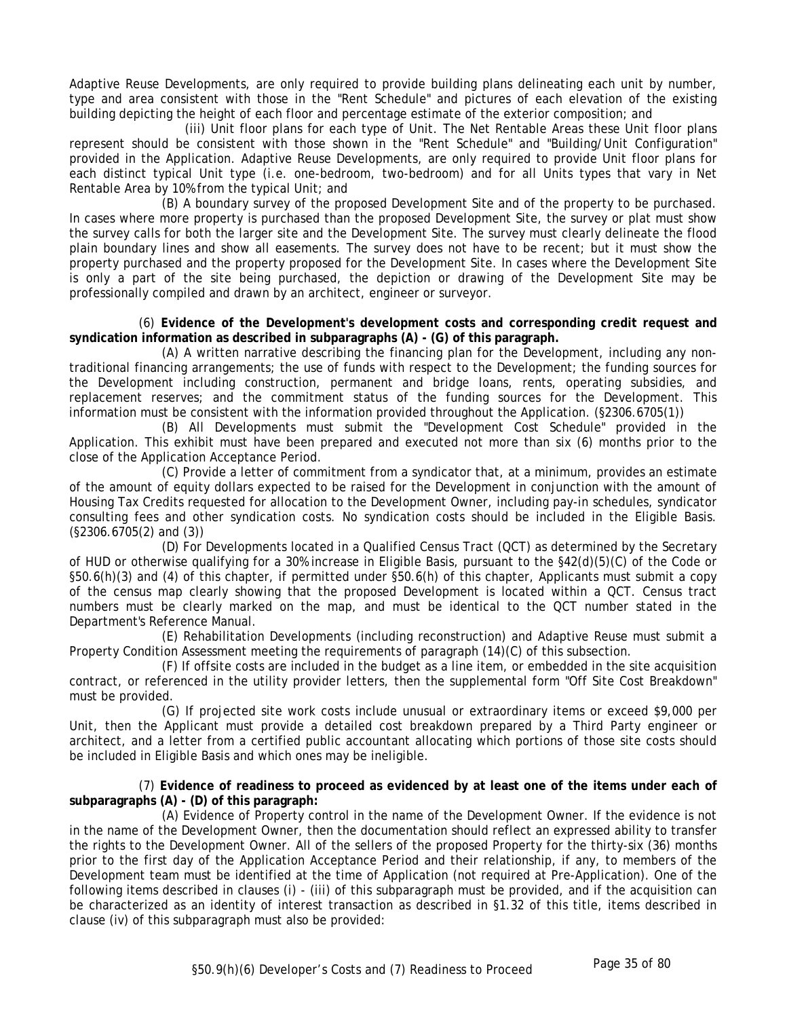Adaptive Reuse Developments, are only required to provide building plans delineating each unit by number, type and area consistent with those in the "Rent Schedule" and pictures of each elevation of the existing building depicting the height of each floor and percentage estimate of the exterior composition; and

(iii) Unit floor plans for each type of Unit. The Net Rentable Areas these Unit floor plans represent should be consistent with those shown in the "Rent Schedule" and "Building/Unit Configuration" provided in the Application. Adaptive Reuse Developments, are only required to provide Unit floor plans for each distinct typical Unit type (i.e. one-bedroom, two-bedroom) and for all Units types that vary in Net Rentable Area by 10% from the typical Unit; and

(B) A boundary survey of the proposed Development Site and of the property to be purchased. In cases where more property is purchased than the proposed Development Site, the survey or plat must show the survey calls for both the larger site and the Development Site. The survey must clearly delineate the flood plain boundary lines and show all easements. The survey does not have to be recent; but it must show the property purchased and the property proposed for the Development Site. In cases where the Development Site is only a part of the site being purchased, the depiction or drawing of the Development Site may be professionally compiled and drawn by an architect, engineer or surveyor.

(6) **Evidence of the Development's development costs and corresponding credit request and syndication information as described in subparagraphs (A) - (G) of this paragraph.**

(A) A written narrative describing the financing plan for the Development, including any nontraditional financing arrangements; the use of funds with respect to the Development; the funding sources for the Development including construction, permanent and bridge loans, rents, operating subsidies, and replacement reserves; and the commitment status of the funding sources for the Development. This information must be consistent with the information provided throughout the Application. (§2306.6705(1))

(B) All Developments must submit the "Development Cost Schedule" provided in the Application. This exhibit must have been prepared and executed not more than six (6) months prior to the close of the Application Acceptance Period.

(C) Provide a letter of commitment from a syndicator that, at a minimum, provides an estimate of the amount of equity dollars expected to be raised for the Development in conjunction with the amount of Housing Tax Credits requested for allocation to the Development Owner, including pay-in schedules, syndicator consulting fees and other syndication costs. No syndication costs should be included in the Eligible Basis. (§2306.6705(2) and (3))

(D) For Developments located in a Qualified Census Tract (QCT) as determined by the Secretary of HUD or otherwise qualifying for a 30% increase in Eligible Basis, pursuant to the §42(d)(5)(C) of the Code or §50.6(h)(3) and (4) of this chapter, if permitted under §50.6(h) of this chapter, Applicants must submit a copy of the census map clearly showing that the proposed Development is located within a QCT. Census tract numbers must be clearly marked on the map, and must be identical to the QCT number stated in the Department's Reference Manual.

(E) Rehabilitation Developments (including reconstruction) and Adaptive Reuse must submit a Property Condition Assessment meeting the requirements of paragraph (14)(C) of this subsection.

(F) If offsite costs are included in the budget as a line item, or embedded in the site acquisition contract, or referenced in the utility provider letters, then the supplemental form "Off Site Cost Breakdown" must be provided.

(G) If projected site work costs include unusual or extraordinary items or exceed \$9,000 per Unit, then the Applicant must provide a detailed cost breakdown prepared by a Third Party engineer or architect, and a letter from a certified public accountant allocating which portions of those site costs should be included in Eligible Basis and which ones may be ineligible.

(7) **Evidence of readiness to proceed as evidenced by at least one of the items under each of subparagraphs (A) - (D) of this paragraph:**

(A) Evidence of Property control in the name of the Development Owner. If the evidence is not in the name of the Development Owner, then the documentation should reflect an expressed ability to transfer the rights to the Development Owner. All of the sellers of the proposed Property for the thirty-six (36) months prior to the first day of the Application Acceptance Period and their relationship, if any, to members of the Development team must be identified at the time of Application (not required at Pre-Application). One of the following items described in clauses (i) - (iii) of this subparagraph must be provided, and if the acquisition can be characterized as an identity of interest transaction as described in §1.32 of this title, items described in clause (iv) of this subparagraph must also be provided: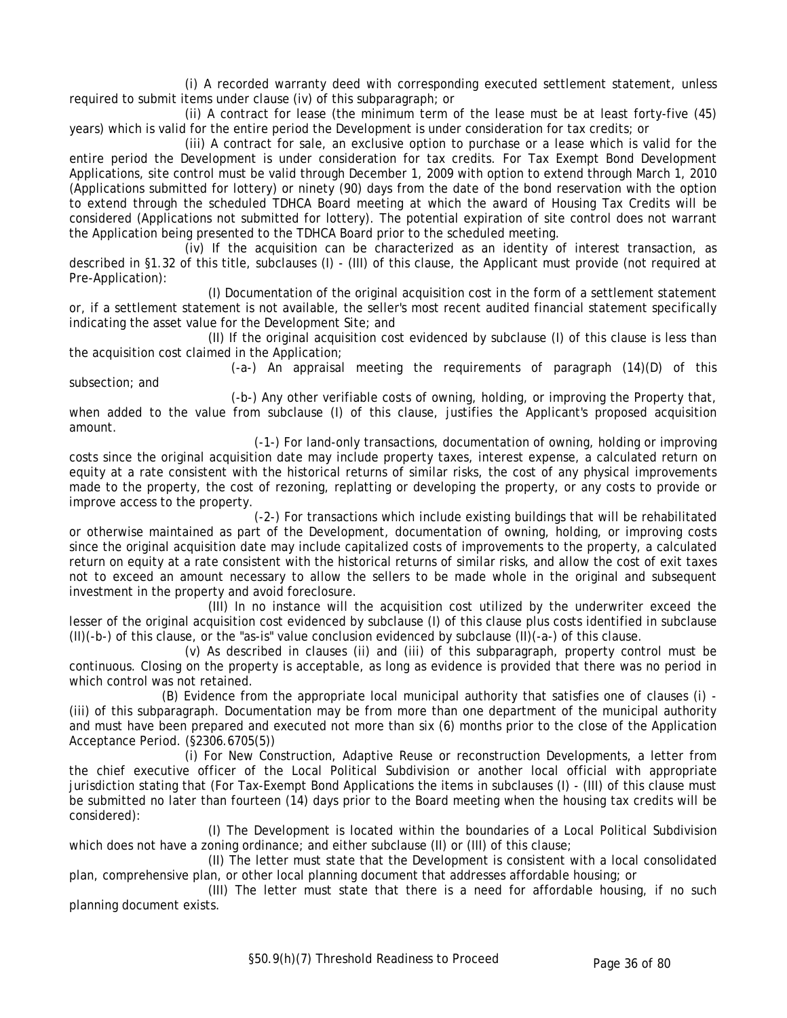(i) A recorded warranty deed with corresponding executed settlement statement, unless required to submit items under clause (iv) of this subparagraph; or

(ii) A contract for lease (the minimum term of the lease must be at least forty-five (45) years) which is valid for the entire period the Development is under consideration for tax credits; or

(iii) A contract for sale, an exclusive option to purchase or a lease which is valid for the entire period the Development is under consideration for tax credits. For Tax Exempt Bond Development Applications, site control must be valid through December 1, 2009 with option to extend through March 1, 2010 (Applications submitted for lottery) or ninety (90) days from the date of the bond reservation with the option to extend through the scheduled TDHCA Board meeting at which the award of Housing Tax Credits will be considered (Applications not submitted for lottery). The potential expiration of site control does not warrant the Application being presented to the TDHCA Board prior to the scheduled meeting.

(iv) If the acquisition can be characterized as an identity of interest transaction, as described in §1.32 of this title, subclauses (I) - (III) of this clause, the Applicant must provide (not required at Pre-Application):

(I) Documentation of the original acquisition cost in the form of a settlement statement or, if a settlement statement is not available, the seller's most recent audited financial statement specifically indicating the asset value for the Development Site; and

(II) If the original acquisition cost evidenced by subclause (I) of this clause is less than the acquisition cost claimed in the Application;

(-a-) An appraisal meeting the requirements of paragraph (14)(D) of this subsection; and

(-b-) Any other verifiable costs of owning, holding, or improving the Property that, when added to the value from subclause (I) of this clause, justifies the Applicant's proposed acquisition amount.

(-1-) For land-only transactions, documentation of owning, holding or improving costs since the original acquisition date may include property taxes, interest expense, a calculated return on equity at a rate consistent with the historical returns of similar risks, the cost of any physical improvements made to the property, the cost of rezoning, replatting or developing the property, or any costs to provide or improve access to the property.

(-2-) For transactions which include existing buildings that will be rehabilitated or otherwise maintained as part of the Development, documentation of owning, holding, or improving costs since the original acquisition date may include capitalized costs of improvements to the property, a calculated return on equity at a rate consistent with the historical returns of similar risks, and allow the cost of exit taxes not to exceed an amount necessary to allow the sellers to be made whole in the original and subsequent investment in the property and avoid foreclosure.

(III) In no instance will the acquisition cost utilized by the underwriter exceed the lesser of the original acquisition cost evidenced by subclause (I) of this clause plus costs identified in subclause (II)(-b-) of this clause, or the "as-is" value conclusion evidenced by subclause (II)(-a-) of this clause.

(v) As described in clauses (ii) and (iii) of this subparagraph, property control must be continuous. Closing on the property is acceptable, as long as evidence is provided that there was no period in which control was not retained.

(B) Evidence from the appropriate local municipal authority that satisfies one of clauses (i) - (iii) of this subparagraph. Documentation may be from more than one department of the municipal authority and must have been prepared and executed not more than six (6) months prior to the close of the Application Acceptance Period. (§2306.6705(5))

(i) For New Construction, Adaptive Reuse or reconstruction Developments, a letter from the chief executive officer of the Local Political Subdivision or another local official with appropriate jurisdiction stating that (For Tax-Exempt Bond Applications the items in subclauses (I) - (III) of this clause must be submitted no later than fourteen (14) days prior to the Board meeting when the housing tax credits will be considered):

(I) The Development is located within the boundaries of a Local Political Subdivision which does not have a zoning ordinance; and either subclause (II) or (III) of this clause;

(II) The letter must state that the Development is consistent with a local consolidated plan, comprehensive plan, or other local planning document that addresses affordable housing; or

(III) The letter must state that there is a need for affordable housing, if no such planning document exists.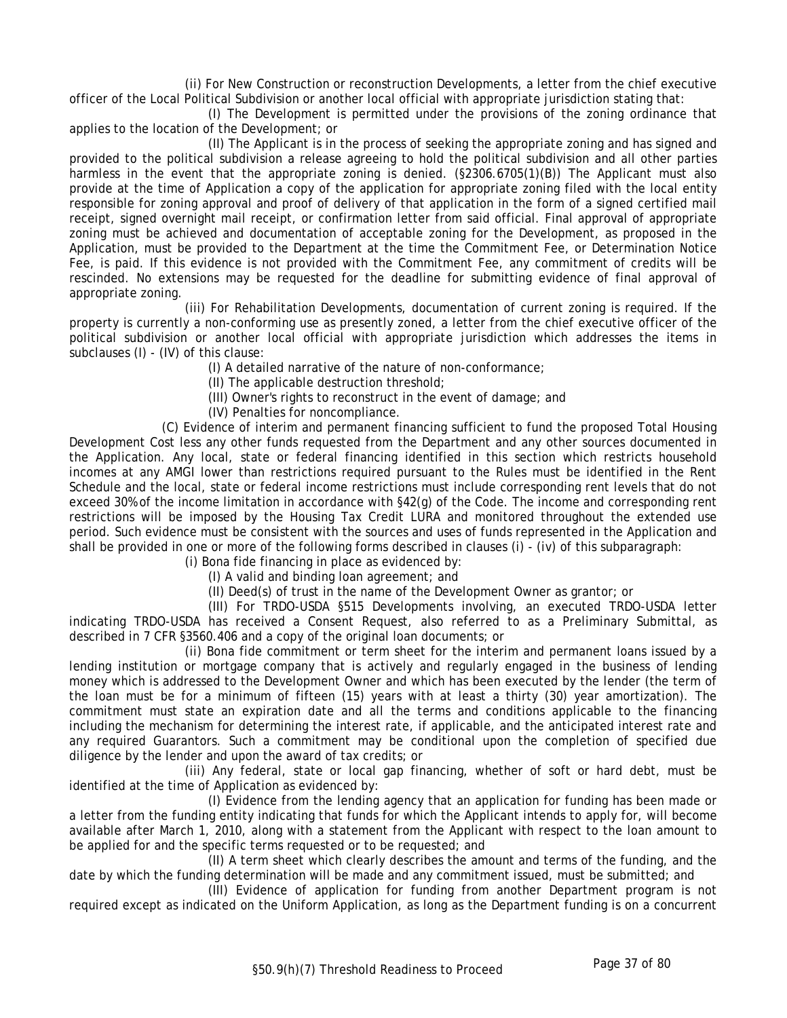(ii) For New Construction or reconstruction Developments, a letter from the chief executive officer of the Local Political Subdivision or another local official with appropriate jurisdiction stating that:

(I) The Development is permitted under the provisions of the zoning ordinance that applies to the location of the Development; or

(II) The Applicant is in the process of seeking the appropriate zoning and has signed and provided to the political subdivision a release agreeing to hold the political subdivision and all other parties harmless in the event that the appropriate zoning is denied. (§2306.6705(1)(B)) The Applicant must also provide at the time of Application a copy of the application for appropriate zoning filed with the local entity responsible for zoning approval and proof of delivery of that application in the form of a signed certified mail receipt, signed overnight mail receipt, or confirmation letter from said official. Final approval of appropriate zoning must be achieved and documentation of acceptable zoning for the Development, as proposed in the Application, must be provided to the Department at the time the Commitment Fee, or Determination Notice Fee, is paid. If this evidence is not provided with the Commitment Fee, any commitment of credits will be rescinded. No extensions may be requested for the deadline for submitting evidence of final approval of appropriate zoning.

(iii) For Rehabilitation Developments, documentation of current zoning is required. If the property is currently a non-conforming use as presently zoned, a letter from the chief executive officer of the political subdivision or another local official with appropriate jurisdiction which addresses the items in subclauses (I) - (IV) of this clause:

(I) A detailed narrative of the nature of non-conformance;

(II) The applicable destruction threshold;

(III) Owner's rights to reconstruct in the event of damage; and

(IV) Penalties for noncompliance.

(C) Evidence of interim and permanent financing sufficient to fund the proposed Total Housing Development Cost less any other funds requested from the Department and any other sources documented in the Application. Any local, state or federal financing identified in this section which restricts household incomes at any AMGI lower than restrictions required pursuant to the Rules must be identified in the Rent Schedule and the local, state or federal income restrictions must include corresponding rent levels that do not exceed 30% of the income limitation in accordance with §42(g) of the Code. The income and corresponding rent restrictions will be imposed by the Housing Tax Credit LURA and monitored throughout the extended use period. Such evidence must be consistent with the sources and uses of funds represented in the Application and shall be provided in one or more of the following forms described in clauses (i) - (iv) of this subparagraph:

(i) Bona fide financing in place as evidenced by:

(I) A valid and binding loan agreement; and

(II) Deed(s) of trust in the name of the Development Owner as grantor; or

(III) For TRDO-USDA §515 Developments involving, an executed TRDO-USDA letter indicating TRDO-USDA has received a Consent Request, also referred to as a Preliminary Submittal, as described in 7 CFR §3560.406 and a copy of the original loan documents; or

(ii) Bona fide commitment or term sheet for the interim and permanent loans issued by a lending institution or mortgage company that is actively and regularly engaged in the business of lending money which is addressed to the Development Owner and which has been executed by the lender (the term of the loan must be for a minimum of fifteen (15) years with at least a thirty (30) year amortization). The commitment must state an expiration date and all the terms and conditions applicable to the financing including the mechanism for determining the interest rate, if applicable, and the anticipated interest rate and any required Guarantors. Such a commitment may be conditional upon the completion of specified due diligence by the lender and upon the award of tax credits; or

(iii) Any federal, state or local gap financing, whether of soft or hard debt, must be identified at the time of Application as evidenced by:

(I) Evidence from the lending agency that an application for funding has been made or a letter from the funding entity indicating that funds for which the Applicant intends to apply for, will become available after March 1, 2010, along with a statement from the Applicant with respect to the loan amount to be applied for and the specific terms requested or to be requested; and

(II) A term sheet which clearly describes the amount and terms of the funding, and the date by which the funding determination will be made and any commitment issued, must be submitted; and

(III) Evidence of application for funding from another Department program is not required except as indicated on the Uniform Application, as long as the Department funding is on a concurrent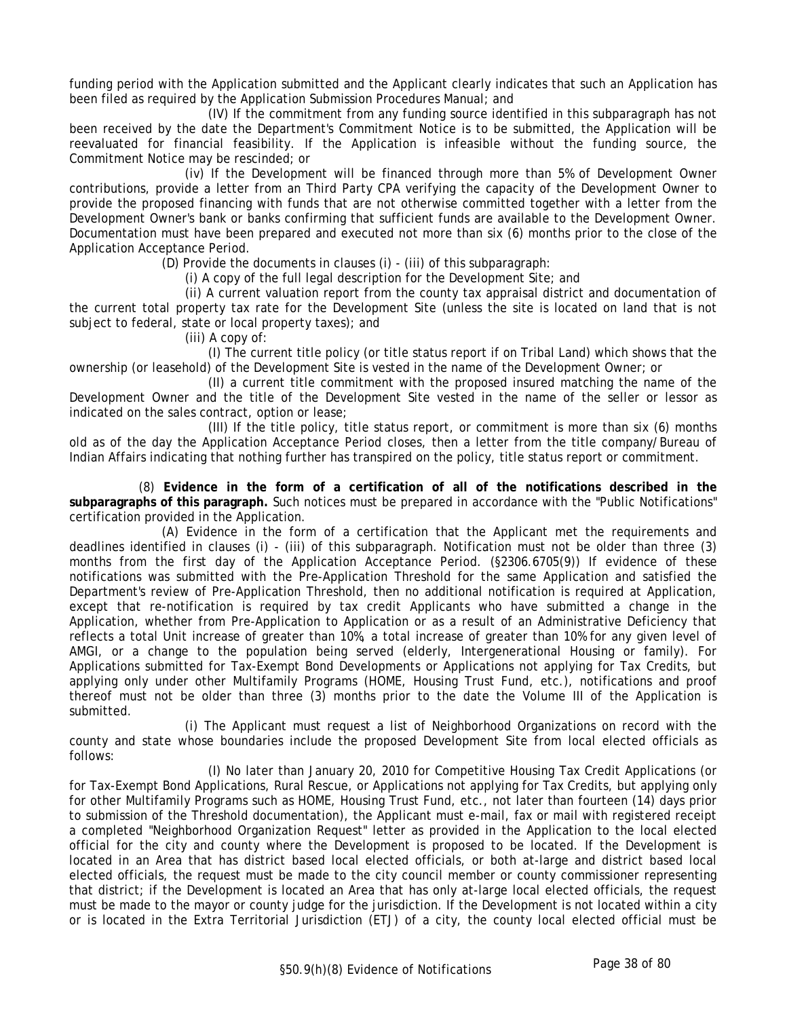funding period with the Application submitted and the Applicant clearly indicates that such an Application has been filed as required by the Application Submission Procedures Manual; and

(IV) If the commitment from any funding source identified in this subparagraph has not been received by the date the Department's Commitment Notice is to be submitted, the Application will be reevaluated for financial feasibility. If the Application is infeasible without the funding source, the Commitment Notice may be rescinded; or

(iv) If the Development will be financed through more than 5% of Development Owner contributions, provide a letter from an Third Party CPA verifying the capacity of the Development Owner to provide the proposed financing with funds that are not otherwise committed together with a letter from the Development Owner's bank or banks confirming that sufficient funds are available to the Development Owner. Documentation must have been prepared and executed not more than six (6) months prior to the close of the Application Acceptance Period.

(D) Provide the documents in clauses (i) - (iii) of this subparagraph:

(i) A copy of the full legal description for the Development Site; and

(ii) A current valuation report from the county tax appraisal district and documentation of the current total property tax rate for the Development Site (unless the site is located on land that is not subject to federal, state or local property taxes); and

(iii) A copy of:

(I) The current title policy (or title status report if on Tribal Land) which shows that the ownership (or leasehold) of the Development Site is vested in the name of the Development Owner; or

(II) a current title commitment with the proposed insured matching the name of the Development Owner and the title of the Development Site vested in the name of the seller or lessor as indicated on the sales contract, option or lease;

(III) If the title policy, title status report, or commitment is more than six (6) months old as of the day the Application Acceptance Period closes, then a letter from the title company/Bureau of Indian Affairs indicating that nothing further has transpired on the policy, title status report or commitment.

(8) **Evidence in the form of a certification of all of the notifications described in the subparagraphs of this paragraph.** Such notices must be prepared in accordance with the "Public Notifications" certification provided in the Application.

(A) Evidence in the form of a certification that the Applicant met the requirements and deadlines identified in clauses (i) - (iii) of this subparagraph. Notification must not be older than three (3) months from the first day of the Application Acceptance Period. (§2306.6705(9)) If evidence of these notifications was submitted with the Pre-Application Threshold for the same Application and satisfied the Department's review of Pre-Application Threshold, then no additional notification is required at Application, except that re-notification is required by tax credit Applicants who have submitted a change in the Application, whether from Pre-Application to Application or as a result of an Administrative Deficiency that reflects a total Unit increase of greater than 10%, a total increase of greater than 10% for any given level of AMGI, or a change to the population being served (elderly, Intergenerational Housing or family). For Applications submitted for Tax-Exempt Bond Developments or Applications not applying for Tax Credits, but applying only under other Multifamily Programs (HOME, Housing Trust Fund, etc.), notifications and proof thereof must not be older than three (3) months prior to the date the Volume III of the Application is submitted.

(i) The Applicant must request a list of Neighborhood Organizations on record with the county and state whose boundaries include the proposed Development Site from local elected officials as follows:

(I) No later than January 20, 2010 for Competitive Housing Tax Credit Applications (or for Tax-Exempt Bond Applications, Rural Rescue, or Applications not applying for Tax Credits, but applying only for other Multifamily Programs such as HOME, Housing Trust Fund, etc., not later than fourteen (14) days prior to submission of the Threshold documentation), the Applicant must e-mail, fax or mail with registered receipt a completed "Neighborhood Organization Request" letter as provided in the Application to the local elected official for the city and county where the Development is proposed to be located. If the Development is located in an Area that has district based local elected officials, or both at-large and district based local elected officials, the request must be made to the city council member or county commissioner representing that district; if the Development is located an Area that has only at-large local elected officials, the request must be made to the mayor or county judge for the jurisdiction. If the Development is not located within a city or is located in the Extra Territorial Jurisdiction (ETJ) of a city, the county local elected official must be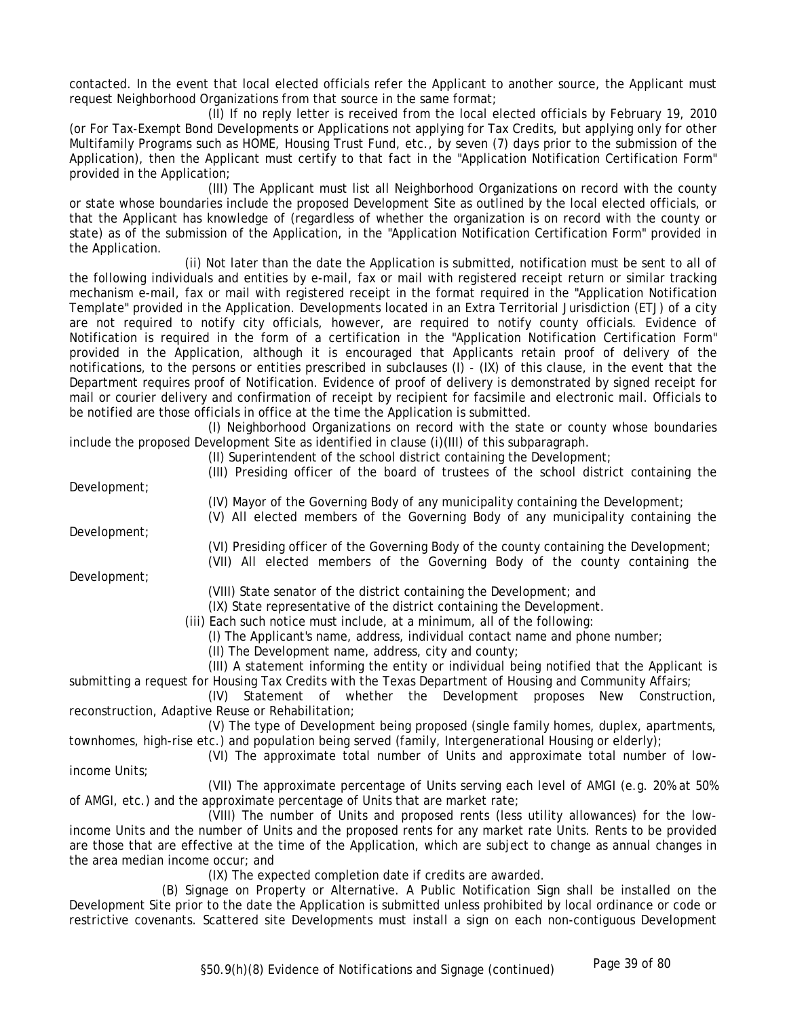contacted. In the event that local elected officials refer the Applicant to another source, the Applicant must request Neighborhood Organizations from that source in the same format;

(II) If no reply letter is received from the local elected officials by February 19, 2010 (or For Tax-Exempt Bond Developments or Applications not applying for Tax Credits, but applying only for other Multifamily Programs such as HOME, Housing Trust Fund, etc., by seven (7) days prior to the submission of the Application), then the Applicant must certify to that fact in the "Application Notification Certification Form" provided in the Application;

(III) The Applicant must list all Neighborhood Organizations on record with the county or state whose boundaries include the proposed Development Site as outlined by the local elected officials, or that the Applicant has knowledge of (regardless of whether the organization is on record with the county or state) as of the submission of the Application, in the "Application Notification Certification Form" provided in the Application.

(ii) Not later than the date the Application is submitted, notification must be sent to all of the following individuals and entities by e-mail, fax or mail with registered receipt return or similar tracking mechanism e-mail, fax or mail with registered receipt in the format required in the "Application Notification Template" provided in the Application. Developments located in an Extra Territorial Jurisdiction (ETJ) of a city are not required to notify city officials, however, are required to notify county officials. Evidence of Notification is required in the form of a certification in the "Application Notification Certification Form" provided in the Application, although it is encouraged that Applicants retain proof of delivery of the notifications, to the persons or entities prescribed in subclauses (I) - (IX) of this clause, in the event that the Department requires proof of Notification. Evidence of proof of delivery is demonstrated by signed receipt for mail or courier delivery and confirmation of receipt by recipient for facsimile and electronic mail. Officials to be notified are those officials in office at the time the Application is submitted.

(I) Neighborhood Organizations on record with the state or county whose boundaries include the proposed Development Site as identified in clause (i)(III) of this subparagraph.

(II) Superintendent of the school district containing the Development;

Development;

(III) Presiding officer of the board of trustees of the school district containing the

(IV) Mayor of the Governing Body of any municipality containing the Development;

(V) All elected members of the Governing Body of any municipality containing the

Development;

Development;

(VI) Presiding officer of the Governing Body of the county containing the Development;

(VII) All elected members of the Governing Body of the county containing the

(VIII) State senator of the district containing the Development; and

(IX) State representative of the district containing the Development.

(iii) Each such notice must include, at a minimum, all of the following:

(I) The Applicant's name, address, individual contact name and phone number;

(II) The Development name, address, city and county;

(III) A statement informing the entity or individual being notified that the Applicant is submitting a request for Housing Tax Credits with the Texas Department of Housing and Community Affairs;

(IV) Statement of whether the Development proposes New Construction, reconstruction, Adaptive Reuse or Rehabilitation;

(V) The type of Development being proposed (single family homes, duplex, apartments, townhomes, high-rise etc.) and population being served (family, Intergenerational Housing or elderly);

(VI) The approximate total number of Units and approximate total number of lowincome Units;

(VII) The approximate percentage of Units serving each level of AMGI (e.g. 20% at 50% of AMGI, etc.) and the approximate percentage of Units that are market rate;

(VIII) The number of Units and proposed rents (less utility allowances) for the lowincome Units and the number of Units and the proposed rents for any market rate Units. Rents to be provided are those that are effective at the time of the Application, which are subject to change as annual changes in the area median income occur; and

(IX) The expected completion date if credits are awarded.

(B) Signage on Property or Alternative. A Public Notification Sign shall be installed on the Development Site prior to the date the Application is submitted unless prohibited by local ordinance or code or restrictive covenants. Scattered site Developments must install a sign on each non-contiguous Development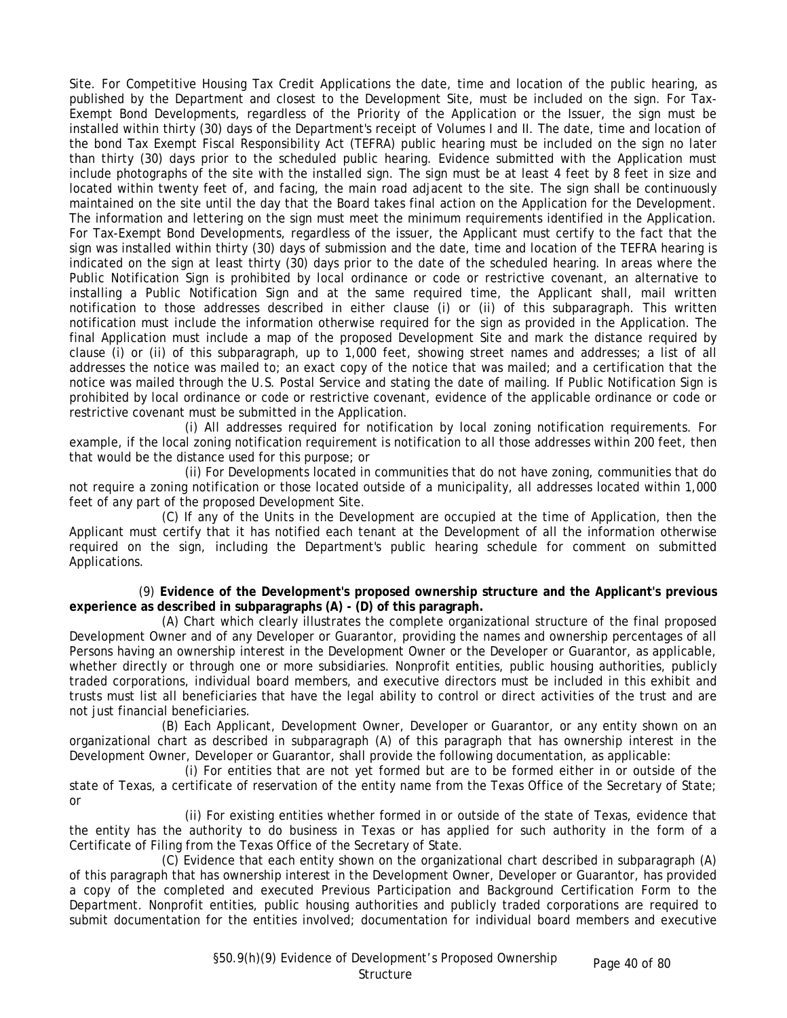Site. For Competitive Housing Tax Credit Applications the date, time and location of the public hearing, as published by the Department and closest to the Development Site, must be included on the sign. For Tax-Exempt Bond Developments, regardless of the Priority of the Application or the Issuer, the sign must be installed within thirty (30) days of the Department's receipt of Volumes I and II. The date, time and location of the bond Tax Exempt Fiscal Responsibility Act (TEFRA) public hearing must be included on the sign no later than thirty (30) days prior to the scheduled public hearing. Evidence submitted with the Application must include photographs of the site with the installed sign. The sign must be at least 4 feet by 8 feet in size and located within twenty feet of, and facing, the main road adjacent to the site. The sign shall be continuously maintained on the site until the day that the Board takes final action on the Application for the Development. The information and lettering on the sign must meet the minimum requirements identified in the Application. For Tax-Exempt Bond Developments, regardless of the issuer, the Applicant must certify to the fact that the sign was installed within thirty (30) days of submission and the date, time and location of the TEFRA hearing is indicated on the sign at least thirty (30) days prior to the date of the scheduled hearing. In areas where the Public Notification Sign is prohibited by local ordinance or code or restrictive covenant, an alternative to installing a Public Notification Sign and at the same required time, the Applicant shall, mail written notification to those addresses described in either clause (i) or (ii) of this subparagraph. This written notification must include the information otherwise required for the sign as provided in the Application. The final Application must include a map of the proposed Development Site and mark the distance required by clause (i) or (ii) of this subparagraph, up to 1,000 feet, showing street names and addresses; a list of all addresses the notice was mailed to; an exact copy of the notice that was mailed; and a certification that the notice was mailed through the U.S. Postal Service and stating the date of mailing. If Public Notification Sign is prohibited by local ordinance or code or restrictive covenant, evidence of the applicable ordinance or code or restrictive covenant must be submitted in the Application.

(i) All addresses required for notification by local zoning notification requirements. For example, if the local zoning notification requirement is notification to all those addresses within 200 feet, then that would be the distance used for this purpose; or

(ii) For Developments located in communities that do not have zoning, communities that do not require a zoning notification or those located outside of a municipality, all addresses located within 1,000 feet of any part of the proposed Development Site.

(C) If any of the Units in the Development are occupied at the time of Application, then the Applicant must certify that it has notified each tenant at the Development of all the information otherwise required on the sign, including the Department's public hearing schedule for comment on submitted Applications.

(9) **Evidence of the Development's proposed ownership structure and the Applicant's previous experience as described in subparagraphs (A) - (D) of this paragraph.**

(A) Chart which clearly illustrates the complete organizational structure of the final proposed Development Owner and of any Developer or Guarantor, providing the names and ownership percentages of all Persons having an ownership interest in the Development Owner or the Developer or Guarantor, as applicable, whether directly or through one or more subsidiaries. Nonprofit entities, public housing authorities, publicly traded corporations, individual board members, and executive directors must be included in this exhibit and trusts must list all beneficiaries that have the legal ability to control or direct activities of the trust and are not just financial beneficiaries.

(B) Each Applicant, Development Owner, Developer or Guarantor, or any entity shown on an organizational chart as described in subparagraph (A) of this paragraph that has ownership interest in the Development Owner, Developer or Guarantor, shall provide the following documentation, as applicable:

(i) For entities that are not yet formed but are to be formed either in or outside of the state of Texas, a certificate of reservation of the entity name from the Texas Office of the Secretary of State; or

(ii) For existing entities whether formed in or outside of the state of Texas, evidence that the entity has the authority to do business in Texas or has applied for such authority in the form of a Certificate of Filing from the Texas Office of the Secretary of State.

(C) Evidence that each entity shown on the organizational chart described in subparagraph (A) of this paragraph that has ownership interest in the Development Owner, Developer or Guarantor, has provided a copy of the completed and executed Previous Participation and Background Certification Form to the Department. Nonprofit entities, public housing authorities and publicly traded corporations are required to submit documentation for the entities involved; documentation for individual board members and executive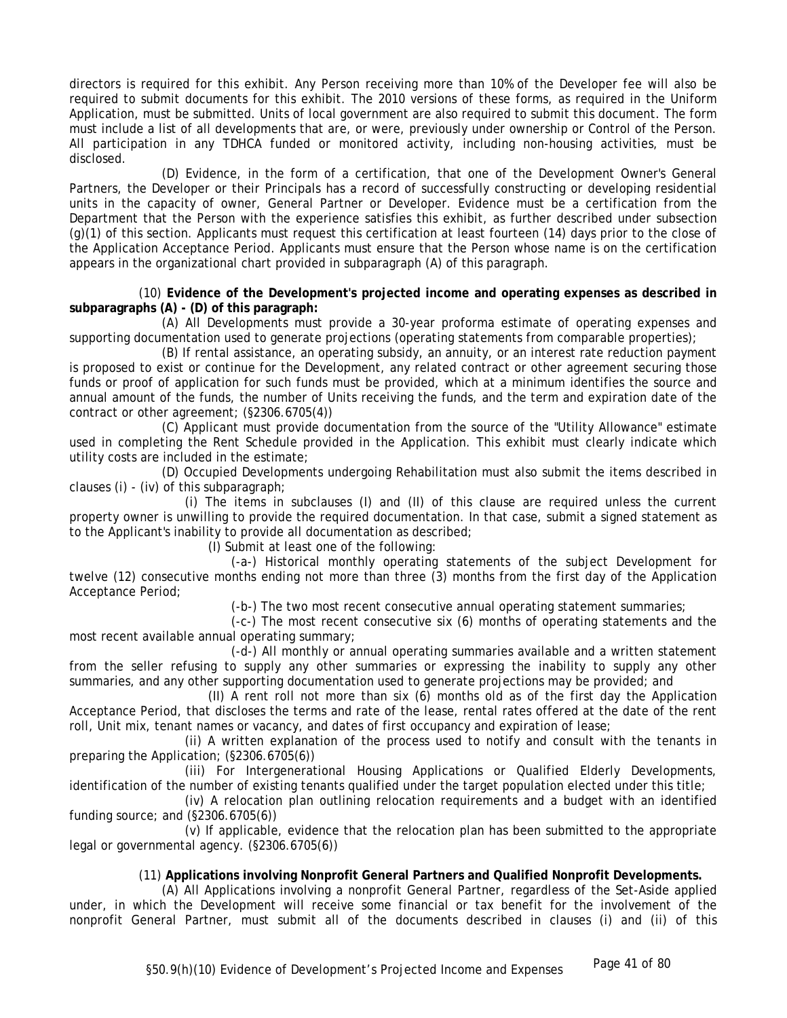directors is required for this exhibit. Any Person receiving more than 10% of the Developer fee will also be required to submit documents for this exhibit. The 2010 versions of these forms, as required in the Uniform Application, must be submitted. Units of local government are also required to submit this document. The form must include a list of all developments that are, or were, previously under ownership or Control of the Person. All participation in any TDHCA funded or monitored activity, including non-housing activities, must be disclosed.

(D) Evidence, in the form of a certification, that one of the Development Owner's General Partners, the Developer or their Principals has a record of successfully constructing or developing residential units in the capacity of owner, General Partner or Developer. Evidence must be a certification from the Department that the Person with the experience satisfies this exhibit, as further described under subsection (g)(1) of this section. Applicants must request this certification at least fourteen (14) days prior to the close of the Application Acceptance Period. Applicants must ensure that the Person whose name is on the certification appears in the organizational chart provided in subparagraph (A) of this paragraph.

(10) **Evidence of the Development's projected income and operating expenses as described in subparagraphs (A) - (D) of this paragraph:**

(A) All Developments must provide a 30-year proforma estimate of operating expenses and supporting documentation used to generate projections (operating statements from comparable properties);

(B) If rental assistance, an operating subsidy, an annuity, or an interest rate reduction payment is proposed to exist or continue for the Development, any related contract or other agreement securing those funds or proof of application for such funds must be provided, which at a minimum identifies the source and annual amount of the funds, the number of Units receiving the funds, and the term and expiration date of the contract or other agreement; (§2306.6705(4))

(C) Applicant must provide documentation from the source of the "Utility Allowance" estimate used in completing the Rent Schedule provided in the Application. This exhibit must clearly indicate which utility costs are included in the estimate;

(D) Occupied Developments undergoing Rehabilitation must also submit the items described in clauses (i) - (iv) of this subparagraph;

(i) The items in subclauses (I) and (II) of this clause are required unless the current property owner is unwilling to provide the required documentation. In that case, submit a signed statement as to the Applicant's inability to provide all documentation as described;

(I) Submit at least one of the following:

(-a-) Historical monthly operating statements of the subject Development for twelve (12) consecutive months ending not more than three (3) months from the first day of the Application Acceptance Period;

(-b-) The two most recent consecutive annual operating statement summaries;

(-c-) The most recent consecutive six (6) months of operating statements and the most recent available annual operating summary;

(-d-) All monthly or annual operating summaries available and a written statement from the seller refusing to supply any other summaries or expressing the inability to supply any other summaries, and any other supporting documentation used to generate projections may be provided; and

(II) A rent roll not more than six (6) months old as of the first day the Application Acceptance Period, that discloses the terms and rate of the lease, rental rates offered at the date of the rent roll, Unit mix, tenant names or vacancy, and dates of first occupancy and expiration of lease;

(ii) A written explanation of the process used to notify and consult with the tenants in preparing the Application; (§2306.6705(6))

(iii) For Intergenerational Housing Applications or Qualified Elderly Developments, identification of the number of existing tenants qualified under the target population elected under this title;

(iv) A relocation plan outlining relocation requirements and a budget with an identified funding source; and (§2306.6705(6))

(v) If applicable, evidence that the relocation plan has been submitted to the appropriate legal or governmental agency. (§2306.6705(6))

# (11) **Applications involving Nonprofit General Partners and Qualified Nonprofit Developments.**

(A) All Applications involving a nonprofit General Partner, regardless of the Set-Aside applied under, in which the Development will receive some financial or tax benefit for the involvement of the nonprofit General Partner, must submit all of the documents described in clauses (i) and (ii) of this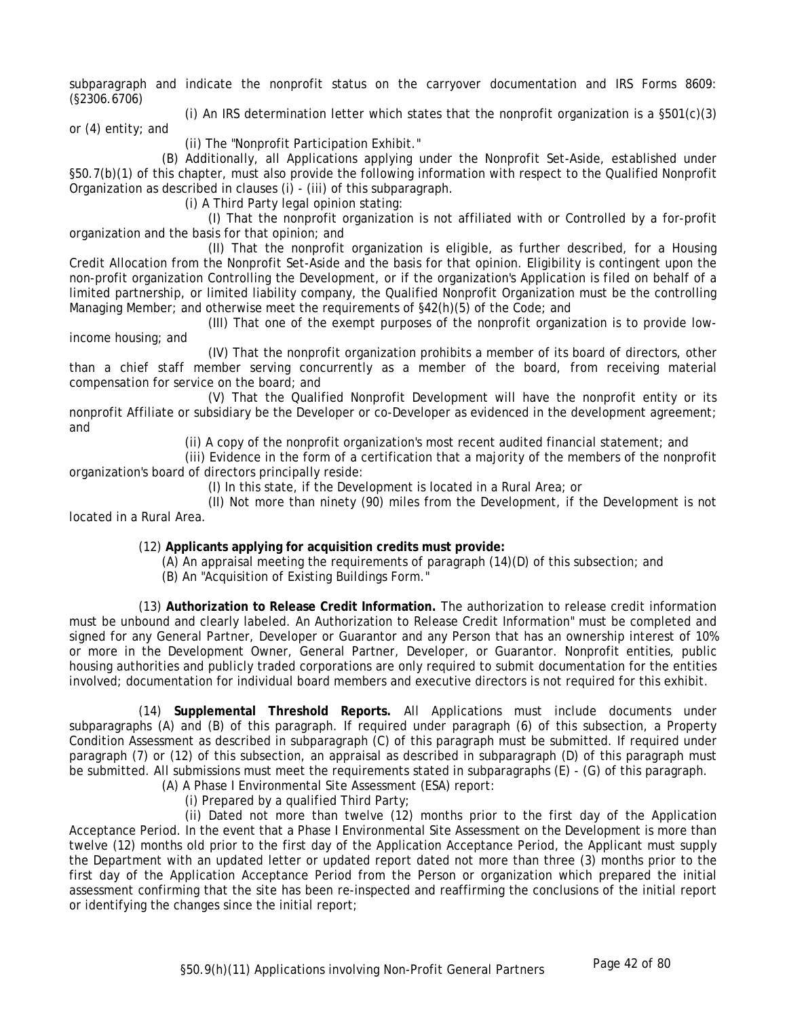subparagraph and indicate the nonprofit status on the carryover documentation and IRS Forms 8609: (§2306.6706)

(i) An IRS determination letter which states that the nonprofit organization is a  $\S501(c)(3)$ 

or (4) entity; and

(ii) The "Nonprofit Participation Exhibit."

(B) Additionally, all Applications applying under the Nonprofit Set-Aside, established under §50.7(b)(1) of this chapter, must also provide the following information with respect to the Qualified Nonprofit Organization as described in clauses (i) - (iii) of this subparagraph.

(i) A Third Party legal opinion stating:

(I) That the nonprofit organization is not affiliated with or Controlled by a for-profit organization and the basis for that opinion; and

(II) That the nonprofit organization is eligible, as further described, for a Housing Credit Allocation from the Nonprofit Set-Aside and the basis for that opinion. Eligibility is contingent upon the non-profit organization Controlling the Development, or if the organization's Application is filed on behalf of a limited partnership, or limited liability company, the Qualified Nonprofit Organization must be the controlling Managing Member; and otherwise meet the requirements of §42(h)(5) of the Code; and

(III) That one of the exempt purposes of the nonprofit organization is to provide lowincome housing; and

(IV) That the nonprofit organization prohibits a member of its board of directors, other than a chief staff member serving concurrently as a member of the board, from receiving material compensation for service on the board; and

(V) That the Qualified Nonprofit Development will have the nonprofit entity or its nonprofit Affiliate or subsidiary be the Developer or co-Developer as evidenced in the development agreement; and

(ii) A copy of the nonprofit organization's most recent audited financial statement; and

(iii) Evidence in the form of a certification that a majority of the members of the nonprofit organization's board of directors principally reside:

(I) In this state, if the Development is located in a Rural Area; or

(II) Not more than ninety (90) miles from the Development, if the Development is not located in a Rural Area.

(12) **Applicants applying for acquisition credits must provide:**

(A) An appraisal meeting the requirements of paragraph (14)(D) of this subsection; and

(B) An "Acquisition of Existing Buildings Form."

(13) **Authorization to Release Credit Information.** The authorization to release credit information must be unbound and clearly labeled. An Authorization to Release Credit Information" must be completed and signed for any General Partner, Developer or Guarantor and any Person that has an ownership interest of 10% or more in the Development Owner, General Partner, Developer, or Guarantor. Nonprofit entities, public housing authorities and publicly traded corporations are only required to submit documentation for the entities involved; documentation for individual board members and executive directors is not required for this exhibit.

(14) **Supplemental Threshold Reports.** All Applications must include documents under subparagraphs (A) and (B) of this paragraph. If required under paragraph (6) of this subsection, a Property Condition Assessment as described in subparagraph (C) of this paragraph must be submitted. If required under paragraph (7) or (12) of this subsection, an appraisal as described in subparagraph (D) of this paragraph must be submitted. All submissions must meet the requirements stated in subparagraphs (E) - (G) of this paragraph.

(A) A Phase I Environmental Site Assessment (ESA) report:

(i) Prepared by a qualified Third Party;

(ii) Dated not more than twelve (12) months prior to the first day of the Application Acceptance Period. In the event that a Phase I Environmental Site Assessment on the Development is more than twelve (12) months old prior to the first day of the Application Acceptance Period, the Applicant must supply the Department with an updated letter or updated report dated not more than three (3) months prior to the first day of the Application Acceptance Period from the Person or organization which prepared the initial assessment confirming that the site has been re-inspected and reaffirming the conclusions of the initial report or identifying the changes since the initial report;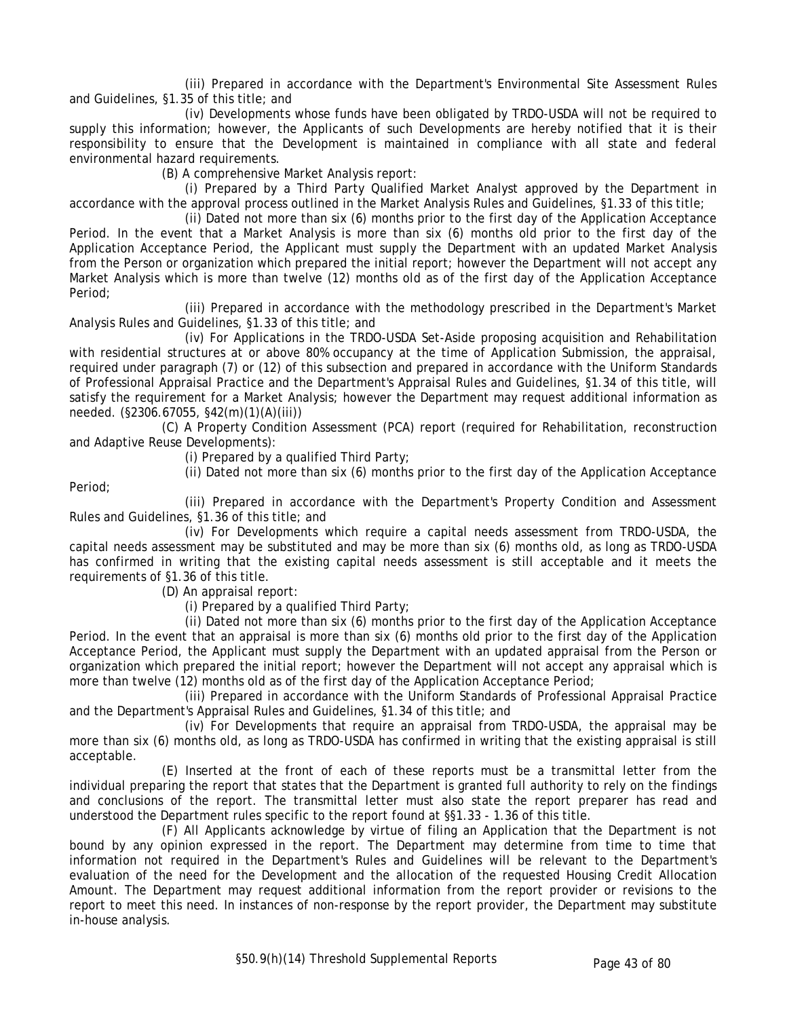(iii) Prepared in accordance with the Department's Environmental Site Assessment Rules and Guidelines, §1.35 of this title; and

(iv) Developments whose funds have been obligated by TRDO-USDA will not be required to supply this information; however, the Applicants of such Developments are hereby notified that it is their responsibility to ensure that the Development is maintained in compliance with all state and federal environmental hazard requirements.

(B) A comprehensive Market Analysis report:

(i) Prepared by a Third Party Qualified Market Analyst approved by the Department in accordance with the approval process outlined in the Market Analysis Rules and Guidelines, §1.33 of this title;

(ii) Dated not more than six (6) months prior to the first day of the Application Acceptance Period. In the event that a Market Analysis is more than six (6) months old prior to the first day of the Application Acceptance Period, the Applicant must supply the Department with an updated Market Analysis from the Person or organization which prepared the initial report; however the Department will not accept any Market Analysis which is more than twelve (12) months old as of the first day of the Application Acceptance Period;

(iii) Prepared in accordance with the methodology prescribed in the Department's Market Analysis Rules and Guidelines, §1.33 of this title; and

(iv) For Applications in the TRDO-USDA Set-Aside proposing acquisition and Rehabilitation with residential structures at or above 80% occupancy at the time of Application Submission, the appraisal, required under paragraph (7) or (12) of this subsection and prepared in accordance with the Uniform Standards of Professional Appraisal Practice and the Department's Appraisal Rules and Guidelines, §1.34 of this title, will satisfy the requirement for a Market Analysis; however the Department may request additional information as needed. (§2306.67055, §42(m)(1)(A)(iii))

(C) A Property Condition Assessment (PCA) report (required for Rehabilitation, reconstruction and Adaptive Reuse Developments):

(i) Prepared by a qualified Third Party;

Period;

(ii) Dated not more than six (6) months prior to the first day of the Application Acceptance (iii) Prepared in accordance with the Department's Property Condition and Assessment

Rules and Guidelines, §1.36 of this title; and

(iv) For Developments which require a capital needs assessment from TRDO-USDA, the capital needs assessment may be substituted and may be more than six (6) months old, as long as TRDO-USDA has confirmed in writing that the existing capital needs assessment is still acceptable and it meets the requirements of §1.36 of this title.

(D) An appraisal report:

(i) Prepared by a qualified Third Party;

(ii) Dated not more than six (6) months prior to the first day of the Application Acceptance Period. In the event that an appraisal is more than six (6) months old prior to the first day of the Application Acceptance Period, the Applicant must supply the Department with an updated appraisal from the Person or organization which prepared the initial report; however the Department will not accept any appraisal which is more than twelve (12) months old as of the first day of the Application Acceptance Period;

(iii) Prepared in accordance with the Uniform Standards of Professional Appraisal Practice and the Department's Appraisal Rules and Guidelines, §1.34 of this title; and

(iv) For Developments that require an appraisal from TRDO-USDA, the appraisal may be more than six (6) months old, as long as TRDO-USDA has confirmed in writing that the existing appraisal is still acceptable.

(E) Inserted at the front of each of these reports must be a transmittal letter from the individual preparing the report that states that the Department is granted full authority to rely on the findings and conclusions of the report. The transmittal letter must also state the report preparer has read and understood the Department rules specific to the report found at §§1.33 - 1.36 of this title.

(F) All Applicants acknowledge by virtue of filing an Application that the Department is not bound by any opinion expressed in the report. The Department may determine from time to time that information not required in the Department's Rules and Guidelines will be relevant to the Department's evaluation of the need for the Development and the allocation of the requested Housing Credit Allocation Amount. The Department may request additional information from the report provider or revisions to the report to meet this need. In instances of non-response by the report provider, the Department may substitute in-house analysis.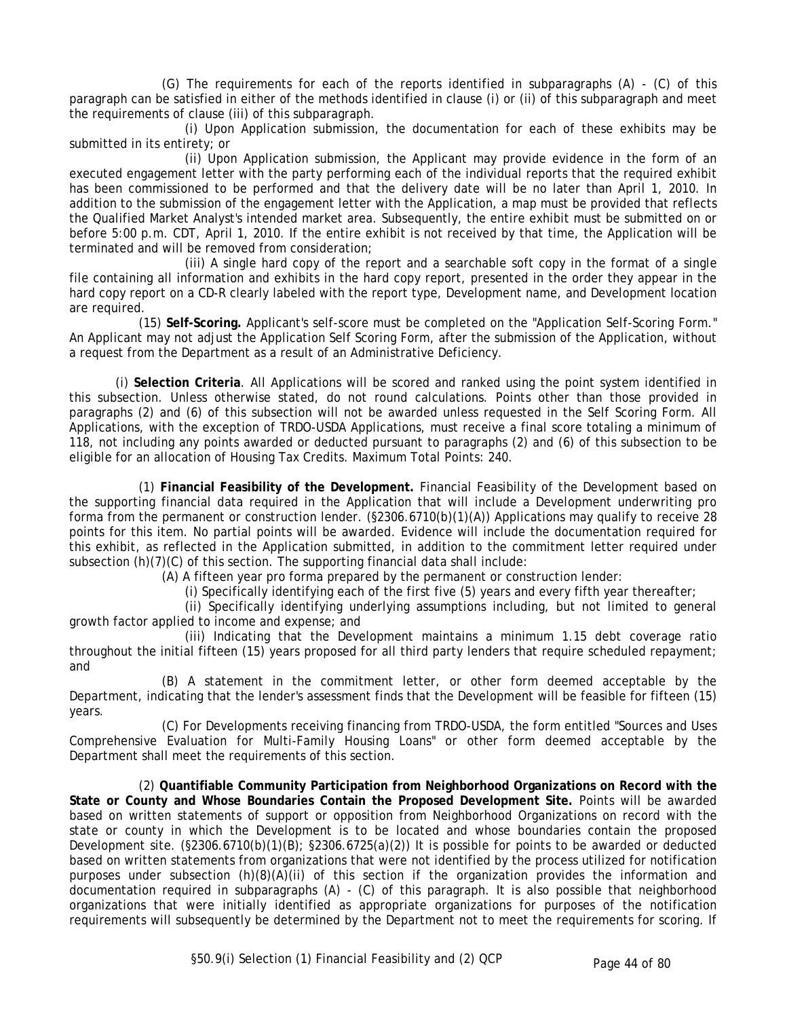(G) The requirements for each of the reports identified in subparagraphs (A) - (C) of this paragraph can be satisfied in either of the methods identified in clause (i) or (ii) of this subparagraph and meet the requirements of clause (iii) of this subparagraph.

(i) Upon Application submission, the documentation for each of these exhibits may be submitted in its entirety; or

(ii) Upon Application submission, the Applicant may provide evidence in the form of an executed engagement letter with the party performing each of the individual reports that the required exhibit has been commissioned to be performed and that the delivery date will be no later than April 1, 2010. In addition to the submission of the engagement letter with the Application, a map must be provided that reflects the Qualified Market Analyst's intended market area. Subsequently, the entire exhibit must be submitted on or before 5:00 p.m. CDT, April 1, 2010. If the entire exhibit is not received by that time, the Application will be terminated and will be removed from consideration;

(iii) A single hard copy of the report and a searchable soft copy in the format of a single file containing all information and exhibits in the hard copy report, presented in the order they appear in the hard copy report on a CD-R clearly labeled with the report type, Development name, and Development location are required.

(15) **Self-Scoring.** Applicant's self-score must be completed on the "Application Self-Scoring Form." An Applicant may not adjust the Application Self Scoring Form, after the submission of the Application, without a request from the Department as a result of an Administrative Deficiency.

(i) **Selection Criteria**. All Applications will be scored and ranked using the point system identified in this subsection. Unless otherwise stated, do not round calculations. Points other than those provided in paragraphs (2) and (6) of this subsection will not be awarded unless requested in the Self Scoring Form. All Applications, with the exception of TRDO-USDA Applications, must receive a final score totaling a minimum of 118, not including any points awarded or deducted pursuant to paragraphs (2) and (6) of this subsection to be eligible for an allocation of Housing Tax Credits. Maximum Total Points: 240.

(1) **Financial Feasibility of the Development.** Financial Feasibility of the Development based on the supporting financial data required in the Application that will include a Development underwriting pro forma from the permanent or construction lender. (§2306.6710(b)(1)(A)) Applications may qualify to receive 28 points for this item. No partial points will be awarded. Evidence will include the documentation required for this exhibit, as reflected in the Application submitted, in addition to the commitment letter required under subsection  $(h)(7)(C)$  of this section. The supporting financial data shall include:

(A) A fifteen year pro forma prepared by the permanent or construction lender:

(i) Specifically identifying each of the first five (5) years and every fifth year thereafter;

(ii) Specifically identifying underlying assumptions including, but not limited to general growth factor applied to income and expense; and

(iii) Indicating that the Development maintains a minimum 1.15 debt coverage ratio throughout the initial fifteen (15) years proposed for all third party lenders that require scheduled repayment; and

(B) A statement in the commitment letter, or other form deemed acceptable by the Department, indicating that the lender's assessment finds that the Development will be feasible for fifteen (15) years.

(C) For Developments receiving financing from TRDO-USDA, the form entitled "Sources and Uses Comprehensive Evaluation for Multi-Family Housing Loans" or other form deemed acceptable by the Department shall meet the requirements of this section.

(2) **Quantifiable Community Participation from Neighborhood Organizations on Record with the State or County and Whose Boundaries Contain the Proposed Development Site.** Points will be awarded based on written statements of support or opposition from Neighborhood Organizations on record with the state or county in which the Development is to be located and whose boundaries contain the proposed Development site. (§2306.6710(b)(1)(B); §2306.6725(a)(2)) It is possible for points to be awarded or deducted based on written statements from organizations that were not identified by the process utilized for notification purposes under subsection  $(h)(8)(A)(ii)$  of this section if the organization provides the information and documentation required in subparagraphs (A) - (C) of this paragraph. It is also possible that neighborhood organizations that were initially identified as appropriate organizations for purposes of the notification requirements will subsequently be determined by the Department not to meet the requirements for scoring. If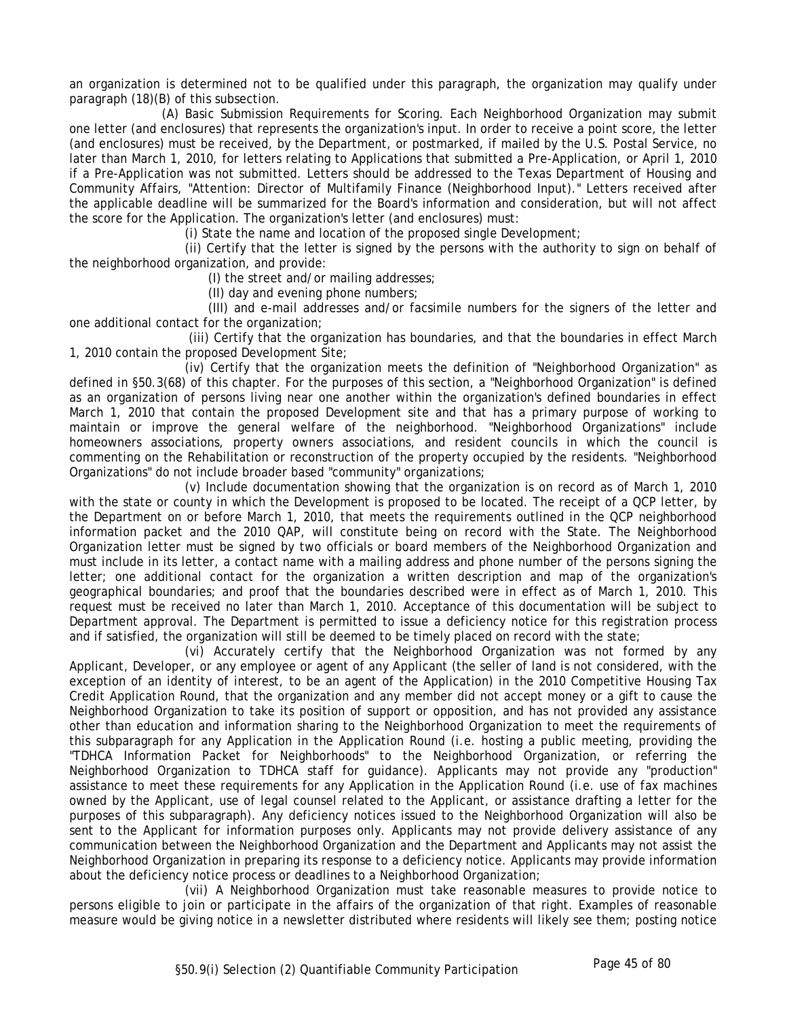an organization is determined not to be qualified under this paragraph, the organization may qualify under paragraph (18)(B) of this subsection.

(A) Basic Submission Requirements for Scoring. Each Neighborhood Organization may submit one letter (and enclosures) that represents the organization's input. In order to receive a point score, the letter (and enclosures) must be received, by the Department, or postmarked, if mailed by the U.S. Postal Service, no later than March 1, 2010, for letters relating to Applications that submitted a Pre-Application, or April 1, 2010 if a Pre-Application was not submitted. Letters should be addressed to the Texas Department of Housing and Community Affairs, "Attention: Director of Multifamily Finance (Neighborhood Input)." Letters received after the applicable deadline will be summarized for the Board's information and consideration, but will not affect the score for the Application. The organization's letter (and enclosures) must:

(i) State the name and location of the proposed single Development;

(ii) Certify that the letter is signed by the persons with the authority to sign on behalf of the neighborhood organization, and provide:

(I) the street and/or mailing addresses;

(II) day and evening phone numbers;

(III) and e-mail addresses and/or facsimile numbers for the signers of the letter and one additional contact for the organization;

 (iii) Certify that the organization has boundaries, and that the boundaries in effect March 1, 2010 contain the proposed Development Site;

(iv) Certify that the organization meets the definition of "Neighborhood Organization" as defined in §50.3(68) of this chapter. For the purposes of this section, a "Neighborhood Organization" is defined as an organization of persons living near one another within the organization's defined boundaries in effect March 1, 2010 that contain the proposed Development site and that has a primary purpose of working to maintain or improve the general welfare of the neighborhood. "Neighborhood Organizations" include homeowners associations, property owners associations, and resident councils in which the council is commenting on the Rehabilitation or reconstruction of the property occupied by the residents. "Neighborhood Organizations" do not include broader based "community" organizations;

(v) Include documentation showing that the organization is on record as of March 1, 2010 with the state or county in which the Development is proposed to be located. The receipt of a QCP letter, by the Department on or before March 1, 2010, that meets the requirements outlined in the QCP neighborhood information packet and the 2010 QAP, will constitute being on record with the State. The Neighborhood Organization letter must be signed by two officials or board members of the Neighborhood Organization and must include in its letter, a contact name with a mailing address and phone number of the persons signing the letter; one additional contact for the organization a written description and map of the organization's geographical boundaries; and proof that the boundaries described were in effect as of March 1, 2010. This request must be received no later than March 1, 2010. Acceptance of this documentation will be subject to Department approval. The Department is permitted to issue a deficiency notice for this registration process and if satisfied, the organization will still be deemed to be timely placed on record with the state;

(vi) Accurately certify that the Neighborhood Organization was not formed by any Applicant, Developer, or any employee or agent of any Applicant (the seller of land is not considered, with the exception of an identity of interest, to be an agent of the Application) in the 2010 Competitive Housing Tax Credit Application Round, that the organization and any member did not accept money or a gift to cause the Neighborhood Organization to take its position of support or opposition, and has not provided any assistance other than education and information sharing to the Neighborhood Organization to meet the requirements of this subparagraph for any Application in the Application Round (i.e. hosting a public meeting, providing the "TDHCA Information Packet for Neighborhoods" to the Neighborhood Organization, or referring the Neighborhood Organization to TDHCA staff for guidance). Applicants may not provide any "production" assistance to meet these requirements for any Application in the Application Round (i.e. use of fax machines owned by the Applicant, use of legal counsel related to the Applicant, or assistance drafting a letter for the purposes of this subparagraph). Any deficiency notices issued to the Neighborhood Organization will also be sent to the Applicant for information purposes only. Applicants may not provide delivery assistance of any communication between the Neighborhood Organization and the Department and Applicants may not assist the Neighborhood Organization in preparing its response to a deficiency notice. Applicants may provide information about the deficiency notice process or deadlines to a Neighborhood Organization;

(vii) A Neighborhood Organization must take reasonable measures to provide notice to persons eligible to join or participate in the affairs of the organization of that right. Examples of reasonable measure would be giving notice in a newsletter distributed where residents will likely see them; posting notice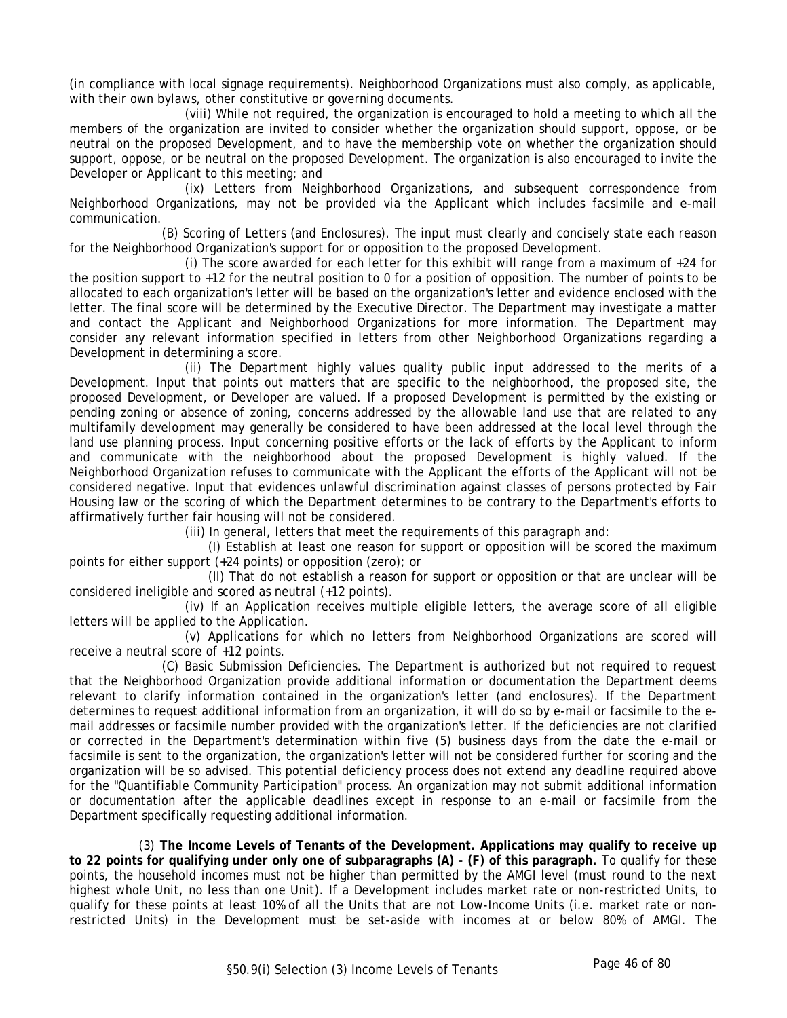(in compliance with local signage requirements). Neighborhood Organizations must also comply, as applicable, with their own bylaws, other constitutive or governing documents.

(viii) While not required, the organization is encouraged to hold a meeting to which all the members of the organization are invited to consider whether the organization should support, oppose, or be neutral on the proposed Development, and to have the membership vote on whether the organization should support, oppose, or be neutral on the proposed Development. The organization is also encouraged to invite the Developer or Applicant to this meeting; and

(ix) Letters from Neighborhood Organizations, and subsequent correspondence from Neighborhood Organizations, may not be provided via the Applicant which includes facsimile and e-mail communication.

(B) Scoring of Letters (and Enclosures). The input must clearly and concisely state each reason for the Neighborhood Organization's support for or opposition to the proposed Development.

(i) The score awarded for each letter for this exhibit will range from a maximum of +24 for the position support to +12 for the neutral position to 0 for a position of opposition. The number of points to be allocated to each organization's letter will be based on the organization's letter and evidence enclosed with the letter. The final score will be determined by the Executive Director. The Department may investigate a matter and contact the Applicant and Neighborhood Organizations for more information. The Department may consider any relevant information specified in letters from other Neighborhood Organizations regarding a Development in determining a score.

(ii) The Department highly values quality public input addressed to the merits of a Development. Input that points out matters that are specific to the neighborhood, the proposed site, the proposed Development, or Developer are valued. If a proposed Development is permitted by the existing or pending zoning or absence of zoning, concerns addressed by the allowable land use that are related to any multifamily development may generally be considered to have been addressed at the local level through the land use planning process. Input concerning positive efforts or the lack of efforts by the Applicant to inform and communicate with the neighborhood about the proposed Development is highly valued. If the Neighborhood Organization refuses to communicate with the Applicant the efforts of the Applicant will not be considered negative. Input that evidences unlawful discrimination against classes of persons protected by Fair Housing law or the scoring of which the Department determines to be contrary to the Department's efforts to affirmatively further fair housing will not be considered.

(iii) In general, letters that meet the requirements of this paragraph and:

(I) Establish at least one reason for support or opposition will be scored the maximum points for either support (+24 points) or opposition (zero); or

(II) That do not establish a reason for support or opposition or that are unclear will be considered ineligible and scored as neutral (+12 points).

(iv) If an Application receives multiple eligible letters, the average score of all eligible letters will be applied to the Application.

(v) Applications for which no letters from Neighborhood Organizations are scored will receive a neutral score of +12 points.

(C) Basic Submission Deficiencies. The Department is authorized but not required to request that the Neighborhood Organization provide additional information or documentation the Department deems relevant to clarify information contained in the organization's letter (and enclosures). If the Department determines to request additional information from an organization, it will do so by e-mail or facsimile to the email addresses or facsimile number provided with the organization's letter. If the deficiencies are not clarified or corrected in the Department's determination within five (5) business days from the date the e-mail or facsimile is sent to the organization, the organization's letter will not be considered further for scoring and the organization will be so advised. This potential deficiency process does not extend any deadline required above for the "Quantifiable Community Participation" process. An organization may not submit additional information or documentation after the applicable deadlines except in response to an e-mail or facsimile from the Department specifically requesting additional information.

(3) **The Income Levels of Tenants of the Development. Applications may qualify to receive up to 22 points for qualifying under only one of subparagraphs (A) - (F) of this paragraph.** To qualify for these points, the household incomes must not be higher than permitted by the AMGI level (must round to the next highest whole Unit, no less than one Unit). If a Development includes market rate or non-restricted Units, to qualify for these points at least 10% of all the Units that are not Low-Income Units (i.e. market rate or nonrestricted Units) in the Development must be set-aside with incomes at or below 80% of AMGI. The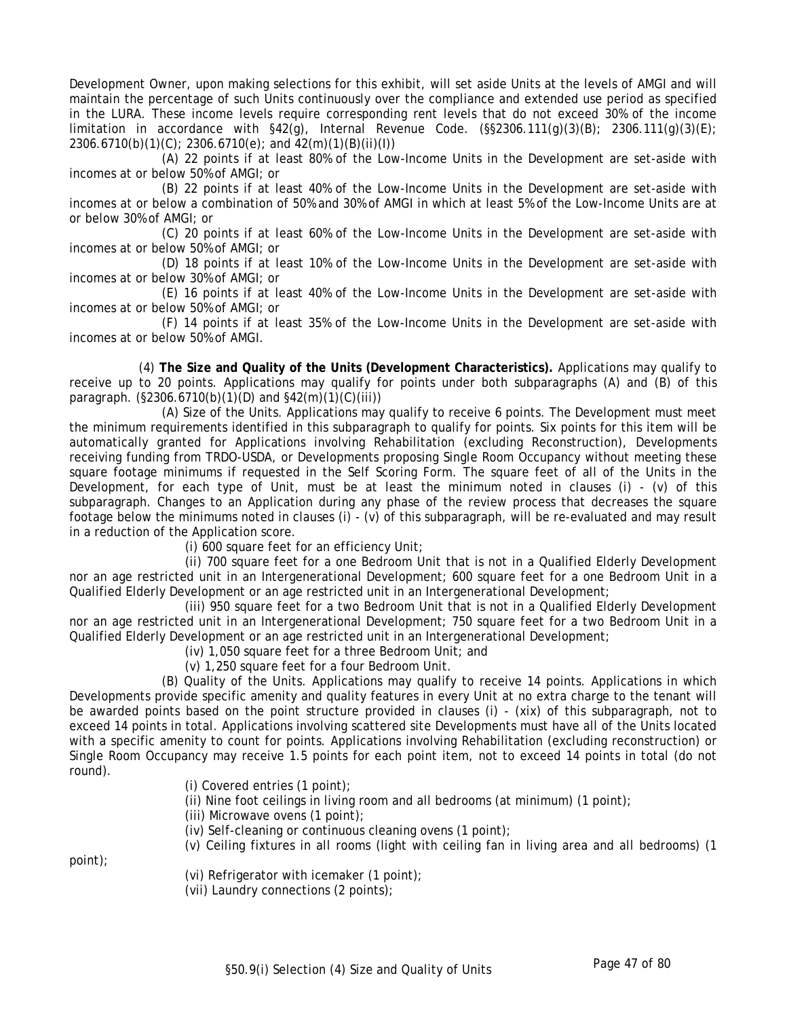Development Owner, upon making selections for this exhibit, will set aside Units at the levels of AMGI and will maintain the percentage of such Units continuously over the compliance and extended use period as specified in the LURA. These income levels require corresponding rent levels that do not exceed 30% of the income limitation in accordance with  $\S42(q)$ , Internal Revenue Code.  $(\S\S2306.111(q)(3)(B)$ ; 2306.111(g)(3)(E); 2306.6710(b)(1)(C); 2306.6710(e); and 42(m)(1)(B)(ii)(I))

(A) 22 points if at least 80% of the Low-Income Units in the Development are set-aside with incomes at or below 50% of AMGI; or

(B) 22 points if at least 40% of the Low-Income Units in the Development are set-aside with incomes at or below a combination of 50% and 30% of AMGI in which at least 5% of the Low-Income Units are at or below 30% of AMGI; or

(C) 20 points if at least 60% of the Low-Income Units in the Development are set-aside with incomes at or below 50% of AMGI; or

(D) 18 points if at least 10% of the Low-Income Units in the Development are set-aside with incomes at or below 30% of AMGI; or

(E) 16 points if at least 40% of the Low-Income Units in the Development are set-aside with incomes at or below 50% of AMGI; or

(F) 14 points if at least 35% of the Low-Income Units in the Development are set-aside with incomes at or below 50% of AMGI.

(4) **The Size and Quality of the Units (Development Characteristics).** Applications may qualify to receive up to 20 points. Applications may qualify for points under both subparagraphs (A) and (B) of this paragraph. (§2306.6710(b)(1)(D) and §42(m)(1)(C)(iii))

(A) Size of the Units. Applications may qualify to receive 6 points. The Development must meet the minimum requirements identified in this subparagraph to qualify for points. Six points for this item will be automatically granted for Applications involving Rehabilitation (excluding Reconstruction), Developments receiving funding from TRDO-USDA, or Developments proposing Single Room Occupancy without meeting these square footage minimums if requested in the Self Scoring Form. The square feet of all of the Units in the Development, for each type of Unit, must be at least the minimum noted in clauses (i) - (v) of this subparagraph. Changes to an Application during any phase of the review process that decreases the square footage below the minimums noted in clauses (i) - (v) of this subparagraph, will be re-evaluated and may result in a reduction of the Application score.

(i) 600 square feet for an efficiency Unit;

(ii) 700 square feet for a one Bedroom Unit that is not in a Qualified Elderly Development nor an age restricted unit in an Intergenerational Development; 600 square feet for a one Bedroom Unit in a Qualified Elderly Development or an age restricted unit in an Intergenerational Development;

(iii) 950 square feet for a two Bedroom Unit that is not in a Qualified Elderly Development nor an age restricted unit in an Intergenerational Development; 750 square feet for a two Bedroom Unit in a Qualified Elderly Development or an age restricted unit in an Intergenerational Development;

(iv) 1,050 square feet for a three Bedroom Unit; and

(v) 1,250 square feet for a four Bedroom Unit.

(B) Quality of the Units. Applications may qualify to receive 14 points. Applications in which Developments provide specific amenity and quality features in every Unit at no extra charge to the tenant will be awarded points based on the point structure provided in clauses (i) - (xix) of this subparagraph, not to exceed 14 points in total. Applications involving scattered site Developments must have all of the Units located with a specific amenity to count for points. Applications involving Rehabilitation (excluding reconstruction) or Single Room Occupancy may receive 1.5 points for each point item, not to exceed 14 points in total (do not round).

(i) Covered entries (1 point);

(ii) Nine foot ceilings in living room and all bedrooms (at minimum) (1 point);

(iii) Microwave ovens (1 point);

(iv) Self-cleaning or continuous cleaning ovens (1 point);

(v) Ceiling fixtures in all rooms (light with ceiling fan in living area and all bedrooms) (1

point);

- (vi) Refrigerator with icemaker (1 point);
- (vii) Laundry connections (2 points);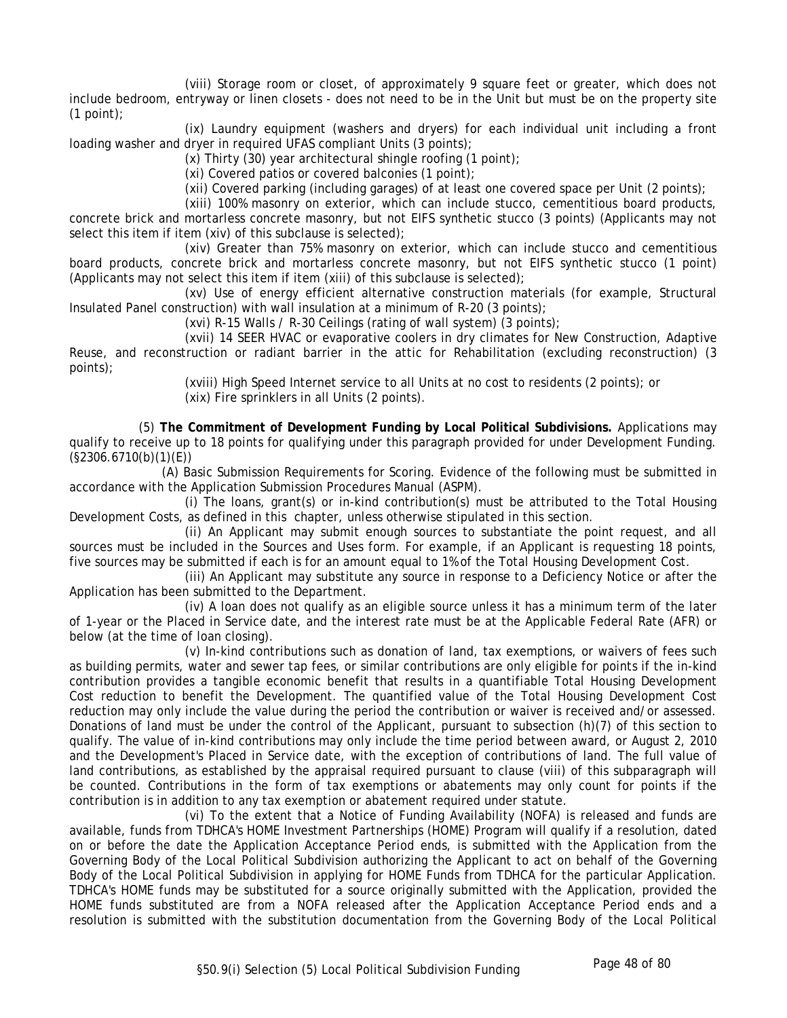(viii) Storage room or closet, of approximately 9 square feet or greater, which does not include bedroom, entryway or linen closets - does not need to be in the Unit but must be on the property site (1 point);

(ix) Laundry equipment (washers and dryers) for each individual unit including a front loading washer and dryer in required UFAS compliant Units (3 points);

 $(x)$  Thirty (30) year architectural shingle roofing (1 point);

(xi) Covered patios or covered balconies (1 point);

(xii) Covered parking (including garages) of at least one covered space per Unit (2 points);

(xiii) 100% masonry on exterior, which can include stucco, cementitious board products, concrete brick and mortarless concrete masonry, but not EIFS synthetic stucco (3 points) (Applicants may not select this item if item (xiv) of this subclause is selected);

(xiv) Greater than 75% masonry on exterior, which can include stucco and cementitious board products, concrete brick and mortarless concrete masonry, but not EIFS synthetic stucco (1 point) (Applicants may not select this item if item (xiii) of this subclause is selected);

(xv) Use of energy efficient alternative construction materials (for example, Structural Insulated Panel construction) with wall insulation at a minimum of R-20 (3 points);

(xvi) R-15 Walls / R-30 Ceilings (rating of wall system) (3 points);

(xvii) 14 SEER HVAC or evaporative coolers in dry climates for New Construction, Adaptive Reuse, and reconstruction or radiant barrier in the attic for Rehabilitation (excluding reconstruction) (3 points);

> (xviii) High Speed Internet service to all Units at no cost to residents (2 points); or (xix) Fire sprinklers in all Units (2 points).

(5) **The Commitment of Development Funding by Local Political Subdivisions.** Applications may qualify to receive up to 18 points for qualifying under this paragraph provided for under Development Funding. (§2306.6710(b)(1)(E))

(A) Basic Submission Requirements for Scoring. Evidence of the following must be submitted in accordance with the Application Submission Procedures Manual (ASPM).

(i) The loans, grant(s) or in-kind contribution(s) must be attributed to the Total Housing Development Costs, as defined in this chapter, unless otherwise stipulated in this section.

(ii) An Applicant may submit enough sources to substantiate the point request, and all sources must be included in the Sources and Uses form. For example, if an Applicant is requesting 18 points, five sources may be submitted if each is for an amount equal to 1% of the Total Housing Development Cost.

(iii) An Applicant may substitute any source in response to a Deficiency Notice or after the Application has been submitted to the Department.

(iv) A loan does not qualify as an eligible source unless it has a minimum term of the later of 1-year or the Placed in Service date, and the interest rate must be at the Applicable Federal Rate (AFR) or below (at the time of loan closing).

(v) In-kind contributions such as donation of land, tax exemptions, or waivers of fees such as building permits, water and sewer tap fees, or similar contributions are only eligible for points if the in-kind contribution provides a tangible economic benefit that results in a quantifiable Total Housing Development Cost reduction to benefit the Development. The quantified value of the Total Housing Development Cost reduction may only include the value during the period the contribution or waiver is received and/or assessed. Donations of land must be under the control of the Applicant, pursuant to subsection (h)(7) of this section to qualify. The value of in-kind contributions may only include the time period between award, or August 2, 2010 and the Development's Placed in Service date, with the exception of contributions of land. The full value of land contributions, as established by the appraisal required pursuant to clause (viii) of this subparagraph will be counted. Contributions in the form of tax exemptions or abatements may only count for points if the contribution is in addition to any tax exemption or abatement required under statute.

(vi) To the extent that a Notice of Funding Availability (NOFA) is released and funds are available, funds from TDHCA's HOME Investment Partnerships (HOME) Program will qualify if a resolution, dated on or before the date the Application Acceptance Period ends, is submitted with the Application from the Governing Body of the Local Political Subdivision authorizing the Applicant to act on behalf of the Governing Body of the Local Political Subdivision in applying for HOME Funds from TDHCA for the particular Application. TDHCA's HOME funds may be substituted for a source originally submitted with the Application, provided the HOME funds substituted are from a NOFA released after the Application Acceptance Period ends and a resolution is submitted with the substitution documentation from the Governing Body of the Local Political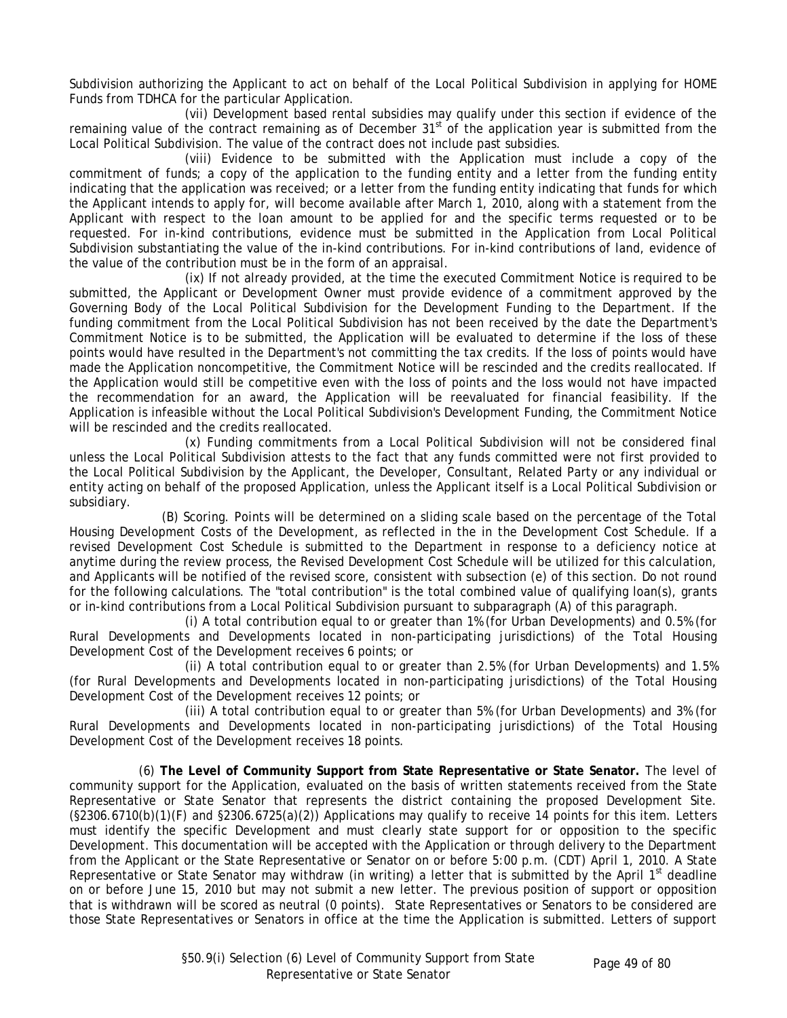Subdivision authorizing the Applicant to act on behalf of the Local Political Subdivision in applying for HOME Funds from TDHCA for the particular Application.

(vii) Development based rental subsidies may qualify under this section if evidence of the remaining value of the contract remaining as of December  $31<sup>st</sup>$  of the application year is submitted from the Local Political Subdivision. The value of the contract does not include past subsidies.

(viii) Evidence to be submitted with the Application must include a copy of the commitment of funds; a copy of the application to the funding entity and a letter from the funding entity indicating that the application was received; or a letter from the funding entity indicating that funds for which the Applicant intends to apply for, will become available after March 1, 2010, along with a statement from the Applicant with respect to the loan amount to be applied for and the specific terms requested or to be requested. For in-kind contributions, evidence must be submitted in the Application from Local Political Subdivision substantiating the value of the in-kind contributions. For in-kind contributions of land, evidence of the value of the contribution must be in the form of an appraisal.

(ix) If not already provided, at the time the executed Commitment Notice is required to be submitted, the Applicant or Development Owner must provide evidence of a commitment approved by the Governing Body of the Local Political Subdivision for the Development Funding to the Department. If the funding commitment from the Local Political Subdivision has not been received by the date the Department's Commitment Notice is to be submitted, the Application will be evaluated to determine if the loss of these points would have resulted in the Department's not committing the tax credits. If the loss of points would have made the Application noncompetitive, the Commitment Notice will be rescinded and the credits reallocated. If the Application would still be competitive even with the loss of points and the loss would not have impacted the recommendation for an award, the Application will be reevaluated for financial feasibility. If the Application is infeasible without the Local Political Subdivision's Development Funding, the Commitment Notice will be rescinded and the credits reallocated.

(x) Funding commitments from a Local Political Subdivision will not be considered final unless the Local Political Subdivision attests to the fact that any funds committed were not first provided to the Local Political Subdivision by the Applicant, the Developer, Consultant, Related Party or any individual or entity acting on behalf of the proposed Application, unless the Applicant itself is a Local Political Subdivision or subsidiary.

(B) Scoring. Points will be determined on a sliding scale based on the percentage of the Total Housing Development Costs of the Development, as reflected in the in the Development Cost Schedule. If a revised Development Cost Schedule is submitted to the Department in response to a deficiency notice at anytime during the review process, the Revised Development Cost Schedule will be utilized for this calculation, and Applicants will be notified of the revised score, consistent with subsection (e) of this section. Do not round for the following calculations. The "total contribution" is the total combined value of qualifying loan(s), grants or in-kind contributions from a Local Political Subdivision pursuant to subparagraph (A) of this paragraph.

(i) A total contribution equal to or greater than 1% (for Urban Developments) and 0.5% (for Rural Developments and Developments located in non-participating jurisdictions) of the Total Housing Development Cost of the Development receives 6 points; or

(ii) A total contribution equal to or greater than 2.5% (for Urban Developments) and 1.5% (for Rural Developments and Developments located in non-participating jurisdictions) of the Total Housing Development Cost of the Development receives 12 points; or

(iii) A total contribution equal to or greater than 5% (for Urban Developments) and 3% (for Rural Developments and Developments located in non-participating jurisdictions) of the Total Housing Development Cost of the Development receives 18 points.

(6) **The Level of Community Support from State Representative or State Senator.** The level of community support for the Application, evaluated on the basis of written statements received from the State Representative or State Senator that represents the district containing the proposed Development Site.  $(S2306.6710(b)(1)(F)$  and  $S2306.6725(a)(2))$  Applications may qualify to receive 14 points for this item. Letters must identify the specific Development and must clearly state support for or opposition to the specific Development. This documentation will be accepted with the Application or through delivery to the Department from the Applicant or the State Representative or Senator on or before 5:00 p.m. (CDT) April 1, 2010. A State Representative or State Senator may withdraw (in writing) a letter that is submitted by the April 1st deadline on or before June 15, 2010 but may not submit a new letter. The previous position of support or opposition that is withdrawn will be scored as neutral (0 points). State Representatives or Senators to be considered are those State Representatives or Senators in office at the time the Application is submitted. Letters of support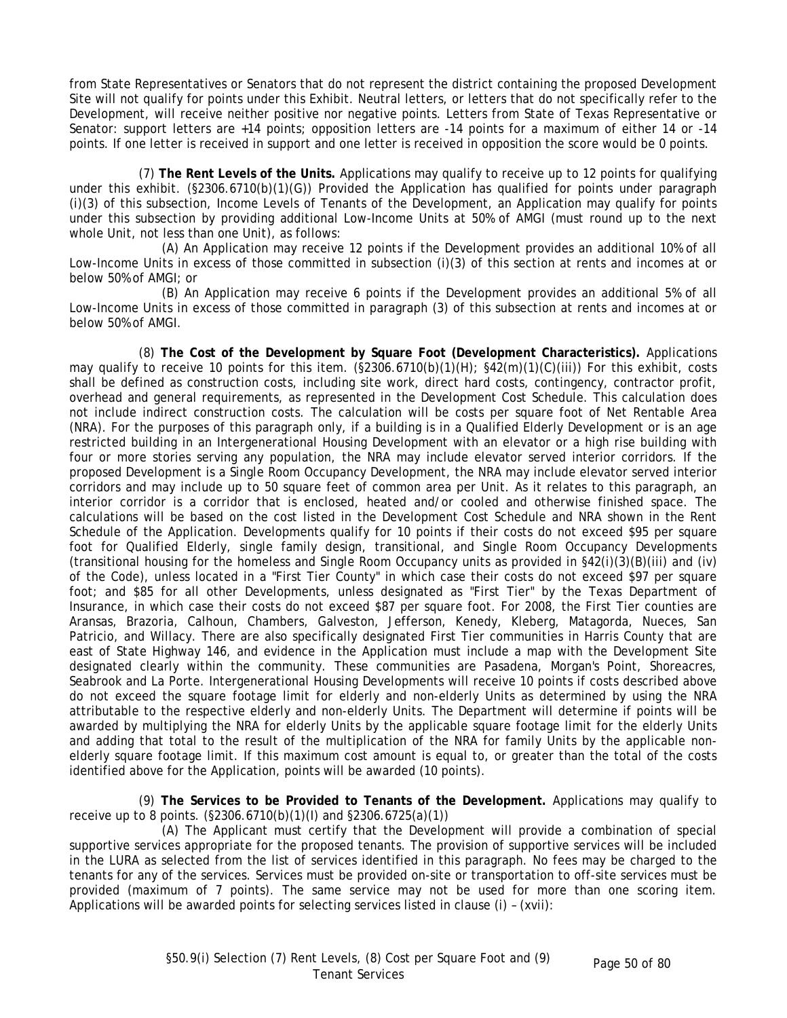from State Representatives or Senators that do not represent the district containing the proposed Development Site will not qualify for points under this Exhibit. Neutral letters, or letters that do not specifically refer to the Development, will receive neither positive nor negative points. Letters from State of Texas Representative or Senator: support letters are +14 points; opposition letters are -14 points for a maximum of either 14 or -14 points. If one letter is received in support and one letter is received in opposition the score would be 0 points.

(7) **The Rent Levels of the Units.** Applications may qualify to receive up to 12 points for qualifying under this exhibit. (§2306.6710(b)(1)(G)) Provided the Application has qualified for points under paragraph (i)(3) of this subsection, Income Levels of Tenants of the Development, an Application may qualify for points under this subsection by providing additional Low-Income Units at 50% of AMGI (must round up to the next whole Unit, not less than one Unit), as follows:

(A) An Application may receive 12 points if the Development provides an additional 10% of all Low-Income Units in excess of those committed in subsection (i)(3) of this section at rents and incomes at or below 50% of AMGI; or

(B) An Application may receive 6 points if the Development provides an additional 5% of all Low-Income Units in excess of those committed in paragraph (3) of this subsection at rents and incomes at or below 50% of AMGI.

(8) **The Cost of the Development by Square Foot (Development Characteristics).** Applications may qualify to receive 10 points for this item. (§2306.6710(b)(1)(H); §42(m)(1)(C)(iii)) For this exhibit, costs shall be defined as construction costs, including site work, direct hard costs, contingency, contractor profit, overhead and general requirements, as represented in the Development Cost Schedule. This calculation does not include indirect construction costs. The calculation will be costs per square foot of Net Rentable Area (NRA). For the purposes of this paragraph only, if a building is in a Qualified Elderly Development or is an age restricted building in an Intergenerational Housing Development with an elevator or a high rise building with four or more stories serving any population, the NRA may include elevator served interior corridors. If the proposed Development is a Single Room Occupancy Development, the NRA may include elevator served interior corridors and may include up to 50 square feet of common area per Unit. As it relates to this paragraph, an interior corridor is a corridor that is enclosed, heated and/or cooled and otherwise finished space. The calculations will be based on the cost listed in the Development Cost Schedule and NRA shown in the Rent Schedule of the Application. Developments qualify for 10 points if their costs do not exceed \$95 per square foot for Qualified Elderly, single family design, transitional, and Single Room Occupancy Developments (transitional housing for the homeless and Single Room Occupancy units as provided in §42(i)(3)(B)(iii) and (iv) of the Code), unless located in a "First Tier County" in which case their costs do not exceed \$97 per square foot; and \$85 for all other Developments, unless designated as "First Tier" by the Texas Department of Insurance, in which case their costs do not exceed \$87 per square foot. For 2008, the First Tier counties are Aransas, Brazoria, Calhoun, Chambers, Galveston, Jefferson, Kenedy, Kleberg, Matagorda, Nueces, San Patricio, and Willacy. There are also specifically designated First Tier communities in Harris County that are east of State Highway 146, and evidence in the Application must include a map with the Development Site designated clearly within the community. These communities are Pasadena, Morgan's Point, Shoreacres, Seabrook and La Porte. Intergenerational Housing Developments will receive 10 points if costs described above do not exceed the square footage limit for elderly and non-elderly Units as determined by using the NRA attributable to the respective elderly and non-elderly Units. The Department will determine if points will be awarded by multiplying the NRA for elderly Units by the applicable square footage limit for the elderly Units and adding that total to the result of the multiplication of the NRA for family Units by the applicable nonelderly square footage limit. If this maximum cost amount is equal to, or greater than the total of the costs identified above for the Application, points will be awarded (10 points).

(9) **The Services to be Provided to Tenants of the Development.** Applications may qualify to receive up to 8 points. (§2306.6710(b)(1)(I) and §2306.6725(a)(1))

(A) The Applicant must certify that the Development will provide a combination of special supportive services appropriate for the proposed tenants. The provision of supportive services will be included in the LURA as selected from the list of services identified in this paragraph. No fees may be charged to the tenants for any of the services. Services must be provided on-site or transportation to off-site services must be provided (maximum of 7 points). The same service may not be used for more than one scoring item. Applications will be awarded points for selecting services listed in clause (i) – (xvii):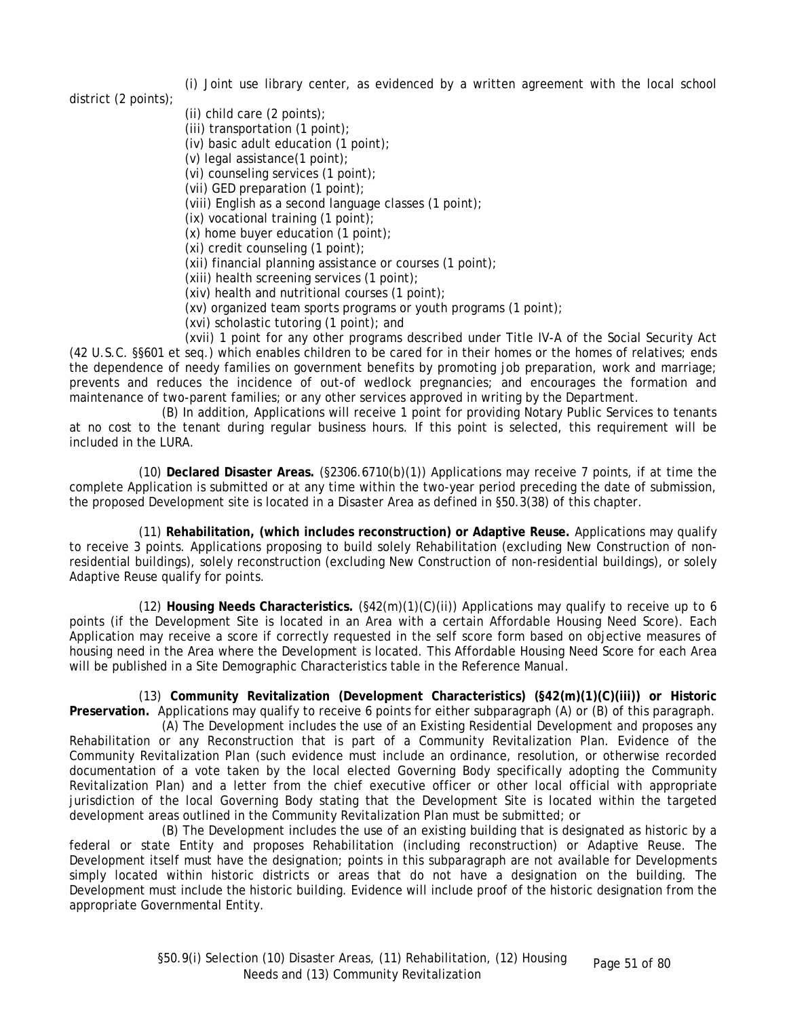(i) Joint use library center, as evidenced by a written agreement with the local school

district (2 points);

- (ii) child care (2 points);
- (iii) transportation (1 point);
- (iv) basic adult education (1 point);
- (v) legal assistance(1 point);
- (vi) counseling services (1 point);
- (vii) GED preparation (1 point);
- (viii) English as a second language classes (1 point);
- (ix) vocational training (1 point);
- (x) home buyer education (1 point);
- (xi) credit counseling (1 point);
- (xii) financial planning assistance or courses (1 point);
- (xiii) health screening services (1 point);
- (xiv) health and nutritional courses (1 point);
- (xv) organized team sports programs or youth programs (1 point);
- (xvi) scholastic tutoring (1 point); and

(xvii) 1 point for any other programs described under Title IV-A of the Social Security Act (42 U.S.C. §§601 et seq.) which enables children to be cared for in their homes or the homes of relatives; ends the dependence of needy families on government benefits by promoting job preparation, work and marriage; prevents and reduces the incidence of out-of wedlock pregnancies; and encourages the formation and maintenance of two-parent families; or any other services approved in writing by the Department.

(B) In addition, Applications will receive 1 point for providing Notary Public Services to tenants at no cost to the tenant during regular business hours. If this point is selected, this requirement will be included in the LURA.

(10) **Declared Disaster Areas.** (§2306.6710(b)(1)) Applications may receive 7 points, if at time the complete Application is submitted or at any time within the two-year period preceding the date of submission, the proposed Development site is located in a Disaster Area as defined in §50.3(38) of this chapter.

(11) **Rehabilitation, (which includes reconstruction) or Adaptive Reuse.** Applications may qualify to receive 3 points. Applications proposing to build solely Rehabilitation (excluding New Construction of nonresidential buildings), solely reconstruction (excluding New Construction of non-residential buildings), or solely Adaptive Reuse qualify for points.

(12) **Housing Needs Characteristics.** (§42(m)(1)(C)(ii)) Applications may qualify to receive up to 6 points (if the Development Site is located in an Area with a certain Affordable Housing Need Score). Each Application may receive a score if correctly requested in the self score form based on objective measures of housing need in the Area where the Development is located. This Affordable Housing Need Score for each Area will be published in a Site Demographic Characteristics table in the Reference Manual.

(13) **Community Revitalization (Development Characteristics) (§42(m)(1)(C)(iii)) or Historic Preservation.** Applications may qualify to receive 6 points for either subparagraph (A) or (B) of this paragraph.

(A) The Development includes the use of an Existing Residential Development and proposes any Rehabilitation or any Reconstruction that is part of a Community Revitalization Plan. Evidence of the Community Revitalization Plan (such evidence must include an ordinance, resolution, or otherwise recorded documentation of a vote taken by the local elected Governing Body specifically adopting the Community Revitalization Plan) and a letter from the chief executive officer or other local official with appropriate jurisdiction of the local Governing Body stating that the Development Site is located within the targeted development areas outlined in the Community Revitalization Plan must be submitted; or

(B) The Development includes the use of an existing building that is designated as historic by a federal or state Entity and proposes Rehabilitation (including reconstruction) or Adaptive Reuse. The Development itself must have the designation; points in this subparagraph are not available for Developments simply located within historic districts or areas that do not have a designation on the building. The Development must include the historic building. Evidence will include proof of the historic designation from the appropriate Governmental Entity.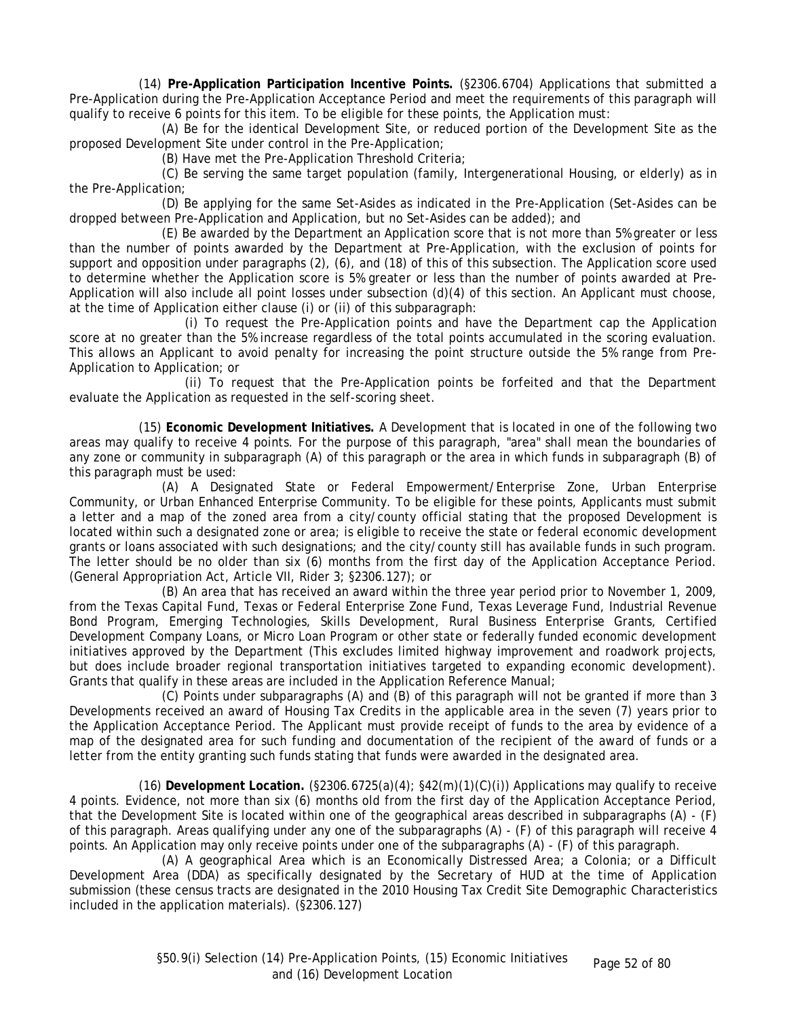(14) **Pre-Application Participation Incentive Points.** (§2306.6704) Applications that submitted a Pre-Application during the Pre-Application Acceptance Period and meet the requirements of this paragraph will qualify to receive 6 points for this item. To be eligible for these points, the Application must:

(A) Be for the identical Development Site, or reduced portion of the Development Site as the proposed Development Site under control in the Pre-Application;

(B) Have met the Pre-Application Threshold Criteria;

(C) Be serving the same target population (family, Intergenerational Housing, or elderly) as in the Pre-Application;

(D) Be applying for the same Set-Asides as indicated in the Pre-Application (Set-Asides can be dropped between Pre-Application and Application, but no Set-Asides can be added); and

(E) Be awarded by the Department an Application score that is not more than 5% greater or less than the number of points awarded by the Department at Pre-Application, with the exclusion of points for support and opposition under paragraphs (2), (6), and (18) of this of this subsection. The Application score used to determine whether the Application score is 5% greater or less than the number of points awarded at Pre-Application will also include all point losses under subsection (d)(4) of this section. An Applicant must choose, at the time of Application either clause (i) or (ii) of this subparagraph:

(i) To request the Pre-Application points and have the Department cap the Application score at no greater than the 5% increase regardless of the total points accumulated in the scoring evaluation. This allows an Applicant to avoid penalty for increasing the point structure outside the 5% range from Pre-Application to Application; or

(ii) To request that the Pre-Application points be forfeited and that the Department evaluate the Application as requested in the self-scoring sheet.

(15) **Economic Development Initiatives.** A Development that is located in one of the following two areas may qualify to receive 4 points. For the purpose of this paragraph, "area" shall mean the boundaries of any zone or community in subparagraph (A) of this paragraph or the area in which funds in subparagraph (B) of this paragraph must be used:

(A) A Designated State or Federal Empowerment/Enterprise Zone, Urban Enterprise Community, or Urban Enhanced Enterprise Community. To be eligible for these points, Applicants must submit a letter and a map of the zoned area from a city/county official stating that the proposed Development is located within such a designated zone or area; is eligible to receive the state or federal economic development grants or loans associated with such designations; and the city/county still has available funds in such program. The letter should be no older than six (6) months from the first day of the Application Acceptance Period. (General Appropriation Act, Article VII, Rider 3; §2306.127); or

(B) An area that has received an award within the three year period prior to November 1, 2009, from the Texas Capital Fund, Texas or Federal Enterprise Zone Fund, Texas Leverage Fund, Industrial Revenue Bond Program, Emerging Technologies, Skills Development, Rural Business Enterprise Grants, Certified Development Company Loans, or Micro Loan Program or other state or federally funded economic development initiatives approved by the Department (This excludes limited highway improvement and roadwork projects, but does include broader regional transportation initiatives targeted to expanding economic development). Grants that qualify in these areas are included in the Application Reference Manual;

(C) Points under subparagraphs (A) and (B) of this paragraph will not be granted if more than 3 Developments received an award of Housing Tax Credits in the applicable area in the seven (7) years prior to the Application Acceptance Period. The Applicant must provide receipt of funds to the area by evidence of a map of the designated area for such funding and documentation of the recipient of the award of funds or a letter from the entity granting such funds stating that funds were awarded in the designated area.

(16) **Development Location.** (§2306.6725(a)(4); §42(m)(1)(C)(i)) Applications may qualify to receive 4 points. Evidence, not more than six (6) months old from the first day of the Application Acceptance Period, that the Development Site is located within one of the geographical areas described in subparagraphs (A) - (F) of this paragraph. Areas qualifying under any one of the subparagraphs (A) - (F) of this paragraph will receive 4 points. An Application may only receive points under one of the subparagraphs (A) - (F) of this paragraph.

(A) A geographical Area which is an Economically Distressed Area; a Colonia; or a Difficult Development Area (DDA) as specifically designated by the Secretary of HUD at the time of Application submission (these census tracts are designated in the 2010 Housing Tax Credit Site Demographic Characteristics included in the application materials). (§2306.127)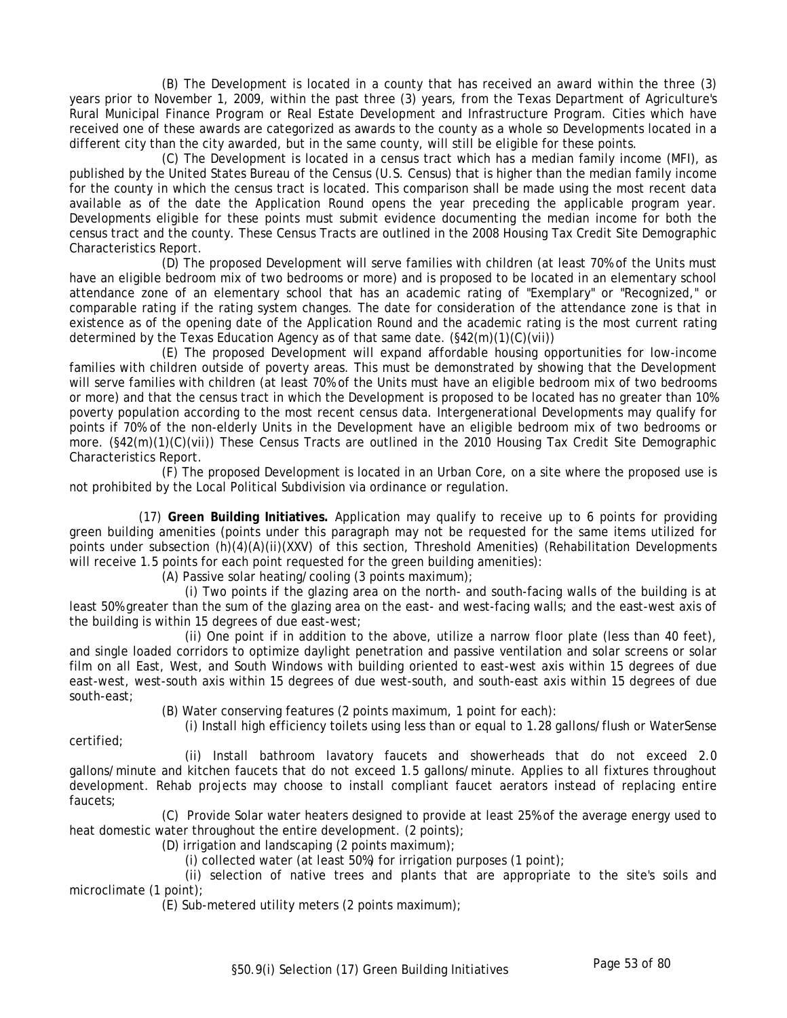(B) The Development is located in a county that has received an award within the three (3) years prior to November 1, 2009, within the past three (3) years, from the Texas Department of Agriculture's Rural Municipal Finance Program or Real Estate Development and Infrastructure Program. Cities which have received one of these awards are categorized as awards to the county as a whole so Developments located in a different city than the city awarded, but in the same county, will still be eligible for these points.

(C) The Development is located in a census tract which has a median family income (MFI), as published by the United States Bureau of the Census (U.S. Census) that is higher than the median family income for the county in which the census tract is located. This comparison shall be made using the most recent data available as of the date the Application Round opens the year preceding the applicable program year. Developments eligible for these points must submit evidence documenting the median income for both the census tract and the county. These Census Tracts are outlined in the 2008 Housing Tax Credit Site Demographic Characteristics Report.

(D) The proposed Development will serve families with children (at least 70% of the Units must have an eligible bedroom mix of two bedrooms or more) and is proposed to be located in an elementary school attendance zone of an elementary school that has an academic rating of "Exemplary" or "Recognized," or comparable rating if the rating system changes. The date for consideration of the attendance zone is that in existence as of the opening date of the Application Round and the academic rating is the most current rating determined by the Texas Education Agency as of that same date. (§42(m)(1)(C)(vii))

(E) The proposed Development will expand affordable housing opportunities for low-income families with children outside of poverty areas. This must be demonstrated by showing that the Development will serve families with children (at least 70% of the Units must have an eligible bedroom mix of two bedrooms or more) and that the census tract in which the Development is proposed to be located has no greater than 10% poverty population according to the most recent census data. Intergenerational Developments may qualify for points if 70% of the non-elderly Units in the Development have an eligible bedroom mix of two bedrooms or more. (§42(m)(1)(C)(vii)) These Census Tracts are outlined in the 2010 Housing Tax Credit Site Demographic Characteristics Report.

(F) The proposed Development is located in an Urban Core, on a site where the proposed use is not prohibited by the Local Political Subdivision via ordinance or regulation.

(17) **Green Building Initiatives.** Application may qualify to receive up to 6 points for providing green building amenities (points under this paragraph may not be requested for the same items utilized for points under subsection (h)(4)(A)(ii)(XXV) of this section, Threshold Amenities) (Rehabilitation Developments will receive 1.5 points for each point requested for the green building amenities):

(A) Passive solar heating/cooling (3 points maximum);

(i) Two points if the glazing area on the north- and south-facing walls of the building is at least 50% greater than the sum of the glazing area on the east- and west-facing walls; and the east-west axis of the building is within 15 degrees of due east-west;

(ii) One point if in addition to the above, utilize a narrow floor plate (less than 40 feet), and single loaded corridors to optimize daylight penetration and passive ventilation and solar screens or solar film on all East, West, and South Windows with building oriented to east-west axis within 15 degrees of due east-west, west-south axis within 15 degrees of due west-south, and south-east axis within 15 degrees of due south-east;

(B) Water conserving features (2 points maximum, 1 point for each):

(i) Install high efficiency toilets using less than or equal to 1.28 gallons/flush or WaterSense

certified;

(ii) Install bathroom lavatory faucets and showerheads that do not exceed 2.0 gallons/minute and kitchen faucets that do not exceed 1.5 gallons/minute. Applies to all fixtures throughout development. Rehab projects may choose to install compliant faucet aerators instead of replacing entire faucets;

(C) Provide Solar water heaters designed to provide at least 25% of the average energy used to heat domestic water throughout the entire development. (2 points);

(D) irrigation and landscaping (2 points maximum);

(i) collected water (at least 50%) for irrigation purposes (1 point);

(ii) selection of native trees and plants that are appropriate to the site's soils and microclimate (1 point);

(E) Sub-metered utility meters (2 points maximum);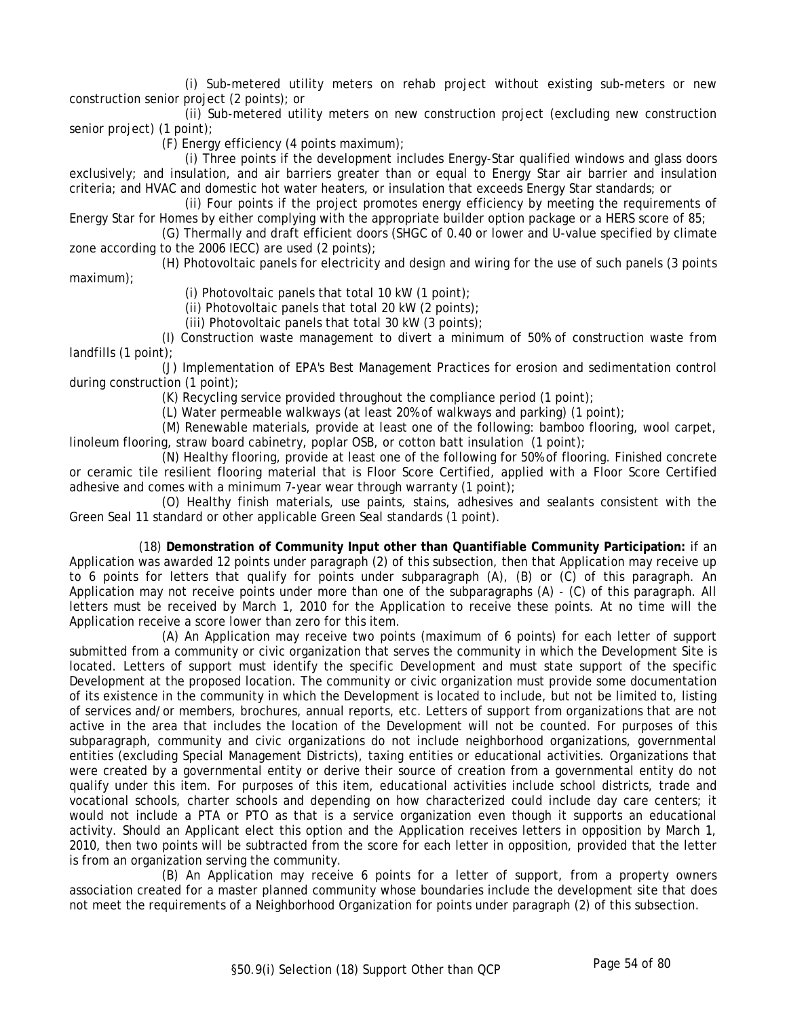(i) Sub-metered utility meters on rehab project without existing sub-meters or new construction senior project (2 points); or

(ii) Sub-metered utility meters on new construction project (excluding new construction senior project) (1 point);

(F) Energy efficiency (4 points maximum);

(i) Three points if the development includes Energy-Star qualified windows and glass doors exclusively; and insulation, and air barriers greater than or equal to Energy Star air barrier and insulation criteria; and HVAC and domestic hot water heaters, or insulation that exceeds Energy Star standards; or

(ii) Four points if the project promotes energy efficiency by meeting the requirements of Energy Star for Homes by either complying with the appropriate builder option package or a HERS score of 85;

(G) Thermally and draft efficient doors (SHGC of 0.40 or lower and U-value specified by climate zone according to the 2006 IECC) are used (2 points);

(H) Photovoltaic panels for electricity and design and wiring for the use of such panels (3 points maximum);

(i) Photovoltaic panels that total 10 kW (1 point);

(ii) Photovoltaic panels that total 20 kW (2 points);

(iii) Photovoltaic panels that total 30 kW (3 points);

(I) Construction waste management to divert a minimum of 50% of construction waste from landfills (1 point);

(J) Implementation of EPA's Best Management Practices for erosion and sedimentation control during construction (1 point);

(K) Recycling service provided throughout the compliance period (1 point);

(L) Water permeable walkways (at least 20% of walkways and parking) (1 point);

(M) Renewable materials, provide at least one of the following: bamboo flooring, wool carpet, linoleum flooring, straw board cabinetry, poplar OSB, or cotton batt insulation (1 point);

(N) Healthy flooring, provide at least one of the following for 50% of flooring. Finished concrete or ceramic tile resilient flooring material that is Floor Score Certified, applied with a Floor Score Certified adhesive and comes with a minimum 7-year wear through warranty (1 point);

(O) Healthy finish materials, use paints, stains, adhesives and sealants consistent with the Green Seal 11 standard or other applicable Green Seal standards (1 point).

(18) **Demonstration of Community Input other than Quantifiable Community Participation:** if an Application was awarded 12 points under paragraph (2) of this subsection, then that Application may receive up to 6 points for letters that qualify for points under subparagraph (A), (B) or (C) of this paragraph. An Application may not receive points under more than one of the subparagraphs (A) - (C) of this paragraph. All letters must be received by March 1, 2010 for the Application to receive these points. At no time will the Application receive a score lower than zero for this item.

(A) An Application may receive two points (maximum of 6 points) for each letter of support submitted from a community or civic organization that serves the community in which the Development Site is located. Letters of support must identify the specific Development and must state support of the specific Development at the proposed location. The community or civic organization must provide some documentation of its existence in the community in which the Development is located to include, but not be limited to, listing of services and/or members, brochures, annual reports, etc. Letters of support from organizations that are not active in the area that includes the location of the Development will not be counted. For purposes of this subparagraph, community and civic organizations do not include neighborhood organizations, governmental entities (excluding Special Management Districts), taxing entities or educational activities. Organizations that were created by a governmental entity or derive their source of creation from a governmental entity do not qualify under this item. For purposes of this item, educational activities include school districts, trade and vocational schools, charter schools and depending on how characterized could include day care centers; it would not include a PTA or PTO as that is a service organization even though it supports an educational activity. Should an Applicant elect this option and the Application receives letters in opposition by March 1, 2010, then two points will be subtracted from the score for each letter in opposition, provided that the letter is from an organization serving the community.

(B) An Application may receive 6 points for a letter of support, from a property owners association created for a master planned community whose boundaries include the development site that does not meet the requirements of a Neighborhood Organization for points under paragraph (2) of this subsection.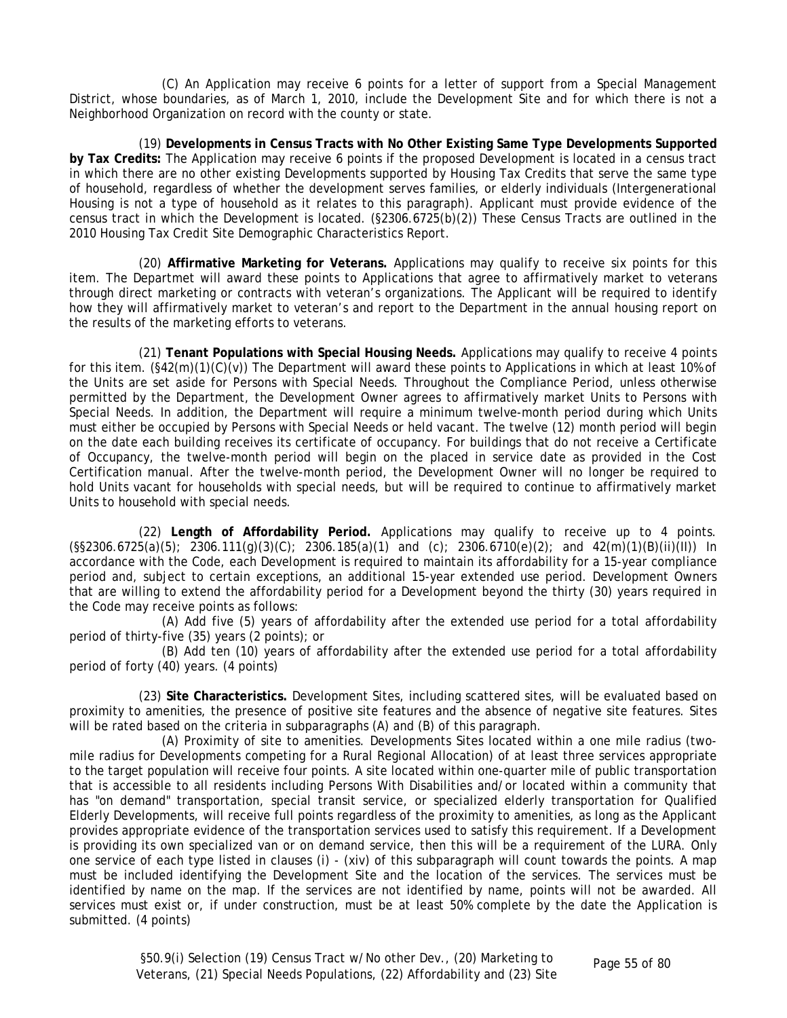(C) An Application may receive 6 points for a letter of support from a Special Management District, whose boundaries, as of March 1, 2010, include the Development Site and for which there is not a Neighborhood Organization on record with the county or state.

(19) **Developments in Census Tracts with No Other Existing Same Type Developments Supported by Tax Credits:** The Application may receive 6 points if the proposed Development is located in a census tract in which there are no other existing Developments supported by Housing Tax Credits that serve the same type of household, regardless of whether the development serves families, or elderly individuals (Intergenerational Housing is not a type of household as it relates to this paragraph). Applicant must provide evidence of the census tract in which the Development is located. (§2306.6725(b)(2)) These Census Tracts are outlined in the 2010 Housing Tax Credit Site Demographic Characteristics Report.

(20) **Affirmative Marketing for Veterans.** Applications may qualify to receive six points for this item. The Departmet will award these points to Applications that agree to affirmatively market to veterans through direct marketing or contracts with veteran's organizations. The Applicant will be required to identify how they will affirmatively market to veteran's and report to the Department in the annual housing report on the results of the marketing efforts to veterans.

(21) **Tenant Populations with Special Housing Needs.** Applications may qualify to receive 4 points for this item. (§42(m)(1)(C)(v)) The Department will award these points to Applications in which at least 10% of the Units are set aside for Persons with Special Needs. Throughout the Compliance Period, unless otherwise permitted by the Department, the Development Owner agrees to affirmatively market Units to Persons with Special Needs. In addition, the Department will require a minimum twelve-month period during which Units must either be occupied by Persons with Special Needs or held vacant. The twelve (12) month period will begin on the date each building receives its certificate of occupancy. For buildings that do not receive a Certificate of Occupancy, the twelve-month period will begin on the placed in service date as provided in the Cost Certification manual. After the twelve-month period, the Development Owner will no longer be required to hold Units vacant for households with special needs, but will be required to continue to affirmatively market Units to household with special needs.

(22) **Length of Affordability Period.** Applications may qualify to receive up to 4 points.  $(\frac{5}{5}2306.6725(a)(5); 2306.111(q)(3)(C); 2306.185(a)(1)$  and (c); 2306.6710(e)(2); and 42(m)(1)(B)(ii)(II)) In accordance with the Code, each Development is required to maintain its affordability for a 15-year compliance period and, subject to certain exceptions, an additional 15-year extended use period. Development Owners that are willing to extend the affordability period for a Development beyond the thirty (30) years required in the Code may receive points as follows:

(A) Add five (5) years of affordability after the extended use period for a total affordability period of thirty-five (35) years (2 points); or

(B) Add ten (10) years of affordability after the extended use period for a total affordability period of forty (40) years. (4 points)

(23) **Site Characteristics.** Development Sites, including scattered sites, will be evaluated based on proximity to amenities, the presence of positive site features and the absence of negative site features. Sites will be rated based on the criteria in subparagraphs (A) and (B) of this paragraph.

(A) Proximity of site to amenities. Developments Sites located within a one mile radius (twomile radius for Developments competing for a Rural Regional Allocation) of at least three services appropriate to the target population will receive four points. A site located within one-quarter mile of public transportation that is accessible to all residents including Persons With Disabilities and/or located within a community that has "on demand" transportation, special transit service, or specialized elderly transportation for Qualified Elderly Developments, will receive full points regardless of the proximity to amenities, as long as the Applicant provides appropriate evidence of the transportation services used to satisfy this requirement. If a Development is providing its own specialized van or on demand service, then this will be a requirement of the LURA. Only one service of each type listed in clauses (i) - (xiv) of this subparagraph will count towards the points. A map must be included identifying the Development Site and the location of the services. The services must be identified by name on the map. If the services are not identified by name, points will not be awarded. All services must exist or, if under construction, must be at least 50% complete by the date the Application is submitted. (4 points)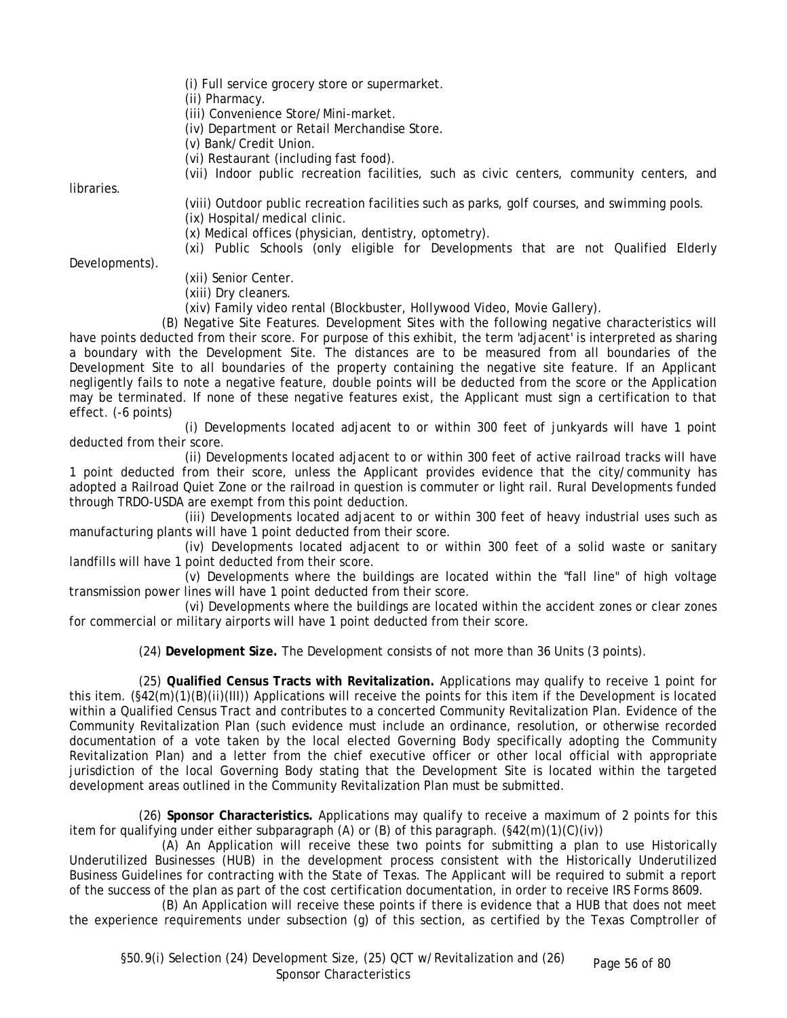(i) Full service grocery store or supermarket.

(ii) Pharmacy.

(iii) Convenience Store/Mini-market.

(iv) Department or Retail Merchandise Store.

(v) Bank/Credit Union.

(vi) Restaurant (including fast food).

(vii) Indoor public recreation facilities, such as civic centers, community centers, and

**libraries** 

(viii) Outdoor public recreation facilities such as parks, golf courses, and swimming pools. (ix) Hospital/medical clinic.

(x) Medical offices (physician, dentistry, optometry).

(xi) Public Schools (only eligible for Developments that are not Qualified Elderly

Developments).

(xii) Senior Center.

(xiii) Dry cleaners.

(xiv) Family video rental (Blockbuster, Hollywood Video, Movie Gallery).

(B) Negative Site Features. Development Sites with the following negative characteristics will have points deducted from their score. For purpose of this exhibit, the term 'adjacent' is interpreted as sharing a boundary with the Development Site. The distances are to be measured from all boundaries of the Development Site to all boundaries of the property containing the negative site feature. If an Applicant negligently fails to note a negative feature, double points will be deducted from the score or the Application may be terminated. If none of these negative features exist, the Applicant must sign a certification to that effect. (-6 points)

(i) Developments located adjacent to or within 300 feet of junkyards will have 1 point deducted from their score.

(ii) Developments located adjacent to or within 300 feet of active railroad tracks will have 1 point deducted from their score, unless the Applicant provides evidence that the city/community has adopted a Railroad Quiet Zone or the railroad in question is commuter or light rail. Rural Developments funded through TRDO-USDA are exempt from this point deduction.

(iii) Developments located adjacent to or within 300 feet of heavy industrial uses such as manufacturing plants will have 1 point deducted from their score.

(iv) Developments located adjacent to or within 300 feet of a solid waste or sanitary landfills will have 1 point deducted from their score.

(v) Developments where the buildings are located within the "fall line" of high voltage transmission power lines will have 1 point deducted from their score.

(vi) Developments where the buildings are located within the accident zones or clear zones for commercial or military airports will have 1 point deducted from their score.

(24) **Development Size.** The Development consists of not more than 36 Units (3 points).

(25) **Qualified Census Tracts with Revitalization.** Applications may qualify to receive 1 point for this item. (§42(m)(1)(B)(ii)(III)) Applications will receive the points for this item if the Development is located within a Qualified Census Tract and contributes to a concerted Community Revitalization Plan. Evidence of the Community Revitalization Plan (such evidence must include an ordinance, resolution, or otherwise recorded documentation of a vote taken by the local elected Governing Body specifically adopting the Community Revitalization Plan) and a letter from the chief executive officer or other local official with appropriate jurisdiction of the local Governing Body stating that the Development Site is located within the targeted development areas outlined in the Community Revitalization Plan must be submitted.

(26) **Sponsor Characteristics.** Applications may qualify to receive a maximum of 2 points for this item for qualifying under either subparagraph  $(A)$  or  $(B)$  of this paragraph.  $(\frac{5}{42}(m)(1)(C)(iv))$ 

(A) An Application will receive these two points for submitting a plan to use Historically Underutilized Businesses (HUB) in the development process consistent with the Historically Underutilized Business Guidelines for contracting with the State of Texas. The Applicant will be required to submit a report of the success of the plan as part of the cost certification documentation, in order to receive IRS Forms 8609.

(B) An Application will receive these points if there is evidence that a HUB that does not meet the experience requirements under subsection (g) of this section, as certified by the Texas Comptroller of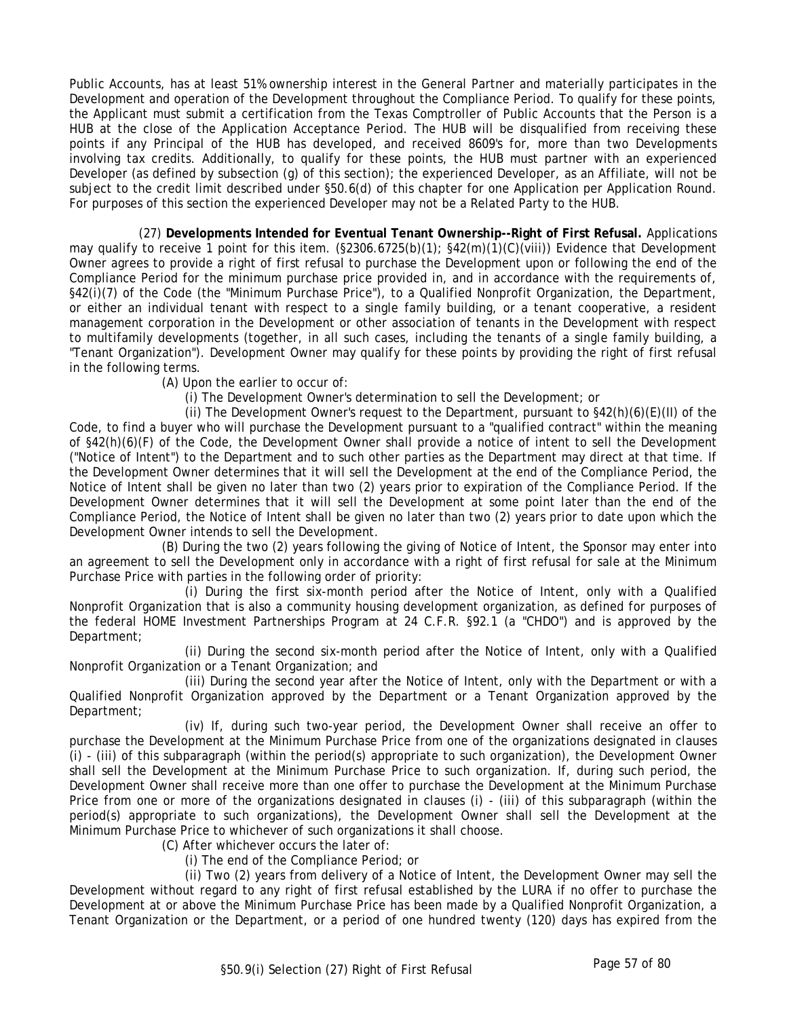Public Accounts, has at least 51% ownership interest in the General Partner and materially participates in the Development and operation of the Development throughout the Compliance Period. To qualify for these points, the Applicant must submit a certification from the Texas Comptroller of Public Accounts that the Person is a HUB at the close of the Application Acceptance Period. The HUB will be disqualified from receiving these points if any Principal of the HUB has developed, and received 8609's for, more than two Developments involving tax credits. Additionally, to qualify for these points, the HUB must partner with an experienced Developer (as defined by subsection (g) of this section); the experienced Developer, as an Affiliate, will not be subject to the credit limit described under §50.6(d) of this chapter for one Application per Application Round. For purposes of this section the experienced Developer may not be a Related Party to the HUB.

(27) **Developments Intended for Eventual Tenant Ownership--Right of First Refusal.** Applications may qualify to receive 1 point for this item. (§2306.6725(b)(1); §42(m)(1)(C)(viii)) Evidence that Development Owner agrees to provide a right of first refusal to purchase the Development upon or following the end of the Compliance Period for the minimum purchase price provided in, and in accordance with the requirements of, §42(i)(7) of the Code (the "Minimum Purchase Price"), to a Qualified Nonprofit Organization, the Department, or either an individual tenant with respect to a single family building, or a tenant cooperative, a resident management corporation in the Development or other association of tenants in the Development with respect to multifamily developments (together, in all such cases, including the tenants of a single family building, a "Tenant Organization"). Development Owner may qualify for these points by providing the right of first refusal in the following terms.

(A) Upon the earlier to occur of:

(i) The Development Owner's determination to sell the Development; or

(ii) The Development Owner's request to the Department, pursuant to  $\S42(h)(6)(E)(II)$  of the Code, to find a buyer who will purchase the Development pursuant to a "qualified contract" within the meaning of §42(h)(6)(F) of the Code, the Development Owner shall provide a notice of intent to sell the Development ("Notice of Intent") to the Department and to such other parties as the Department may direct at that time. If the Development Owner determines that it will sell the Development at the end of the Compliance Period, the Notice of Intent shall be given no later than two (2) years prior to expiration of the Compliance Period. If the Development Owner determines that it will sell the Development at some point later than the end of the Compliance Period, the Notice of Intent shall be given no later than two (2) years prior to date upon which the Development Owner intends to sell the Development.

(B) During the two (2) years following the giving of Notice of Intent, the Sponsor may enter into an agreement to sell the Development only in accordance with a right of first refusal for sale at the Minimum Purchase Price with parties in the following order of priority:

(i) During the first six-month period after the Notice of Intent, only with a Qualified Nonprofit Organization that is also a community housing development organization, as defined for purposes of the federal HOME Investment Partnerships Program at 24 C.F.R. §92.1 (a "CHDO") and is approved by the Department;

(ii) During the second six-month period after the Notice of Intent, only with a Qualified Nonprofit Organization or a Tenant Organization; and

(iii) During the second year after the Notice of Intent, only with the Department or with a Qualified Nonprofit Organization approved by the Department or a Tenant Organization approved by the Department;

(iv) If, during such two-year period, the Development Owner shall receive an offer to purchase the Development at the Minimum Purchase Price from one of the organizations designated in clauses (i) - (iii) of this subparagraph (within the period(s) appropriate to such organization), the Development Owner shall sell the Development at the Minimum Purchase Price to such organization. If, during such period, the Development Owner shall receive more than one offer to purchase the Development at the Minimum Purchase Price from one or more of the organizations designated in clauses (i) - (iii) of this subparagraph (within the period(s) appropriate to such organizations), the Development Owner shall sell the Development at the Minimum Purchase Price to whichever of such organizations it shall choose.

(C) After whichever occurs the later of:

(i) The end of the Compliance Period; or

(ii) Two (2) years from delivery of a Notice of Intent, the Development Owner may sell the Development without regard to any right of first refusal established by the LURA if no offer to purchase the Development at or above the Minimum Purchase Price has been made by a Qualified Nonprofit Organization, a Tenant Organization or the Department, or a period of one hundred twenty (120) days has expired from the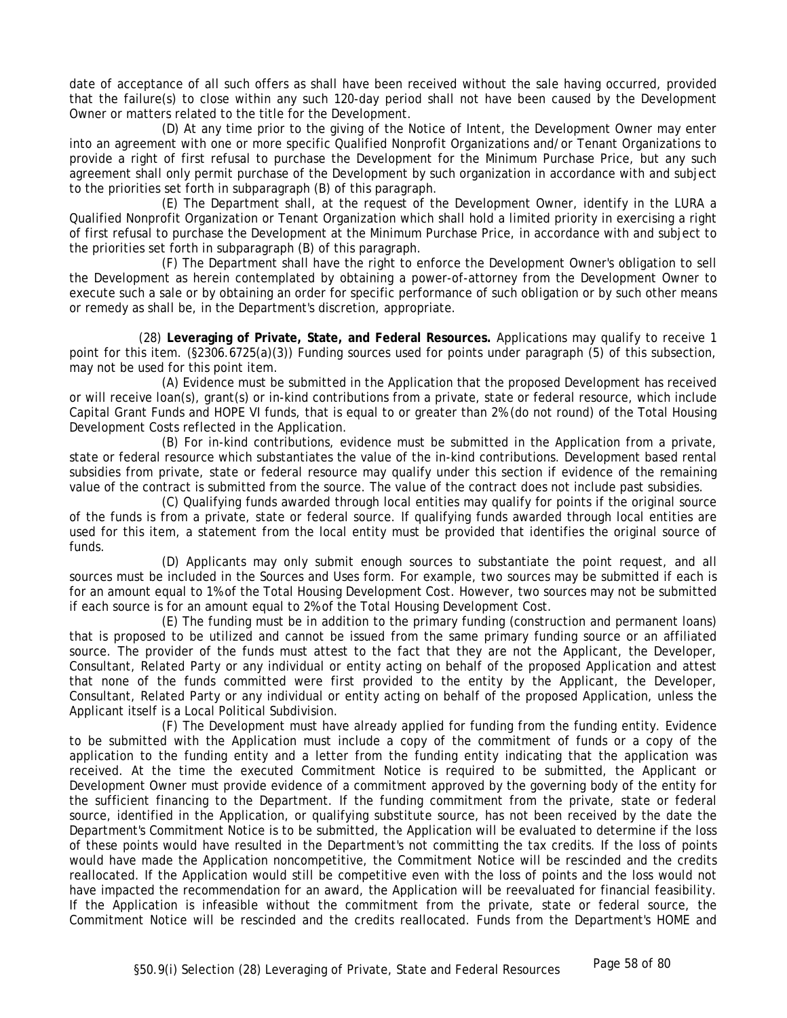date of acceptance of all such offers as shall have been received without the sale having occurred, provided that the failure(s) to close within any such 120-day period shall not have been caused by the Development Owner or matters related to the title for the Development.

(D) At any time prior to the giving of the Notice of Intent, the Development Owner may enter into an agreement with one or more specific Qualified Nonprofit Organizations and/or Tenant Organizations to provide a right of first refusal to purchase the Development for the Minimum Purchase Price, but any such agreement shall only permit purchase of the Development by such organization in accordance with and subject to the priorities set forth in subparagraph (B) of this paragraph.

(E) The Department shall, at the request of the Development Owner, identify in the LURA a Qualified Nonprofit Organization or Tenant Organization which shall hold a limited priority in exercising a right of first refusal to purchase the Development at the Minimum Purchase Price, in accordance with and subject to the priorities set forth in subparagraph (B) of this paragraph.

(F) The Department shall have the right to enforce the Development Owner's obligation to sell the Development as herein contemplated by obtaining a power-of-attorney from the Development Owner to execute such a sale or by obtaining an order for specific performance of such obligation or by such other means or remedy as shall be, in the Department's discretion, appropriate.

(28) **Leveraging of Private, State, and Federal Resources.** Applications may qualify to receive 1 point for this item. (§2306.6725(a)(3)) Funding sources used for points under paragraph (5) of this subsection, may not be used for this point item.

(A) Evidence must be submitted in the Application that the proposed Development has received or will receive loan(s), grant(s) or in-kind contributions from a private, state or federal resource, which include Capital Grant Funds and HOPE VI funds, that is equal to or greater than 2% (do not round) of the Total Housing Development Costs reflected in the Application.

(B) For in-kind contributions, evidence must be submitted in the Application from a private, state or federal resource which substantiates the value of the in-kind contributions. Development based rental subsidies from private, state or federal resource may qualify under this section if evidence of the remaining value of the contract is submitted from the source. The value of the contract does not include past subsidies.

(C) Qualifying funds awarded through local entities may qualify for points if the original source of the funds is from a private, state or federal source. If qualifying funds awarded through local entities are used for this item, a statement from the local entity must be provided that identifies the original source of funds.

(D) Applicants may only submit enough sources to substantiate the point request, and all sources must be included in the Sources and Uses form. For example, two sources may be submitted if each is for an amount equal to 1% of the Total Housing Development Cost. However, two sources may not be submitted if each source is for an amount equal to 2% of the Total Housing Development Cost.

(E) The funding must be in addition to the primary funding (construction and permanent loans) that is proposed to be utilized and cannot be issued from the same primary funding source or an affiliated source. The provider of the funds must attest to the fact that they are not the Applicant, the Developer, Consultant, Related Party or any individual or entity acting on behalf of the proposed Application and attest that none of the funds committed were first provided to the entity by the Applicant, the Developer, Consultant, Related Party or any individual or entity acting on behalf of the proposed Application, unless the Applicant itself is a Local Political Subdivision.

(F) The Development must have already applied for funding from the funding entity. Evidence to be submitted with the Application must include a copy of the commitment of funds or a copy of the application to the funding entity and a letter from the funding entity indicating that the application was received. At the time the executed Commitment Notice is required to be submitted, the Applicant or Development Owner must provide evidence of a commitment approved by the governing body of the entity for the sufficient financing to the Department. If the funding commitment from the private, state or federal source, identified in the Application, or qualifying substitute source, has not been received by the date the Department's Commitment Notice is to be submitted, the Application will be evaluated to determine if the loss of these points would have resulted in the Department's not committing the tax credits. If the loss of points would have made the Application noncompetitive, the Commitment Notice will be rescinded and the credits reallocated. If the Application would still be competitive even with the loss of points and the loss would not have impacted the recommendation for an award, the Application will be reevaluated for financial feasibility. If the Application is infeasible without the commitment from the private, state or federal source, the Commitment Notice will be rescinded and the credits reallocated. Funds from the Department's HOME and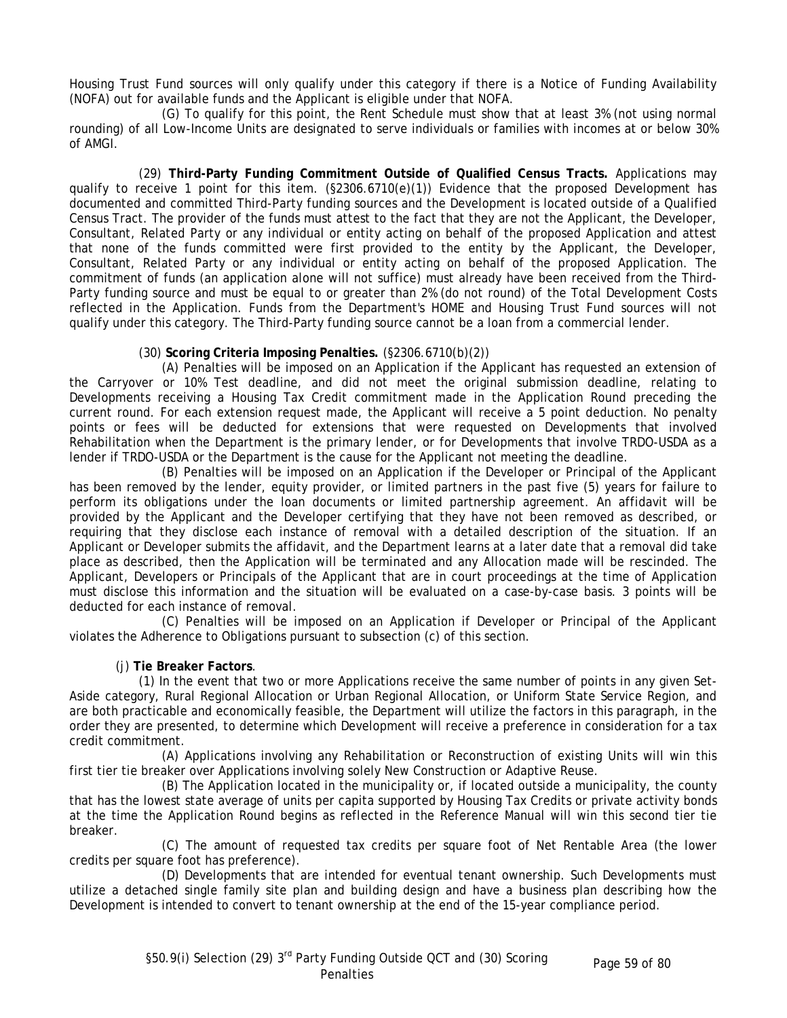Housing Trust Fund sources will only qualify under this category if there is a Notice of Funding Availability (NOFA) out for available funds and the Applicant is eligible under that NOFA.

(G) To qualify for this point, the Rent Schedule must show that at least 3% (not using normal rounding) of all Low-Income Units are designated to serve individuals or families with incomes at or below 30% of AMGI.

(29) **Third-Party Funding Commitment Outside of Qualified Census Tracts.** Applications may qualify to receive 1 point for this item. (§2306.6710(e)(1)) Evidence that the proposed Development has documented and committed Third-Party funding sources and the Development is located outside of a Qualified Census Tract. The provider of the funds must attest to the fact that they are not the Applicant, the Developer, Consultant, Related Party or any individual or entity acting on behalf of the proposed Application and attest that none of the funds committed were first provided to the entity by the Applicant, the Developer, Consultant, Related Party or any individual or entity acting on behalf of the proposed Application. The commitment of funds (an application alone will not suffice) must already have been received from the Third-Party funding source and must be equal to or greater than 2% (do not round) of the Total Development Costs reflected in the Application. Funds from the Department's HOME and Housing Trust Fund sources will not qualify under this category. The Third-Party funding source cannot be a loan from a commercial lender.

# (30) **Scoring Criteria Imposing Penalties.** (§2306.6710(b)(2))

(A) Penalties will be imposed on an Application if the Applicant has requested an extension of the Carryover or 10% Test deadline, and did not meet the original submission deadline, relating to Developments receiving a Housing Tax Credit commitment made in the Application Round preceding the current round. For each extension request made, the Applicant will receive a 5 point deduction. No penalty points or fees will be deducted for extensions that were requested on Developments that involved Rehabilitation when the Department is the primary lender, or for Developments that involve TRDO-USDA as a lender if TRDO-USDA or the Department is the cause for the Applicant not meeting the deadline.

(B) Penalties will be imposed on an Application if the Developer or Principal of the Applicant has been removed by the lender, equity provider, or limited partners in the past five (5) years for failure to perform its obligations under the loan documents or limited partnership agreement. An affidavit will be provided by the Applicant and the Developer certifying that they have not been removed as described, or requiring that they disclose each instance of removal with a detailed description of the situation. If an Applicant or Developer submits the affidavit, and the Department learns at a later date that a removal did take place as described, then the Application will be terminated and any Allocation made will be rescinded. The Applicant, Developers or Principals of the Applicant that are in court proceedings at the time of Application must disclose this information and the situation will be evaluated on a case-by-case basis. 3 points will be deducted for each instance of removal.

(C) Penalties will be imposed on an Application if Developer or Principal of the Applicant violates the Adherence to Obligations pursuant to subsection (c) of this section.

# (j) **Tie Breaker Factors**.

(1) In the event that two or more Applications receive the same number of points in any given Set-Aside category, Rural Regional Allocation or Urban Regional Allocation, or Uniform State Service Region, and are both practicable and economically feasible, the Department will utilize the factors in this paragraph, in the order they are presented, to determine which Development will receive a preference in consideration for a tax credit commitment.

(A) Applications involving any Rehabilitation or Reconstruction of existing Units will win this first tier tie breaker over Applications involving solely New Construction or Adaptive Reuse.

(B) The Application located in the municipality or, if located outside a municipality, the county that has the lowest state average of units per capita supported by Housing Tax Credits or private activity bonds at the time the Application Round begins as reflected in the Reference Manual will win this second tier tie breaker.

(C) The amount of requested tax credits per square foot of Net Rentable Area (the lower credits per square foot has preference).

(D) Developments that are intended for eventual tenant ownership. Such Developments must utilize a detached single family site plan and building design and have a business plan describing how the Development is intended to convert to tenant ownership at the end of the 15-year compliance period.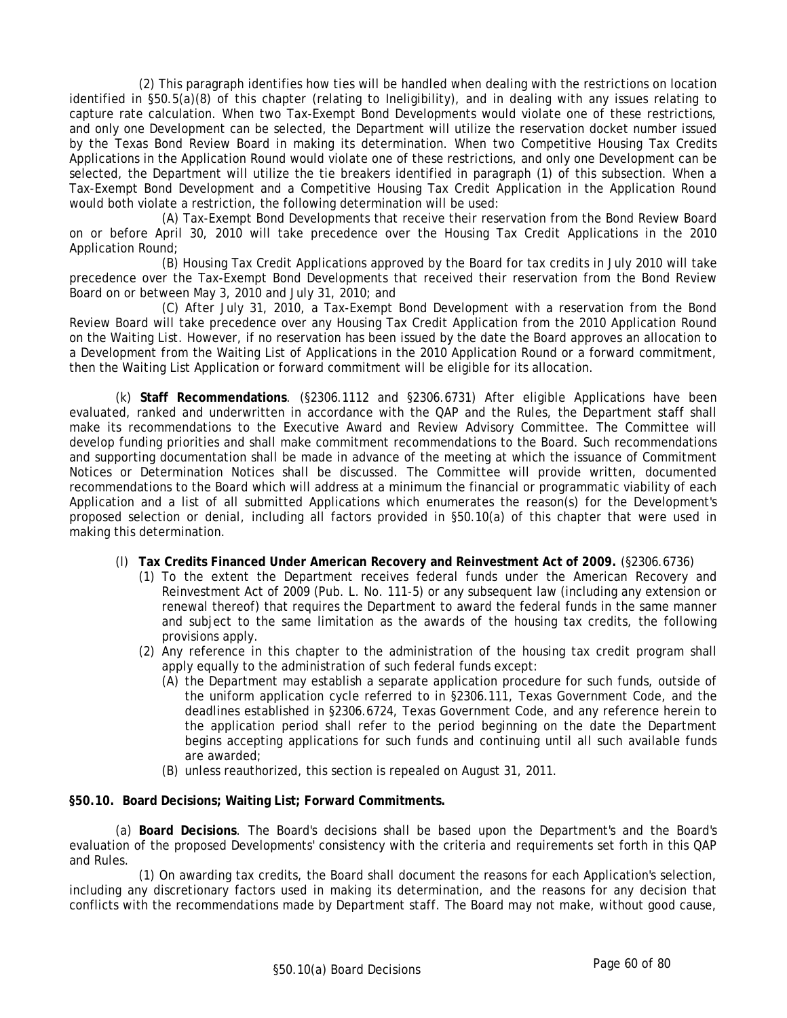(2) This paragraph identifies how ties will be handled when dealing with the restrictions on location identified in §50.5(a)(8) of this chapter (relating to Ineligibility), and in dealing with any issues relating to capture rate calculation. When two Tax-Exempt Bond Developments would violate one of these restrictions, and only one Development can be selected, the Department will utilize the reservation docket number issued by the Texas Bond Review Board in making its determination. When two Competitive Housing Tax Credits Applications in the Application Round would violate one of these restrictions, and only one Development can be selected, the Department will utilize the tie breakers identified in paragraph (1) of this subsection. When a Tax-Exempt Bond Development and a Competitive Housing Tax Credit Application in the Application Round would both violate a restriction, the following determination will be used:

(A) Tax-Exempt Bond Developments that receive their reservation from the Bond Review Board on or before April 30, 2010 will take precedence over the Housing Tax Credit Applications in the 2010 Application Round;

(B) Housing Tax Credit Applications approved by the Board for tax credits in July 2010 will take precedence over the Tax-Exempt Bond Developments that received their reservation from the Bond Review Board on or between May 3, 2010 and July 31, 2010; and

(C) After July 31, 2010, a Tax-Exempt Bond Development with a reservation from the Bond Review Board will take precedence over any Housing Tax Credit Application from the 2010 Application Round on the Waiting List. However, if no reservation has been issued by the date the Board approves an allocation to a Development from the Waiting List of Applications in the 2010 Application Round or a forward commitment, then the Waiting List Application or forward commitment will be eligible for its allocation.

(k) **Staff Recommendations**. (§2306.1112 and §2306.6731) After eligible Applications have been evaluated, ranked and underwritten in accordance with the QAP and the Rules, the Department staff shall make its recommendations to the Executive Award and Review Advisory Committee. The Committee will develop funding priorities and shall make commitment recommendations to the Board. Such recommendations and supporting documentation shall be made in advance of the meeting at which the issuance of Commitment Notices or Determination Notices shall be discussed. The Committee will provide written, documented recommendations to the Board which will address at a minimum the financial or programmatic viability of each Application and a list of all submitted Applications which enumerates the reason(s) for the Development's proposed selection or denial, including all factors provided in §50.10(a) of this chapter that were used in making this determination.

- (l) **Tax Credits Financed Under American Recovery and Reinvestment Act of 2009.** (§2306.6736)
	- (1) To the extent the Department receives federal funds under the American Recovery and Reinvestment Act of 2009 (Pub. L. No. 111-5) or any subsequent law (including any extension or renewal thereof) that requires the Department to award the federal funds in the same manner and subject to the same limitation as the awards of the housing tax credits, the following provisions apply.
	- (2) Any reference in this chapter to the administration of the housing tax credit program shall apply equally to the administration of such federal funds except:
		- (A) the Department may establish a separate application procedure for such funds, outside of the uniform application cycle referred to in §2306.111, Texas Government Code, and the deadlines established in §2306.6724, Texas Government Code, and any reference herein to the application period shall refer to the period beginning on the date the Department begins accepting applications for such funds and continuing until all such available funds are awarded;
		- (B) unless reauthorized, this section is repealed on August 31, 2011.

### **§50.10. Board Decisions; Waiting List; Forward Commitments.**

(a) **Board Decisions**. The Board's decisions shall be based upon the Department's and the Board's evaluation of the proposed Developments' consistency with the criteria and requirements set forth in this QAP and Rules.

(1) On awarding tax credits, the Board shall document the reasons for each Application's selection, including any discretionary factors used in making its determination, and the reasons for any decision that conflicts with the recommendations made by Department staff. The Board may not make, without good cause,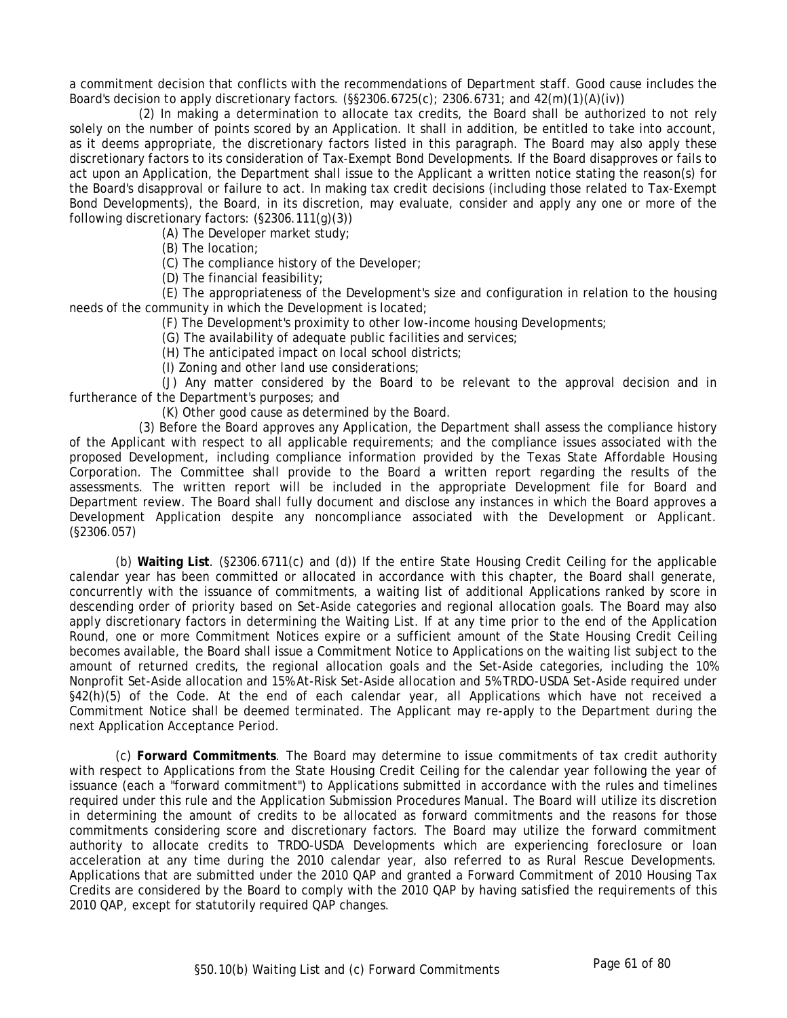a commitment decision that conflicts with the recommendations of Department staff. Good cause includes the Board's decision to apply discretionary factors.  $(\S$ \$2306.6725(c); 2306.6731; and 42(m)(1)(A)(iv))

(2) In making a determination to allocate tax credits, the Board shall be authorized to not rely solely on the number of points scored by an Application. It shall in addition, be entitled to take into account, as it deems appropriate, the discretionary factors listed in this paragraph. The Board may also apply these discretionary factors to its consideration of Tax-Exempt Bond Developments. If the Board disapproves or fails to act upon an Application, the Department shall issue to the Applicant a written notice stating the reason(s) for the Board's disapproval or failure to act. In making tax credit decisions (including those related to Tax-Exempt Bond Developments), the Board, in its discretion, may evaluate, consider and apply any one or more of the following discretionary factors: (§2306.111(g)(3))

(A) The Developer market study;

(B) The location;

(C) The compliance history of the Developer;

(D) The financial feasibility;

(E) The appropriateness of the Development's size and configuration in relation to the housing needs of the community in which the Development is located;

(F) The Development's proximity to other low-income housing Developments;

(G) The availability of adequate public facilities and services;

(H) The anticipated impact on local school districts;

(I) Zoning and other land use considerations;

(J) Any matter considered by the Board to be relevant to the approval decision and in furtherance of the Department's purposes; and

(K) Other good cause as determined by the Board.

(3) Before the Board approves any Application, the Department shall assess the compliance history of the Applicant with respect to all applicable requirements; and the compliance issues associated with the proposed Development, including compliance information provided by the Texas State Affordable Housing Corporation. The Committee shall provide to the Board a written report regarding the results of the assessments. The written report will be included in the appropriate Development file for Board and Department review. The Board shall fully document and disclose any instances in which the Board approves a Development Application despite any noncompliance associated with the Development or Applicant. (§2306.057)

(b) **Waiting List**. (§2306.6711(c) and (d)) If the entire State Housing Credit Ceiling for the applicable calendar year has been committed or allocated in accordance with this chapter, the Board shall generate, concurrently with the issuance of commitments, a waiting list of additional Applications ranked by score in descending order of priority based on Set-Aside categories and regional allocation goals. The Board may also apply discretionary factors in determining the Waiting List. If at any time prior to the end of the Application Round, one or more Commitment Notices expire or a sufficient amount of the State Housing Credit Ceiling becomes available, the Board shall issue a Commitment Notice to Applications on the waiting list subject to the amount of returned credits, the regional allocation goals and the Set-Aside categories, including the 10% Nonprofit Set-Aside allocation and 15% At-Risk Set-Aside allocation and 5% TRDO-USDA Set-Aside required under §42(h)(5) of the Code. At the end of each calendar year, all Applications which have not received a Commitment Notice shall be deemed terminated. The Applicant may re-apply to the Department during the next Application Acceptance Period.

(c) **Forward Commitments**. The Board may determine to issue commitments of tax credit authority with respect to Applications from the State Housing Credit Ceiling for the calendar year following the year of issuance (each a "forward commitment") to Applications submitted in accordance with the rules and timelines required under this rule and the Application Submission Procedures Manual. The Board will utilize its discretion in determining the amount of credits to be allocated as forward commitments and the reasons for those commitments considering score and discretionary factors. The Board may utilize the forward commitment authority to allocate credits to TRDO-USDA Developments which are experiencing foreclosure or loan acceleration at any time during the 2010 calendar year, also referred to as Rural Rescue Developments. Applications that are submitted under the 2010 QAP and granted a Forward Commitment of 2010 Housing Tax Credits are considered by the Board to comply with the 2010 QAP by having satisfied the requirements of this 2010 QAP, except for statutorily required QAP changes.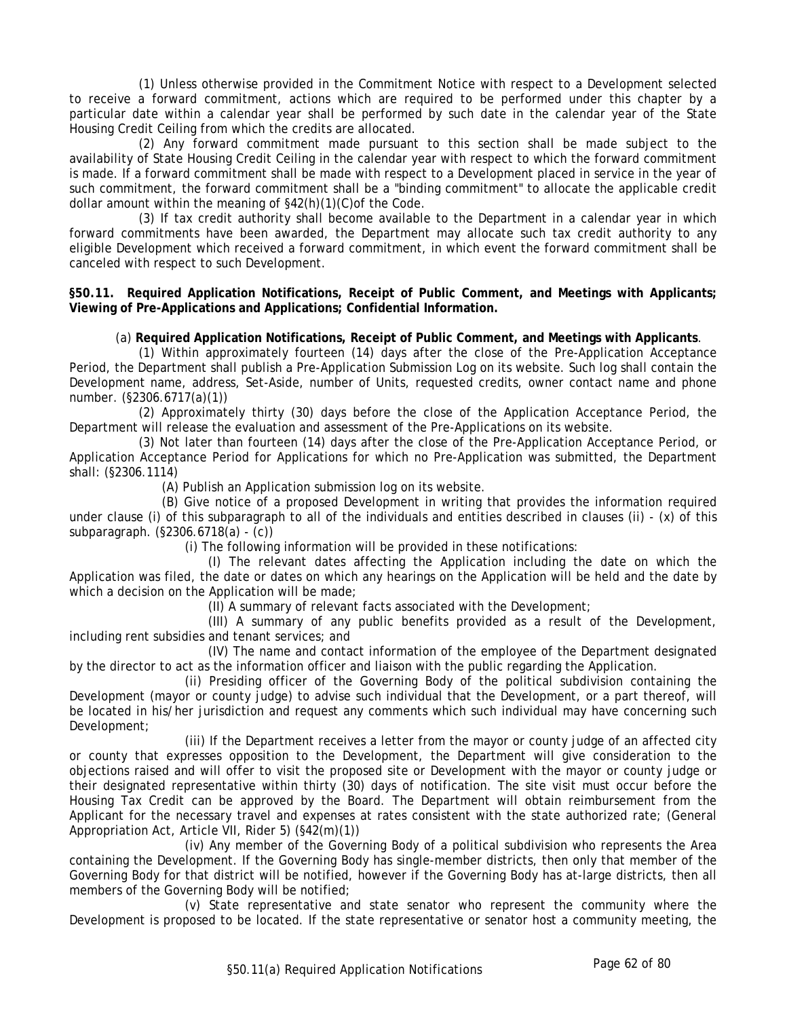(1) Unless otherwise provided in the Commitment Notice with respect to a Development selected to receive a forward commitment, actions which are required to be performed under this chapter by a particular date within a calendar year shall be performed by such date in the calendar year of the State Housing Credit Ceiling from which the credits are allocated.

(2) Any forward commitment made pursuant to this section shall be made subject to the availability of State Housing Credit Ceiling in the calendar year with respect to which the forward commitment is made. If a forward commitment shall be made with respect to a Development placed in service in the year of such commitment, the forward commitment shall be a "binding commitment" to allocate the applicable credit dollar amount within the meaning of §42(h)(1)(C)of the Code.

(3) If tax credit authority shall become available to the Department in a calendar year in which forward commitments have been awarded, the Department may allocate such tax credit authority to any eligible Development which received a forward commitment, in which event the forward commitment shall be canceled with respect to such Development.

**§50.11. Required Application Notifications, Receipt of Public Comment, and Meetings with Applicants; Viewing of Pre-Applications and Applications; Confidential Information.** 

### (a) **Required Application Notifications, Receipt of Public Comment, and Meetings with Applicants**.

(1) Within approximately fourteen (14) days after the close of the Pre-Application Acceptance Period, the Department shall publish a Pre-Application Submission Log on its website. Such log shall contain the Development name, address, Set-Aside, number of Units, requested credits, owner contact name and phone number. (§2306.6717(a)(1))

(2) Approximately thirty (30) days before the close of the Application Acceptance Period, the Department will release the evaluation and assessment of the Pre-Applications on its website.

(3) Not later than fourteen (14) days after the close of the Pre-Application Acceptance Period, or Application Acceptance Period for Applications for which no Pre-Application was submitted, the Department shall: (§2306.1114)

(A) Publish an Application submission log on its website.

(B) Give notice of a proposed Development in writing that provides the information required under clause (i) of this subparagraph to all of the individuals and entities described in clauses (ii) - (x) of this subparagraph. (§2306.6718(a) - (c))

(i) The following information will be provided in these notifications:

(I) The relevant dates affecting the Application including the date on which the Application was filed, the date or dates on which any hearings on the Application will be held and the date by which a decision on the Application will be made;

(II) A summary of relevant facts associated with the Development;

(III) A summary of any public benefits provided as a result of the Development, including rent subsidies and tenant services; and

(IV) The name and contact information of the employee of the Department designated by the director to act as the information officer and liaison with the public regarding the Application.

(ii) Presiding officer of the Governing Body of the political subdivision containing the Development (mayor or county judge) to advise such individual that the Development, or a part thereof, will be located in his/her jurisdiction and request any comments which such individual may have concerning such Development;

(iii) If the Department receives a letter from the mayor or county judge of an affected city or county that expresses opposition to the Development, the Department will give consideration to the objections raised and will offer to visit the proposed site or Development with the mayor or county judge or their designated representative within thirty (30) days of notification. The site visit must occur before the Housing Tax Credit can be approved by the Board. The Department will obtain reimbursement from the Applicant for the necessary travel and expenses at rates consistent with the state authorized rate; (General Appropriation Act, Article VII, Rider 5) (§42(m)(1))

(iv) Any member of the Governing Body of a political subdivision who represents the Area containing the Development. If the Governing Body has single-member districts, then only that member of the Governing Body for that district will be notified, however if the Governing Body has at-large districts, then all members of the Governing Body will be notified;

(v) State representative and state senator who represent the community where the Development is proposed to be located. If the state representative or senator host a community meeting, the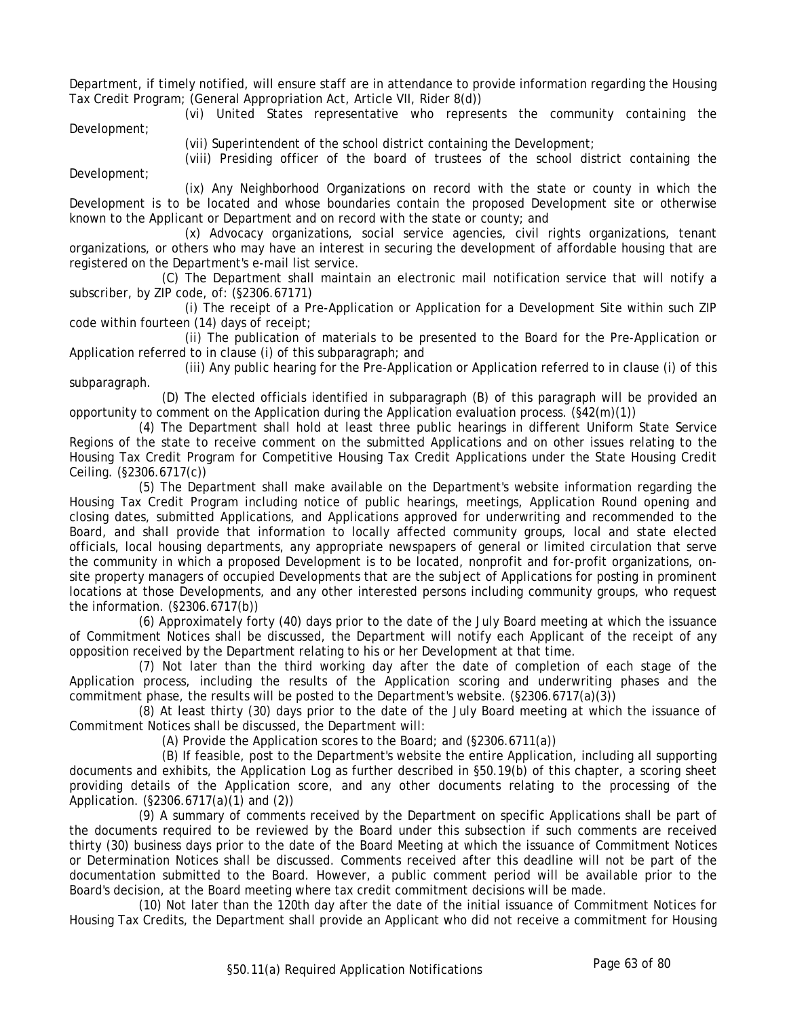Department, if timely notified, will ensure staff are in attendance to provide information regarding the Housing Tax Credit Program; (General Appropriation Act, Article VII, Rider 8(d))

(vi) United States representative who represents the community containing the Development;

(vii) Superintendent of the school district containing the Development;

(viii) Presiding officer of the board of trustees of the school district containing the Development;

(ix) Any Neighborhood Organizations on record with the state or county in which the Development is to be located and whose boundaries contain the proposed Development site or otherwise known to the Applicant or Department and on record with the state or county; and

(x) Advocacy organizations, social service agencies, civil rights organizations, tenant organizations, or others who may have an interest in securing the development of affordable housing that are registered on the Department's e-mail list service.

(C) The Department shall maintain an electronic mail notification service that will notify a subscriber, by ZIP code, of: (§2306.67171)

(i) The receipt of a Pre-Application or Application for a Development Site within such ZIP code within fourteen (14) days of receipt;

(ii) The publication of materials to be presented to the Board for the Pre-Application or Application referred to in clause (i) of this subparagraph; and

(iii) Any public hearing for the Pre-Application or Application referred to in clause (i) of this subparagraph.

(D) The elected officials identified in subparagraph (B) of this paragraph will be provided an opportunity to comment on the Application during the Application evaluation process. (§42(m)(1))

(4) The Department shall hold at least three public hearings in different Uniform State Service Regions of the state to receive comment on the submitted Applications and on other issues relating to the Housing Tax Credit Program for Competitive Housing Tax Credit Applications under the State Housing Credit Ceiling. (§2306.6717(c))

(5) The Department shall make available on the Department's website information regarding the Housing Tax Credit Program including notice of public hearings, meetings, Application Round opening and closing dates, submitted Applications, and Applications approved for underwriting and recommended to the Board, and shall provide that information to locally affected community groups, local and state elected officials, local housing departments, any appropriate newspapers of general or limited circulation that serve the community in which a proposed Development is to be located, nonprofit and for-profit organizations, onsite property managers of occupied Developments that are the subject of Applications for posting in prominent locations at those Developments, and any other interested persons including community groups, who request the information. (§2306.6717(b))

(6) Approximately forty (40) days prior to the date of the July Board meeting at which the issuance of Commitment Notices shall be discussed, the Department will notify each Applicant of the receipt of any opposition received by the Department relating to his or her Development at that time.

(7) Not later than the third working day after the date of completion of each stage of the Application process, including the results of the Application scoring and underwriting phases and the commitment phase, the results will be posted to the Department's website. (§2306.6717(a)(3))

(8) At least thirty (30) days prior to the date of the July Board meeting at which the issuance of Commitment Notices shall be discussed, the Department will:

(A) Provide the Application scores to the Board; and (§2306.6711(a))

(B) If feasible, post to the Department's website the entire Application, including all supporting documents and exhibits, the Application Log as further described in §50.19(b) of this chapter, a scoring sheet providing details of the Application score, and any other documents relating to the processing of the Application. (§2306.6717(a)(1) and (2))

(9) A summary of comments received by the Department on specific Applications shall be part of the documents required to be reviewed by the Board under this subsection if such comments are received thirty (30) business days prior to the date of the Board Meeting at which the issuance of Commitment Notices or Determination Notices shall be discussed. Comments received after this deadline will not be part of the documentation submitted to the Board. However, a public comment period will be available prior to the Board's decision, at the Board meeting where tax credit commitment decisions will be made.

(10) Not later than the 120th day after the date of the initial issuance of Commitment Notices for Housing Tax Credits, the Department shall provide an Applicant who did not receive a commitment for Housing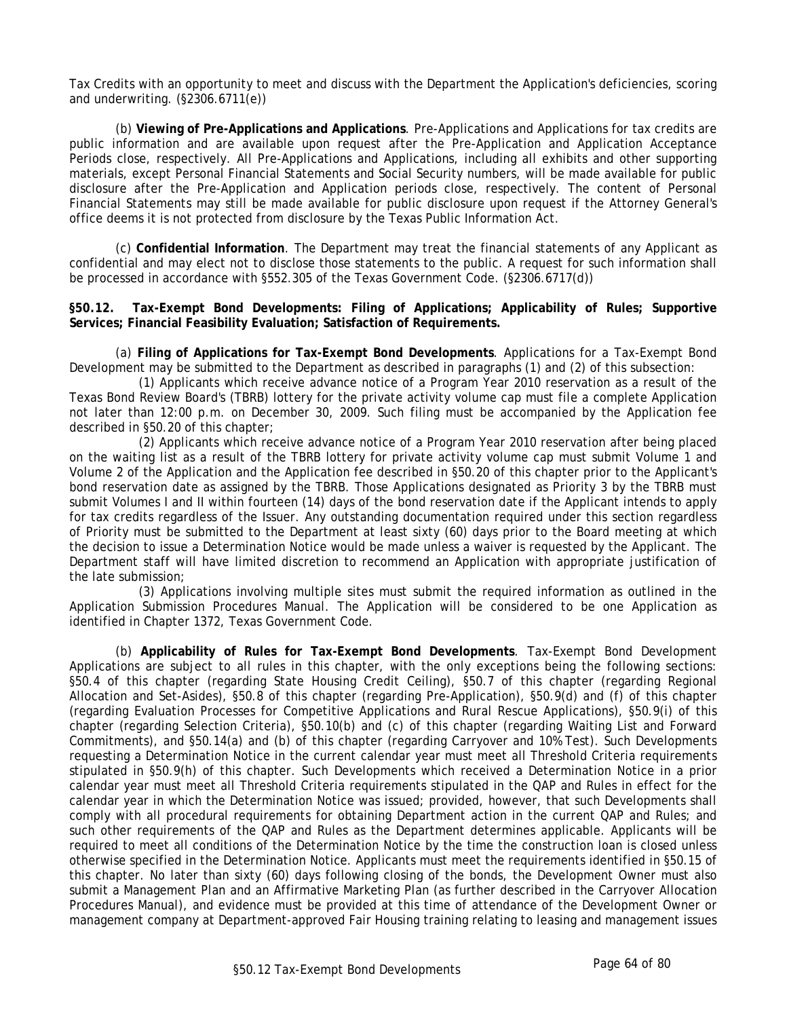Tax Credits with an opportunity to meet and discuss with the Department the Application's deficiencies, scoring and underwriting. (§2306.6711(e))

(b) **Viewing of Pre-Applications and Applications**. Pre-Applications and Applications for tax credits are public information and are available upon request after the Pre-Application and Application Acceptance Periods close, respectively. All Pre-Applications and Applications, including all exhibits and other supporting materials, except Personal Financial Statements and Social Security numbers, will be made available for public disclosure after the Pre-Application and Application periods close, respectively. The content of Personal Financial Statements may still be made available for public disclosure upon request if the Attorney General's office deems it is not protected from disclosure by the Texas Public Information Act.

(c) **Confidential Information**. The Department may treat the financial statements of any Applicant as confidential and may elect not to disclose those statements to the public. A request for such information shall be processed in accordance with §552.305 of the Texas Government Code. (§2306.6717(d))

**§50.12. Tax-Exempt Bond Developments: Filing of Applications; Applicability of Rules; Supportive Services; Financial Feasibility Evaluation; Satisfaction of Requirements.** 

(a) **Filing of Applications for Tax-Exempt Bond Developments**. Applications for a Tax-Exempt Bond Development may be submitted to the Department as described in paragraphs (1) and (2) of this subsection:

(1) Applicants which receive advance notice of a Program Year 2010 reservation as a result of the Texas Bond Review Board's (TBRB) lottery for the private activity volume cap must file a complete Application not later than 12:00 p.m. on December 30, 2009. Such filing must be accompanied by the Application fee described in §50.20 of this chapter;

(2) Applicants which receive advance notice of a Program Year 2010 reservation after being placed on the waiting list as a result of the TBRB lottery for private activity volume cap must submit Volume 1 and Volume 2 of the Application and the Application fee described in §50.20 of this chapter prior to the Applicant's bond reservation date as assigned by the TBRB. Those Applications designated as Priority 3 by the TBRB must submit Volumes I and II within fourteen (14) days of the bond reservation date if the Applicant intends to apply for tax credits regardless of the Issuer. Any outstanding documentation required under this section regardless of Priority must be submitted to the Department at least sixty (60) days prior to the Board meeting at which the decision to issue a Determination Notice would be made unless a waiver is requested by the Applicant. The Department staff will have limited discretion to recommend an Application with appropriate justification of the late submission;

(3) Applications involving multiple sites must submit the required information as outlined in the Application Submission Procedures Manual. The Application will be considered to be one Application as identified in Chapter 1372, Texas Government Code.

(b) **Applicability of Rules for Tax-Exempt Bond Developments**. Tax-Exempt Bond Development Applications are subject to all rules in this chapter, with the only exceptions being the following sections: §50.4 of this chapter (regarding State Housing Credit Ceiling), §50.7 of this chapter (regarding Regional Allocation and Set-Asides), §50.8 of this chapter (regarding Pre-Application), §50.9(d) and (f) of this chapter (regarding Evaluation Processes for Competitive Applications and Rural Rescue Applications), §50.9(i) of this chapter (regarding Selection Criteria), §50.10(b) and (c) of this chapter (regarding Waiting List and Forward Commitments), and §50.14(a) and (b) of this chapter (regarding Carryover and 10% Test). Such Developments requesting a Determination Notice in the current calendar year must meet all Threshold Criteria requirements stipulated in §50.9(h) of this chapter. Such Developments which received a Determination Notice in a prior calendar year must meet all Threshold Criteria requirements stipulated in the QAP and Rules in effect for the calendar year in which the Determination Notice was issued; provided, however, that such Developments shall comply with all procedural requirements for obtaining Department action in the current QAP and Rules; and such other requirements of the QAP and Rules as the Department determines applicable. Applicants will be required to meet all conditions of the Determination Notice by the time the construction loan is closed unless otherwise specified in the Determination Notice. Applicants must meet the requirements identified in §50.15 of this chapter. No later than sixty (60) days following closing of the bonds, the Development Owner must also submit a Management Plan and an Affirmative Marketing Plan (as further described in the Carryover Allocation Procedures Manual), and evidence must be provided at this time of attendance of the Development Owner or management company at Department-approved Fair Housing training relating to leasing and management issues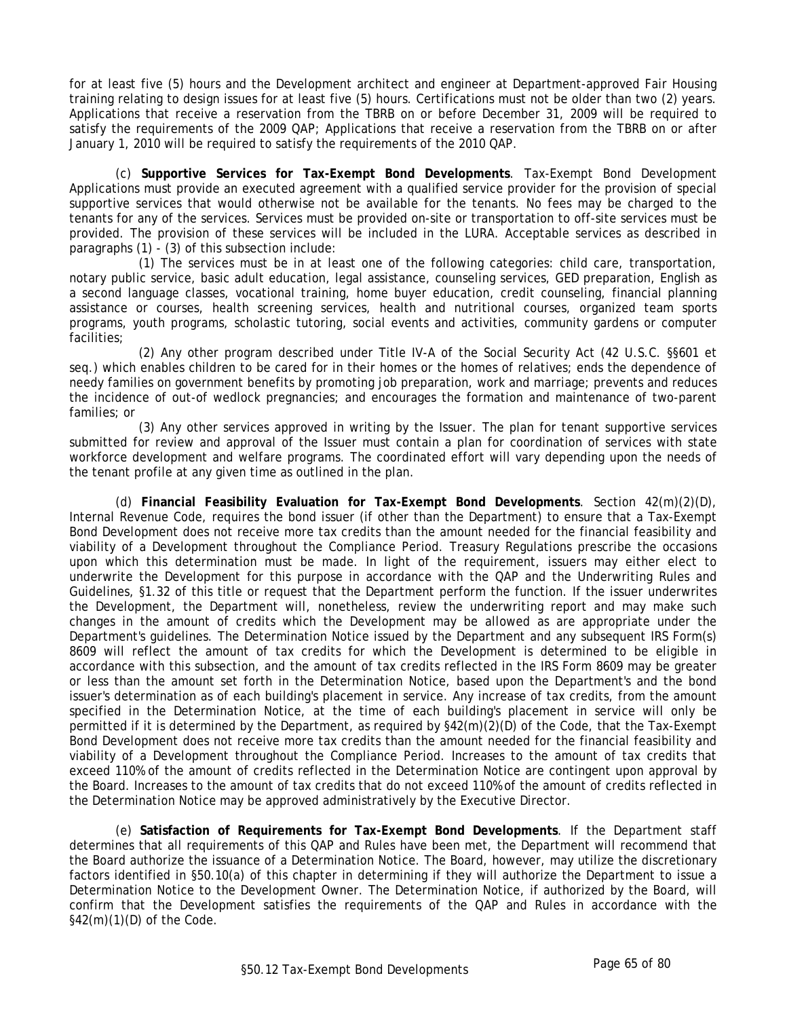for at least five (5) hours and the Development architect and engineer at Department-approved Fair Housing training relating to design issues for at least five (5) hours. Certifications must not be older than two (2) years. Applications that receive a reservation from the TBRB on or before December 31, 2009 will be required to satisfy the requirements of the 2009 QAP; Applications that receive a reservation from the TBRB on or after January 1, 2010 will be required to satisfy the requirements of the 2010 QAP.

(c) **Supportive Services for Tax-Exempt Bond Developments**. Tax-Exempt Bond Development Applications must provide an executed agreement with a qualified service provider for the provision of special supportive services that would otherwise not be available for the tenants. No fees may be charged to the tenants for any of the services. Services must be provided on-site or transportation to off-site services must be provided. The provision of these services will be included in the LURA. Acceptable services as described in paragraphs (1) - (3) of this subsection include:

(1) The services must be in at least one of the following categories: child care, transportation, notary public service, basic adult education, legal assistance, counseling services, GED preparation, English as a second language classes, vocational training, home buyer education, credit counseling, financial planning assistance or courses, health screening services, health and nutritional courses, organized team sports programs, youth programs, scholastic tutoring, social events and activities, community gardens or computer facilities;

(2) Any other program described under Title IV-A of the Social Security Act (42 U.S.C. §§601 et seq.) which enables children to be cared for in their homes or the homes of relatives; ends the dependence of needy families on government benefits by promoting job preparation, work and marriage; prevents and reduces the incidence of out-of wedlock pregnancies; and encourages the formation and maintenance of two-parent families; or

(3) Any other services approved in writing by the Issuer. The plan for tenant supportive services submitted for review and approval of the Issuer must contain a plan for coordination of services with state workforce development and welfare programs. The coordinated effort will vary depending upon the needs of the tenant profile at any given time as outlined in the plan.

(d) **Financial Feasibility Evaluation for Tax-Exempt Bond Developments**. Section 42(m)(2)(D), Internal Revenue Code, requires the bond issuer (if other than the Department) to ensure that a Tax-Exempt Bond Development does not receive more tax credits than the amount needed for the financial feasibility and viability of a Development throughout the Compliance Period. Treasury Regulations prescribe the occasions upon which this determination must be made. In light of the requirement, issuers may either elect to underwrite the Development for this purpose in accordance with the QAP and the Underwriting Rules and Guidelines, §1.32 of this title or request that the Department perform the function. If the issuer underwrites the Development, the Department will, nonetheless, review the underwriting report and may make such changes in the amount of credits which the Development may be allowed as are appropriate under the Department's guidelines. The Determination Notice issued by the Department and any subsequent IRS Form(s) 8609 will reflect the amount of tax credits for which the Development is determined to be eligible in accordance with this subsection, and the amount of tax credits reflected in the IRS Form 8609 may be greater or less than the amount set forth in the Determination Notice, based upon the Department's and the bond issuer's determination as of each building's placement in service. Any increase of tax credits, from the amount specified in the Determination Notice, at the time of each building's placement in service will only be permitted if it is determined by the Department, as required by §42(m)(2)(D) of the Code, that the Tax-Exempt Bond Development does not receive more tax credits than the amount needed for the financial feasibility and viability of a Development throughout the Compliance Period. Increases to the amount of tax credits that exceed 110% of the amount of credits reflected in the Determination Notice are contingent upon approval by the Board. Increases to the amount of tax credits that do not exceed 110% of the amount of credits reflected in the Determination Notice may be approved administratively by the Executive Director.

(e) **Satisfaction of Requirements for Tax-Exempt Bond Developments**. If the Department staff determines that all requirements of this QAP and Rules have been met, the Department will recommend that the Board authorize the issuance of a Determination Notice. The Board, however, may utilize the discretionary factors identified in §50.10(a) of this chapter in determining if they will authorize the Department to issue a Determination Notice to the Development Owner. The Determination Notice, if authorized by the Board, will confirm that the Development satisfies the requirements of the QAP and Rules in accordance with the  $§42(m)(1)(D)$  of the Code.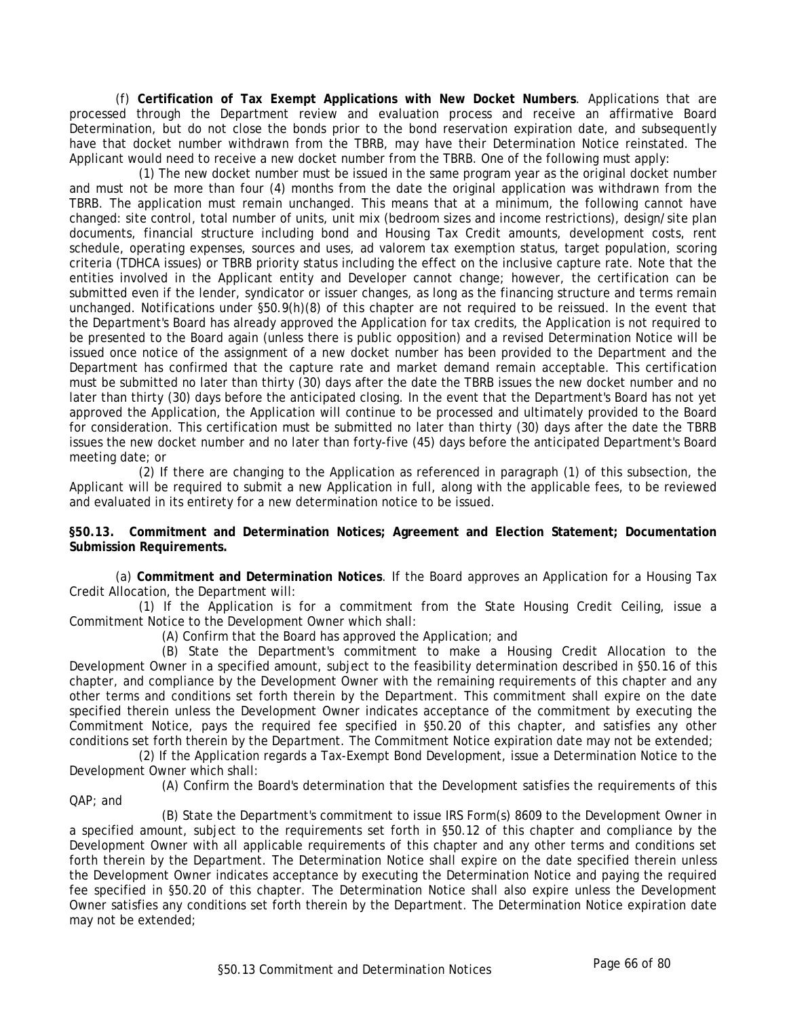(f) **Certification of Tax Exempt Applications with New Docket Numbers**. Applications that are processed through the Department review and evaluation process and receive an affirmative Board Determination, but do not close the bonds prior to the bond reservation expiration date, and subsequently have that docket number withdrawn from the TBRB, may have their Determination Notice reinstated. The Applicant would need to receive a new docket number from the TBRB. One of the following must apply:

(1) The new docket number must be issued in the same program year as the original docket number and must not be more than four (4) months from the date the original application was withdrawn from the TBRB. The application must remain unchanged. This means that at a minimum, the following cannot have changed: site control, total number of units, unit mix (bedroom sizes and income restrictions), design/site plan documents, financial structure including bond and Housing Tax Credit amounts, development costs, rent schedule, operating expenses, sources and uses, ad valorem tax exemption status, target population, scoring criteria (TDHCA issues) or TBRB priority status including the effect on the inclusive capture rate. Note that the entities involved in the Applicant entity and Developer cannot change; however, the certification can be submitted even if the lender, syndicator or issuer changes, as long as the financing structure and terms remain unchanged. Notifications under §50.9(h)(8) of this chapter are not required to be reissued. In the event that the Department's Board has already approved the Application for tax credits, the Application is not required to be presented to the Board again (unless there is public opposition) and a revised Determination Notice will be issued once notice of the assignment of a new docket number has been provided to the Department and the Department has confirmed that the capture rate and market demand remain acceptable. This certification must be submitted no later than thirty (30) days after the date the TBRB issues the new docket number and no later than thirty (30) days before the anticipated closing. In the event that the Department's Board has not yet approved the Application, the Application will continue to be processed and ultimately provided to the Board for consideration. This certification must be submitted no later than thirty (30) days after the date the TBRB issues the new docket number and no later than forty-five (45) days before the anticipated Department's Board meeting date; or

(2) If there are changing to the Application as referenced in paragraph (1) of this subsection, the Applicant will be required to submit a new Application in full, along with the applicable fees, to be reviewed and evaluated in its entirety for a new determination notice to be issued.

**§50.13. Commitment and Determination Notices; Agreement and Election Statement; Documentation Submission Requirements.**

(a) **Commitment and Determination Notices**. If the Board approves an Application for a Housing Tax Credit Allocation, the Department will:

(1) If the Application is for a commitment from the State Housing Credit Ceiling, issue a Commitment Notice to the Development Owner which shall:

(A) Confirm that the Board has approved the Application; and

(B) State the Department's commitment to make a Housing Credit Allocation to the Development Owner in a specified amount, subject to the feasibility determination described in §50.16 of this chapter, and compliance by the Development Owner with the remaining requirements of this chapter and any other terms and conditions set forth therein by the Department. This commitment shall expire on the date specified therein unless the Development Owner indicates acceptance of the commitment by executing the Commitment Notice, pays the required fee specified in §50.20 of this chapter, and satisfies any other conditions set forth therein by the Department. The Commitment Notice expiration date may not be extended;

(2) If the Application regards a Tax-Exempt Bond Development, issue a Determination Notice to the Development Owner which shall:

(A) Confirm the Board's determination that the Development satisfies the requirements of this QAP; and

(B) State the Department's commitment to issue IRS Form(s) 8609 to the Development Owner in a specified amount, subject to the requirements set forth in §50.12 of this chapter and compliance by the Development Owner with all applicable requirements of this chapter and any other terms and conditions set forth therein by the Department. The Determination Notice shall expire on the date specified therein unless the Development Owner indicates acceptance by executing the Determination Notice and paying the required fee specified in §50.20 of this chapter. The Determination Notice shall also expire unless the Development Owner satisfies any conditions set forth therein by the Department. The Determination Notice expiration date may not be extended;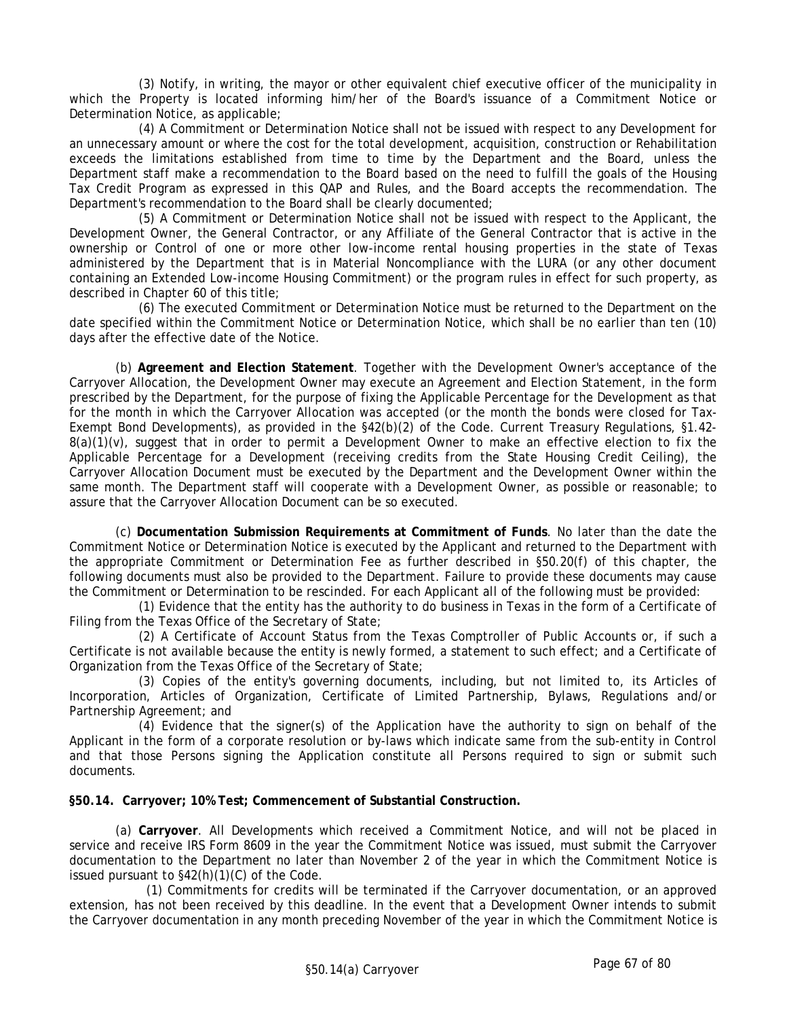(3) Notify, in writing, the mayor or other equivalent chief executive officer of the municipality in which the Property is located informing him/her of the Board's issuance of a Commitment Notice or Determination Notice, as applicable;

(4) A Commitment or Determination Notice shall not be issued with respect to any Development for an unnecessary amount or where the cost for the total development, acquisition, construction or Rehabilitation exceeds the limitations established from time to time by the Department and the Board, unless the Department staff make a recommendation to the Board based on the need to fulfill the goals of the Housing Tax Credit Program as expressed in this QAP and Rules, and the Board accepts the recommendation. The Department's recommendation to the Board shall be clearly documented;

(5) A Commitment or Determination Notice shall not be issued with respect to the Applicant, the Development Owner, the General Contractor, or any Affiliate of the General Contractor that is active in the ownership or Control of one or more other low-income rental housing properties in the state of Texas administered by the Department that is in Material Noncompliance with the LURA (or any other document containing an Extended Low-income Housing Commitment) or the program rules in effect for such property, as described in Chapter 60 of this title;

(6) The executed Commitment or Determination Notice must be returned to the Department on the date specified within the Commitment Notice or Determination Notice, which shall be no earlier than ten (10) days after the effective date of the Notice.

(b) **Agreement and Election Statement**. Together with the Development Owner's acceptance of the Carryover Allocation, the Development Owner may execute an Agreement and Election Statement, in the form prescribed by the Department, for the purpose of fixing the Applicable Percentage for the Development as that for the month in which the Carryover Allocation was accepted (or the month the bonds were closed for Tax-Exempt Bond Developments), as provided in the §42(b)(2) of the Code. Current Treasury Regulations, §1.42- $8(a)(1)(v)$ , suggest that in order to permit a Development Owner to make an effective election to fix the Applicable Percentage for a Development (receiving credits from the State Housing Credit Ceiling), the Carryover Allocation Document must be executed by the Department and the Development Owner within the same month. The Department staff will cooperate with a Development Owner, as possible or reasonable; to assure that the Carryover Allocation Document can be so executed.

(c) **Documentation Submission Requirements at Commitment of Funds**. No later than the date the Commitment Notice or Determination Notice is executed by the Applicant and returned to the Department with the appropriate Commitment or Determination Fee as further described in §50.20(f) of this chapter, the following documents must also be provided to the Department. Failure to provide these documents may cause the Commitment or Determination to be rescinded. For each Applicant all of the following must be provided:

(1) Evidence that the entity has the authority to do business in Texas in the form of a Certificate of Filing from the Texas Office of the Secretary of State;

(2) A Certificate of Account Status from the Texas Comptroller of Public Accounts or, if such a Certificate is not available because the entity is newly formed, a statement to such effect; and a Certificate of Organization from the Texas Office of the Secretary of State;

(3) Copies of the entity's governing documents, including, but not limited to, its Articles of Incorporation, Articles of Organization, Certificate of Limited Partnership, Bylaws, Regulations and/or Partnership Agreement; and

(4) Evidence that the signer(s) of the Application have the authority to sign on behalf of the Applicant in the form of a corporate resolution or by-laws which indicate same from the sub-entity in Control and that those Persons signing the Application constitute all Persons required to sign or submit such documents.

**§50.14. Carryover; 10% Test; Commencement of Substantial Construction.** 

(a) **Carryover**. All Developments which received a Commitment Notice, and will not be placed in service and receive IRS Form 8609 in the year the Commitment Notice was issued, must submit the Carryover documentation to the Department no later than November 2 of the year in which the Commitment Notice is issued pursuant to §42(h)(1)(C) of the Code.

 (1) Commitments for credits will be terminated if the Carryover documentation, or an approved extension, has not been received by this deadline. In the event that a Development Owner intends to submit the Carryover documentation in any month preceding November of the year in which the Commitment Notice is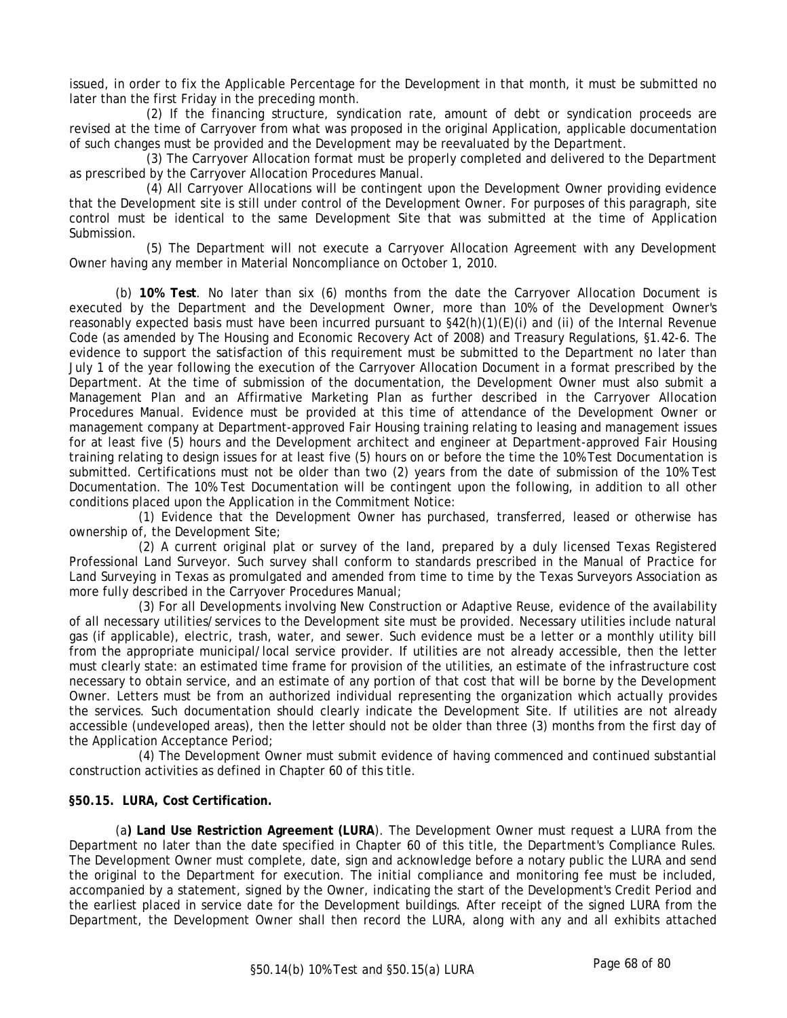issued, in order to fix the Applicable Percentage for the Development in that month, it must be submitted no later than the first Friday in the preceding month.

 (2) If the financing structure, syndication rate, amount of debt or syndication proceeds are revised at the time of Carryover from what was proposed in the original Application, applicable documentation of such changes must be provided and the Development may be reevaluated by the Department.

 (3) The Carryover Allocation format must be properly completed and delivered to the Department as prescribed by the Carryover Allocation Procedures Manual.

 (4) All Carryover Allocations will be contingent upon the Development Owner providing evidence that the Development site is still under control of the Development Owner. For purposes of this paragraph, site control must be identical to the same Development Site that was submitted at the time of Application Submission.

 (5) The Department will not execute a Carryover Allocation Agreement with any Development Owner having any member in Material Noncompliance on October 1, 2010.

(b) **10% Test**. No later than six (6) months from the date the Carryover Allocation Document is executed by the Department and the Development Owner, more than 10% of the Development Owner's reasonably expected basis must have been incurred pursuant to §42(h)(1)(E)(i) and (ii) of the Internal Revenue Code (as amended by The Housing and Economic Recovery Act of 2008) and Treasury Regulations, §1.42-6. The evidence to support the satisfaction of this requirement must be submitted to the Department no later than July 1 of the year following the execution of the Carryover Allocation Document in a format prescribed by the Department. At the time of submission of the documentation, the Development Owner must also submit a Management Plan and an Affirmative Marketing Plan as further described in the Carryover Allocation Procedures Manual. Evidence must be provided at this time of attendance of the Development Owner or management company at Department-approved Fair Housing training relating to leasing and management issues for at least five (5) hours and the Development architect and engineer at Department-approved Fair Housing training relating to design issues for at least five (5) hours on or before the time the 10% Test Documentation is submitted. Certifications must not be older than two (2) years from the date of submission of the 10% Test Documentation. The 10% Test Documentation will be contingent upon the following, in addition to all other conditions placed upon the Application in the Commitment Notice:

(1) Evidence that the Development Owner has purchased, transferred, leased or otherwise has ownership of, the Development Site;

(2) A current original plat or survey of the land, prepared by a duly licensed Texas Registered Professional Land Surveyor. Such survey shall conform to standards prescribed in the Manual of Practice for Land Surveying in Texas as promulgated and amended from time to time by the Texas Surveyors Association as more fully described in the Carryover Procedures Manual;

(3) For all Developments involving New Construction or Adaptive Reuse, evidence of the availability of all necessary utilities/services to the Development site must be provided. Necessary utilities include natural gas (if applicable), electric, trash, water, and sewer. Such evidence must be a letter or a monthly utility bill from the appropriate municipal/local service provider. If utilities are not already accessible, then the letter must clearly state: an estimated time frame for provision of the utilities, an estimate of the infrastructure cost necessary to obtain service, and an estimate of any portion of that cost that will be borne by the Development Owner. Letters must be from an authorized individual representing the organization which actually provides the services. Such documentation should clearly indicate the Development Site. If utilities are not already accessible (undeveloped areas), then the letter should not be older than three (3) months from the first day of the Application Acceptance Period;

(4) The Development Owner must submit evidence of having commenced and continued substantial construction activities as defined in Chapter 60 of this title.

### **§50.15. LURA, Cost Certification.**

(a**) Land Use Restriction Agreement (LURA**). The Development Owner must request a LURA from the Department no later than the date specified in Chapter 60 of this title, the Department's Compliance Rules. The Development Owner must complete, date, sign and acknowledge before a notary public the LURA and send the original to the Department for execution. The initial compliance and monitoring fee must be included, accompanied by a statement, signed by the Owner, indicating the start of the Development's Credit Period and the earliest placed in service date for the Development buildings. After receipt of the signed LURA from the Department, the Development Owner shall then record the LURA, along with any and all exhibits attached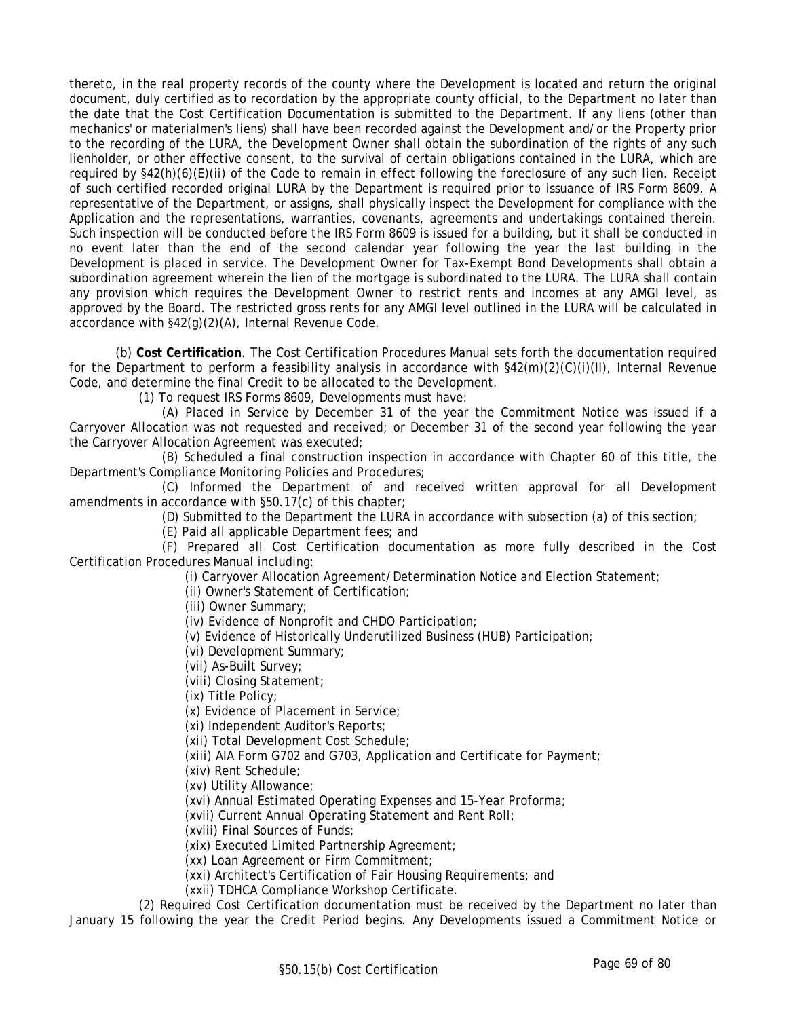thereto, in the real property records of the county where the Development is located and return the original document, duly certified as to recordation by the appropriate county official, to the Department no later than the date that the Cost Certification Documentation is submitted to the Department. If any liens (other than mechanics' or materialmen's liens) shall have been recorded against the Development and/or the Property prior to the recording of the LURA, the Development Owner shall obtain the subordination of the rights of any such lienholder, or other effective consent, to the survival of certain obligations contained in the LURA, which are required by §42(h)(6)(E)(ii) of the Code to remain in effect following the foreclosure of any such lien. Receipt of such certified recorded original LURA by the Department is required prior to issuance of IRS Form 8609. A representative of the Department, or assigns, shall physically inspect the Development for compliance with the Application and the representations, warranties, covenants, agreements and undertakings contained therein. Such inspection will be conducted before the IRS Form 8609 is issued for a building, but it shall be conducted in no event later than the end of the second calendar year following the year the last building in the Development is placed in service. The Development Owner for Tax-Exempt Bond Developments shall obtain a subordination agreement wherein the lien of the mortgage is subordinated to the LURA. The LURA shall contain any provision which requires the Development Owner to restrict rents and incomes at any AMGI level, as approved by the Board. The restricted gross rents for any AMGI level outlined in the LURA will be calculated in accordance with §42(g)(2)(A), Internal Revenue Code.

(b) **Cost Certification**. The Cost Certification Procedures Manual sets forth the documentation required for the Department to perform a feasibility analysis in accordance with §42(m)(2)(C)(i)(II), Internal Revenue Code, and determine the final Credit to be allocated to the Development.

(1) To request IRS Forms 8609, Developments must have:

(A) Placed in Service by December 31 of the year the Commitment Notice was issued if a Carryover Allocation was not requested and received; or December 31 of the second year following the year the Carryover Allocation Agreement was executed;

(B) Scheduled a final construction inspection in accordance with Chapter 60 of this title, the Department's Compliance Monitoring Policies and Procedures;

(C) Informed the Department of and received written approval for all Development amendments in accordance with §50.17(c) of this chapter;

(D) Submitted to the Department the LURA in accordance with subsection (a) of this section;

(E) Paid all applicable Department fees; and

(F) Prepared all Cost Certification documentation as more fully described in the Cost Certification Procedures Manual including:

(i) Carryover Allocation Agreement/Determination Notice and Election Statement;

(ii) Owner's Statement of Certification;

(iii) Owner Summary;

(iv) Evidence of Nonprofit and CHDO Participation;

(v) Evidence of Historically Underutilized Business (HUB) Participation;

(vi) Development Summary;

(vii) As-Built Survey;

(viii) Closing Statement;

(ix) Title Policy;

(x) Evidence of Placement in Service;

(xi) Independent Auditor's Reports;

(xii) Total Development Cost Schedule;

(xiii) AIA Form G702 and G703, Application and Certificate for Payment;

(xiv) Rent Schedule;

(xv) Utility Allowance;

(xvi) Annual Estimated Operating Expenses and 15-Year Proforma;

(xvii) Current Annual Operating Statement and Rent Roll;

(xviii) Final Sources of Funds;

(xix) Executed Limited Partnership Agreement;

(xx) Loan Agreement or Firm Commitment;

(xxi) Architect's Certification of Fair Housing Requirements; and

(xxii) TDHCA Compliance Workshop Certificate.

(2) Required Cost Certification documentation must be received by the Department no later than January 15 following the year the Credit Period begins. Any Developments issued a Commitment Notice or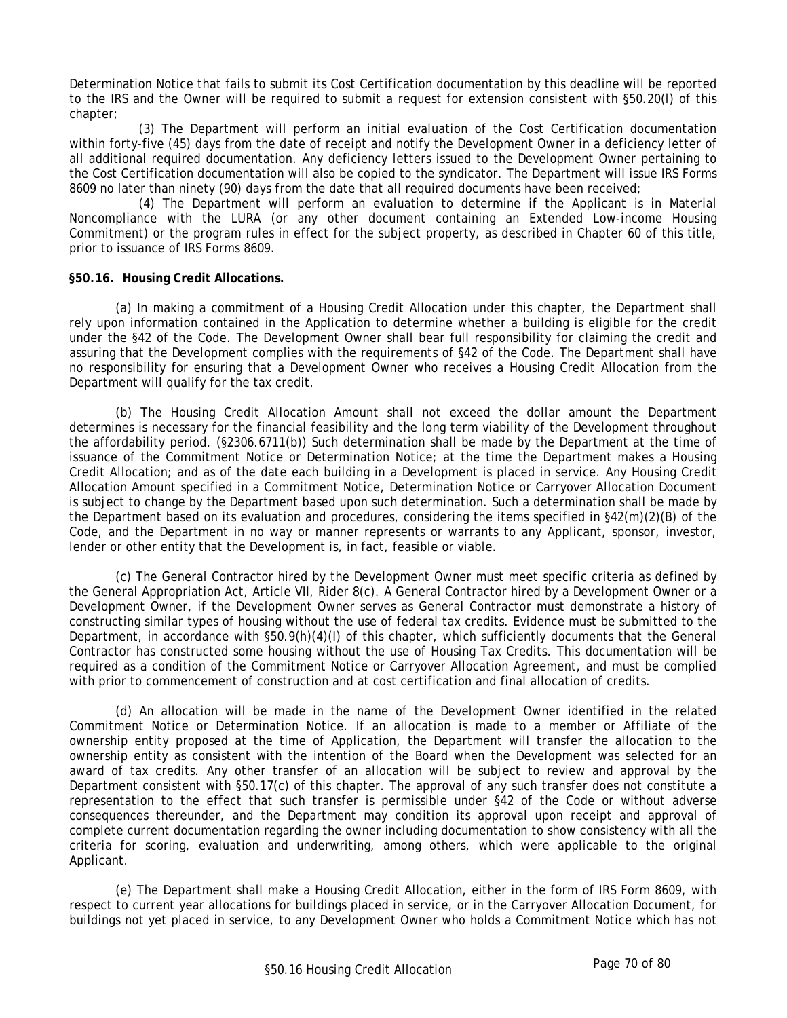Determination Notice that fails to submit its Cost Certification documentation by this deadline will be reported to the IRS and the Owner will be required to submit a request for extension consistent with §50.20(l) of this chapter;

(3) The Department will perform an initial evaluation of the Cost Certification documentation within forty-five (45) days from the date of receipt and notify the Development Owner in a deficiency letter of all additional required documentation. Any deficiency letters issued to the Development Owner pertaining to the Cost Certification documentation will also be copied to the syndicator. The Department will issue IRS Forms 8609 no later than ninety (90) days from the date that all required documents have been received;

(4) The Department will perform an evaluation to determine if the Applicant is in Material Noncompliance with the LURA (or any other document containing an Extended Low-income Housing Commitment) or the program rules in effect for the subject property, as described in Chapter 60 of this title, prior to issuance of IRS Forms 8609.

### **§50.16. Housing Credit Allocations.**

(a) In making a commitment of a Housing Credit Allocation under this chapter, the Department shall rely upon information contained in the Application to determine whether a building is eligible for the credit under the §42 of the Code. The Development Owner shall bear full responsibility for claiming the credit and assuring that the Development complies with the requirements of §42 of the Code. The Department shall have no responsibility for ensuring that a Development Owner who receives a Housing Credit Allocation from the Department will qualify for the tax credit.

(b) The Housing Credit Allocation Amount shall not exceed the dollar amount the Department determines is necessary for the financial feasibility and the long term viability of the Development throughout the affordability period. (§2306.6711(b)) Such determination shall be made by the Department at the time of issuance of the Commitment Notice or Determination Notice; at the time the Department makes a Housing Credit Allocation; and as of the date each building in a Development is placed in service. Any Housing Credit Allocation Amount specified in a Commitment Notice, Determination Notice or Carryover Allocation Document is subject to change by the Department based upon such determination. Such a determination shall be made by the Department based on its evaluation and procedures, considering the items specified in §42(m)(2)(B) of the Code, and the Department in no way or manner represents or warrants to any Applicant, sponsor, investor, lender or other entity that the Development is, in fact, feasible or viable.

(c) The General Contractor hired by the Development Owner must meet specific criteria as defined by the General Appropriation Act, Article VII, Rider 8(c). A General Contractor hired by a Development Owner or a Development Owner, if the Development Owner serves as General Contractor must demonstrate a history of constructing similar types of housing without the use of federal tax credits. Evidence must be submitted to the Department, in accordance with §50.9(h)(4)(I) of this chapter, which sufficiently documents that the General Contractor has constructed some housing without the use of Housing Tax Credits. This documentation will be required as a condition of the Commitment Notice or Carryover Allocation Agreement, and must be complied with prior to commencement of construction and at cost certification and final allocation of credits.

(d) An allocation will be made in the name of the Development Owner identified in the related Commitment Notice or Determination Notice. If an allocation is made to a member or Affiliate of the ownership entity proposed at the time of Application, the Department will transfer the allocation to the ownership entity as consistent with the intention of the Board when the Development was selected for an award of tax credits. Any other transfer of an allocation will be subject to review and approval by the Department consistent with §50.17(c) of this chapter. The approval of any such transfer does not constitute a representation to the effect that such transfer is permissible under §42 of the Code or without adverse consequences thereunder, and the Department may condition its approval upon receipt and approval of complete current documentation regarding the owner including documentation to show consistency with all the criteria for scoring, evaluation and underwriting, among others, which were applicable to the original Applicant.

(e) The Department shall make a Housing Credit Allocation, either in the form of IRS Form 8609, with respect to current year allocations for buildings placed in service, or in the Carryover Allocation Document, for buildings not yet placed in service, to any Development Owner who holds a Commitment Notice which has not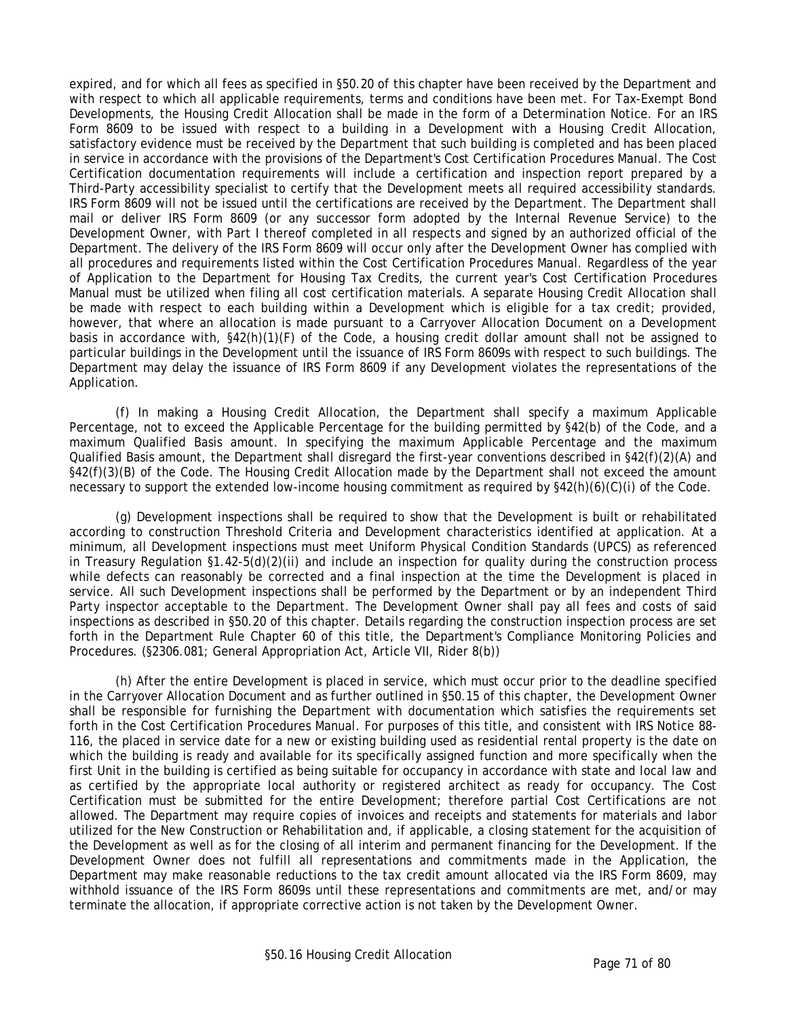expired, and for which all fees as specified in §50.20 of this chapter have been received by the Department and with respect to which all applicable requirements, terms and conditions have been met. For Tax-Exempt Bond Developments, the Housing Credit Allocation shall be made in the form of a Determination Notice. For an IRS Form 8609 to be issued with respect to a building in a Development with a Housing Credit Allocation, satisfactory evidence must be received by the Department that such building is completed and has been placed in service in accordance with the provisions of the Department's Cost Certification Procedures Manual. The Cost Certification documentation requirements will include a certification and inspection report prepared by a Third-Party accessibility specialist to certify that the Development meets all required accessibility standards. IRS Form 8609 will not be issued until the certifications are received by the Department. The Department shall mail or deliver IRS Form 8609 (or any successor form adopted by the Internal Revenue Service) to the Development Owner, with Part I thereof completed in all respects and signed by an authorized official of the Department. The delivery of the IRS Form 8609 will occur only after the Development Owner has complied with all procedures and requirements listed within the Cost Certification Procedures Manual. Regardless of the year of Application to the Department for Housing Tax Credits, the current year's Cost Certification Procedures Manual must be utilized when filing all cost certification materials. A separate Housing Credit Allocation shall be made with respect to each building within a Development which is eligible for a tax credit; provided, however, that where an allocation is made pursuant to a Carryover Allocation Document on a Development basis in accordance with, §42(h)(1)(F) of the Code, a housing credit dollar amount shall not be assigned to particular buildings in the Development until the issuance of IRS Form 8609s with respect to such buildings. The Department may delay the issuance of IRS Form 8609 if any Development violates the representations of the Application.

(f) In making a Housing Credit Allocation, the Department shall specify a maximum Applicable Percentage, not to exceed the Applicable Percentage for the building permitted by §42(b) of the Code, and a maximum Qualified Basis amount. In specifying the maximum Applicable Percentage and the maximum Qualified Basis amount, the Department shall disregard the first-year conventions described in §42(f)(2)(A) and §42(f)(3)(B) of the Code. The Housing Credit Allocation made by the Department shall not exceed the amount necessary to support the extended low-income housing commitment as required by §42(h)(6)(C)(i) of the Code.

(g) Development inspections shall be required to show that the Development is built or rehabilitated according to construction Threshold Criteria and Development characteristics identified at application. At a minimum, all Development inspections must meet Uniform Physical Condition Standards (UPCS) as referenced in Treasury Regulation §1.42-5(d)(2)(ii) and include an inspection for quality during the construction process while defects can reasonably be corrected and a final inspection at the time the Development is placed in service. All such Development inspections shall be performed by the Department or by an independent Third Party inspector acceptable to the Department. The Development Owner shall pay all fees and costs of said inspections as described in §50.20 of this chapter. Details regarding the construction inspection process are set forth in the Department Rule Chapter 60 of this title, the Department's Compliance Monitoring Policies and Procedures. (§2306.081; General Appropriation Act, Article VII, Rider 8(b))

(h) After the entire Development is placed in service, which must occur prior to the deadline specified in the Carryover Allocation Document and as further outlined in §50.15 of this chapter, the Development Owner shall be responsible for furnishing the Department with documentation which satisfies the requirements set forth in the Cost Certification Procedures Manual. For purposes of this title, and consistent with IRS Notice 88- 116, the placed in service date for a new or existing building used as residential rental property is the date on which the building is ready and available for its specifically assigned function and more specifically when the first Unit in the building is certified as being suitable for occupancy in accordance with state and local law and as certified by the appropriate local authority or registered architect as ready for occupancy. The Cost Certification must be submitted for the entire Development; therefore partial Cost Certifications are not allowed. The Department may require copies of invoices and receipts and statements for materials and labor utilized for the New Construction or Rehabilitation and, if applicable, a closing statement for the acquisition of the Development as well as for the closing of all interim and permanent financing for the Development. If the Development Owner does not fulfill all representations and commitments made in the Application, the Department may make reasonable reductions to the tax credit amount allocated via the IRS Form 8609, may withhold issuance of the IRS Form 8609s until these representations and commitments are met, and/or may terminate the allocation, if appropriate corrective action is not taken by the Development Owner.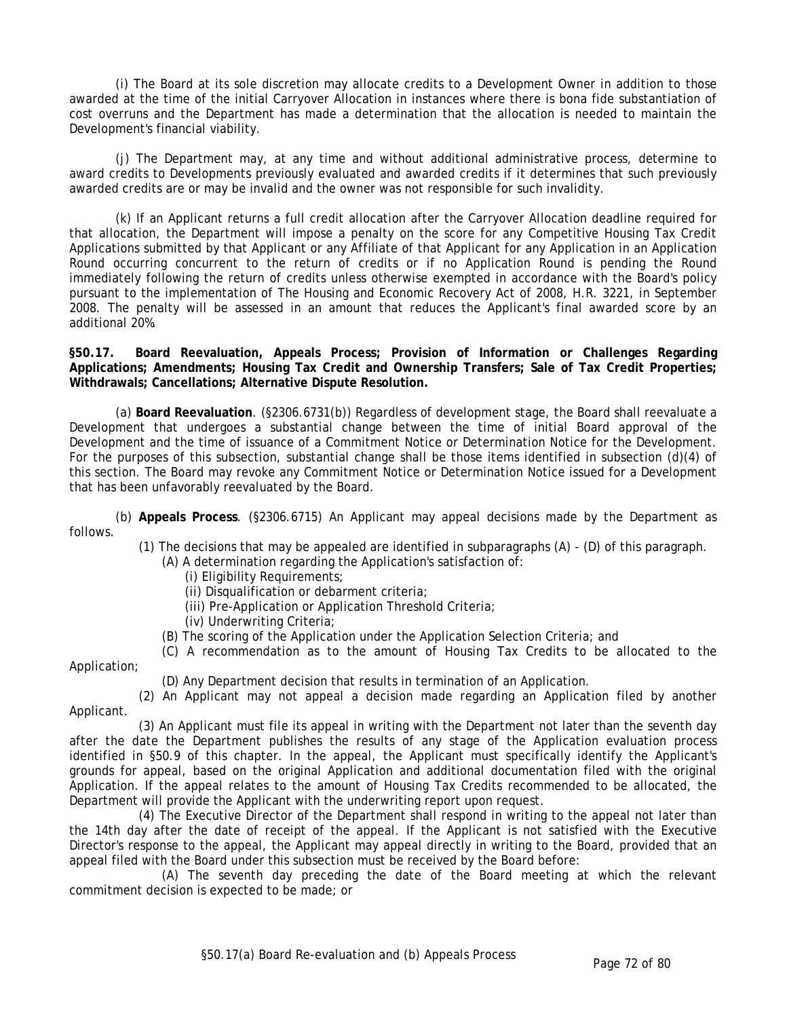(i) The Board at its sole discretion may allocate credits to a Development Owner in addition to those awarded at the time of the initial Carryover Allocation in instances where there is bona fide substantiation of cost overruns and the Department has made a determination that the allocation is needed to maintain the Development's financial viability.

(j) The Department may, at any time and without additional administrative process, determine to award credits to Developments previously evaluated and awarded credits if it determines that such previously awarded credits are or may be invalid and the owner was not responsible for such invalidity.

(k) If an Applicant returns a full credit allocation after the Carryover Allocation deadline required for that allocation, the Department will impose a penalty on the score for any Competitive Housing Tax Credit Applications submitted by that Applicant or any Affiliate of that Applicant for any Application in an Application Round occurring concurrent to the return of credits or if no Application Round is pending the Round immediately following the return of credits unless otherwise exempted in accordance with the Board's policy pursuant to the implementation of The Housing and Economic Recovery Act of 2008, H.R. 3221, in September 2008. The penalty will be assessed in an amount that reduces the Applicant's final awarded score by an additional 20%.

**§50.17. Board Reevaluation, Appeals Process; Provision of Information or Challenges Regarding Applications; Amendments; Housing Tax Credit and Ownership Transfers; Sale of Tax Credit Properties; Withdrawals; Cancellations; Alternative Dispute Resolution.**

(a) **Board Reevaluation**. (§2306.6731(b)) Regardless of development stage, the Board shall reevaluate a Development that undergoes a substantial change between the time of initial Board approval of the Development and the time of issuance of a Commitment Notice or Determination Notice for the Development. For the purposes of this subsection, substantial change shall be those items identified in subsection (d)(4) of this section. The Board may revoke any Commitment Notice or Determination Notice issued for a Development that has been unfavorably reevaluated by the Board.

(b) **Appeals Process**. (§2306.6715) An Applicant may appeal decisions made by the Department as follows.

(1) The decisions that may be appealed are identified in subparagraphs (A) - (D) of this paragraph.

- (A) A determination regarding the Application's satisfaction of:
	- (i) Eligibility Requirements;
	- (ii) Disqualification or debarment criteria;
	- (iii) Pre-Application or Application Threshold Criteria;
	- (iv) Underwriting Criteria;
- (B) The scoring of the Application under the Application Selection Criteria; and

(C) A recommendation as to the amount of Housing Tax Credits to be allocated to the

Application;

(D) Any Department decision that results in termination of an Application.

(2) An Applicant may not appeal a decision made regarding an Application filed by another Applicant.

(3) An Applicant must file its appeal in writing with the Department not later than the seventh day after the date the Department publishes the results of any stage of the Application evaluation process identified in §50.9 of this chapter. In the appeal, the Applicant must specifically identify the Applicant's grounds for appeal, based on the original Application and additional documentation filed with the original Application. If the appeal relates to the amount of Housing Tax Credits recommended to be allocated, the Department will provide the Applicant with the underwriting report upon request.

(4) The Executive Director of the Department shall respond in writing to the appeal not later than the 14th day after the date of receipt of the appeal. If the Applicant is not satisfied with the Executive Director's response to the appeal, the Applicant may appeal directly in writing to the Board, provided that an appeal filed with the Board under this subsection must be received by the Board before:

(A) The seventh day preceding the date of the Board meeting at which the relevant commitment decision is expected to be made; or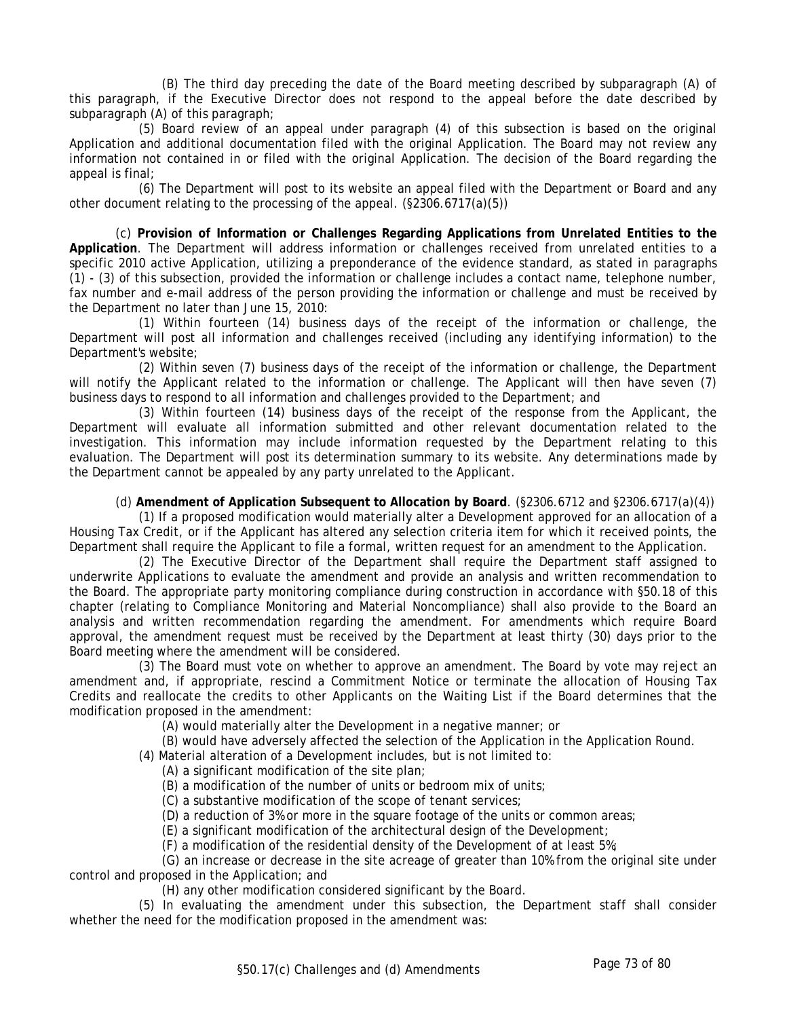(B) The third day preceding the date of the Board meeting described by subparagraph (A) of this paragraph, if the Executive Director does not respond to the appeal before the date described by subparagraph (A) of this paragraph;

(5) Board review of an appeal under paragraph (4) of this subsection is based on the original Application and additional documentation filed with the original Application. The Board may not review any information not contained in or filed with the original Application. The decision of the Board regarding the appeal is final;

(6) The Department will post to its website an appeal filed with the Department or Board and any other document relating to the processing of the appeal. (§2306.6717(a)(5))

(c) **Provision of Information or Challenges Regarding Applications from Unrelated Entities to the Application**. The Department will address information or challenges received from unrelated entities to a specific 2010 active Application, utilizing a preponderance of the evidence standard, as stated in paragraphs (1) - (3) of this subsection, provided the information or challenge includes a contact name, telephone number, fax number and e-mail address of the person providing the information or challenge and must be received by the Department no later than June 15, 2010:

(1) Within fourteen (14) business days of the receipt of the information or challenge, the Department will post all information and challenges received (including any identifying information) to the Department's website;

(2) Within seven (7) business days of the receipt of the information or challenge, the Department will notify the Applicant related to the information or challenge. The Applicant will then have seven (7) business days to respond to all information and challenges provided to the Department; and

(3) Within fourteen (14) business days of the receipt of the response from the Applicant, the Department will evaluate all information submitted and other relevant documentation related to the investigation. This information may include information requested by the Department relating to this evaluation. The Department will post its determination summary to its website. Any determinations made by the Department cannot be appealed by any party unrelated to the Applicant.

### (d) **Amendment of Application Subsequent to Allocation by Board**. (§2306.6712 and §2306.6717(a)(4))

(1) If a proposed modification would materially alter a Development approved for an allocation of a Housing Tax Credit, or if the Applicant has altered any selection criteria item for which it received points, the Department shall require the Applicant to file a formal, written request for an amendment to the Application.

(2) The Executive Director of the Department shall require the Department staff assigned to underwrite Applications to evaluate the amendment and provide an analysis and written recommendation to the Board. The appropriate party monitoring compliance during construction in accordance with §50.18 of this chapter (relating to Compliance Monitoring and Material Noncompliance) shall also provide to the Board an analysis and written recommendation regarding the amendment. For amendments which require Board approval, the amendment request must be received by the Department at least thirty (30) days prior to the Board meeting where the amendment will be considered.

(3) The Board must vote on whether to approve an amendment. The Board by vote may reject an amendment and, if appropriate, rescind a Commitment Notice or terminate the allocation of Housing Tax Credits and reallocate the credits to other Applicants on the Waiting List if the Board determines that the modification proposed in the amendment:

(A) would materially alter the Development in a negative manner; or

(B) would have adversely affected the selection of the Application in the Application Round.

(4) Material alteration of a Development includes, but is not limited to:

(A) a significant modification of the site plan;

(B) a modification of the number of units or bedroom mix of units;

(C) a substantive modification of the scope of tenant services;

(D) a reduction of 3% or more in the square footage of the units or common areas;

(E) a significant modification of the architectural design of the Development;

(F) a modification of the residential density of the Development of at least 5%;

(G) an increase or decrease in the site acreage of greater than 10% from the original site under control and proposed in the Application; and

(H) any other modification considered significant by the Board.

(5) In evaluating the amendment under this subsection, the Department staff shall consider whether the need for the modification proposed in the amendment was: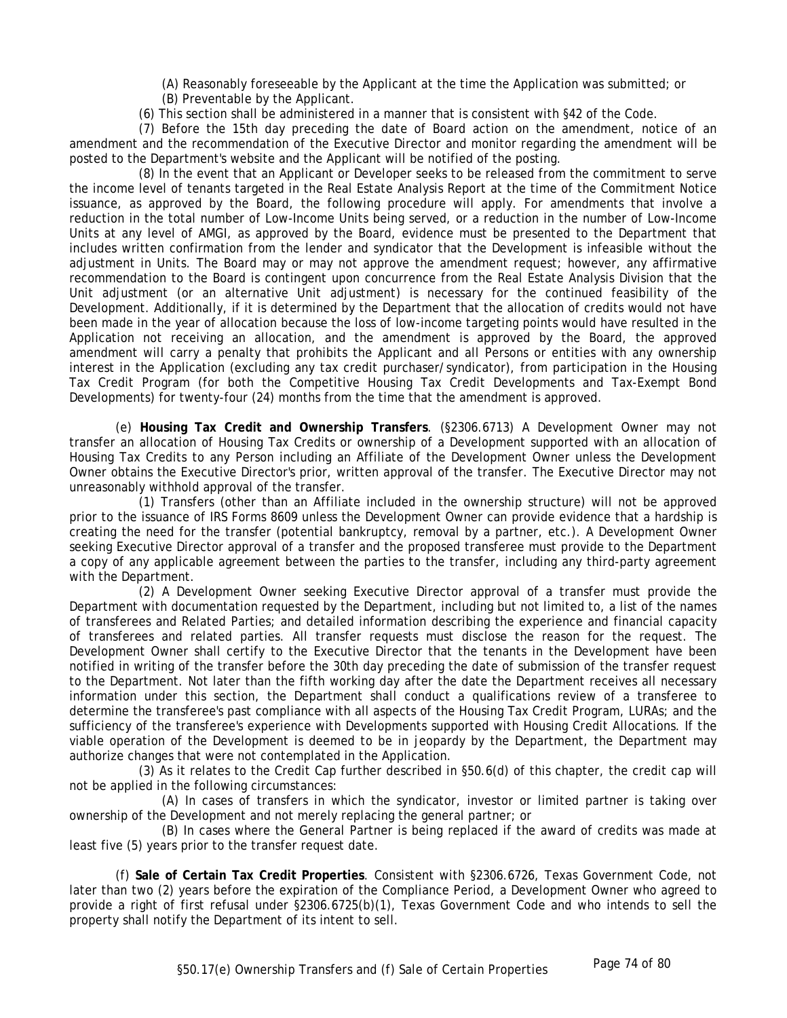(A) Reasonably foreseeable by the Applicant at the time the Application was submitted; or

- (B) Preventable by the Applicant.
- (6) This section shall be administered in a manner that is consistent with §42 of the Code.

(7) Before the 15th day preceding the date of Board action on the amendment, notice of an amendment and the recommendation of the Executive Director and monitor regarding the amendment will be posted to the Department's website and the Applicant will be notified of the posting.

(8) In the event that an Applicant or Developer seeks to be released from the commitment to serve the income level of tenants targeted in the Real Estate Analysis Report at the time of the Commitment Notice issuance, as approved by the Board, the following procedure will apply. For amendments that involve a reduction in the total number of Low-Income Units being served, or a reduction in the number of Low-Income Units at any level of AMGI, as approved by the Board, evidence must be presented to the Department that includes written confirmation from the lender and syndicator that the Development is infeasible without the adjustment in Units. The Board may or may not approve the amendment request; however, any affirmative recommendation to the Board is contingent upon concurrence from the Real Estate Analysis Division that the Unit adjustment (or an alternative Unit adjustment) is necessary for the continued feasibility of the Development. Additionally, if it is determined by the Department that the allocation of credits would not have been made in the year of allocation because the loss of low-income targeting points would have resulted in the Application not receiving an allocation, and the amendment is approved by the Board, the approved amendment will carry a penalty that prohibits the Applicant and all Persons or entities with any ownership interest in the Application (excluding any tax credit purchaser/syndicator), from participation in the Housing Tax Credit Program (for both the Competitive Housing Tax Credit Developments and Tax-Exempt Bond Developments) for twenty-four (24) months from the time that the amendment is approved.

(e) **Housing Tax Credit and Ownership Transfers**. (§2306.6713) A Development Owner may not transfer an allocation of Housing Tax Credits or ownership of a Development supported with an allocation of Housing Tax Credits to any Person including an Affiliate of the Development Owner unless the Development Owner obtains the Executive Director's prior, written approval of the transfer. The Executive Director may not unreasonably withhold approval of the transfer.

(1) Transfers (other than an Affiliate included in the ownership structure) will not be approved prior to the issuance of IRS Forms 8609 unless the Development Owner can provide evidence that a hardship is creating the need for the transfer (potential bankruptcy, removal by a partner, etc.). A Development Owner seeking Executive Director approval of a transfer and the proposed transferee must provide to the Department a copy of any applicable agreement between the parties to the transfer, including any third-party agreement with the Department.

(2) A Development Owner seeking Executive Director approval of a transfer must provide the Department with documentation requested by the Department, including but not limited to, a list of the names of transferees and Related Parties; and detailed information describing the experience and financial capacity of transferees and related parties. All transfer requests must disclose the reason for the request. The Development Owner shall certify to the Executive Director that the tenants in the Development have been notified in writing of the transfer before the 30th day preceding the date of submission of the transfer request to the Department. Not later than the fifth working day after the date the Department receives all necessary information under this section, the Department shall conduct a qualifications review of a transferee to determine the transferee's past compliance with all aspects of the Housing Tax Credit Program, LURAs; and the sufficiency of the transferee's experience with Developments supported with Housing Credit Allocations. If the viable operation of the Development is deemed to be in jeopardy by the Department, the Department may authorize changes that were not contemplated in the Application.

(3) As it relates to the Credit Cap further described in §50.6(d) of this chapter, the credit cap will not be applied in the following circumstances:

(A) In cases of transfers in which the syndicator, investor or limited partner is taking over ownership of the Development and not merely replacing the general partner; or

(B) In cases where the General Partner is being replaced if the award of credits was made at least five (5) years prior to the transfer request date.

(f) **Sale of Certain Tax Credit Properties**. Consistent with §2306.6726, Texas Government Code, not later than two (2) years before the expiration of the Compliance Period, a Development Owner who agreed to provide a right of first refusal under §2306.6725(b)(1), Texas Government Code and who intends to sell the property shall notify the Department of its intent to sell.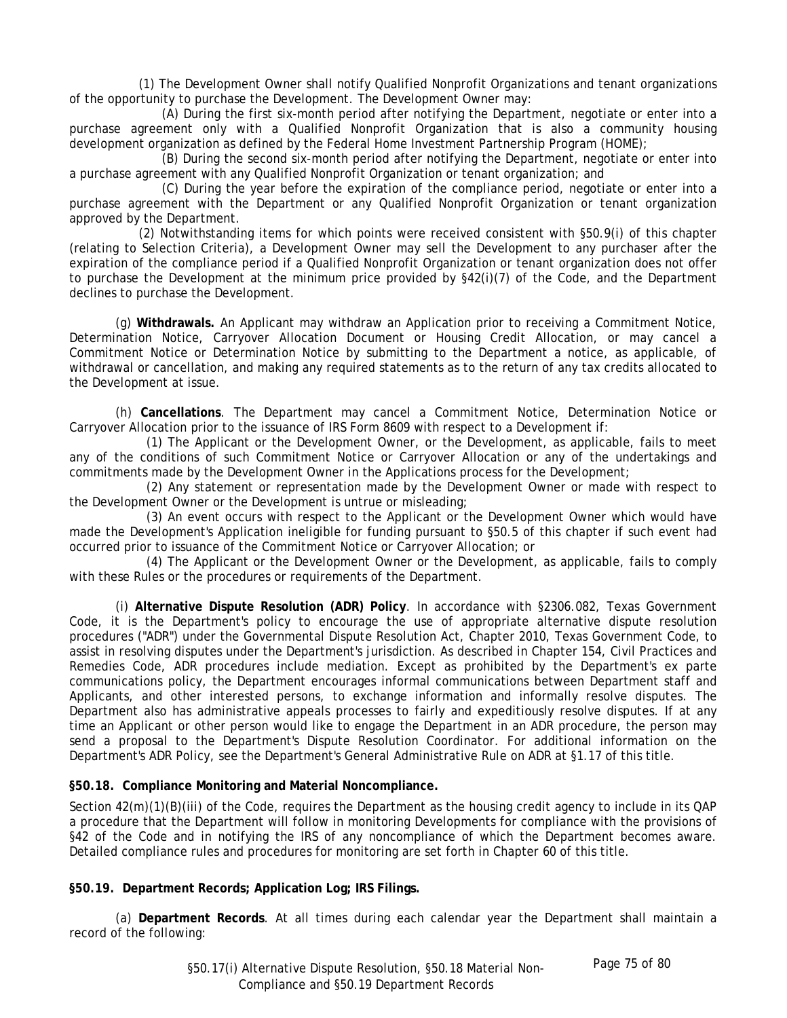(1) The Development Owner shall notify Qualified Nonprofit Organizations and tenant organizations of the opportunity to purchase the Development. The Development Owner may:

(A) During the first six-month period after notifying the Department, negotiate or enter into a purchase agreement only with a Qualified Nonprofit Organization that is also a community housing development organization as defined by the Federal Home Investment Partnership Program (HOME);

(B) During the second six-month period after notifying the Department, negotiate or enter into a purchase agreement with any Qualified Nonprofit Organization or tenant organization; and

(C) During the year before the expiration of the compliance period, negotiate or enter into a purchase agreement with the Department or any Qualified Nonprofit Organization or tenant organization approved by the Department.

(2) Notwithstanding items for which points were received consistent with §50.9(i) of this chapter (relating to Selection Criteria), a Development Owner may sell the Development to any purchaser after the expiration of the compliance period if a Qualified Nonprofit Organization or tenant organization does not offer to purchase the Development at the minimum price provided by §42(i)(7) of the Code, and the Department declines to purchase the Development.

(g) **Withdrawals.** An Applicant may withdraw an Application prior to receiving a Commitment Notice, Determination Notice, Carryover Allocation Document or Housing Credit Allocation, or may cancel a Commitment Notice or Determination Notice by submitting to the Department a notice, as applicable, of withdrawal or cancellation, and making any required statements as to the return of any tax credits allocated to the Development at issue.

(h) **Cancellations**. The Department may cancel a Commitment Notice, Determination Notice or Carryover Allocation prior to the issuance of IRS Form 8609 with respect to a Development if:

 (1) The Applicant or the Development Owner, or the Development, as applicable, fails to meet any of the conditions of such Commitment Notice or Carryover Allocation or any of the undertakings and commitments made by the Development Owner in the Applications process for the Development;

 (2) Any statement or representation made by the Development Owner or made with respect to the Development Owner or the Development is untrue or misleading;

 (3) An event occurs with respect to the Applicant or the Development Owner which would have made the Development's Application ineligible for funding pursuant to §50.5 of this chapter if such event had occurred prior to issuance of the Commitment Notice or Carryover Allocation; or

 (4) The Applicant or the Development Owner or the Development, as applicable, fails to comply with these Rules or the procedures or requirements of the Department.

(i) **Alternative Dispute Resolution (ADR) Policy**. In accordance with §2306.082, Texas Government Code, it is the Department's policy to encourage the use of appropriate alternative dispute resolution procedures ("ADR") under the Governmental Dispute Resolution Act, Chapter 2010, Texas Government Code, to assist in resolving disputes under the Department's jurisdiction. As described in Chapter 154, Civil Practices and Remedies Code, ADR procedures include mediation. Except as prohibited by the Department's ex parte communications policy, the Department encourages informal communications between Department staff and Applicants, and other interested persons, to exchange information and informally resolve disputes. The Department also has administrative appeals processes to fairly and expeditiously resolve disputes. If at any time an Applicant or other person would like to engage the Department in an ADR procedure, the person may send a proposal to the Department's Dispute Resolution Coordinator. For additional information on the Department's ADR Policy, see the Department's General Administrative Rule on ADR at §1.17 of this title.

### **§50.18. Compliance Monitoring and Material Noncompliance.**

Section  $42(m)(1)(B)(iii)$  of the Code, requires the Department as the housing credit agency to include in its QAP a procedure that the Department will follow in monitoring Developments for compliance with the provisions of §42 of the Code and in notifying the IRS of any noncompliance of which the Department becomes aware. Detailed compliance rules and procedures for monitoring are set forth in Chapter 60 of this title.

### **§50.19. Department Records; Application Log; IRS Filings.**

(a) **Department Records**. At all times during each calendar year the Department shall maintain a record of the following: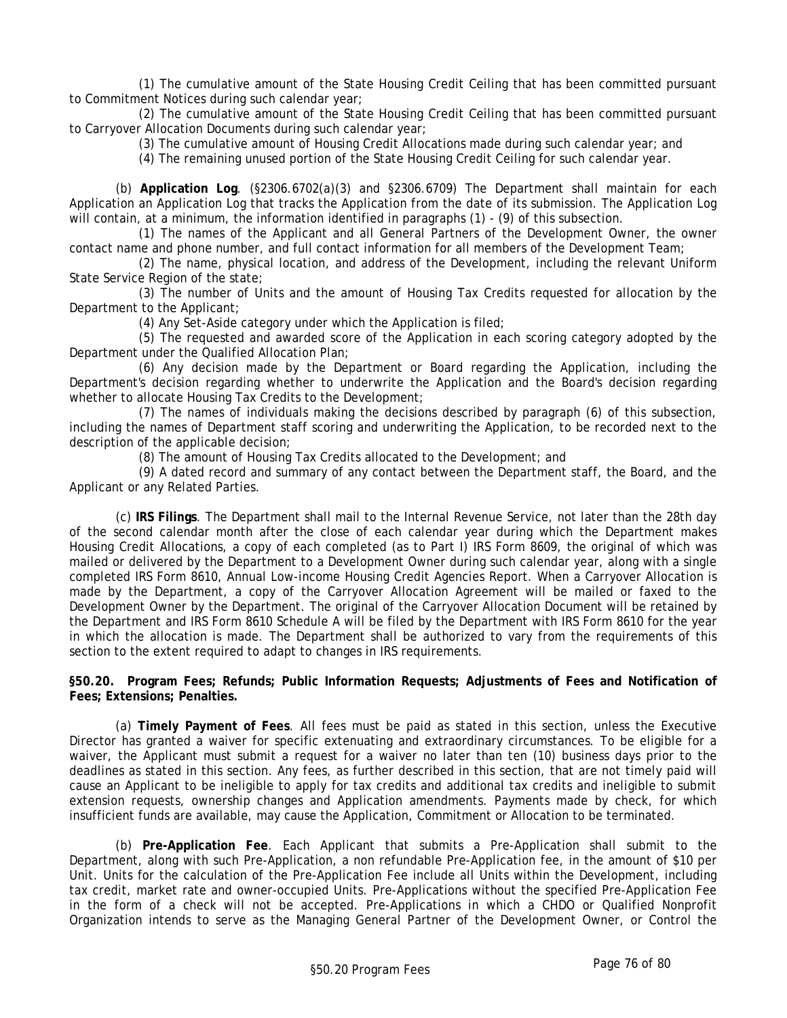(1) The cumulative amount of the State Housing Credit Ceiling that has been committed pursuant to Commitment Notices during such calendar year;

(2) The cumulative amount of the State Housing Credit Ceiling that has been committed pursuant to Carryover Allocation Documents during such calendar year;

(3) The cumulative amount of Housing Credit Allocations made during such calendar year; and

(4) The remaining unused portion of the State Housing Credit Ceiling for such calendar year.

(b) **Application Log**. (§2306.6702(a)(3) and §2306.6709) The Department shall maintain for each Application an Application Log that tracks the Application from the date of its submission. The Application Log will contain, at a minimum, the information identified in paragraphs (1) - (9) of this subsection.

(1) The names of the Applicant and all General Partners of the Development Owner, the owner contact name and phone number, and full contact information for all members of the Development Team;

(2) The name, physical location, and address of the Development, including the relevant Uniform State Service Region of the state;

(3) The number of Units and the amount of Housing Tax Credits requested for allocation by the Department to the Applicant;

(4) Any Set-Aside category under which the Application is filed;

(5) The requested and awarded score of the Application in each scoring category adopted by the Department under the Qualified Allocation Plan;

(6) Any decision made by the Department or Board regarding the Application, including the Department's decision regarding whether to underwrite the Application and the Board's decision regarding whether to allocate Housing Tax Credits to the Development;

(7) The names of individuals making the decisions described by paragraph (6) of this subsection, including the names of Department staff scoring and underwriting the Application, to be recorded next to the description of the applicable decision;

(8) The amount of Housing Tax Credits allocated to the Development; and

(9) A dated record and summary of any contact between the Department staff, the Board, and the Applicant or any Related Parties.

(c) **IRS Filings**. The Department shall mail to the Internal Revenue Service, not later than the 28th day of the second calendar month after the close of each calendar year during which the Department makes Housing Credit Allocations, a copy of each completed (as to Part I) IRS Form 8609, the original of which was mailed or delivered by the Department to a Development Owner during such calendar year, along with a single completed IRS Form 8610, Annual Low-income Housing Credit Agencies Report. When a Carryover Allocation is made by the Department, a copy of the Carryover Allocation Agreement will be mailed or faxed to the Development Owner by the Department. The original of the Carryover Allocation Document will be retained by the Department and IRS Form 8610 Schedule A will be filed by the Department with IRS Form 8610 for the year in which the allocation is made. The Department shall be authorized to vary from the requirements of this section to the extent required to adapt to changes in IRS requirements.

### **§50.20. Program Fees; Refunds; Public Information Requests; Adjustments of Fees and Notification of Fees; Extensions; Penalties.**

(a) **Timely Payment of Fees**. All fees must be paid as stated in this section, unless the Executive Director has granted a waiver for specific extenuating and extraordinary circumstances. To be eligible for a waiver, the Applicant must submit a request for a waiver no later than ten (10) business days prior to the deadlines as stated in this section. Any fees, as further described in this section, that are not timely paid will cause an Applicant to be ineligible to apply for tax credits and additional tax credits and ineligible to submit extension requests, ownership changes and Application amendments. Payments made by check, for which insufficient funds are available, may cause the Application, Commitment or Allocation to be terminated.

(b) **Pre-Application Fee**. Each Applicant that submits a Pre-Application shall submit to the Department, along with such Pre-Application, a non refundable Pre-Application fee, in the amount of \$10 per Unit. Units for the calculation of the Pre-Application Fee include all Units within the Development, including tax credit, market rate and owner-occupied Units. Pre-Applications without the specified Pre-Application Fee in the form of a check will not be accepted. Pre-Applications in which a CHDO or Qualified Nonprofit Organization intends to serve as the Managing General Partner of the Development Owner, or Control the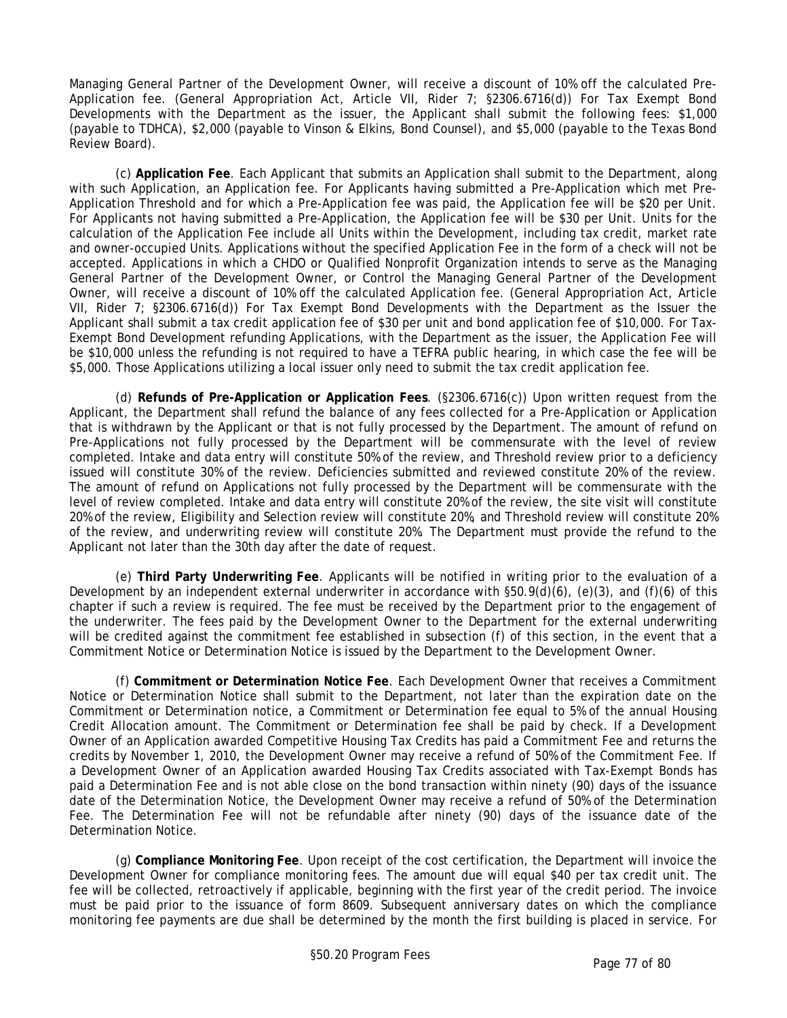Managing General Partner of the Development Owner, will receive a discount of 10% off the calculated Pre-Application fee. (General Appropriation Act, Article VII, Rider 7; §2306.6716(d)) For Tax Exempt Bond Developments with the Department as the issuer, the Applicant shall submit the following fees: \$1,000 (payable to TDHCA), \$2,000 (payable to Vinson & Elkins, Bond Counsel), and \$5,000 (payable to the Texas Bond Review Board).

(c) **Application Fee**. Each Applicant that submits an Application shall submit to the Department, along with such Application, an Application fee. For Applicants having submitted a Pre-Application which met Pre-Application Threshold and for which a Pre-Application fee was paid, the Application fee will be \$20 per Unit. For Applicants not having submitted a Pre-Application, the Application fee will be \$30 per Unit. Units for the calculation of the Application Fee include all Units within the Development, including tax credit, market rate and owner-occupied Units. Applications without the specified Application Fee in the form of a check will not be accepted. Applications in which a CHDO or Qualified Nonprofit Organization intends to serve as the Managing General Partner of the Development Owner, or Control the Managing General Partner of the Development Owner, will receive a discount of 10% off the calculated Application fee. (General Appropriation Act, Article VII, Rider 7; §2306.6716(d)) For Tax Exempt Bond Developments with the Department as the Issuer the Applicant shall submit a tax credit application fee of \$30 per unit and bond application fee of \$10,000. For Tax-Exempt Bond Development refunding Applications, with the Department as the issuer, the Application Fee will be \$10,000 unless the refunding is not required to have a TEFRA public hearing, in which case the fee will be \$5,000. Those Applications utilizing a local issuer only need to submit the tax credit application fee.

(d) **Refunds of Pre-Application or Application Fees**. (§2306.6716(c)) Upon written request from the Applicant, the Department shall refund the balance of any fees collected for a Pre-Application or Application that is withdrawn by the Applicant or that is not fully processed by the Department. The amount of refund on Pre-Applications not fully processed by the Department will be commensurate with the level of review completed. Intake and data entry will constitute 50% of the review, and Threshold review prior to a deficiency issued will constitute 30% of the review. Deficiencies submitted and reviewed constitute 20% of the review. The amount of refund on Applications not fully processed by the Department will be commensurate with the level of review completed. Intake and data entry will constitute 20% of the review, the site visit will constitute 20% of the review, Eligibility and Selection review will constitute 20%, and Threshold review will constitute 20% of the review, and underwriting review will constitute 20%. The Department must provide the refund to the Applicant not later than the 30th day after the date of request.

(e) **Third Party Underwriting Fee**. Applicants will be notified in writing prior to the evaluation of a Development by an independent external underwriter in accordance with §50.9(d)(6), (e)(3), and (f)(6) of this chapter if such a review is required. The fee must be received by the Department prior to the engagement of the underwriter. The fees paid by the Development Owner to the Department for the external underwriting will be credited against the commitment fee established in subsection (f) of this section, in the event that a Commitment Notice or Determination Notice is issued by the Department to the Development Owner.

(f) **Commitment or Determination Notice Fee**. Each Development Owner that receives a Commitment Notice or Determination Notice shall submit to the Department, not later than the expiration date on the Commitment or Determination notice, a Commitment or Determination fee equal to 5% of the annual Housing Credit Allocation amount. The Commitment or Determination fee shall be paid by check. If a Development Owner of an Application awarded Competitive Housing Tax Credits has paid a Commitment Fee and returns the credits by November 1, 2010, the Development Owner may receive a refund of 50% of the Commitment Fee. If a Development Owner of an Application awarded Housing Tax Credits associated with Tax-Exempt Bonds has paid a Determination Fee and is not able close on the bond transaction within ninety (90) days of the issuance date of the Determination Notice, the Development Owner may receive a refund of 50% of the Determination Fee. The Determination Fee will not be refundable after ninety (90) days of the issuance date of the Determination Notice.

(g) **Compliance Monitoring Fee**. Upon receipt of the cost certification, the Department will invoice the Development Owner for compliance monitoring fees. The amount due will equal \$40 per tax credit unit. The fee will be collected, retroactively if applicable, beginning with the first year of the credit period. The invoice must be paid prior to the issuance of form 8609. Subsequent anniversary dates on which the compliance monitoring fee payments are due shall be determined by the month the first building is placed in service. For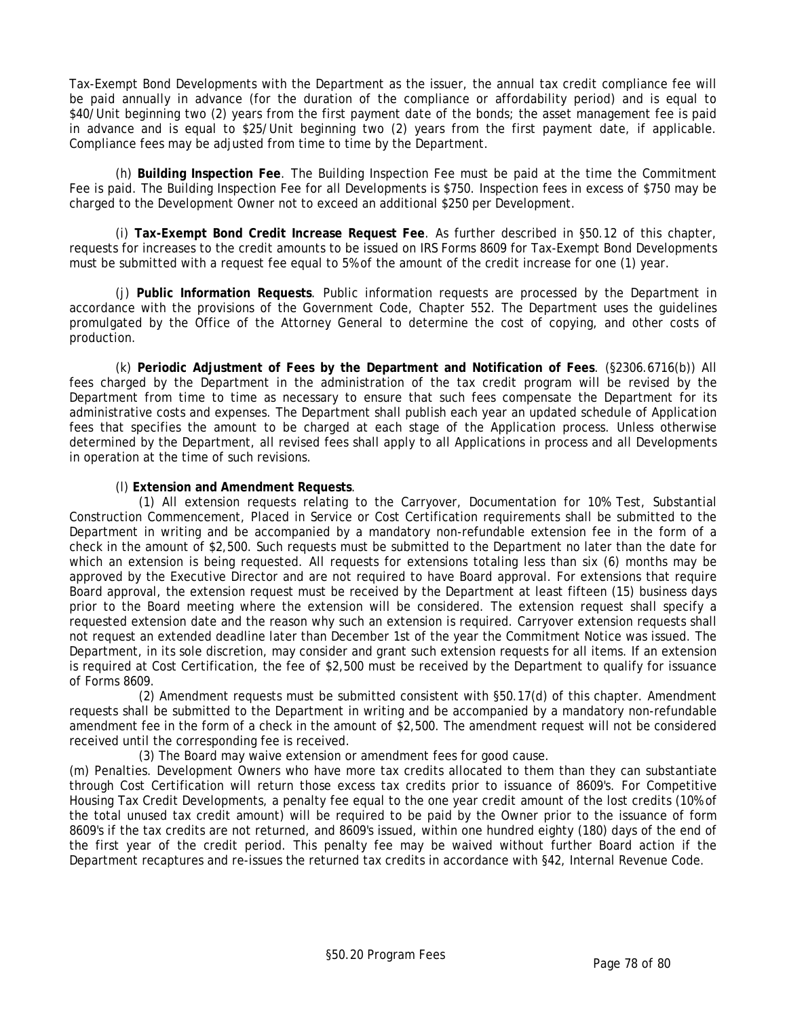Tax-Exempt Bond Developments with the Department as the issuer, the annual tax credit compliance fee will be paid annually in advance (for the duration of the compliance or affordability period) and is equal to \$40/Unit beginning two (2) years from the first payment date of the bonds; the asset management fee is paid in advance and is equal to \$25/Unit beginning two (2) years from the first payment date, if applicable. Compliance fees may be adjusted from time to time by the Department.

(h) **Building Inspection Fee**. The Building Inspection Fee must be paid at the time the Commitment Fee is paid. The Building Inspection Fee for all Developments is \$750. Inspection fees in excess of \$750 may be charged to the Development Owner not to exceed an additional \$250 per Development.

(i) **Tax-Exempt Bond Credit Increase Request Fee**. As further described in §50.12 of this chapter, requests for increases to the credit amounts to be issued on IRS Forms 8609 for Tax-Exempt Bond Developments must be submitted with a request fee equal to 5% of the amount of the credit increase for one (1) year.

(j) **Public Information Requests**. Public information requests are processed by the Department in accordance with the provisions of the Government Code, Chapter 552. The Department uses the guidelines promulgated by the Office of the Attorney General to determine the cost of copying, and other costs of production.

(k) **Periodic Adjustment of Fees by the Department and Notification of Fees**. (§2306.6716(b)) All fees charged by the Department in the administration of the tax credit program will be revised by the Department from time to time as necessary to ensure that such fees compensate the Department for its administrative costs and expenses. The Department shall publish each year an updated schedule of Application fees that specifies the amount to be charged at each stage of the Application process. Unless otherwise determined by the Department, all revised fees shall apply to all Applications in process and all Developments in operation at the time of such revisions.

### (l) **Extension and Amendment Requests**.

(1) All extension requests relating to the Carryover, Documentation for 10% Test, Substantial Construction Commencement, Placed in Service or Cost Certification requirements shall be submitted to the Department in writing and be accompanied by a mandatory non-refundable extension fee in the form of a check in the amount of \$2,500. Such requests must be submitted to the Department no later than the date for which an extension is being requested. All requests for extensions totaling less than six (6) months may be approved by the Executive Director and are not required to have Board approval. For extensions that require Board approval, the extension request must be received by the Department at least fifteen (15) business days prior to the Board meeting where the extension will be considered. The extension request shall specify a requested extension date and the reason why such an extension is required. Carryover extension requests shall not request an extended deadline later than December 1st of the year the Commitment Notice was issued. The Department, in its sole discretion, may consider and grant such extension requests for all items. If an extension is required at Cost Certification, the fee of \$2,500 must be received by the Department to qualify for issuance of Forms 8609.

(2) Amendment requests must be submitted consistent with §50.17(d) of this chapter. Amendment requests shall be submitted to the Department in writing and be accompanied by a mandatory non-refundable amendment fee in the form of a check in the amount of \$2,500. The amendment request will not be considered received until the corresponding fee is received.

(3) The Board may waive extension or amendment fees for good cause.

(m) Penalties. Development Owners who have more tax credits allocated to them than they can substantiate through Cost Certification will return those excess tax credits prior to issuance of 8609's. For Competitive Housing Tax Credit Developments, a penalty fee equal to the one year credit amount of the lost credits (10% of the total unused tax credit amount) will be required to be paid by the Owner prior to the issuance of form 8609's if the tax credits are not returned, and 8609's issued, within one hundred eighty (180) days of the end of the first year of the credit period. This penalty fee may be waived without further Board action if the Department recaptures and re-issues the returned tax credits in accordance with §42, Internal Revenue Code.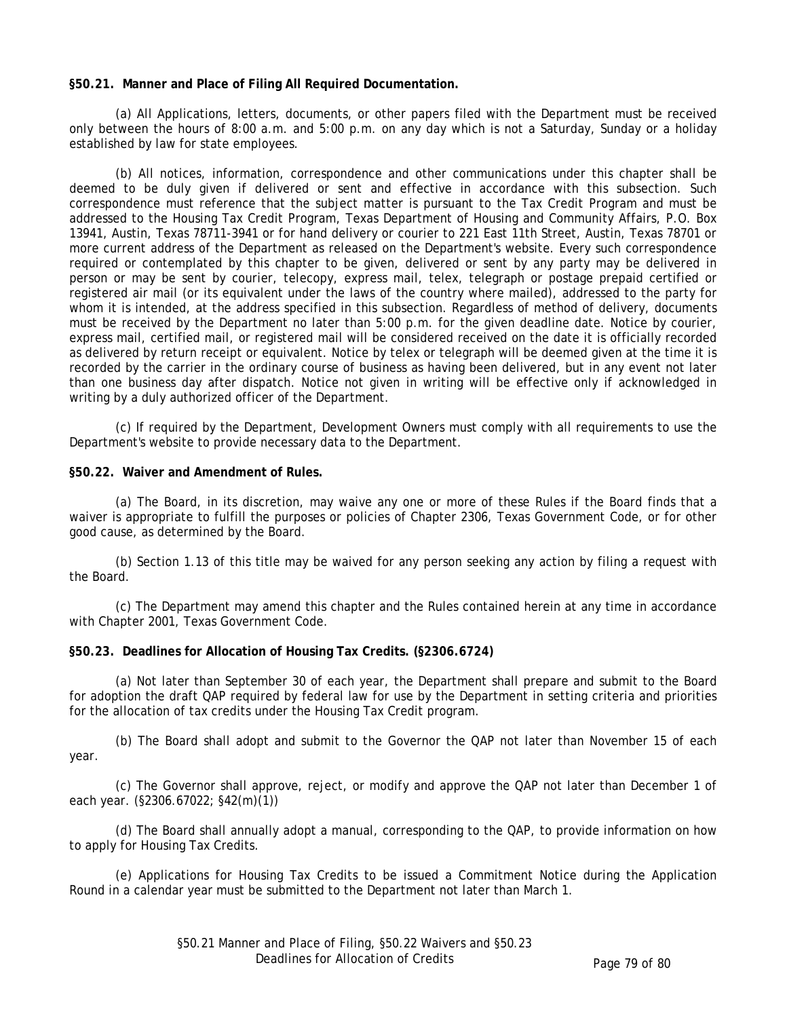### **§50.21. Manner and Place of Filing All Required Documentation.**

(a) All Applications, letters, documents, or other papers filed with the Department must be received only between the hours of 8:00 a.m. and 5:00 p.m. on any day which is not a Saturday, Sunday or a holiday established by law for state employees.

(b) All notices, information, correspondence and other communications under this chapter shall be deemed to be duly given if delivered or sent and effective in accordance with this subsection. Such correspondence must reference that the subject matter is pursuant to the Tax Credit Program and must be addressed to the Housing Tax Credit Program, Texas Department of Housing and Community Affairs, P.O. Box 13941, Austin, Texas 78711-3941 or for hand delivery or courier to 221 East 11th Street, Austin, Texas 78701 or more current address of the Department as released on the Department's website. Every such correspondence required or contemplated by this chapter to be given, delivered or sent by any party may be delivered in person or may be sent by courier, telecopy, express mail, telex, telegraph or postage prepaid certified or registered air mail (or its equivalent under the laws of the country where mailed), addressed to the party for whom it is intended, at the address specified in this subsection. Regardless of method of delivery, documents must be received by the Department no later than 5:00 p.m. for the given deadline date. Notice by courier, express mail, certified mail, or registered mail will be considered received on the date it is officially recorded as delivered by return receipt or equivalent. Notice by telex or telegraph will be deemed given at the time it is recorded by the carrier in the ordinary course of business as having been delivered, but in any event not later than one business day after dispatch. Notice not given in writing will be effective only if acknowledged in writing by a duly authorized officer of the Department.

(c) If required by the Department, Development Owners must comply with all requirements to use the Department's website to provide necessary data to the Department.

# **§50.22. Waiver and Amendment of Rules.**

(a) The Board, in its discretion, may waive any one or more of these Rules if the Board finds that a waiver is appropriate to fulfill the purposes or policies of Chapter 2306, Texas Government Code, or for other good cause, as determined by the Board.

(b) Section 1.13 of this title may be waived for any person seeking any action by filing a request with the Board.

(c) The Department may amend this chapter and the Rules contained herein at any time in accordance with Chapter 2001, Texas Government Code.

## **§50.23. Deadlines for Allocation of Housing Tax Credits. (§2306.6724)**

(a) Not later than September 30 of each year, the Department shall prepare and submit to the Board for adoption the draft QAP required by federal law for use by the Department in setting criteria and priorities for the allocation of tax credits under the Housing Tax Credit program.

(b) The Board shall adopt and submit to the Governor the QAP not later than November 15 of each year.

(c) The Governor shall approve, reject, or modify and approve the QAP not later than December 1 of each year. (§2306.67022; §42(m)(1))

(d) The Board shall annually adopt a manual, corresponding to the QAP, to provide information on how to apply for Housing Tax Credits.

(e) Applications for Housing Tax Credits to be issued a Commitment Notice during the Application Round in a calendar year must be submitted to the Department not later than March 1.